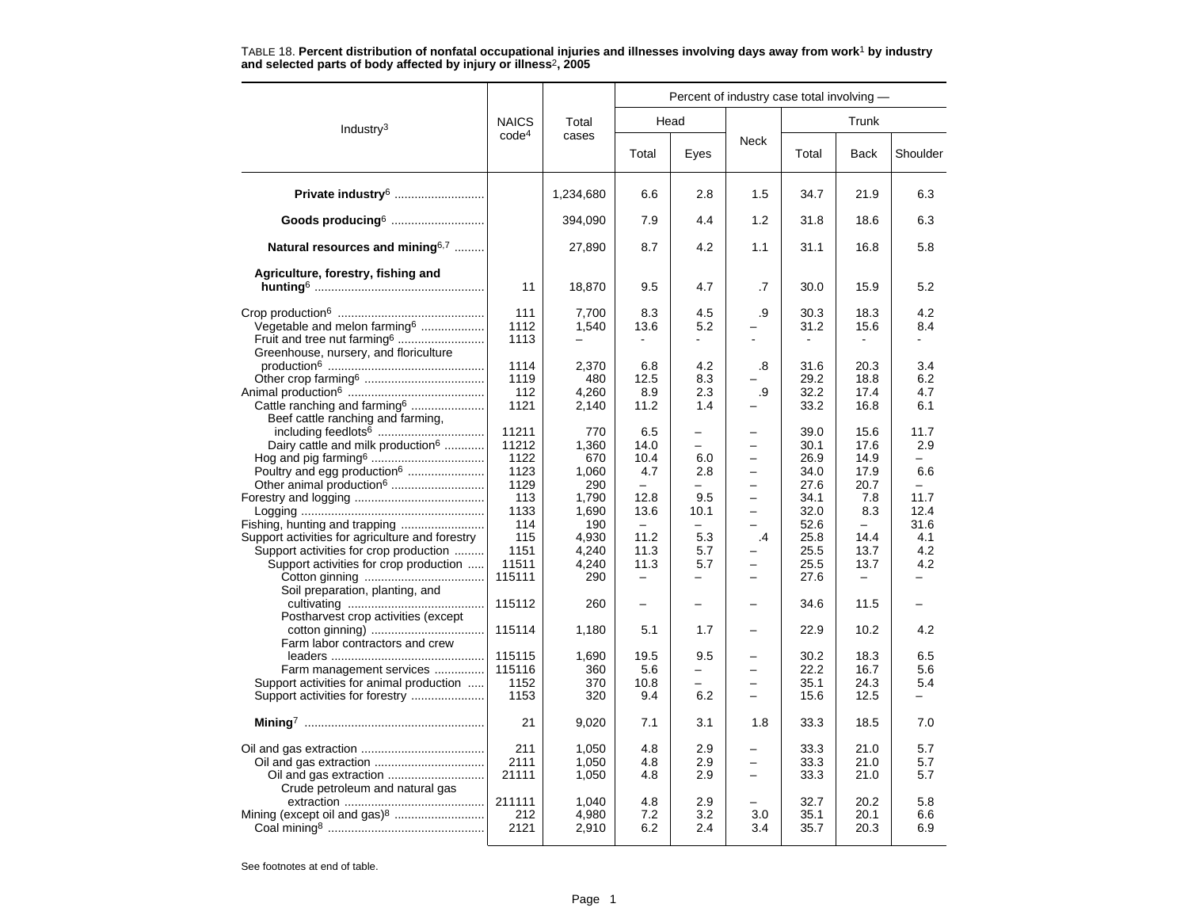|                                                                                                                                     |                                               |                                                |                                                                |                                                    | Percent of industry case total involving -           |                                              |                                                         |                                                        |
|-------------------------------------------------------------------------------------------------------------------------------------|-----------------------------------------------|------------------------------------------------|----------------------------------------------------------------|----------------------------------------------------|------------------------------------------------------|----------------------------------------------|---------------------------------------------------------|--------------------------------------------------------|
| Industry <sup>3</sup>                                                                                                               | <b>NAICS</b>                                  | Total                                          |                                                                | Head                                               |                                                      |                                              | Trunk                                                   |                                                        |
|                                                                                                                                     | code <sup>4</sup>                             | cases                                          | Total                                                          | Eyes                                               | Neck                                                 | Total                                        | <b>Back</b>                                             | Shoulder                                               |
| Private industry <sup>6</sup>                                                                                                       |                                               | 1,234,680                                      | 6.6                                                            | 2.8                                                | 1.5                                                  | 34.7                                         | 21.9                                                    | 6.3                                                    |
| Goods producing <sup>6</sup>                                                                                                        |                                               | 394,090                                        | 7.9                                                            | 4.4                                                | 1.2                                                  | 31.8                                         | 18.6                                                    | 6.3                                                    |
| Natural resources and mining $6,7$                                                                                                  |                                               | 27,890                                         | 8.7                                                            | 4.2                                                | 1.1                                                  | 31.1                                         | 16.8                                                    | 5.8                                                    |
| Agriculture, forestry, fishing and                                                                                                  | 11                                            | 18,870                                         | 9.5                                                            | 4.7                                                | .7                                                   | 30.0                                         | 15.9                                                    | 5.2                                                    |
| Vegetable and melon farming <sup>6</sup><br>Fruit and tree nut farming <sup>6</sup><br>Greenhouse, nursery, and floriculture        | 111<br>1112<br>1113                           | 7,700<br>1,540                                 | 8.3<br>13.6                                                    | 4.5<br>5.2                                         | .9                                                   | 30.3<br>31.2                                 | 18.3<br>15.6                                            | 4.2<br>8.4                                             |
| Cattle ranching and farming <sup>6</sup>                                                                                            | 1114<br>1119<br>112<br>1121                   | 2,370<br>480<br>4.260<br>2,140                 | 6.8<br>12.5<br>8.9<br>11.2                                     | 4.2<br>8.3<br>2.3<br>1.4                           | .8<br>.9                                             | 31.6<br>29.2<br>32.2<br>33.2                 | 20.3<br>18.8<br>17.4<br>16.8                            | 3.4<br>6.2<br>4.7<br>6.1                               |
| Beef cattle ranching and farming,<br>Dairy cattle and milk production <sup>6</sup><br>Poultry and egg production <sup>6</sup>       | 11211<br>11212<br>1122<br>1123<br>1129<br>113 | 770<br>1,360<br>670<br>1,060<br>290<br>1.790   | 6.5<br>14.0<br>10.4<br>4.7<br>$\overline{\phantom{0}}$<br>12.8 | -<br>6.0<br>2.8<br>$\overline{\phantom{0}}$<br>9.5 | $\overline{\phantom{0}}$<br>$\equiv$                 | 39.0<br>30.1<br>26.9<br>34.0<br>27.6<br>34.1 | 15.6<br>17.6<br>14.9<br>17.9<br>20.7<br>7.8             | 11.7<br>2.9<br>$\overline{\phantom{0}}$<br>6.6<br>11.7 |
| Support activities for agriculture and forestry<br>Support activities for crop production<br>Support activities for crop production | 1133<br>114<br>115<br>1151<br>11511<br>115111 | 1,690<br>190<br>4,930<br>4,240<br>4,240<br>290 | 13.6<br>$\equiv$<br>11.2<br>11.3<br>11.3                       | 10.1<br>5.3<br>5.7<br>5.7<br>-                     | $\cdot$<br>$\overline{\phantom{0}}$                  | 32.0<br>52.6<br>25.8<br>25.5<br>25.5<br>27.6 | 8.3<br>$\overline{\phantom{0}}$<br>14.4<br>13.7<br>13.7 | 12.4<br>31.6<br>4.1<br>4.2<br>4.2                      |
| Soil preparation, planting, and<br>Postharvest crop activities (except                                                              | 115112                                        | 260                                            | $\overline{\phantom{0}}$                                       |                                                    |                                                      | 34.6                                         | 11.5                                                    |                                                        |
| Farm labor contractors and crew                                                                                                     | 115114                                        | 1,180                                          | 5.1                                                            | 1.7                                                | $\overline{\phantom{0}}$                             | 22.9                                         | 10.2                                                    | 4.2                                                    |
| Farm management services<br>Support activities for animal production<br>Support activities for forestry                             | 115115<br>115116<br>1152<br>1153              | 1,690<br>360<br>370<br>320                     | 19.5<br>5.6<br>10.8<br>9.4                                     | 9.5<br>-<br>6.2                                    | $\overline{\phantom{0}}$<br>$\overline{\phantom{0}}$ | 30.2<br>22.2<br>35.1<br>15.6                 | 18.3<br>16.7<br>24.3<br>12.5                            | 6.5<br>5.6<br>5.4<br>-                                 |
|                                                                                                                                     | 21                                            | 9,020                                          | 7.1                                                            | 3.1                                                | 1.8                                                  | 33.3                                         | 18.5                                                    | 7.0                                                    |
| Crude petroleum and natural gas                                                                                                     | 211<br>2111<br>21111                          | 1,050<br>1,050<br>1,050                        | 4.8<br>4.8<br>4.8                                              | 2.9<br>2.9<br>2.9                                  | $\overline{\phantom{0}}$                             | 33.3<br>33.3<br>33.3                         | 21.0<br>21.0<br>21.0                                    | 5.7<br>5.7<br>5.7                                      |
| Mining (except oil and gas) <sup>8</sup>                                                                                            | 211111<br>212<br>2121                         | 1,040<br>4,980<br>2,910                        | 4.8<br>7.2<br>6.2                                              | 2.9<br>3.2<br>2.4                                  | 3.0<br>3.4                                           | 32.7<br>35.1<br>35.7                         | 20.2<br>20.1<br>20.3                                    | 5.8<br>6.6<br>6.9                                      |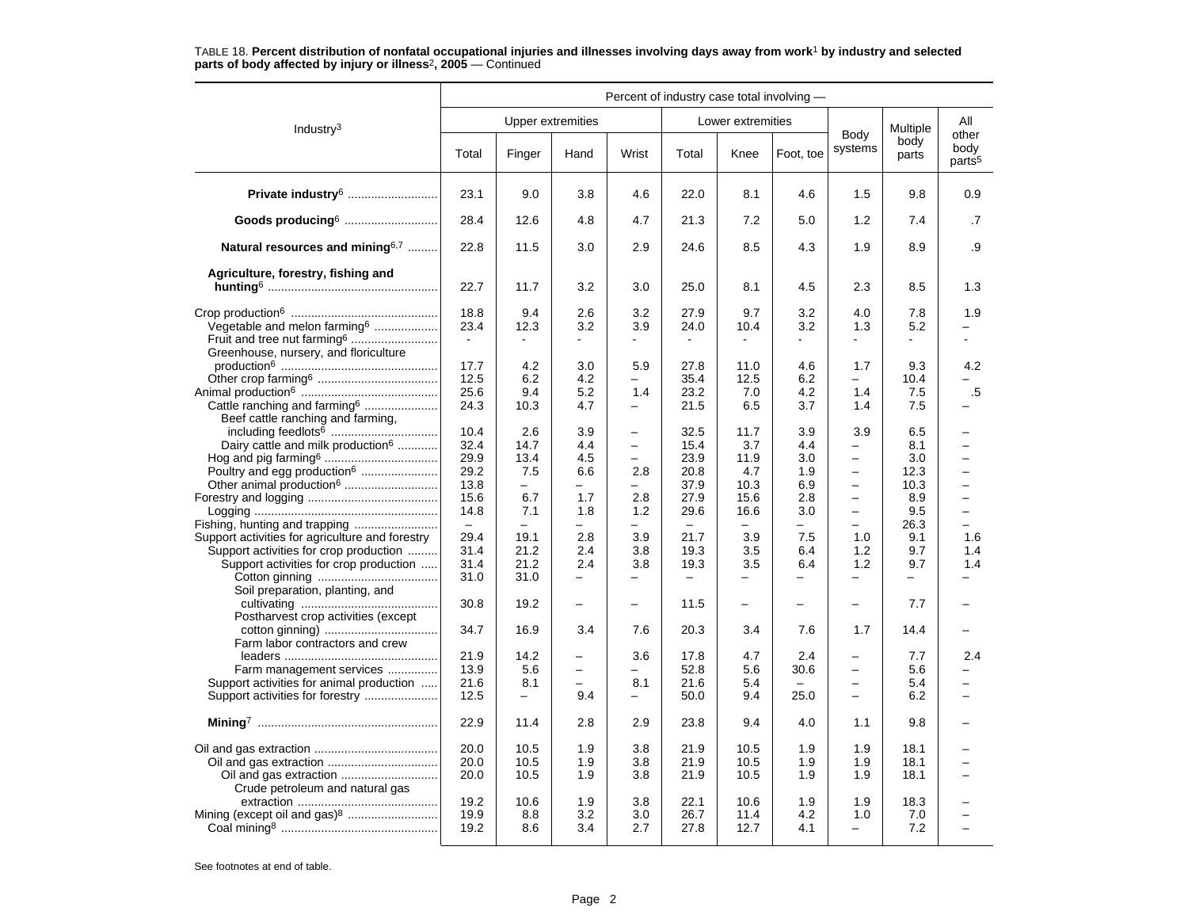|                                                                                                                                                                        | Percent of industry case total involving -                                       |                                                                                  |                                                         |                                                   |                                                                                  |                                                    |                                                                           |                                                                                                    |                                                         |                                                                                                                      |
|------------------------------------------------------------------------------------------------------------------------------------------------------------------------|----------------------------------------------------------------------------------|----------------------------------------------------------------------------------|---------------------------------------------------------|---------------------------------------------------|----------------------------------------------------------------------------------|----------------------------------------------------|---------------------------------------------------------------------------|----------------------------------------------------------------------------------------------------|---------------------------------------------------------|----------------------------------------------------------------------------------------------------------------------|
| Industry $3$                                                                                                                                                           |                                                                                  |                                                                                  | <b>Upper extremities</b>                                |                                                   |                                                                                  | Lower extremities                                  |                                                                           |                                                                                                    | Multiple                                                | All                                                                                                                  |
|                                                                                                                                                                        | Total                                                                            | Finger                                                                           | Hand                                                    | Wrist                                             | Total                                                                            | Knee                                               | Foot, toe                                                                 | Body<br>systems                                                                                    | body<br>parts                                           | other<br>body<br>parts <sup>5</sup>                                                                                  |
| Private industry <sup>6</sup>                                                                                                                                          | 23.1                                                                             | 9.0                                                                              | 3.8                                                     | 4.6                                               | 22.0                                                                             | 8.1                                                | 4.6                                                                       | 1.5                                                                                                | 9.8                                                     | 0.9                                                                                                                  |
| Goods producing <sup>6</sup>                                                                                                                                           | 28.4                                                                             | 12.6                                                                             | 4.8                                                     | 4.7                                               | 21.3                                                                             | 7.2                                                | 5.0                                                                       | 1.2                                                                                                | 7.4                                                     | .7                                                                                                                   |
| Natural resources and mining <sup>6,7</sup>                                                                                                                            | 22.8                                                                             | 11.5                                                                             | 3.0                                                     | 2.9                                               | 24.6                                                                             | 8.5                                                | 4.3                                                                       | 1.9                                                                                                | 8.9                                                     | .9                                                                                                                   |
| Agriculture, forestry, fishing and                                                                                                                                     |                                                                                  |                                                                                  |                                                         |                                                   |                                                                                  |                                                    |                                                                           |                                                                                                    |                                                         |                                                                                                                      |
|                                                                                                                                                                        | 22.7                                                                             | 11.7                                                                             | 3.2                                                     | 3.0                                               | 25.0                                                                             | 8.1                                                | 4.5                                                                       | 2.3                                                                                                | 8.5                                                     | 1.3                                                                                                                  |
| Vegetable and melon farming <sup>6</sup><br>Fruit and tree nut farming <sup>6</sup><br>Greenhouse, nursery, and floriculture                                           | 18.8<br>23.4                                                                     | 9.4<br>12.3                                                                      | 2.6<br>3.2                                              | 3.2<br>3.9                                        | 27.9<br>24.0                                                                     | 9.7<br>10.4                                        | 3.2<br>3.2                                                                | 4.0<br>1.3                                                                                         | 7.8<br>5.2                                              | 1.9                                                                                                                  |
| Cattle ranching and farming <sup>6</sup>                                                                                                                               | 17.7<br>12.5<br>25.6<br>24.3                                                     | 4.2<br>6.2<br>9.4<br>10.3                                                        | 3.0<br>4.2<br>5.2<br>4.7                                | 5.9<br>1.4<br>-                                   | 27.8<br>35.4<br>23.2<br>21.5                                                     | 11.0<br>12.5<br>7.0<br>6.5                         | 4.6<br>6.2<br>4.2<br>3.7                                                  | 1.7<br>1.4<br>1.4                                                                                  | 9.3<br>10.4<br>7.5<br>7.5                               | 4.2<br>.5                                                                                                            |
| Beef cattle ranching and farming,<br>Dairy cattle and milk production <sup>6</sup><br>Poultry and egg production <sup>6</sup>                                          | 10.4<br>32.4<br>29.9<br>29.2<br>13.8<br>15.6<br>14.8<br>$\overline{\phantom{m}}$ | 2.6<br>14.7<br>13.4<br>7.5<br>$\overline{\phantom{0}}$<br>6.7<br>7.1<br>$\equiv$ | 3.9<br>4.4<br>4.5<br>6.6<br>1.7<br>1.8<br>$\equiv$      | $\qquad \qquad -$<br>-<br>2.8<br>2.8<br>1.2<br>L, | 32.5<br>15.4<br>23.9<br>20.8<br>37.9<br>27.9<br>29.6<br>$\overline{\phantom{m}}$ | 11.7<br>3.7<br>11.9<br>4.7<br>10.3<br>15.6<br>16.6 | 3.9<br>4.4<br>3.0<br>1.9<br>6.9<br>2.8<br>3.0<br>$\overline{\phantom{0}}$ | 3.9<br>-<br>-<br>$\overline{\phantom{0}}$<br>$\equiv$<br>-<br>$\overline{\phantom{0}}$<br>$\equiv$ | 6.5<br>8.1<br>3.0<br>12.3<br>10.3<br>8.9<br>9.5<br>26.3 | $\overline{\phantom{0}}$<br>$\overline{\phantom{0}}$<br>$\equiv$<br>$\equiv$<br>$\overline{\phantom{0}}$<br>$\equiv$ |
| Support activities for agriculture and forestry<br>Support activities for crop production<br>Support activities for crop production<br>Soil preparation, planting, and | 29.4<br>31.4<br>31.4<br>31.0                                                     | 19.1<br>21.2<br>21.2<br>31.0                                                     | 2.8<br>2.4<br>2.4<br>$\overline{\phantom{0}}$           | 3.9<br>3.8<br>3.8<br>-                            | 21.7<br>19.3<br>19.3                                                             | 3.9<br>3.5<br>3.5<br>-                             | 7.5<br>6.4<br>6.4                                                         | 1.0<br>1.2<br>1.2<br>-                                                                             | 9.1<br>9.7<br>9.7                                       | 1.6<br>1.4<br>1.4                                                                                                    |
| Postharvest crop activities (except                                                                                                                                    | 30.8<br>34.7                                                                     | 19.2<br>16.9                                                                     | $\overline{\phantom{0}}$<br>3.4                         | 7.6                                               | 11.5<br>20.3                                                                     | -<br>3.4                                           | 7.6                                                                       | 1.7                                                                                                | 7.7<br>14.4                                             |                                                                                                                      |
| Farm labor contractors and crew<br>Farm management services<br>Support activities for animal production<br>Support activities for forestry                             | 21.9<br>13.9<br>21.6<br>12.5                                                     | 14.2<br>5.6<br>8.1<br>$\overline{\phantom{0}}$                                   | $\equiv$<br>$\overline{\phantom{0}}$<br>$\equiv$<br>9.4 | 3.6<br>-<br>8.1<br><u>.</u>                       | 17.8<br>52.8<br>21.6<br>50.0                                                     | 4.7<br>5.6<br>5.4<br>9.4                           | 2.4<br>30.6<br>25.0                                                       | $\overline{\phantom{0}}$<br>$\overline{a}$<br>$\equiv$<br>$\overline{a}$                           | 7.7<br>5.6<br>5.4<br>6.2                                | 2.4<br>$\overline{\phantom{0}}$                                                                                      |
|                                                                                                                                                                        | 22.9                                                                             | 11.4                                                                             | 2.8                                                     | 2.9                                               | 23.8                                                                             | 9.4                                                | 4.0                                                                       | 1.1                                                                                                | 9.8                                                     |                                                                                                                      |
| Crude petroleum and natural gas                                                                                                                                        | 20.0<br>20.0<br>20.0                                                             | 10.5<br>10.5<br>10.5                                                             | 1.9<br>1.9<br>1.9                                       | 3.8<br>3.8<br>3.8                                 | 21.9<br>21.9<br>21.9                                                             | 10.5<br>10.5<br>10.5                               | 1.9<br>1.9<br>1.9                                                         | 1.9<br>1.9<br>1.9                                                                                  | 18.1<br>18.1<br>18.1                                    |                                                                                                                      |
| Mining (except oil and gas) <sup>8</sup>                                                                                                                               | 19.2<br>19.9<br>19.2                                                             | 10.6<br>8.8<br>8.6                                                               | 1.9<br>3.2<br>3.4                                       | 3.8<br>3.0<br>2.7                                 | 22.1<br>26.7<br>27.8                                                             | 10.6<br>11.4<br>12.7                               | 1.9<br>4.2<br>4.1                                                         | 1.9<br>1.0<br>-                                                                                    | 18.3<br>7.0<br>7.2                                      |                                                                                                                      |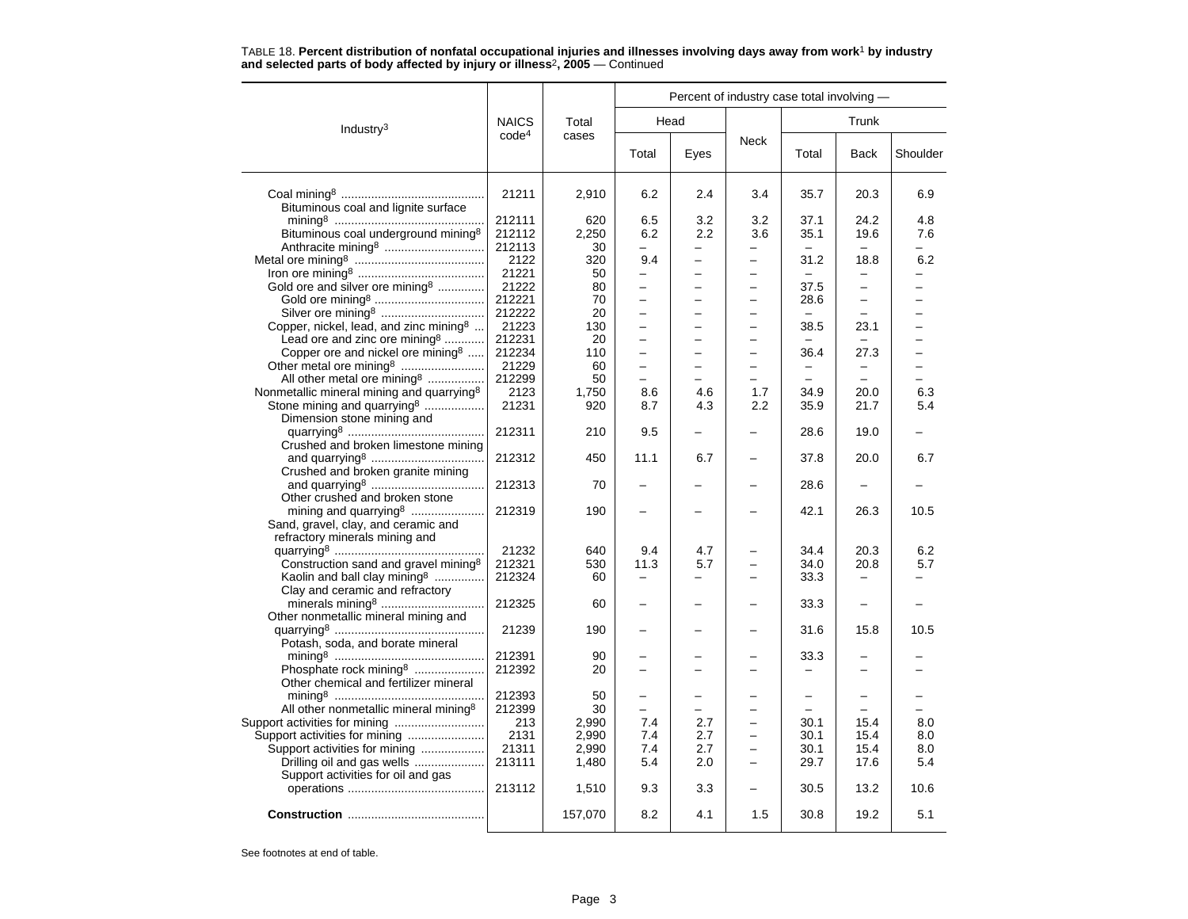|                                                       |                   |                |                          |                          | Percent of industry case total involving - |                          |                          |            |
|-------------------------------------------------------|-------------------|----------------|--------------------------|--------------------------|--------------------------------------------|--------------------------|--------------------------|------------|
| Industry <sup>3</sup>                                 | <b>NAICS</b>      | Total          |                          | Head                     |                                            |                          | Trunk                    |            |
|                                                       | code <sup>4</sup> | cases          | Total                    | Eyes                     | <b>Neck</b>                                | Total                    | <b>Back</b>              | Shoulder   |
|                                                       | 21211             | 2,910          | 6.2                      | 2.4                      | 3.4                                        | 35.7                     | 20.3                     | 6.9        |
| Bituminous coal and lignite surface                   |                   |                |                          |                          |                                            |                          |                          |            |
|                                                       | 212111            | 620            | 6.5                      | 3.2                      | 3.2                                        | 37.1                     | 24.2                     | 4.8        |
| Bituminous coal underground mining <sup>8</sup>       | 212112            | 2,250          | 6.2                      | 2.2                      | 3.6                                        | 35.1                     | 19.6                     | 7.6        |
|                                                       | 212113            | 30             |                          | $\overline{\phantom{0}}$ |                                            |                          | $\sim$                   |            |
|                                                       | 2122              | 320            | 9.4                      |                          |                                            | 31.2                     | 18.8                     | 6.2        |
|                                                       | 21221             | 50             | L.                       |                          | $\equiv$                                   |                          |                          |            |
| Gold ore and silver ore mining <sup>8</sup>           | 21222             | 80             | -                        | -                        | -                                          | 37.5                     | $\qquad \qquad -$        |            |
|                                                       | 212221            | 70             | $\overline{\phantom{0}}$ |                          |                                            | 28.6                     |                          |            |
| Silver ore mining <sup>8</sup>                        | 212222            | 20             | $\equiv$                 | -                        | $\overline{\phantom{0}}$                   |                          | $\equiv$                 |            |
|                                                       | 21223             |                |                          |                          |                                            |                          |                          |            |
| Copper, nickel, lead, and zinc mining <sup>8</sup>    |                   | 130            | $\overline{\phantom{0}}$ |                          | -                                          | 38.5                     | 23.1                     |            |
| Lead ore and zinc ore mining <sup>8</sup>             | 212231            | 20             | $\overline{\phantom{0}}$ |                          |                                            |                          |                          |            |
| Copper ore and nickel ore mining $\delta$             | 212234            | 110            | $\overline{\phantom{0}}$ |                          |                                            | 36.4                     | 27.3                     |            |
| Other metal ore mining <sup>8</sup>                   | 21229             | 60             | -                        | $\overline{\phantom{0}}$ | $\overline{\phantom{0}}$                   | -                        | $\overline{\phantom{0}}$ |            |
| All other metal ore mining <sup>8</sup>               | 212299            | 50             | $\overline{\phantom{0}}$ |                          |                                            | $\overline{a}$           |                          |            |
| Nonmetallic mineral mining and quarrying <sup>8</sup> | 2123              | 1,750          | 8.6                      | 4.6                      | 1.7                                        | 34.9                     | 20.0                     | 6.3        |
| Stone mining and quarrying <sup>8</sup>               | 21231             | 920            | 8.7                      | 4.3                      | 2.2                                        | 35.9                     | 21.7                     | 5.4        |
| Dimension stone mining and                            |                   |                |                          |                          |                                            |                          |                          |            |
|                                                       | 212311            | 210            | 9.5                      |                          |                                            | 28.6                     | 19.0                     |            |
| Crushed and broken limestone mining                   |                   |                |                          |                          |                                            |                          |                          |            |
|                                                       | 212312            | 450            | 11.1                     | 6.7                      |                                            | 37.8                     | 20.0                     | 6.7        |
| Crushed and broken granite mining                     |                   |                |                          |                          |                                            |                          |                          |            |
|                                                       | 212313            | 70             |                          |                          |                                            | 28.6                     |                          |            |
| Other crushed and broken stone                        |                   |                |                          |                          |                                            |                          |                          |            |
|                                                       | 212319            | 190            |                          |                          |                                            | 42.1                     | 26.3                     | 10.5       |
| Sand, gravel, clay, and ceramic and                   |                   |                |                          |                          |                                            |                          |                          |            |
| refractory minerals mining and                        |                   |                |                          |                          |                                            |                          |                          |            |
|                                                       | 21232             | 640            | 9.4                      | 4.7                      |                                            | 34.4                     | 20.3                     | 6.2        |
| Construction sand and gravel mining <sup>8</sup>      | 212321            | 530            | 11.3                     | 5.7                      |                                            | 34.0                     | 20.8                     | 5.7        |
| Kaolin and ball clay mining <sup>8</sup>              | 212324            | 60             |                          |                          |                                            | 33.3                     | $\overline{\phantom{m}}$ |            |
| Clay and ceramic and refractory                       |                   |                |                          |                          |                                            |                          |                          |            |
| minerals mining <sup>8</sup>                          | 212325            | 60             |                          |                          |                                            | 33.3                     |                          |            |
| Other nonmetallic mineral mining and                  |                   |                |                          |                          |                                            |                          |                          |            |
|                                                       | 21239             | 190            |                          |                          |                                            | 31.6                     | 15.8                     | 10.5       |
| Potash, soda, and borate mineral                      |                   |                |                          |                          |                                            |                          |                          |            |
|                                                       | 212391            | 90             |                          |                          |                                            | 33.3                     |                          |            |
| Phosphate rock mining <sup>8</sup>                    | 212392            | 20             |                          |                          |                                            |                          |                          |            |
| Other chemical and fertilizer mineral                 |                   |                |                          |                          |                                            |                          |                          |            |
|                                                       | 212393            | 50             |                          |                          |                                            | $\overline{\phantom{0}}$ |                          |            |
| All other nonmetallic mineral mining <sup>8</sup>     | 212399            | 30             | $\overline{\phantom{0}}$ |                          |                                            | $\overline{a}$           |                          |            |
|                                                       |                   |                | 7.4                      | 2.7                      |                                            |                          |                          |            |
| Support activities for mining                         | 213<br>2131       | 2,990<br>2,990 | 7.4                      | 2.7                      |                                            | 30.1<br>30.1             | 15.4<br>15.4             | 8.0<br>8.0 |
| Support activities for mining                         |                   |                |                          |                          | $\equiv$                                   |                          |                          |            |
| Support activities for mining                         | 21311             | 2,990          | 7.4                      | 2.7                      |                                            | 30.1                     | 15.4                     | 8.0        |
| Drilling oil and gas wells                            | 213111            | 1,480          | 5.4                      | 2.0                      | $\overline{\phantom{0}}$                   | 29.7                     | 17.6                     | 5.4        |
| Support activities for oil and gas                    |                   |                |                          |                          |                                            |                          |                          |            |
|                                                       | 213112            | 1,510          | 9.3                      | 3.3                      |                                            | 30.5                     | 13.2                     | 10.6       |
|                                                       |                   | 157,070        | 8.2                      | 4.1                      | 1.5                                        | 30.8                     | 19.2                     | 5.1        |
|                                                       |                   |                |                          |                          |                                            |                          |                          |            |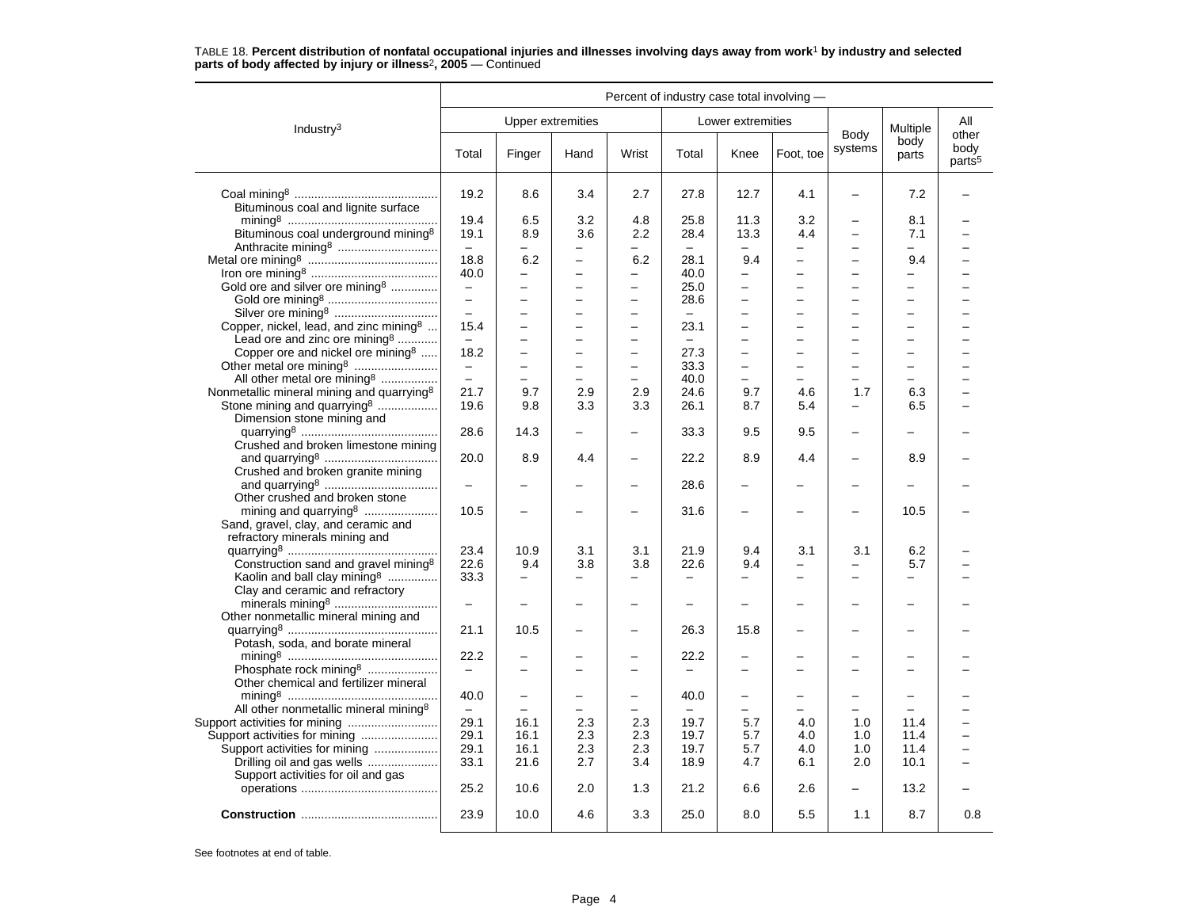|                                                                                                   | Percent of industry case total involving - |                                 |                                            |                                     |                                  |                                                      |                               |                                      |                                                      |                                     |
|---------------------------------------------------------------------------------------------------|--------------------------------------------|---------------------------------|--------------------------------------------|-------------------------------------|----------------------------------|------------------------------------------------------|-------------------------------|--------------------------------------|------------------------------------------------------|-------------------------------------|
| Industry <sup>3</sup>                                                                             |                                            |                                 | <b>Upper extremities</b>                   |                                     |                                  | Lower extremities                                    |                               |                                      | Multiple                                             | All                                 |
|                                                                                                   | Total                                      | Finger                          | Hand                                       | Wrist                               | Total                            | Knee                                                 | Foot, toe                     | Body<br>systems                      | body<br>parts                                        | other<br>body<br>parts <sup>5</sup> |
| Bituminous coal and lignite surface                                                               | 19.2                                       | 8.6                             | 3.4                                        | 2.7                                 | 27.8                             | 12.7                                                 | 4.1                           | $\overline{\phantom{0}}$             | 7.2                                                  |                                     |
| Bituminous coal underground mining <sup>8</sup>                                                   | 19.4<br>19.1                               | 6.5<br>8.9                      | 3.2<br>3.6                                 | 4.8<br>2.2                          | 25.8<br>28.4                     | 11.3<br>13.3                                         | 3.2<br>4.4                    | $\overline{\phantom{0}}$<br>$\equiv$ | 8.1<br>7.1                                           |                                     |
|                                                                                                   | $-$<br>18.8                                | $\overline{\phantom{0}}$<br>6.2 | -<br>$\overline{a}$                        | -<br>6.2                            | $\qquad \qquad -$<br>28.1        | $\overline{\phantom{0}}$<br>9.4                      | -<br>$\overline{\phantom{0}}$ | $\qquad \qquad -$                    | -<br>9.4                                             |                                     |
| Gold ore and silver ore mining <sup>8</sup>                                                       | 40.0<br>$\overline{\phantom{m}}$           | $\equiv$<br>÷                   | $\overline{\phantom{0}}$<br>-              | $\overline{a}$<br>$\qquad \qquad -$ | 40.0<br>25.0                     | $\overline{a}$<br>$\overline{\phantom{0}}$           |                               | $\equiv$<br>$\overline{\phantom{0}}$ | $\overline{\phantom{0}}$<br>$\overline{\phantom{0}}$ |                                     |
|                                                                                                   | $\overline{a}$                             |                                 | $\overline{a}$                             | $\qquad \qquad -$                   | 28.6                             | $\overline{\phantom{0}}$                             |                               | $\overline{a}$                       | $\overline{\phantom{0}}$                             |                                     |
| Silver ore mining <sup>8</sup><br>Copper, nickel, lead, and zinc mining <sup>8</sup>              | $\equiv$<br>15.4                           | L.<br>$\equiv$                  | $\overline{a}$<br>$\overline{\phantom{0}}$ | $\equiv$<br>$\qquad \qquad -$       | $\equiv$<br>23.1                 | $\equiv$<br>$\overline{\phantom{0}}$                 | $\equiv$                      | L.<br>$\equiv$                       | $\equiv$<br>$\overline{\phantom{0}}$                 |                                     |
| Lead ore and zinc ore mining <sup>8</sup><br>Copper ore and nickel ore mining $8$                 | $\overline{\phantom{m}}$<br>18.2           | ÷<br>$\overline{a}$             | $\overline{\phantom{0}}$                   | $\qquad \qquad -$<br>$\equiv$       | $\overline{\phantom{0}}$<br>27.3 | —<br>$\equiv$                                        |                               | $\overline{\phantom{0}}$<br>$\equiv$ | $\overline{\phantom{0}}$<br>$\equiv$                 |                                     |
|                                                                                                   | $\overline{\phantom{0}}$                   |                                 | $\overline{\phantom{0}}$                   | $\overline{\phantom{0}}$            | 33.3                             | $\overline{\phantom{0}}$                             | $\overline{\phantom{0}}$      | $\overline{\phantom{m}}$             | $\overline{\phantom{0}}$                             |                                     |
| All other metal ore mining <sup>8</sup><br>Nonmetallic mineral mining and quarrying <sup>8</sup>  | $\equiv$<br>21.7                           | $\equiv$<br>9.7                 | $\overline{a}$<br>2.9                      | $\overline{\phantom{0}}$<br>2.9     | 40.0<br>24.6                     | $\overline{\phantom{0}}$<br>9.7                      | 4.6                           | $\qquad \qquad -$<br>1.7             | $\overline{\phantom{0}}$<br>6.3                      |                                     |
| Stone mining and quarrying <sup>8</sup><br>Dimension stone mining and                             | 19.6                                       | 9.8                             | 3.3                                        | 3.3                                 | 26.1                             | 8.7                                                  | 5.4                           | $\equiv$                             | 6.5                                                  |                                     |
| Crushed and broken limestone mining                                                               | 28.6                                       | 14.3                            | $\overline{a}$                             | $\equiv$                            | 33.3                             | 9.5                                                  | 9.5                           | $\overline{\phantom{0}}$             | $\equiv$                                             |                                     |
| Crushed and broken granite mining                                                                 | 20.0                                       | 8.9                             | 4.4                                        |                                     | 22.2                             | 8.9                                                  | 4.4                           |                                      | 8.9                                                  |                                     |
|                                                                                                   | $\overline{\phantom{0}}$                   |                                 |                                            | $\overline{\phantom{0}}$            | 28.6                             |                                                      |                               |                                      |                                                      |                                     |
| Other crushed and broken stone<br>Sand, gravel, clay, and ceramic and                             | 10.5                                       |                                 |                                            |                                     | 31.6                             | $\overline{\phantom{0}}$                             |                               |                                      | 10.5                                                 |                                     |
| refractory minerals mining and                                                                    | 23.4                                       | 10.9                            | 3.1                                        | 3.1                                 | 21.9                             | 9.4                                                  | 3.1                           | 3.1                                  | 6.2                                                  |                                     |
| Construction sand and gravel mining <sup>8</sup><br>Kaolin and ball clay mining <sup>8</sup>      | 22.6<br>33.3                               | 9.4<br>$\equiv$                 | 3.8                                        | 3.8<br>$\overline{\phantom{0}}$     | 22.6<br>$\overline{\phantom{0}}$ | 9.4                                                  | ÷                             | $\equiv$                             | 5.7<br>$\overline{\phantom{0}}$                      |                                     |
| Clay and ceramic and refractory                                                                   | $\overline{a}$                             |                                 |                                            | -                                   |                                  |                                                      |                               |                                      |                                                      |                                     |
| Other nonmetallic mineral mining and                                                              | 21.1                                       | 10.5                            |                                            | -                                   | 26.3                             | 15.8                                                 |                               |                                      |                                                      |                                     |
| Potash, soda, and borate mineral                                                                  | 22.2                                       |                                 |                                            |                                     | 22.2                             |                                                      |                               |                                      |                                                      |                                     |
| Phosphate rock mining <sup>8</sup><br>Other chemical and fertilizer mineral                       | $\equiv$                                   |                                 |                                            |                                     |                                  |                                                      |                               |                                      |                                                      |                                     |
| All other nonmetallic mineral mining <sup>8</sup>                                                 | 40.0<br>$\equiv$                           | $\equiv$                        | -                                          | $\overline{\phantom{0}}$            | 40.0<br>$\overline{\phantom{0}}$ | $\overline{\phantom{0}}$<br>$\overline{\phantom{0}}$ |                               | -                                    |                                                      |                                     |
| Support activities for mining                                                                     | 29.1<br>29.1                               | 16.1<br>16.1                    | 2.3<br>2.3                                 | 2.3<br>2.3                          | 19.7<br>19.7                     | 5.7<br>5.7                                           | 4.0<br>4.0                    | 1.0<br>1.0                           | 11.4<br>11.4                                         |                                     |
| Support activities for mining<br>Drilling oil and gas wells<br>Support activities for oil and gas | 29.1<br>33.1                               | 16.1<br>21.6                    | 2.3<br>2.7                                 | 2.3<br>3.4                          | 19.7<br>18.9                     | 5.7<br>4.7                                           | 4.0<br>6.1                    | 1.0<br>2.0                           | 11.4<br>10.1                                         |                                     |
|                                                                                                   | 25.2                                       | 10.6                            | 2.0                                        | 1.3                                 | 21.2                             | 6.6                                                  | 2.6                           | $\overline{\phantom{0}}$             | 13.2                                                 |                                     |
|                                                                                                   | 23.9                                       | 10.0                            | 4.6                                        | 3.3                                 | 25.0                             | 8.0                                                  | 5.5                           | 1.1                                  | 8.7                                                  | 0.8                                 |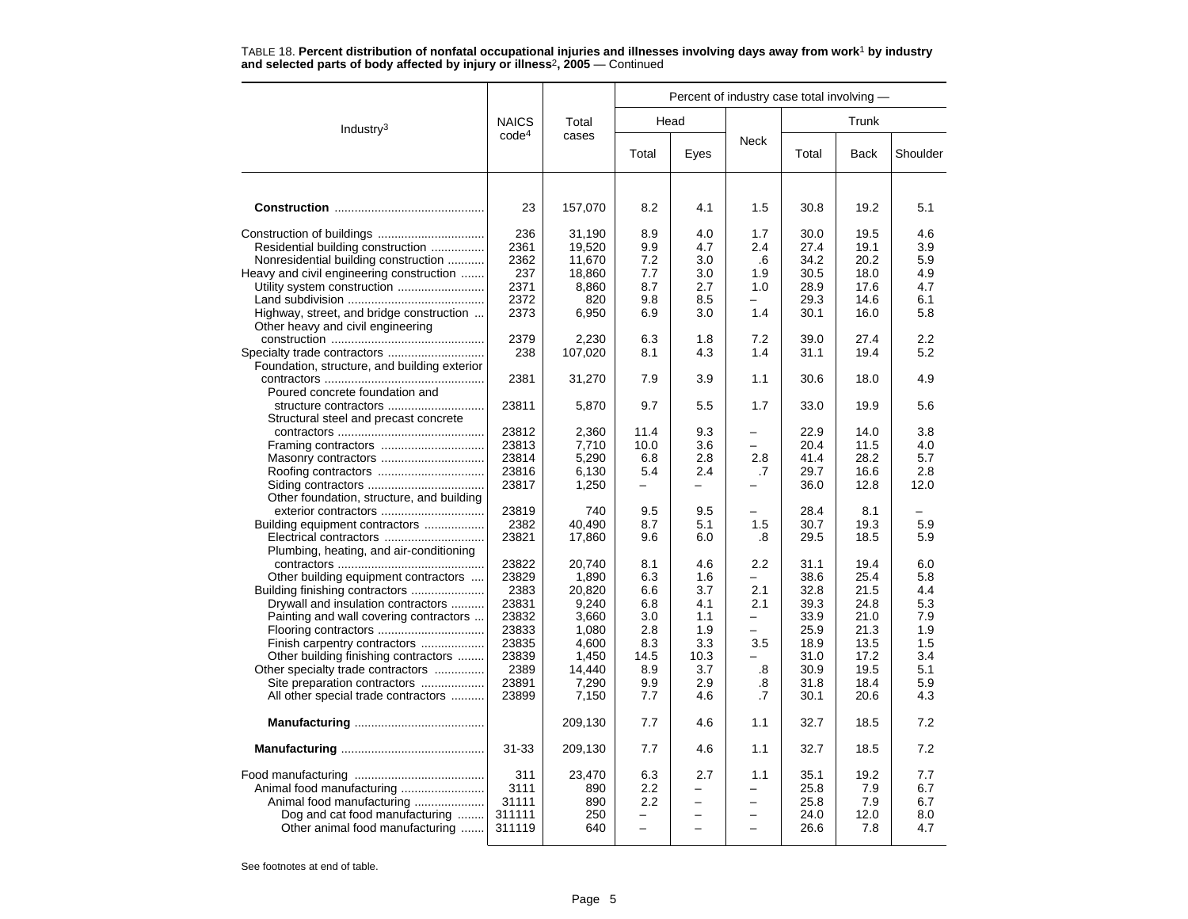| TABLE TO. FUNCTIC QUALIBATION IN THE INTERNATIONAL INTERFERING INTERSES INVOLVING QUYS AWAY TRAIN WORK BY INQUSHIY<br>and selected parts of body affected by injury or illness <sup>2</sup> , 2005 – Continued |                     |                            |                   |                   |                                            |                      |                      |                   |
|----------------------------------------------------------------------------------------------------------------------------------------------------------------------------------------------------------------|---------------------|----------------------------|-------------------|-------------------|--------------------------------------------|----------------------|----------------------|-------------------|
|                                                                                                                                                                                                                |                     |                            |                   |                   | Percent of industry case total involving - |                      |                      |                   |
| Industry <sup>3</sup>                                                                                                                                                                                          | <b>NAICS</b>        | Total                      |                   | Head              |                                            |                      | Trunk                |                   |
|                                                                                                                                                                                                                | code <sup>4</sup>   | cases                      | Total             | Eyes              | <b>Neck</b>                                | Total                | Back                 | Shoulder          |
| <b>Construction</b>                                                                                                                                                                                            | 23                  | 157,070                    | 8.2               | 4.1               | 1.5                                        | 30.8                 | 19.2                 | 5.1               |
| Residential building construction<br>Nonresidential building construction                                                                                                                                      | 236<br>2361<br>2362 | 31.190<br>19,520<br>11,670 | 8.9<br>9.9<br>7.2 | 4.0<br>4.7<br>3.0 | 1.7<br>2.4<br>.6                           | 30.0<br>27.4<br>34.2 | 19.5<br>19.1<br>20.2 | 4.6<br>3.9<br>5.9 |
| Heavy and civil engineering construction<br>Utility system construction                                                                                                                                        | 237<br>2371<br>2372 | 18,860<br>8,860<br>820     | 7.7<br>8.7<br>9.8 | 3.0<br>2.7<br>8.5 | 1.9<br>1.0                                 | 30.5<br>28.9<br>29.3 | 18.0<br>17.6<br>14.6 | 4.9<br>4.7<br>6.1 |
| Highway, street, and bridge construction                                                                                                                                                                       | 2373                | 6,950                      | 6.9               | 3.0               | 1.4                                        | 30.1                 | 16.0                 | 5.8               |

construction .............................................. 2379 2,230 6.3 1.8 7.2 39.0 27.4 2.2

contractors ................................................ 2381 31,270 7.9 3.9 1.1 30.6 18.0 4.9

structure contractors ............................. 23811 5,870 9.7 5.5 1.7 33.0 19.9 5.6

contractors ............................................ 23812 2,360 11.4 9.3 – 22.9 14.0 3.8 Framing contractors ............................... 23813 7,710 10.0 3.6 – 20.4 11.5 4.0 Masonry contractors ............................... 23814 5,290 6.8 2.8 2.8 41.4 28.2 5.7 Roofing contractors ................................ 23816 6,130 5.4 2.4 .7 29.7 16.6 2.8 Siding contractors ................................... 23817 1,250 – – – 36.0 12.8 12.0

contractors ............................................ 23822 20,740 8.1 4.6 2.2 31.1 19.4 6.0 Other building equipment contractors .... 23829 1,890 6.3 1.6 – 38.6 25.4 5.8 Building finishing contractors ...................... 2383 20,820 6.6 3.7 2.1 32.8 21.5 4.4 Drywall and insulation contractors .......... 23831 9,240 6.8 4.1 2.1 39.3 24.8 5.3 Painting and wall covering contractors ... 23832 3,660 3.0 1.1 – 33.9 21.0 7.9 Flooring contractors ................................ 23833 1,080 2.8 1.9 – 25.9 21.3 1.9

Finish carpentry contractors ................... 23835 4,600 8.3 3.3 3.5 18.9 13.5 1.5 Other building finishing contractors ........ 23839 1,450 14.5 10.3 – 31.0 17.2 3.4 Other specialty trade contractors ............... 2389 14,440 8.9 3.7 .8 30.9 19.5 5.1 Site preparation contractors ................... 23891 7,290 9.9 2.9 .8 31.8 18.4 5.9 All other special trade contractors .......... 23899 7,150 7.7 4.6 .7 30.1 20.6 4.3 **Manufacturing** ....................................... 209,130 7.7 4.6 1.1 32.7 18.5 7.2 **Manufacturing** ........................................... 31-33 209,130 7.7 4.6 1.1 32.7 18.5 7.2

exterior contractors ............................... 23819 740 9.5 9.5 – 28.4 8.1 –Building equipment contractors .................. 2382 40,490 8.7 5.1 1.5 30.7 19.3 5.9 Electrical contractors .............................. 23821 17,860 9.6 6.0 .8 29.5 18.5 5.9

Specialty trade contractors ............................. 238 107,020 8.1 4.3 1.4 31.1 19.4 5.2

# TABLE 18. **Percent distribution of nonfatal occupational injuries and illnesses involving days away from work**<sup>1</sup> **by industry**

See footnotes at end of table.

Other heavy and civil engineering

Foundation, structure, and building exterior

Structural steel and precast concrete

Other foundation, structure, and building

Plumbing, heating, and air-conditioning

Poured concrete foundation and

Food manufacturing ....................................... 311 23,470 6.3 2.7 1.1 35.1 19.2 7.7 Animal food manufacturing ......................... 3111 890 2.2 – – 25.8 7.9 6.7 Animal food manufacturing ..................... 31111 890 2.2 – – 25.8 7.9 6.7 Dog and cat food manufacturing ........ 311111 | 250 | - | - | - | 24.0 | 12.0 | 8.0<br>Other animal food manufacturing ....... 311119 | 640 | - | - | - | 26.6 | 7.8 | 4.7

Other animal food manufacturing  $\ldots$ . 311119 | 640 | – | –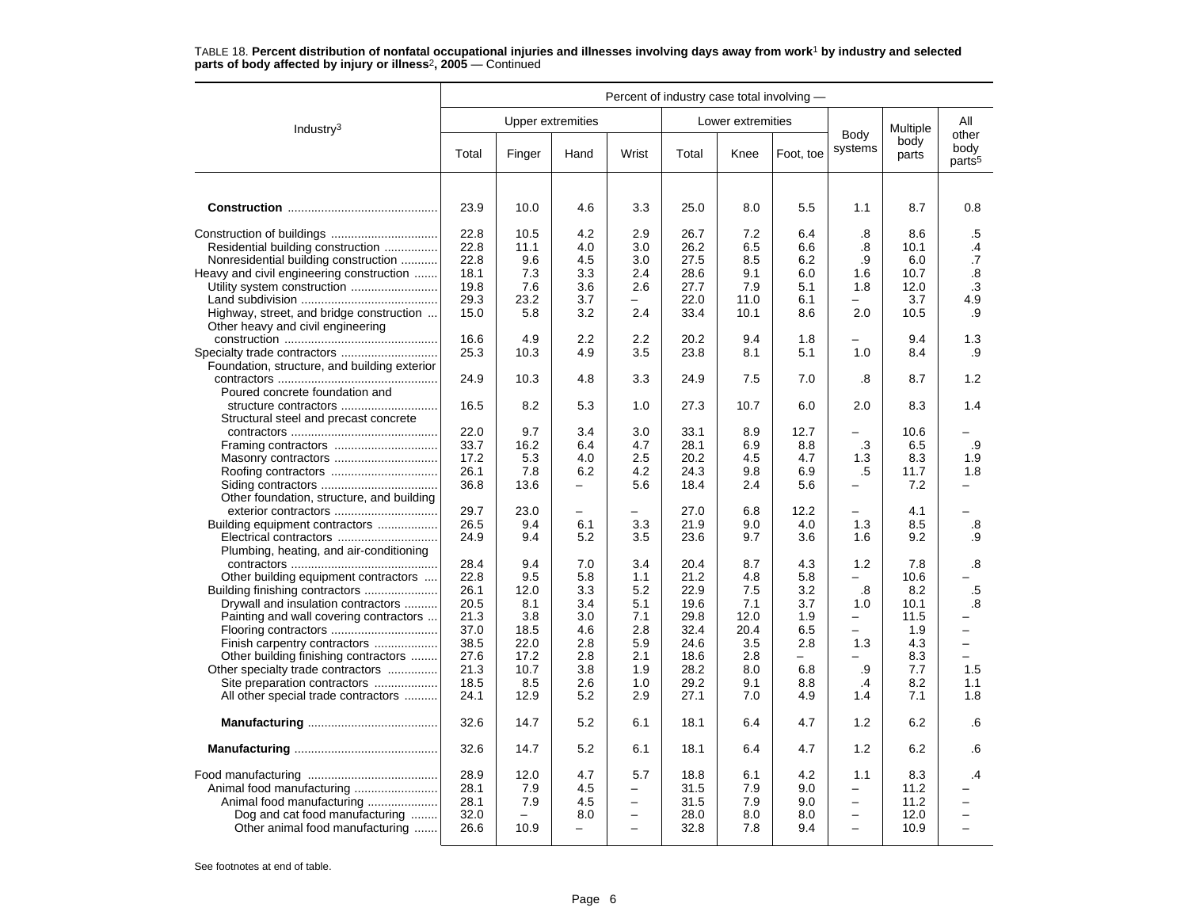|                                              | Percent of industry case total involving - |                   |                          |                          |       |                   |                          |                          |               |                            |
|----------------------------------------------|--------------------------------------------|-------------------|--------------------------|--------------------------|-------|-------------------|--------------------------|--------------------------|---------------|----------------------------|
| Industry <sup>3</sup>                        |                                            | Upper extremities |                          |                          |       | Lower extremities |                          | Body                     | Multiple      | All<br>other               |
|                                              | Total                                      | Finger            | Hand                     | Wrist                    | Total | Knee              | Foot, toe                | systems                  | body<br>parts | body<br>parts <sup>5</sup> |
|                                              |                                            |                   |                          |                          |       |                   |                          |                          |               |                            |
|                                              | 23.9                                       | 10.0              | 4.6                      | 3.3                      | 25.0  | 8.0               | 5.5                      | 1.1                      | 8.7           | 0.8                        |
|                                              | 22.8                                       | 10.5              | 4.2                      | 2.9                      | 26.7  | 7.2               | 6.4                      | .8                       | 8.6           | .5                         |
| Residential building construction            | 22.8                                       | 11.1              | 4.0                      | 3.0                      | 26.2  | 6.5               | 6.6                      | .8                       | 10.1          | .4                         |
| Nonresidential building construction         | 22.8                                       | 9.6               | 4.5                      | 3.0                      | 27.5  | 8.5               | 6.2                      | .9                       | 6.0           | .7                         |
| Heavy and civil engineering construction     | 18.1                                       | 7.3               | 3.3                      | 2.4                      | 28.6  | 9.1               | 6.0                      | 1.6                      | 10.7          | $\boldsymbol{.8}$          |
| Utility system construction                  | 19.8                                       | 7.6               | 3.6                      | 2.6                      | 27.7  | 7.9               | 5.1                      | 1.8                      | 12.0          | .3                         |
|                                              | 29.3                                       | 23.2              | 3.7                      |                          | 22.0  | 11.0              | 6.1                      |                          | 3.7           | 4.9                        |
| Highway, street, and bridge construction     | 15.0                                       | 5.8               | 3.2                      | 2.4                      | 33.4  | 10.1              | 8.6                      | 2.0                      | 10.5          | .9                         |
| Other heavy and civil engineering            | 16.6                                       | 4.9               | 2.2                      | 2.2                      | 20.2  | 9.4               | 1.8                      |                          | 9.4           | 1.3                        |
|                                              | 25.3                                       | 10.3              | 4.9                      | 3.5                      | 23.8  | 8.1               | 5.1                      | 1.0                      | 8.4           | .9                         |
| Foundation, structure, and building exterior |                                            |                   |                          |                          |       |                   |                          |                          |               |                            |
|                                              | 24.9                                       | 10.3              | 4.8                      | 3.3                      | 24.9  | 7.5               | 7.0                      | .8                       | 8.7           | 1.2                        |
| Poured concrete foundation and               |                                            |                   |                          |                          |       |                   |                          |                          |               |                            |
|                                              | 16.5                                       | 8.2               | 5.3                      | 1.0                      | 27.3  | 10.7              | 6.0                      | 2.0                      | 8.3           | 1.4                        |
| Structural steel and precast concrete        |                                            |                   |                          |                          |       |                   |                          |                          |               |                            |
|                                              | 22.0                                       | 9.7               | 3.4                      | 3.0                      | 33.1  | 8.9               | 12.7                     |                          | 10.6          |                            |
| Framing contractors                          | 33.7                                       | 16.2              | 6.4                      | 4.7                      | 28.1  | 6.9               | 8.8                      | .3                       | 6.5           | .9                         |
| Masonry contractors                          | 17.2                                       | 5.3               | 4.0                      | 2.5                      | 20.2  | 4.5               | 4.7                      | 1.3                      | 8.3           | 1.9                        |
| Roofing contractors                          | 26.1                                       | 7.8               | 6.2                      | 4.2                      | 24.3  | 9.8               | 6.9                      | .5                       | 11.7          | 1.8                        |
|                                              | 36.8                                       | 13.6              | $\overline{\phantom{0}}$ | 5.6                      | 18.4  | 2.4               | 5.6                      |                          | 7.2           |                            |
| Other foundation, structure, and building    |                                            |                   |                          |                          |       |                   |                          |                          |               |                            |
|                                              | 29.7                                       | 23.0              | $\equiv$                 |                          | 27.0  | 6.8               | 12.2                     |                          | 4.1           |                            |
| Building equipment contractors               | 26.5                                       | 9.4               | 6.1                      | 3.3                      | 21.9  | 9.0               | 4.0                      | 1.3                      | 8.5           | .8                         |
|                                              | 24.9                                       | 9.4               | 5.2                      | 3.5                      | 23.6  | 9.7               | 3.6                      | 1.6                      | 9.2           | .9                         |
| Plumbing, heating, and air-conditioning      |                                            |                   |                          |                          |       |                   |                          |                          |               |                            |
|                                              | 28.4                                       | 9.4               | 7.0                      | 3.4                      | 20.4  | 8.7               | 4.3                      | 1.2                      | 7.8           | .8                         |
| Other building equipment contractors         | 22.8                                       | 9.5               | 5.8                      | 1.1                      | 21.2  | 4.8               | 5.8                      | -                        | 10.6          |                            |
| Building finishing contractors               | 26.1                                       | 12.0              | 3.3                      | 5.2                      | 22.9  | 7.5               | 3.2                      | .8                       | 8.2           | .5                         |
| Drywall and insulation contractors           | 20.5                                       | 8.1               | 3.4                      | 5.1                      | 19.6  | 7.1               | 3.7                      | 1.0                      | 10.1          | .8                         |
| Painting and wall covering contractors       | 21.3                                       | 3.8               | 3.0                      | 7.1                      | 29.8  | 12.0              | 1.9                      | -                        | 11.5          |                            |
| Flooring contractors                         | 37.0                                       | 18.5              | 4.6                      | 2.8                      | 32.4  | 20.4              | 6.5                      | $\equiv$                 | 1.9           | $\overline{\phantom{0}}$   |
| Finish carpentry contractors                 | 38.5                                       | 22.0              | 2.8                      | 5.9                      | 24.6  | 3.5               | 2.8                      | 1.3                      | 4.3           | $\overline{\phantom{0}}$   |
| Other building finishing contractors         | 27.6                                       | 17.2              | 2.8                      | 2.1                      | 18.6  | 2.8               | $\overline{\phantom{0}}$ |                          | 8.3           | $\equiv$                   |
| Other specialty trade contractors            | 21.3                                       | 10.7              | 3.8                      | 1.9                      | 28.2  | 8.0               | 6.8                      | .9                       | 7.7           | 1.5                        |
| Site preparation contractors                 | 18.5                                       | 8.5               | 2.6                      | 1.0                      | 29.2  | 9.1               | 8.8                      | $\cdot$                  | 8.2           | 1.1                        |
| All other special trade contractors          | 24.1                                       | 12.9              | 5.2                      | 2.9                      | 27.1  | 7.0               | 4.9                      | 1.4                      | 7.1           | 1.8                        |
|                                              | 32.6                                       | 14.7              | 5.2                      | 6.1                      | 18.1  | 6.4               | 4.7                      | 1.2                      | 6.2           | .6                         |
|                                              | 32.6                                       | 14.7              | 5.2                      | 6.1                      | 18.1  | 6.4               | 4.7                      | 1.2                      | 6.2           | .6                         |
|                                              | 28.9                                       | 12.0              | 4.7                      | 5.7                      | 18.8  | 6.1               | 4.2                      | 1.1                      | 8.3           | .4                         |
| Animal food manufacturing                    | 28.1                                       | 7.9               | 4.5                      | $\overline{\phantom{0}}$ | 31.5  | 7.9               | 9.0                      | $\overline{\phantom{0}}$ | 11.2          |                            |
|                                              | 28.1                                       | 7.9               | 4.5                      | $\overline{\phantom{m}}$ | 31.5  | 7.9               | 9.0                      | $\overline{\phantom{0}}$ | 11.2          | <u>.</u>                   |
| Dog and cat food manufacturing               | 32.0                                       |                   | 8.0                      | $\qquad \qquad -$        | 28.0  | 8.0               | 8.0                      |                          | 12.0          |                            |
| Other animal food manufacturing              | 26.6                                       | 10.9              | $\overline{\phantom{0}}$ |                          | 32.8  | 7.8               | 9.4                      | $\overline{\phantom{0}}$ | 10.9          |                            |
|                                              |                                            |                   |                          |                          |       |                   |                          |                          |               |                            |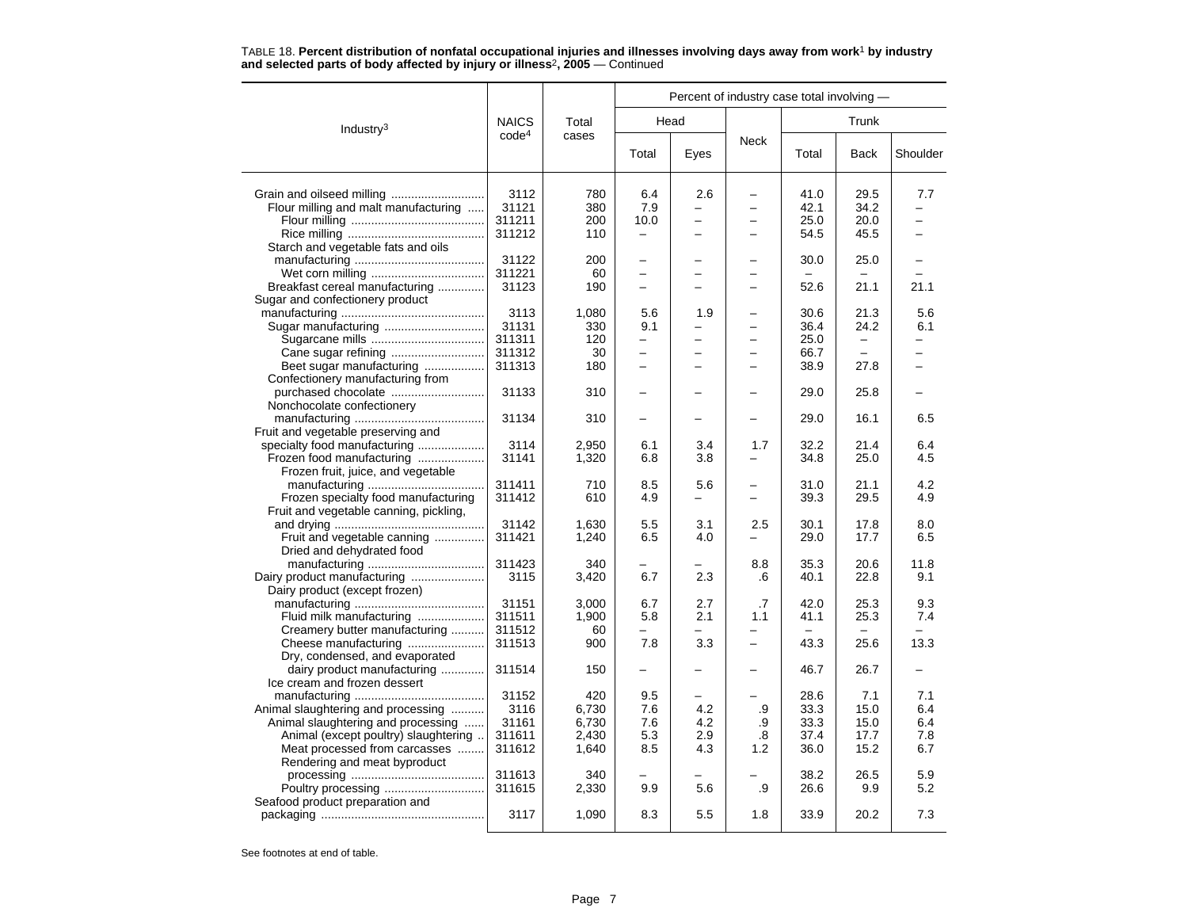|                                                       |                                   |                |                          | Percent of industry case total involving - |                          |                          |                          |                          |
|-------------------------------------------------------|-----------------------------------|----------------|--------------------------|--------------------------------------------|--------------------------|--------------------------|--------------------------|--------------------------|
| Industry <sup>3</sup>                                 | <b>NAICS</b><br>code <sup>4</sup> | Total<br>cases |                          | Head                                       |                          |                          | Trunk                    |                          |
|                                                       |                                   |                | Total                    | Eyes                                       | <b>Neck</b>              | Total                    | <b>Back</b>              | Shoulder                 |
|                                                       | 3112                              | 780            | 6.4                      | 2.6                                        |                          | 41.0                     | 29.5                     | 7.7                      |
| Flour milling and malt manufacturing                  | 31121                             | 380            | 7.9                      | $\overline{\phantom{0}}$                   | $\overline{\phantom{0}}$ | 42.1                     | 34.2                     | $\overline{\phantom{0}}$ |
|                                                       | 311211                            | 200            | 10.0                     | $\overline{\phantom{0}}$                   | $\overline{\phantom{0}}$ | 25.0                     | 20.0                     | $\overline{\phantom{0}}$ |
|                                                       | 311212                            | 110            | $\overline{\phantom{0}}$ | $\overline{\phantom{0}}$                   |                          | 54.5                     | 45.5                     |                          |
| Starch and vegetable fats and oils                    |                                   |                |                          |                                            |                          |                          |                          |                          |
|                                                       | 31122                             | 200            |                          | -                                          |                          | 30.0                     | 25.0                     |                          |
|                                                       | 311221                            | 60             | $\equiv$                 | $\overline{\phantom{0}}$                   | -                        |                          |                          |                          |
| Breakfast cereal manufacturing                        | 31123                             | 190            | $\overline{\phantom{0}}$ | $\overline{\phantom{0}}$                   | -                        | 52.6                     | 21.1                     | 21.1                     |
| Sugar and confectionery product                       |                                   |                |                          |                                            |                          |                          |                          |                          |
|                                                       | 3113                              | 1,080          | 5.6                      | 1.9                                        | $\overline{\phantom{0}}$ | 30.6                     | 21.3                     | 5.6                      |
| Sugar manufacturing                                   | 31131                             | 330            | 9.1                      |                                            | -                        | 36.4                     | 24.2                     | 6.1                      |
|                                                       | 311311                            | 120            | -                        | -                                          |                          | 25.0                     |                          |                          |
| Cane sugar refining                                   | 311312                            | 30             |                          | $\equiv$                                   |                          | 66.7                     | $\equiv$                 |                          |
| Beet sugar manufacturing                              | 311313                            | 180            | $\overline{\phantom{0}}$ | $\overline{\phantom{0}}$                   | $\equiv$                 | 38.9                     | 27.8                     | $\equiv$                 |
| Confectionery manufacturing from                      | 31133                             | 310            |                          | $\overline{\phantom{0}}$                   |                          | 29.0                     | 25.8                     |                          |
| purchased chocolate<br>Nonchocolate confectionery     |                                   |                |                          |                                            |                          |                          |                          |                          |
|                                                       | 31134                             | 310            | -                        |                                            |                          | 29.0                     | 16.1                     | 6.5                      |
| Fruit and vegetable preserving and                    |                                   |                |                          |                                            |                          |                          |                          |                          |
| specialty food manufacturing                          | 3114                              | 2,950          | 6.1                      | 3.4                                        | 1.7                      | 32.2                     | 21.4                     | 6.4                      |
| Frozen food manufacturing                             | 31141                             | 1,320          | 6.8                      | 3.8                                        |                          | 34.8                     | 25.0                     | 4.5                      |
| Frozen fruit, juice, and vegetable                    |                                   |                |                          |                                            |                          |                          |                          |                          |
|                                                       | 311411                            | 710            | 8.5                      | 5.6                                        |                          | 31.0                     | 21.1                     | 4.2                      |
| Frozen specialty food manufacturing                   | 311412                            | 610            | 4.9                      | $\equiv$                                   | $\equiv$                 | 39.3                     | 29.5                     | 4.9                      |
| Fruit and vegetable canning, pickling,                |                                   |                |                          |                                            |                          |                          |                          |                          |
|                                                       | 31142                             | 1,630          | 5.5                      | 3.1                                        | 2.5                      | 30.1                     | 17.8                     | 8.0                      |
| Fruit and vegetable canning                           | 311421                            | 1,240          | 6.5                      | 4.0                                        |                          | 29.0                     | 17.7                     | 6.5                      |
| Dried and dehydrated food                             |                                   |                |                          |                                            |                          |                          |                          |                          |
|                                                       | 311423                            | 340            |                          |                                            | 8.8                      | 35.3                     | 20.6                     | 11.8                     |
| Dairy product manufacturing                           | 3115                              | 3,420          | 6.7                      | 2.3                                        | .6                       | 40.1                     | 22.8                     | 9.1                      |
| Dairy product (except frozen)                         | 31151                             | 3,000          | 6.7                      | 2.7                                        | $\cdot$                  | 42.0                     | 25.3                     | 9.3                      |
| Fluid milk manufacturing                              | 311511                            | 1,900          | 5.8                      | 2.1                                        | 1.1                      | 41.1                     | 25.3                     | 7.4                      |
| Creamery butter manufacturing                         | 311512                            | 60             | $\overline{\phantom{0}}$ | -                                          | $\qquad \qquad -$        | $\overline{\phantom{0}}$ | $\overline{\phantom{0}}$ |                          |
| Cheese manufacturing                                  | 311513                            | 900            | 7.8                      | 3.3                                        |                          | 43.3                     | 25.6                     | 13.3                     |
| Dry, condensed, and evaporated                        |                                   |                |                          |                                            |                          |                          |                          |                          |
| dairy product manufacturing                           | 311514                            | 150            | $\overline{\phantom{0}}$ | $\overline{\phantom{0}}$                   | $\overline{\phantom{0}}$ | 46.7                     | 26.7                     |                          |
| Ice cream and frozen dessert                          |                                   |                |                          |                                            |                          |                          |                          |                          |
|                                                       | 31152                             | 420            | 9.5                      |                                            |                          | 28.6                     | 7.1                      | 7.1                      |
| Animal slaughtering and processing                    | 3116                              | 6,730          | 7.6                      | 4.2                                        | .9                       | 33.3                     | 15.0                     | 6.4                      |
| Animal slaughtering and processing                    | 31161                             | 6.730          | 7.6                      | 4.2                                        | .9                       | 33.3                     | 15.0                     | 6.4                      |
| Animal (except poultry) slaughtering                  | 311611                            | 2,430          | 5.3                      | 2.9                                        | .8                       | 37.4                     | 17.7                     | 7.8                      |
| Meat processed from carcasses                         | 311612                            | 1,640          | 8.5                      | 4.3                                        | 1.2                      | 36.0                     | 15.2                     | 6.7                      |
| Rendering and meat byproduct                          |                                   |                |                          |                                            |                          |                          |                          |                          |
|                                                       | 311613                            | 340            |                          |                                            |                          | 38.2                     | 26.5                     | 5.9                      |
| Poultry processing<br>Seafood product preparation and | 311615                            | 2,330          | 9.9                      | 5.6                                        | .9                       | 26.6                     | 9.9                      | 5.2                      |
|                                                       | 3117                              | 1,090          | 8.3                      | 5.5                                        | 1.8                      | 33.9                     | 20.2                     | 7.3                      |
|                                                       |                                   |                |                          |                                            |                          |                          |                          |                          |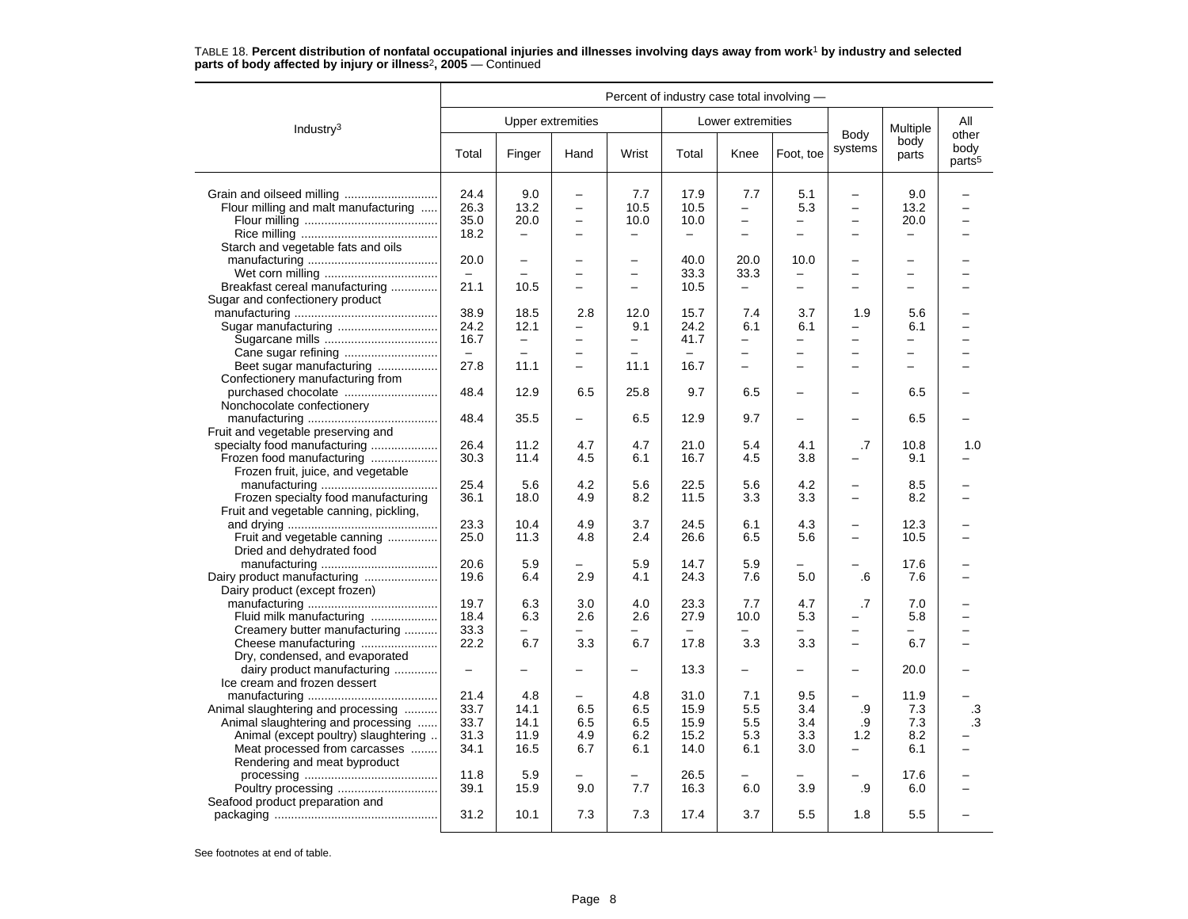|                                                             | Percent of industry case total involving - |                          |                          |                          |                  |                          |                          |                                            |                          |                                     |
|-------------------------------------------------------------|--------------------------------------------|--------------------------|--------------------------|--------------------------|------------------|--------------------------|--------------------------|--------------------------------------------|--------------------------|-------------------------------------|
| Industry $3$                                                |                                            |                          | <b>Upper extremities</b> |                          |                  | Lower extremities        |                          |                                            | Multiple                 | All                                 |
|                                                             | Total                                      | Finger                   | Hand                     | Wrist                    | Total            | Knee                     | Foot, toe                | Body<br>systems                            | body<br>parts            | other<br>body<br>parts <sup>5</sup> |
|                                                             | 24.4                                       | 9.0                      | $\overline{\phantom{0}}$ | 7.7                      | 17.9             | 7.7                      | 5.1                      | $\overline{\phantom{0}}$                   | 9.0                      |                                     |
| Flour milling and malt manufacturing                        | 26.3                                       | 13.2                     | $\overline{\phantom{0}}$ | 10.5                     | 10.5             | $\overline{\phantom{0}}$ | 5.3                      | $\overline{\phantom{0}}$                   | 13.2                     |                                     |
|                                                             | 35.0                                       | 20.0                     | $\overline{\phantom{0}}$ | 10.0                     | 10.0             | $\overline{\phantom{0}}$ |                          | $\overline{\phantom{0}}$                   | 20.0                     |                                     |
|                                                             | 18.2                                       | $\overline{\phantom{0}}$ | $\overline{\phantom{0}}$ | $\overline{\phantom{0}}$ |                  | $\overline{\phantom{0}}$ | $\overline{\phantom{0}}$ | $\overline{\phantom{0}}$                   |                          |                                     |
| Starch and vegetable fats and oils                          |                                            |                          |                          |                          |                  |                          |                          |                                            |                          |                                     |
|                                                             | 20.0                                       | $\overline{\phantom{0}}$ |                          | $\overline{\phantom{0}}$ | 40.0             | 20.0                     | 10.0                     | -                                          |                          |                                     |
|                                                             |                                            |                          | $\overline{\phantom{0}}$ | $\overline{\phantom{0}}$ | 33.3             | 33.3                     | -                        | $\overline{\phantom{0}}$                   | $\overline{\phantom{0}}$ |                                     |
| Breakfast cereal manufacturing                              | 21.1                                       | 10.5                     | -                        | $\overline{\phantom{0}}$ | 10.5             | $\overline{\phantom{0}}$ | -                        | -                                          | $\overline{\phantom{0}}$ |                                     |
| Sugar and confectionery product                             |                                            |                          |                          |                          |                  |                          |                          |                                            |                          |                                     |
|                                                             | 38.9                                       | 18.5                     | 2.8                      | 12.0                     | 15.7             | 7.4                      | 3.7                      | 1.9                                        | 5.6                      |                                     |
| Sugar manufacturing                                         | 24.2                                       | 12.1                     | -                        | 9.1                      | 24.2             | 6.1                      | 6.1                      | -                                          | 6.1                      |                                     |
|                                                             | 16.7                                       | $\qquad \qquad -$        | -                        | $\qquad \qquad -$        | 41.7             | $\overline{\phantom{0}}$ | -                        | -                                          | -                        |                                     |
|                                                             | $\equiv$                                   | $\equiv$                 | $\overline{a}$           | $\equiv$                 | $\equiv$         | $\equiv$                 |                          | $\overline{a}$                             | $\equiv$                 |                                     |
|                                                             |                                            |                          | $\equiv$                 |                          |                  | $\overline{\phantom{0}}$ | $\equiv$                 | $\overline{\phantom{0}}$                   | $\equiv$                 |                                     |
| Beet sugar manufacturing                                    | 27.8                                       | 11.1                     |                          | 11.1                     | 16.7             |                          |                          |                                            |                          |                                     |
| Confectionery manufacturing from                            |                                            |                          |                          | 25.8                     |                  |                          | $\overline{\phantom{0}}$ |                                            |                          |                                     |
|                                                             | 48.4                                       | 12.9                     | 6.5                      |                          | 9.7              | 6.5                      |                          | $\overline{\phantom{0}}$                   | 6.5                      |                                     |
| Nonchocolate confectionery                                  | 48.4                                       |                          |                          |                          |                  | 9.7                      |                          | ÷                                          |                          |                                     |
|                                                             |                                            | 35.5                     |                          | 6.5                      | 12.9             |                          |                          |                                            | 6.5                      |                                     |
| Fruit and vegetable preserving and                          |                                            |                          |                          | 4.7                      |                  |                          |                          |                                            |                          |                                     |
| specialty food manufacturing                                | 26.4<br>30.3                               | 11.2<br>11.4             | 4.7                      |                          | 21.0<br>16.7     | 5.4                      | 4.1<br>3.8               | .7<br>÷                                    | 10.8<br>9.1              | 1.0                                 |
| Frozen food manufacturing                                   |                                            |                          | 4.5                      | 6.1                      |                  | 4.5                      |                          |                                            |                          |                                     |
| Frozen fruit, juice, and vegetable                          |                                            |                          |                          |                          |                  |                          |                          |                                            |                          |                                     |
|                                                             | 25.4                                       | 5.6                      | 4.2                      | 5.6                      | 22.5             | 5.6                      | 4.2                      | $\overline{\phantom{0}}$                   | 8.5                      |                                     |
| Frozen specialty food manufacturing                         | 36.1                                       | 18.0                     | 4.9                      | 8.2                      | 11.5             | 3.3                      | 3.3                      | -                                          | 8.2                      |                                     |
| Fruit and vegetable canning, pickling,                      |                                            |                          |                          |                          |                  |                          |                          |                                            |                          |                                     |
|                                                             | 23.3                                       | 10.4                     | 4.9                      | 3.7                      | 24.5             | 6.1                      | 4.3                      | $\overline{\phantom{0}}$<br>$\overline{a}$ | 12.3                     |                                     |
| Fruit and vegetable canning                                 | 25.0                                       | 11.3                     | 4.8                      | 2.4                      | 26.6             | 6.5                      | 5.6                      |                                            | 10.5                     |                                     |
| Dried and dehydrated food                                   |                                            |                          |                          |                          |                  |                          |                          |                                            |                          |                                     |
|                                                             | 20.6                                       | 5.9                      |                          | 5.9                      | 14.7             | 5.9                      |                          |                                            | 17.6                     |                                     |
|                                                             | 19.6                                       | 6.4                      | 2.9                      | 4.1                      | 24.3             | 7.6                      | 5.0                      | .6                                         | 7.6                      |                                     |
| Dairy product (except frozen)                               | 19.7                                       | 6.3                      |                          | 4.0                      | 23.3             | 7.7                      | 4.7                      | .7                                         |                          |                                     |
|                                                             |                                            |                          | 3.0                      |                          |                  |                          |                          |                                            | 7.0                      |                                     |
| Fluid milk manufacturing                                    | 18.4                                       | 6.3<br>$\equiv$          | 2.6<br>$\equiv$          | 2.6                      | 27.9<br>$\equiv$ | 10.0<br>$\equiv$         | 5.3<br>$\equiv$          | -                                          | 5.8                      |                                     |
| Creamery butter manufacturing                               | 33.3                                       |                          |                          | $\overline{\phantom{0}}$ |                  |                          |                          | $\overline{\phantom{0}}$<br>$\equiv$       | $\overline{\phantom{0}}$ |                                     |
| Cheese manufacturing                                        | 22.2                                       | 6.7                      | 3.3                      | 6.7                      | 17.8             | 3.3                      | 3.3                      |                                            | 6.7                      |                                     |
| Dry, condensed, and evaporated                              |                                            |                          |                          |                          | 13.3             |                          |                          |                                            | 20.0                     |                                     |
| dairy product manufacturing<br>Ice cream and frozen dessert | $\overline{\phantom{0}}$                   |                          | -                        | $\overline{\phantom{0}}$ |                  | $\overline{\phantom{0}}$ | -                        | -                                          |                          |                                     |
|                                                             | 21.4                                       | 4.8                      |                          | 4.8                      | 31.0             | 7.1                      | 9.5                      | L,                                         | 11.9                     |                                     |
|                                                             | 33.7                                       | 14.1                     | 6.5                      | 6.5                      | 15.9             | 5.5                      | 3.4                      | .9                                         | 7.3                      |                                     |
| Animal slaughtering and processing                          |                                            | 14.1                     |                          | 6.5                      | 15.9             | 5.5                      | 3.4                      |                                            | 7.3                      | .3<br>.3                            |
| Animal slaughtering and processing                          | 33.7                                       | 11.9                     | 6.5                      |                          |                  |                          |                          | .9                                         |                          |                                     |
| Animal (except poultry) slaughtering                        | 31.3                                       |                          | 4.9                      | 6.2                      | 15.2             | 5.3                      | 3.3                      | 1.2                                        | 8.2                      |                                     |
| Meat processed from carcasses                               | 34.1                                       | 16.5                     | 6.7                      | 6.1                      | 14.0             | 6.1                      | 3.0                      | $\qquad \qquad -$                          | 6.1                      |                                     |
| Rendering and meat byproduct                                |                                            |                          |                          |                          |                  |                          |                          |                                            |                          |                                     |
|                                                             | 11.8                                       | 5.9                      |                          |                          | 26.5             |                          |                          |                                            | 17.6                     |                                     |
| Poultry processing                                          | 39.1                                       | 15.9                     | 9.0                      | 7.7                      | 16.3             | 6.0                      | 3.9                      | .9                                         | 6.0                      |                                     |
| Seafood product preparation and                             | 31.2                                       | 10.1                     | 7.3                      | 7.3                      | 17.4             | 3.7                      | 5.5                      | 1.8                                        | 5.5                      |                                     |
|                                                             |                                            |                          |                          |                          |                  |                          |                          |                                            |                          |                                     |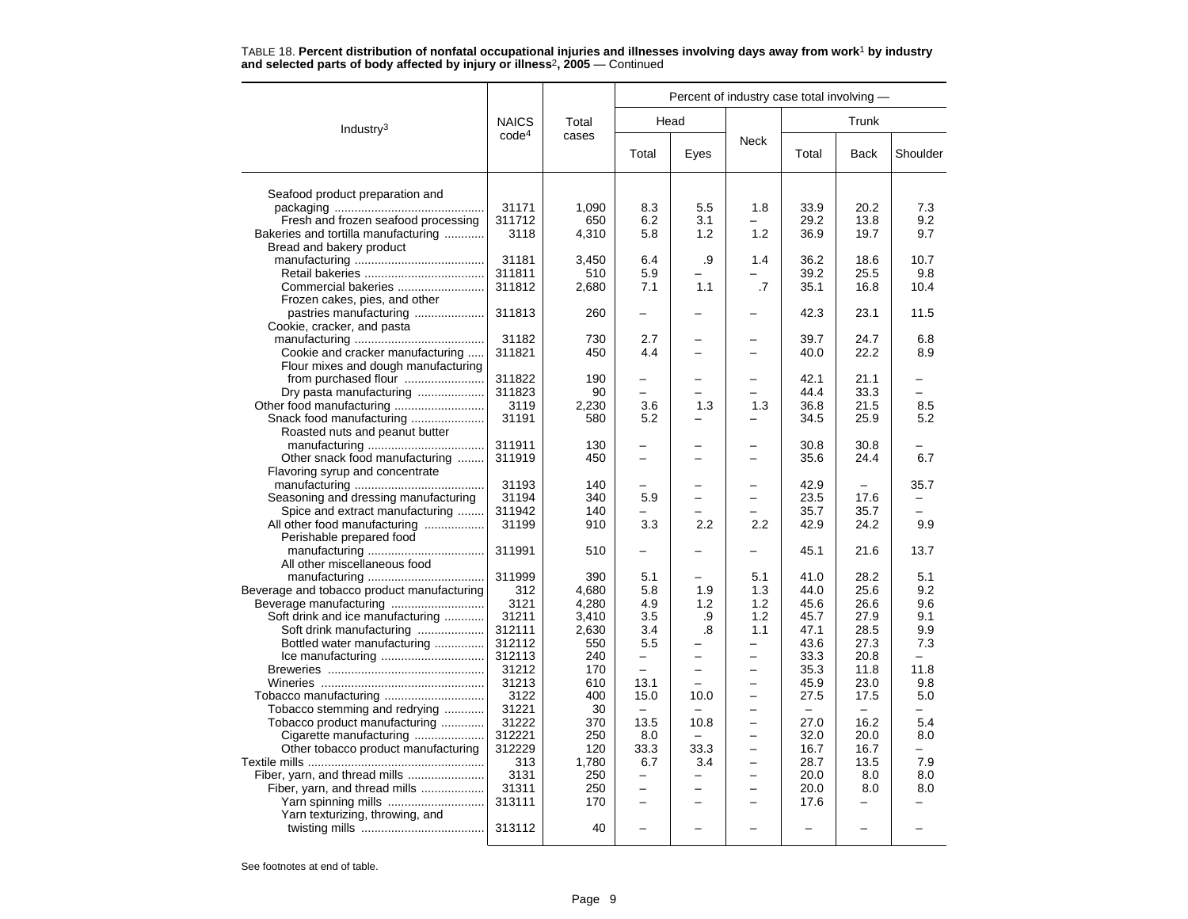|                                            |                   |            |                                  |                  | Percent of industry case total involving - |              |              |            |
|--------------------------------------------|-------------------|------------|----------------------------------|------------------|--------------------------------------------|--------------|--------------|------------|
| Industry <sup>3</sup>                      | <b>NAICS</b>      | Total      |                                  | Head             |                                            |              | Trunk        |            |
|                                            | code <sup>4</sup> | cases      | Total                            | Eyes             | <b>Neck</b>                                | Total        | <b>Back</b>  | Shoulder   |
| Seafood product preparation and            |                   |            |                                  |                  |                                            |              |              |            |
|                                            | 31171             | 1,090      | 8.3                              | 5.5              | 1.8                                        | 33.9         | 20.2         | 7.3        |
| Fresh and frozen seafood processing        | 311712            | 650        | 6.2                              | 3.1              |                                            | 29.2         | 13.8         | 9.2        |
| Bakeries and tortilla manufacturing        | 3118              | 4,310      | 5.8                              | 1.2              | 1.2                                        | 36.9         | 19.7         | 9.7        |
| Bread and bakery product                   |                   |            |                                  |                  |                                            |              |              |            |
|                                            | 31181             | 3,450      | 6.4                              | .9               | 1.4                                        | 36.2         | 18.6         | 10.7       |
|                                            | 311811            | 510        | 5.9                              |                  | $\overline{\phantom{0}}$                   | 39.2         | 25.5         | 9.8        |
| Commercial bakeries                        | 311812            | 2,680      | 7.1                              | 1.1              | $\cdot$                                    | 35.1         | 16.8         | 10.4       |
| Frozen cakes, pies, and other              |                   |            |                                  |                  |                                            |              |              |            |
| pastries manufacturing                     | 311813            | 260        |                                  |                  |                                            | 42.3         | 23.1         | 11.5       |
| Cookie, cracker, and pasta                 |                   |            |                                  |                  |                                            |              |              |            |
|                                            | 31182             | 730        | 2.7                              |                  |                                            | 39.7         | 24.7         | 6.8        |
| Cookie and cracker manufacturing           | 311821            | 450        | 4.4                              |                  |                                            | 40.0         | 22.2         | 8.9        |
| Flour mixes and dough manufacturing        |                   |            |                                  |                  |                                            |              |              |            |
|                                            | 311822            | 190        |                                  |                  |                                            | 42.1         | 21.1         |            |
| Dry pasta manufacturing                    | 311823            | 90         | $\equiv$                         |                  |                                            | 44.4         | 33.3         |            |
|                                            | 3119              | 2,230      | 3.6                              | 1.3              | 1.3                                        | 36.8         | 21.5         | 8.5        |
|                                            | 31191             |            | 5.2                              |                  |                                            | 34.5         | 25.9         | 5.2        |
| Snack food manufacturing                   |                   | 580        |                                  |                  |                                            |              |              |            |
| Roasted nuts and peanut butter             | 311911            | 130        |                                  |                  |                                            |              |              |            |
|                                            |                   |            | $\overline{\phantom{0}}$         |                  |                                            | 30.8         | 30.8         |            |
| Other snack food manufacturing             | 311919            | 450        |                                  |                  |                                            | 35.6         | 24.4         | 6.7        |
| Flavoring syrup and concentrate            |                   |            |                                  |                  |                                            | 42.9         |              |            |
|                                            | 31193             | 140        |                                  |                  |                                            |              |              | 35.7       |
| Seasoning and dressing manufacturing       | 31194             | 340        | 5.9                              |                  |                                            | 23.5<br>35.7 | 17.6<br>35.7 |            |
| Spice and extract manufacturing            | 311942            | 140        |                                  |                  |                                            |              |              | 9.9        |
| All other food manufacturing               | 31199             | 910        | 3.3                              | $2.2\phantom{0}$ | 2.2                                        | 42.9         | 24.2         |            |
| Perishable prepared food                   | 311991            | 510        |                                  |                  |                                            | 45.1         | 21.6         | 13.7       |
|                                            |                   |            |                                  |                  |                                            |              |              |            |
| All other miscellaneous food               | 311999            | 390        |                                  |                  |                                            | 41.0         |              |            |
|                                            |                   |            | 5.1                              |                  | 5.1                                        |              | 28.2         | 5.1        |
| Beverage and tobacco product manufacturing | 312<br>3121       | 4.680      | 5.8<br>4.9                       | 1.9<br>1.2       | 1.3                                        | 44.0         | 25.6         | 9.2<br>9.6 |
|                                            | 31211             | 4,280      |                                  |                  | 1.2<br>1.2                                 | 45.6         | 26.6<br>27.9 | 9.1        |
| Soft drink and ice manufacturing           | 312111            | 3,410      | 3.5<br>3.4                       | .9<br>.8         |                                            | 45.7         | 28.5         | 9.9        |
| Soft drink manufacturing                   |                   | 2,630      | 5.5                              |                  | 1.1                                        | 47.1         |              |            |
| Bottled water manufacturing                | 312112            | 550<br>240 | $\overline{a}$                   | ▃                | $\overline{\phantom{0}}$                   | 43.6         | 27.3         | 7.3        |
|                                            | 312113            |            |                                  |                  |                                            | 33.3         | 20.8         |            |
|                                            | 31212             | 170        | $\overline{\phantom{0}}$         | -<br>L.          | $\overline{\phantom{0}}$                   | 35.3         | 11.8         | 11.8       |
|                                            | 31213             | 610        | 13.1                             |                  |                                            | 45.9         | 23.0         | 9.8        |
|                                            | 3122              | 400        | 15.0<br>$\overline{\phantom{m}}$ | 10.0             | $\overline{\phantom{0}}$                   | 27.5         | 17.5         | 5.0        |
| Tobacco stemming and redrying              | 31221             | 30         |                                  |                  |                                            |              |              |            |
| Tobacco product manufacturing              | 31222             | 370        | 13.5                             | 10.8             | $\equiv$                                   | 27.0         | 16.2         | 5.4        |
| Cigarette manufacturing                    | 312221            | 250        | 8.0                              |                  | $\equiv$<br>$\overline{\phantom{0}}$       | 32.0         | 20.0         | 8.0        |
| Other tobacco product manufacturing        | 312229            | 120        | 33.3                             | 33.3             |                                            | 16.7         | 16.7         | 7.9        |
|                                            | 313               | 1.780      | 6.7                              | 3.4              | $\overline{\phantom{0}}$                   | 28.7         | 13.5         |            |
|                                            | 3131              | 250        |                                  |                  |                                            | 20.0         | 8.0          | 8.0        |
| Fiber, yarn, and thread mills              | 31311             | 250        | $\overline{a}$                   | ▃                | $\overline{\phantom{0}}$                   | 20.0         | 8.0          | 8.0        |
| Yarn spinning mills                        | 313111            | 170        | $\overline{\phantom{0}}$         |                  |                                            | 17.6         |              |            |
| Yarn texturizing, throwing, and            | 313112            | 40         |                                  |                  |                                            |              |              |            |
|                                            |                   |            |                                  |                  |                                            |              |              |            |
|                                            |                   |            |                                  |                  |                                            |              |              |            |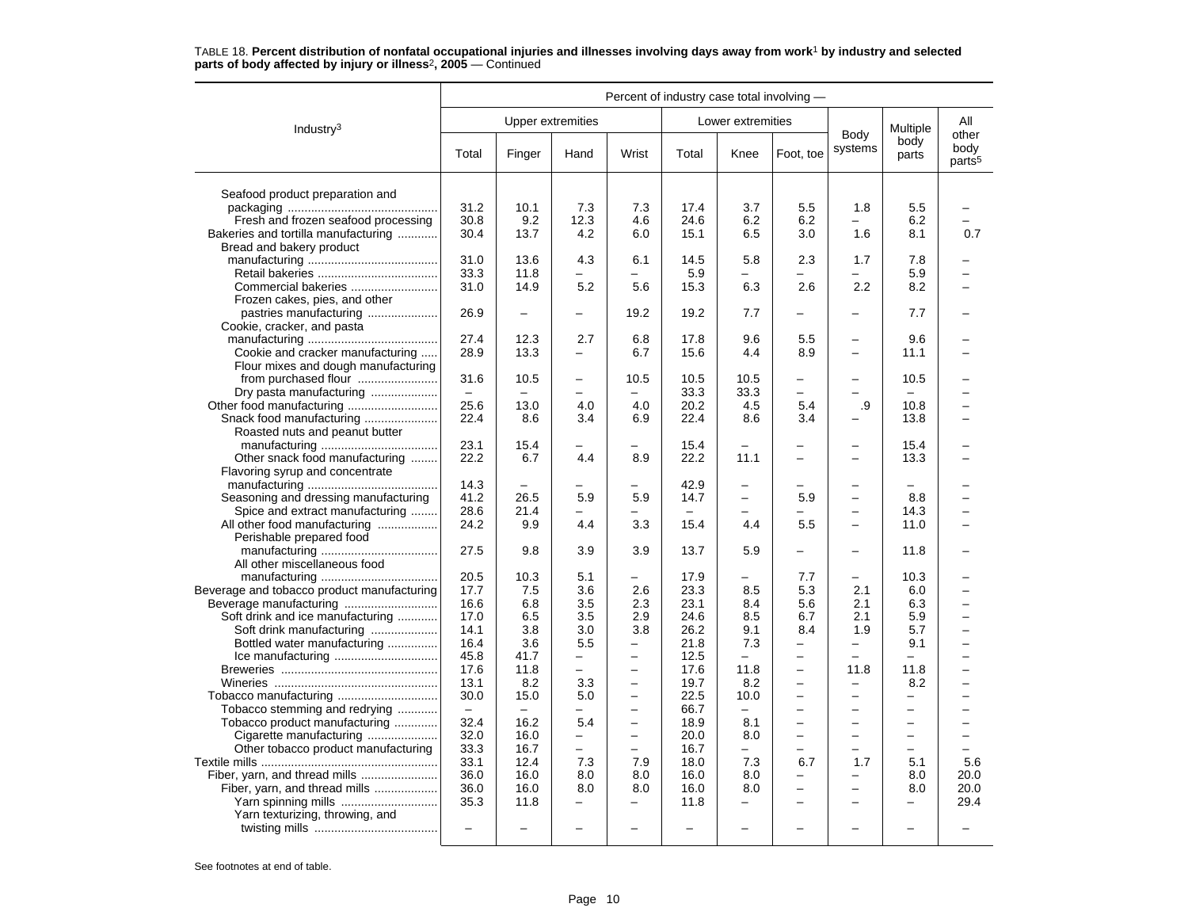|                                            | Percent of industry case total involving - |                          |                          |                          |       |                          |                          |                          |                          |                                     |
|--------------------------------------------|--------------------------------------------|--------------------------|--------------------------|--------------------------|-------|--------------------------|--------------------------|--------------------------|--------------------------|-------------------------------------|
| Industry <sup>3</sup>                      |                                            | <b>Upper extremities</b> |                          |                          |       | Lower extremities        |                          |                          | Multiple                 | All                                 |
|                                            | Total                                      | Finger                   | Hand                     | Wrist                    | Total | Knee                     | Foot. toe                | Body<br>systems          | body<br>parts            | other<br>body<br>parts <sup>5</sup> |
| Seafood product preparation and            |                                            |                          |                          |                          |       |                          |                          |                          |                          |                                     |
|                                            | 31.2                                       | 10.1                     | 7.3                      | 7.3                      | 17.4  | 3.7                      | 5.5                      | 1.8                      | 5.5                      |                                     |
| Fresh and frozen seafood processing        | 30.8                                       | 9.2                      | 12.3                     | 4.6                      | 24.6  | 6.2                      | 6.2                      |                          | 6.2                      |                                     |
| Bakeries and tortilla manufacturing        | 30.4                                       | 13.7                     | 4.2                      | 6.0                      | 15.1  | 6.5                      | 3.0                      | 1.6                      | 8.1                      | 0.7                                 |
| Bread and bakery product                   |                                            |                          |                          |                          |       |                          |                          |                          |                          |                                     |
|                                            | 31.0                                       | 13.6                     | 4.3                      | 6.1                      | 14.5  | 5.8                      | 2.3                      | 1.7                      | 7.8                      |                                     |
|                                            | 33.3                                       | 11.8                     |                          |                          | 5.9   |                          |                          |                          | 5.9                      |                                     |
| Commercial bakeries                        | 31.0                                       | 14.9                     | 5.2                      | 5.6                      | 15.3  | 6.3                      | 2.6                      | 2.2                      | 8.2                      |                                     |
| Frozen cakes, pies, and other              |                                            |                          |                          |                          |       |                          |                          |                          |                          |                                     |
| pastries manufacturing                     | 26.9                                       |                          |                          | 19.2                     | 19.2  | 7.7                      | $\overline{\phantom{0}}$ |                          | 7.7                      |                                     |
| Cookie, cracker, and pasta                 |                                            |                          |                          |                          |       |                          |                          |                          |                          |                                     |
|                                            | 27.4                                       | 12.3                     | 2.7                      | 6.8                      | 17.8  | 9.6                      | 5.5                      |                          | 9.6                      |                                     |
| Cookie and cracker manufacturing           | 28.9                                       | 13.3                     | -                        | 6.7                      | 15.6  | 4.4                      | 8.9                      | $\overline{\phantom{0}}$ | 11.1                     |                                     |
| Flour mixes and dough manufacturing        |                                            |                          |                          |                          |       |                          |                          |                          |                          |                                     |
|                                            | 31.6                                       | 10.5                     | $\overline{\phantom{0}}$ | 10.5                     | 10.5  | 10.5                     | $\overline{\phantom{0}}$ | $\overline{\phantom{0}}$ | 10.5                     |                                     |
| Dry pasta manufacturing                    | $\equiv$                                   | $\overline{\phantom{0}}$ | -                        | $\overline{\phantom{0}}$ | 33.3  | 33.3                     | -                        | $\overline{\phantom{0}}$ | $\overline{\phantom{m}}$ |                                     |
|                                            | 25.6                                       | 13.0                     | 4.0                      | 4.0                      | 20.2  | 4.5                      | 5.4                      | .9                       | 10.8                     |                                     |
|                                            | 22.4                                       | 8.6                      | 3.4                      | 6.9                      | 22.4  | 8.6                      | 3.4                      |                          | 13.8                     |                                     |
| Roasted nuts and peanut butter             |                                            |                          |                          |                          |       |                          |                          |                          |                          |                                     |
|                                            | 23.1                                       | 15.4                     |                          |                          | 15.4  |                          |                          |                          | 15.4                     |                                     |
| Other snack food manufacturing             | 22.2                                       | 6.7                      | 4.4                      | 8.9                      | 22.2  | 11.1                     | $\overline{\phantom{0}}$ | $\overline{\phantom{0}}$ | 13.3                     |                                     |
| Flavoring syrup and concentrate            |                                            |                          |                          |                          |       |                          |                          |                          |                          |                                     |
|                                            | 14.3                                       | $\equiv$                 |                          |                          | 42.9  | $\overline{\phantom{0}}$ |                          | $\overline{\phantom{0}}$ | $\overline{\phantom{0}}$ |                                     |
| Seasoning and dressing manufacturing       | 41.2                                       | 26.5                     | 5.9                      | 5.9                      | 14.7  | $\overline{\phantom{0}}$ | 5.9                      | $\overline{\phantom{0}}$ | 8.8                      |                                     |
| Spice and extract manufacturing            | 28.6                                       | 21.4                     |                          |                          |       |                          |                          |                          | 14.3                     |                                     |
| All other food manufacturing               | 24.2                                       | 9.9                      | 4.4                      | 3.3                      | 15.4  | 4.4                      | 5.5                      | $\overline{\phantom{0}}$ | 11.0                     |                                     |
| Perishable prepared food                   |                                            |                          |                          |                          |       |                          |                          |                          |                          |                                     |
|                                            | 27.5                                       | 9.8                      | 3.9                      | 3.9                      | 13.7  | 5.9                      |                          | $\overline{\phantom{0}}$ | 11.8                     |                                     |
| All other miscellaneous food               |                                            |                          |                          |                          |       |                          |                          |                          |                          |                                     |
|                                            | 20.5                                       | 10.3                     | 5.1                      | -                        | 17.9  |                          | 7.7                      | -                        | 10.3                     |                                     |
| Beverage and tobacco product manufacturing | 17.7                                       | 7.5                      | 3.6                      | 2.6                      | 23.3  | 8.5                      | 5.3                      | 2.1                      | 6.0                      |                                     |
|                                            | 16.6                                       | 6.8                      | 3.5                      | 2.3                      | 23.1  | 8.4                      | 5.6                      | 2.1                      | 6.3                      |                                     |
| Soft drink and ice manufacturing           | 17.0                                       | 6.5                      | 3.5                      | 2.9                      | 24.6  | 8.5                      | 6.7                      | 2.1                      | 5.9                      | L.                                  |
| Soft drink manufacturing                   | 14.1                                       | 3.8                      | 3.0                      | 3.8                      | 26.2  | 9.1                      | 8.4                      | 1.9                      | 5.7                      |                                     |
| Bottled water manufacturing                | 16.4                                       | 3.6                      | 5.5                      |                          | 21.8  | 7.3                      | -                        | -                        | 9.1                      |                                     |
|                                            | 45.8                                       | 41.7                     | $\overline{\phantom{0}}$ | $\overline{\phantom{0}}$ | 12.5  | $\equiv$                 | $\overline{\phantom{0}}$ | $\overline{\phantom{0}}$ | $\equiv$                 | ▃                                   |
|                                            | 17.6                                       | 11.8                     | $\overline{\phantom{0}}$ | $\overline{\phantom{0}}$ | 17.6  | 11.8                     | $\overline{\phantom{0}}$ | 11.8                     | 11.8                     |                                     |
|                                            | 13.1                                       | 8.2                      | 3.3                      | $\overline{a}$           | 19.7  | 8.2                      | ÷                        | $\overline{\phantom{0}}$ | 8.2                      | -                                   |
|                                            | 30.0                                       | 15.0                     | 5.0                      | $\overline{\phantom{0}}$ | 22.5  | 10.0                     | $\overline{\phantom{0}}$ | $\overline{\phantom{0}}$ | $\overline{\phantom{0}}$ | ▃                                   |
| Tobacco stemming and redrying              | $\overline{\phantom{m}}$                   | $\overline{\phantom{0}}$ |                          |                          | 66.7  | $\overline{\phantom{0}}$ | —                        | -                        | -                        |                                     |
| Tobacco product manufacturing              | 32.4                                       | 16.2                     | 5.4                      | $\overline{\phantom{0}}$ | 18.9  | 8.1                      | $\equiv$                 | $\equiv$                 | ÷                        |                                     |
| Cigarette manufacturing                    | 32.0                                       | 16.0                     | -                        | $\overline{\phantom{0}}$ | 20.0  | 8.0                      | -                        | $\overline{\phantom{0}}$ | $\overline{\phantom{0}}$ | $\overline{\phantom{0}}$            |
| Other tobacco product manufacturing        | 33.3                                       | 16.7                     | $\overline{\phantom{0}}$ | $\overline{\phantom{0}}$ | 16.7  |                          | ÷                        | $\equiv$                 | $\equiv$                 | L.                                  |
|                                            | 33.1                                       | 12.4                     | 7.3                      | 7.9                      | 18.0  | 7.3                      | 6.7                      | 1.7                      | 5.1                      | 5.6                                 |
| Fiber, yarn, and thread mills              | 36.0                                       | 16.0                     | 8.0                      | 8.0                      | 16.0  | 8.0                      |                          |                          | 8.0                      | 20.0                                |
| Fiber, yarn, and thread mills              | 36.0                                       | 16.0                     | 8.0                      | 8.0                      | 16.0  | 8.0                      | $\overline{\phantom{0}}$ | $\overline{\phantom{0}}$ | 8.0                      | 20.0                                |
| Yarn spinning mills                        | 35.3                                       | 11.8                     | $\overline{\phantom{0}}$ | -                        | 11.8  | -                        | $\overline{\phantom{0}}$ | $\overline{\phantom{0}}$ | -                        | 29.4                                |
| Yarn texturizing, throwing, and            |                                            |                          |                          |                          |       |                          |                          |                          |                          |                                     |
|                                            | $\equiv$                                   |                          |                          |                          |       |                          |                          |                          |                          |                                     |
|                                            |                                            |                          |                          |                          |       |                          |                          |                          |                          |                                     |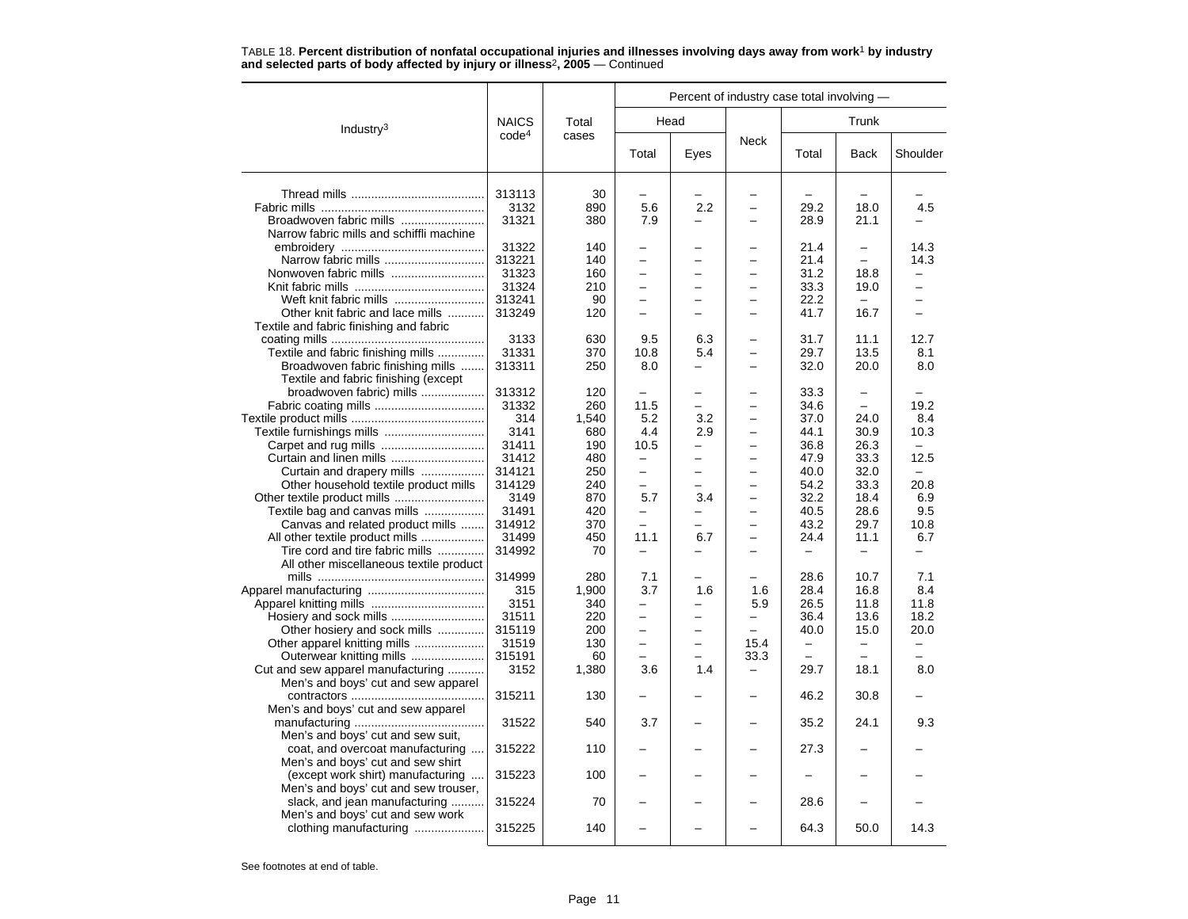|                                          |                   |       | Percent of industry case total involving - |                          |                          |                |                          |                          |  |  |
|------------------------------------------|-------------------|-------|--------------------------------------------|--------------------------|--------------------------|----------------|--------------------------|--------------------------|--|--|
| Industry <sup>3</sup>                    | <b>NAICS</b>      | Total | Head                                       |                          |                          |                | Trunk                    |                          |  |  |
|                                          | code <sup>4</sup> | cases | Total                                      | Eyes                     | Neck                     | Total          | <b>Back</b>              | Shoulder                 |  |  |
|                                          | 313113            | 30    |                                            |                          |                          |                |                          |                          |  |  |
|                                          | 3132              | 890   | 5.6                                        | 2.2                      |                          | 29.2           | 18.0                     | 4.5                      |  |  |
| Broadwoven fabric mills                  | 31321             | 380   | 7.9                                        |                          |                          | 28.9           | 21.1                     |                          |  |  |
| Narrow fabric mills and schiffli machine |                   |       |                                            |                          |                          |                |                          |                          |  |  |
|                                          | 31322             | 140   |                                            |                          |                          | 21.4           |                          | 14.3                     |  |  |
| Narrow fabric mills                      | 313221            | 140   |                                            |                          |                          | 21.4           |                          | 14.3                     |  |  |
| Nonwoven fabric mills                    | 31323             | 160   | -                                          |                          |                          | 31.2           | 18.8                     |                          |  |  |
|                                          | 31324             | 210   | $\overline{\phantom{0}}$                   |                          |                          | 33.3           | 19.0                     | $\equiv$                 |  |  |
| Weft knit fabric mills                   | 313241            | 90    | -                                          | -                        |                          | 22.2           | $\sim$                   | -                        |  |  |
| Other knit fabric and lace mills         | 313249            | 120   | L.                                         |                          | -                        | 41.7           | 16.7                     |                          |  |  |
|                                          |                   |       |                                            |                          |                          |                |                          |                          |  |  |
| Textile and fabric finishing and fabric  |                   |       |                                            |                          |                          |                |                          |                          |  |  |
|                                          | 3133              | 630   | 9.5                                        | 6.3                      |                          | 31.7           | 11.1                     | 12.7                     |  |  |
| Textile and fabric finishing mills       | 31331             | 370   | 10.8                                       | 5.4                      | $\overline{\phantom{0}}$ | 29.7           | 13.5                     | 8.1                      |  |  |
| Broadwoven fabric finishing mills        | 313311            | 250   | 8.0                                        | —                        | $\overline{\phantom{0}}$ | 32.0           | 20.0                     | 8.0                      |  |  |
| Textile and fabric finishing (except     |                   |       |                                            |                          |                          |                |                          |                          |  |  |
| broadwoven fabric) mills                 | 313312            | 120   |                                            |                          |                          | 33.3           |                          |                          |  |  |
|                                          | 31332             | 260   | 11.5                                       |                          |                          | 34.6           | $\overline{\phantom{0}}$ | 19.2                     |  |  |
|                                          | 314               | 1,540 | 5.2                                        | 3.2                      | ÷                        | 37.0           | 24.0                     | 8.4                      |  |  |
| Textile furnishings mills                | 3141              | 680   | 4.4                                        | 2.9                      | $\overline{\phantom{0}}$ | 44.1           | 30.9                     | 10.3                     |  |  |
|                                          | 31411             | 190   | 10.5                                       |                          |                          | 36.8           | 26.3                     |                          |  |  |
| Curtain and linen mills                  | 31412             | 480   | $\overline{a}$                             |                          |                          | 47.9           | 33.3                     | 12.5                     |  |  |
| Curtain and drapery mills                | 314121            | 250   | $\overline{\phantom{0}}$                   | $\overline{\phantom{0}}$ | $\overline{\phantom{0}}$ | 40.0           | 32.0                     | $\overline{\phantom{m}}$ |  |  |
| Other household textile product mills    | 314129            | 240   | -                                          | -                        |                          | 54.2           | 33.3                     | 20.8                     |  |  |
| Other textile product mills              | 3149              | 870   | 5.7                                        | 3.4                      |                          | 32.2           | 18.4                     | 6.9                      |  |  |
| Textile bag and canvas mills             | 31491             | 420   | <u>.</u>                                   |                          |                          | 40.5           | 28.6                     | 9.5                      |  |  |
| Canvas and related product mills         | 314912            | 370   | $\overline{\phantom{0}}$                   | $\overline{\phantom{0}}$ | $\overline{\phantom{0}}$ | 43.2           | 29.7                     | 10.8                     |  |  |
| All other textile product mills          | 31499             | 450   | 11.1                                       | 6.7                      | $\overline{\phantom{0}}$ | 24.4           | 11.1                     | 6.7                      |  |  |
| Tire cord and tire fabric mills          | 314992            | 70    |                                            |                          |                          |                |                          |                          |  |  |
| All other miscellaneous textile product  |                   |       |                                            |                          |                          |                |                          |                          |  |  |
|                                          | 314999            | 280   | 7.1                                        |                          |                          | 28.6           | 10.7                     | 7.1                      |  |  |
|                                          | 315               | 1,900 | 3.7                                        | 1.6                      | 1.6                      | 28.4           | 16.8                     | 8.4                      |  |  |
|                                          | 3151              | 340   | -                                          | -                        | 5.9                      | 26.5           | 11.8                     | 11.8                     |  |  |
| Hosiery and sock mills                   | 31511             | 220   |                                            |                          | -                        | 36.4           | 13.6                     | 18.2                     |  |  |
| Other hosiery and sock mills             | 315119            | 200   | -                                          |                          |                          | 40.0           | 15.0                     | 20.0                     |  |  |
| Other apparel knitting mills             | 31519             | 130   | -                                          |                          | 15.4                     | -              | -                        |                          |  |  |
| Outerwear knitting mills                 | 315191            | 60    | $\overline{\phantom{0}}$                   | L.                       | 33.3                     | $\overline{a}$ | $\overline{\phantom{m}}$ |                          |  |  |
| Cut and sew apparel manufacturing        | 3152              | 1,380 | 3.6                                        | 1.4                      | $\overline{\phantom{0}}$ | 29.7           | 18.1                     | 8.0                      |  |  |
| Men's and boys' cut and sew apparel      |                   |       |                                            |                          |                          |                |                          |                          |  |  |
|                                          | 315211            | 130   |                                            |                          |                          | 46.2           | 30.8                     |                          |  |  |
| Men's and boys' cut and sew apparel      |                   |       |                                            |                          |                          |                |                          |                          |  |  |
|                                          | 31522             | 540   | 3.7                                        |                          |                          | 35.2           | 24.1                     | 9.3                      |  |  |
| Men's and boys' cut and sew suit,        |                   |       |                                            |                          |                          |                |                          |                          |  |  |
| coat, and overcoat manufacturing         | 315222            | 110   |                                            |                          |                          | 27.3           |                          |                          |  |  |
| Men's and boys' cut and sew shirt        |                   |       |                                            |                          |                          |                |                          |                          |  |  |
| (except work shirt) manufacturing        | 315223            | 100   |                                            |                          |                          |                |                          |                          |  |  |
| Men's and boys' cut and sew trouser,     |                   |       |                                            |                          |                          |                |                          |                          |  |  |
| slack, and jean manufacturing            | 315224            | 70    |                                            |                          |                          | 28.6           |                          |                          |  |  |
| Men's and boys' cut and sew work         |                   |       |                                            |                          |                          |                |                          |                          |  |  |
| clothing manufacturing                   | 315225            | 140   |                                            |                          |                          | 64.3           | 50.0                     | 14.3                     |  |  |
|                                          |                   |       |                                            |                          |                          |                |                          |                          |  |  |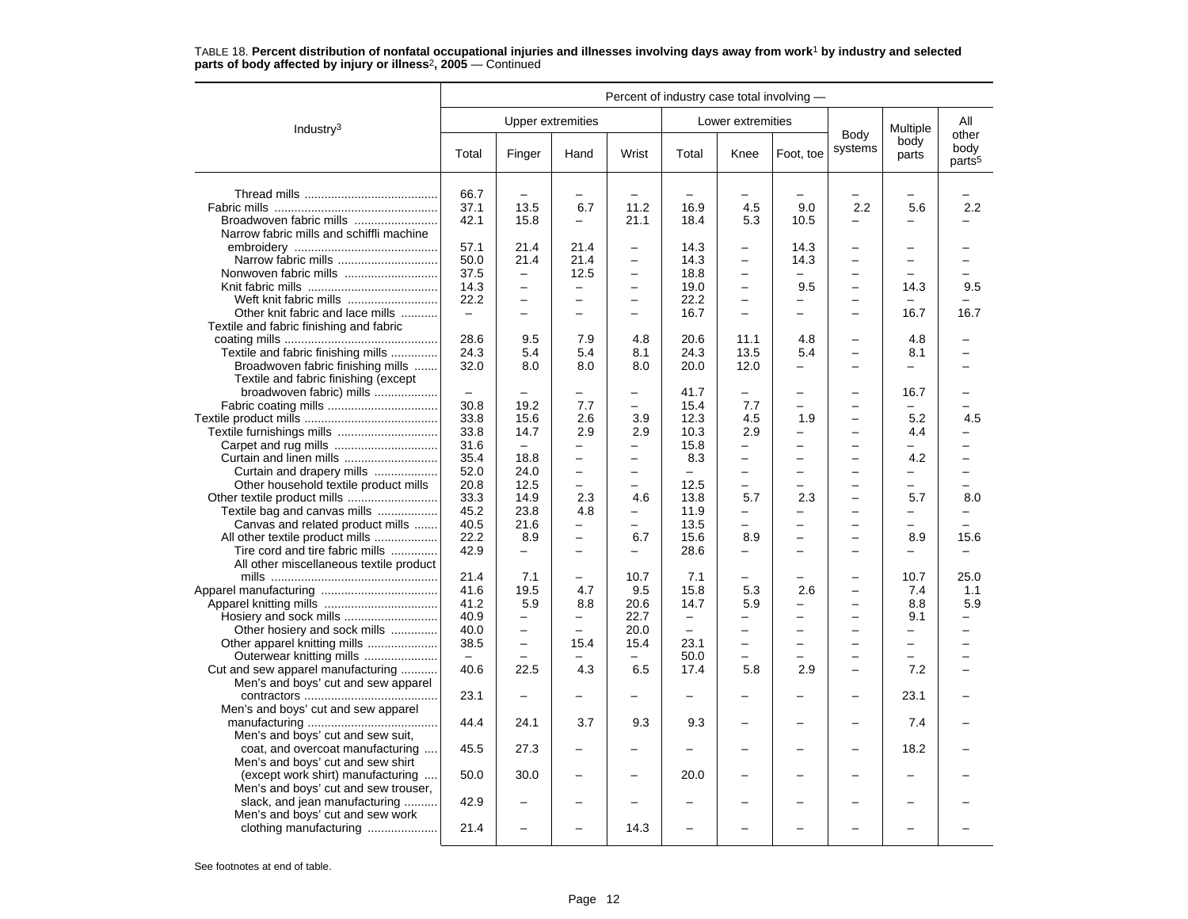|                                          | Percent of industry case total involving - |                          |                          |                          |                   |                          |                          |                          |                          |                                     |
|------------------------------------------|--------------------------------------------|--------------------------|--------------------------|--------------------------|-------------------|--------------------------|--------------------------|--------------------------|--------------------------|-------------------------------------|
| Industry $3$                             |                                            | <b>Upper extremities</b> |                          |                          |                   | Lower extremities        |                          |                          | Multiple                 | All                                 |
|                                          | Total                                      | Finger                   | Hand                     | Wrist                    | Total             | Knee                     | Foot, toe                | Body<br>systems          | body<br>parts            | other<br>body<br>parts <sup>5</sup> |
|                                          | 66.7                                       |                          | -                        |                          |                   |                          |                          |                          |                          |                                     |
|                                          | 37.1                                       | 13.5                     | 6.7                      | 11.2                     | 16.9              | 4.5                      | 9.0                      | 2.2                      | 5.6                      | 2.2                                 |
|                                          | 42.1                                       | 15.8                     | $\overline{a}$           | 21.1                     | 18.4              | 5.3                      | 10.5                     |                          | $\overline{a}$           |                                     |
|                                          |                                            |                          |                          |                          |                   |                          |                          |                          |                          |                                     |
| Narrow fabric mills and schiffli machine |                                            |                          |                          |                          |                   |                          |                          |                          |                          |                                     |
|                                          | 57.1                                       | 21.4                     | 21.4                     | $\equiv$                 | 14.3              |                          | 14.3                     | $\equiv$                 | -                        |                                     |
| Narrow fabric mills                      | 50.0                                       | 21.4                     | 21.4                     | $\overline{\phantom{0}}$ | 14.3              | $\overline{\phantom{0}}$ | 14.3                     | $\overline{\phantom{0}}$ | $\overline{\phantom{0}}$ | ▃                                   |
|                                          | 37.5                                       | $\overline{\phantom{0}}$ | 12.5                     | $\qquad \qquad -$        | 18.8              | —                        |                          | $\overline{\phantom{0}}$ |                          |                                     |
|                                          | 14.3                                       | $\equiv$                 | $\overline{a}$           |                          | 19.0              | $\overline{\phantom{0}}$ | 9.5                      | $\overline{\phantom{0}}$ | 14.3                     | 9.5                                 |
| Weft knit fabric mills                   | 22.2                                       | $\overline{\phantom{0}}$ | $\qquad \qquad -$        | $\overline{\phantom{0}}$ | 22.2              | $\overline{\phantom{0}}$ | $\overline{\phantom{0}}$ | $\overline{\phantom{0}}$ | $\equiv$                 |                                     |
| Other knit fabric and lace mills         | $\qquad \qquad -$                          | $\overline{\phantom{0}}$ | ÷                        | $\equiv$                 | 16.7              | $\overline{a}$           | $\overline{\phantom{0}}$ | $\equiv$                 | 16.7                     | 16.7                                |
| Textile and fabric finishing and fabric  |                                            |                          |                          |                          |                   |                          |                          |                          |                          |                                     |
|                                          | 28.6                                       | 9.5                      | 7.9                      | 4.8                      | 20.6              | 11.1                     | 4.8                      |                          | 4.8                      |                                     |
| Textile and fabric finishing mills       | 24.3                                       | 5.4                      | 5.4                      | 8.1                      | 24.3              | 13.5                     | 5.4                      | $\equiv$                 | 8.1                      |                                     |
| Broadwoven fabric finishing mills        | 32.0                                       | 8.0                      | 8.0                      | 8.0                      | 20.0              | 12.0                     | -                        | $\overline{\phantom{0}}$ | $\equiv$                 |                                     |
| Textile and fabric finishing (except     |                                            |                          |                          |                          |                   |                          |                          |                          |                          |                                     |
| broadwoven fabric) mills                 | $\equiv$                                   |                          |                          |                          | 41.7              |                          | -                        | $\overline{\phantom{0}}$ | 16.7                     |                                     |
|                                          | 30.8                                       | 19.2                     | 7.7                      | $\overline{\phantom{0}}$ | 15.4              | 7.7                      | $\overline{\phantom{0}}$ | $\overline{\phantom{0}}$ | $\overline{\phantom{0}}$ |                                     |
|                                          | 33.8                                       | 15.6                     | 2.6                      | 3.9                      | 12.3              | 4.5                      | 1.9                      | $\overline{\phantom{0}}$ | 5.2                      | 4.5                                 |
| Textile furnishings mills                | 33.8                                       | 14.7                     | 2.9                      | 2.9                      | 10.3              | 2.9                      | -                        | $\overline{\phantom{0}}$ | 4.4                      |                                     |
|                                          | 31.6                                       | $\overline{\phantom{m}}$ | -                        |                          | 15.8              | $\overline{\phantom{0}}$ | $\overline{\phantom{0}}$ | $\overline{\phantom{0}}$ | $\overline{a}$           |                                     |
|                                          | 35.4                                       | 18.8                     | $\overline{\phantom{0}}$ | $\overline{\phantom{0}}$ | 8.3               | —                        |                          | $\overline{\phantom{0}}$ | 4.2                      |                                     |
| Curtain and drapery mills                | 52.0                                       | 24.0                     | $\overline{\phantom{0}}$ | $\overline{\phantom{0}}$ |                   | $\overline{\phantom{0}}$ | -                        | $\equiv$                 | -                        | $\overline{\phantom{0}}$            |
| Other household textile product mills    | 20.8                                       | 12.5                     | $\equiv$                 | $\overline{\phantom{0}}$ | 12.5              | $\equiv$                 | $\overline{a}$           | $\equiv$                 | $\equiv$                 | $\equiv$                            |
|                                          | 33.3                                       | 14.9                     | 2.3                      | 4.6                      | 13.8              | 5.7                      | 2.3                      | $\overline{\phantom{0}}$ | 5.7                      | 8.0                                 |
| Textile bag and canvas mills             | 45.2                                       | 23.8                     | 4.8                      |                          | 11.9              |                          |                          |                          | -                        |                                     |
| Canvas and related product mills         | 40.5                                       | 21.6                     | -                        |                          | 13.5              | $\overline{\phantom{0}}$ | $\overline{a}$           | $\overline{\phantom{0}}$ | $\equiv$                 |                                     |
| All other textile product mills          | 22.2                                       | 8.9                      | $\overline{\phantom{0}}$ | 6.7                      | 15.6              | 8.9                      | -                        | $\overline{\phantom{0}}$ | 8.9                      | 15.6                                |
| Tire cord and tire fabric mills          | 42.9                                       | $\overline{a}$           | $\overline{\phantom{0}}$ |                          | 28.6              |                          | $\equiv$                 | $\overline{\phantom{0}}$ | -                        | -                                   |
| All other miscellaneous textile product  |                                            |                          |                          |                          |                   |                          |                          |                          |                          |                                     |
|                                          | 21.4                                       | 7.1                      | -                        | 10.7                     | 7.1               |                          |                          |                          | 10.7                     | 25.0                                |
|                                          |                                            | 19.5                     |                          |                          |                   |                          | 2.6                      | $\overline{\phantom{0}}$ | 7.4                      |                                     |
|                                          | 41.6                                       |                          | 4.7                      | 9.5                      | 15.8              | 5.3                      |                          |                          |                          | 1.1                                 |
|                                          | 41.2                                       | 5.9                      | 8.8                      | 20.6                     | 14.7              | 5.9                      | $\overline{\phantom{0}}$ | $\overline{\phantom{0}}$ | 8.8                      | 5.9                                 |
|                                          | 40.9                                       | $\overline{\phantom{0}}$ | $\overline{\phantom{0}}$ | 22.7                     | $\qquad \qquad -$ | $\overline{\phantom{0}}$ | $\overline{\phantom{0}}$ | $\overline{\phantom{0}}$ | 9.1                      | -                                   |
| Other hosiery and sock mills             | 40.0                                       | $\overline{\phantom{0}}$ | $\overline{\phantom{0}}$ | 20.0                     | $\equiv$          | -                        | -                        | $\overline{\phantom{0}}$ | -                        | $\overline{\phantom{0}}$            |
|                                          | 38.5                                       | $\overline{\phantom{0}}$ | 15.4                     | 15.4                     | 23.1              |                          |                          |                          |                          |                                     |
| Outerwear knitting mills                 | $\equiv$                                   | $\equiv$                 | $\overline{\phantom{0}}$ | $\equiv$                 | 50.0              | $\overline{\phantom{0}}$ |                          | $\equiv$                 | $\equiv$                 | $\overline{\phantom{0}}$            |
| Cut and sew apparel manufacturing        | 40.6                                       | 22.5                     | 4.3                      | 6.5                      | 17.4              | 5.8                      | 2.9                      | $\overline{\phantom{0}}$ | 7.2                      |                                     |
| Men's and boys' cut and sew apparel      |                                            |                          |                          |                          |                   |                          |                          |                          |                          |                                     |
|                                          | 23.1                                       |                          |                          |                          |                   |                          |                          |                          | 23.1                     |                                     |
| Men's and boys' cut and sew apparel      |                                            |                          |                          |                          |                   |                          |                          |                          |                          |                                     |
|                                          | 44.4                                       | 24.1                     | 3.7                      | 9.3                      | 9.3               | $\overline{\phantom{0}}$ |                          | $\overline{\phantom{0}}$ | 7.4                      |                                     |
| Men's and boys' cut and sew suit,        |                                            |                          |                          |                          |                   |                          |                          |                          |                          |                                     |
| coat, and overcoat manufacturing         | 45.5                                       | 27.3                     |                          |                          |                   |                          |                          |                          | 18.2                     |                                     |
| Men's and boys' cut and sew shirt        |                                            |                          |                          |                          |                   |                          |                          |                          |                          |                                     |
| (except work shirt) manufacturing        | 50.0                                       | 30.0                     |                          |                          | 20.0              |                          |                          |                          |                          |                                     |
| Men's and boys' cut and sew trouser,     |                                            |                          |                          |                          |                   |                          |                          |                          |                          |                                     |
| slack, and jean manufacturing            | 42.9                                       |                          | $\overline{\phantom{0}}$ |                          |                   |                          |                          | $\equiv$                 |                          |                                     |
| Men's and boys' cut and sew work         |                                            |                          |                          |                          |                   |                          |                          |                          |                          |                                     |
| clothing manufacturing                   | 21.4                                       |                          |                          | 14.3                     |                   |                          |                          |                          |                          |                                     |
|                                          |                                            |                          |                          |                          |                   |                          |                          |                          |                          |                                     |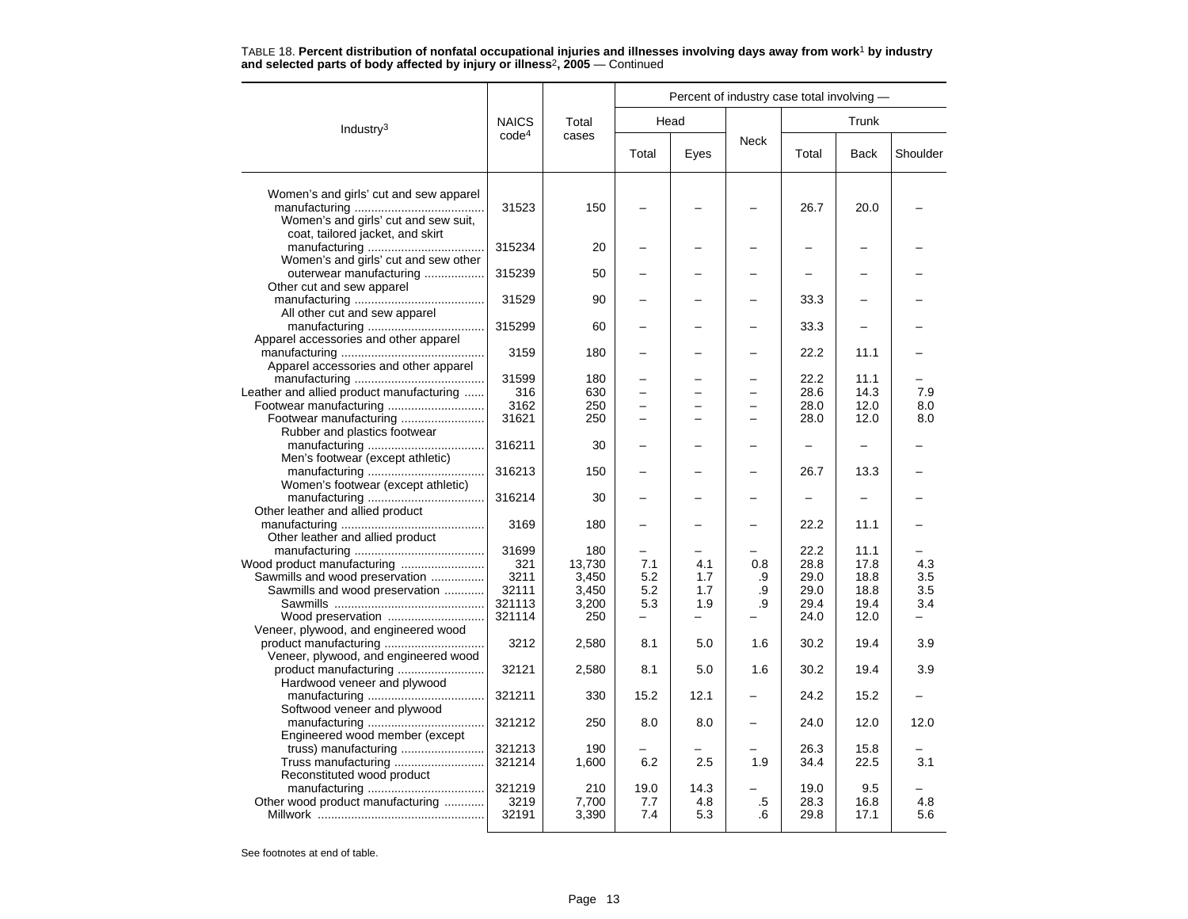|                                                                                |                   |                | Percent of industry case total involving - |                          |          |              |              |            |  |  |
|--------------------------------------------------------------------------------|-------------------|----------------|--------------------------------------------|--------------------------|----------|--------------|--------------|------------|--|--|
| Industry <sup>3</sup>                                                          | <b>NAICS</b>      | Total          | Head                                       |                          |          |              | Trunk        |            |  |  |
|                                                                                | code <sup>4</sup> | cases          | Total                                      | Eyes                     | Neck     | Total        | <b>Back</b>  | Shoulder   |  |  |
| Women's and girls' cut and sew apparel<br>Women's and girls' cut and sew suit, | 31523             | 150            |                                            |                          |          | 26.7         | 20.0         |            |  |  |
| coat, tailored jacket, and skirt                                               | 315234            | 20             |                                            |                          |          |              |              |            |  |  |
| Women's and girls' cut and sew other<br>outerwear manufacturing                | 315239            | 50             |                                            |                          |          |              |              |            |  |  |
| Other cut and sew apparel                                                      | 31529             | 90             |                                            |                          |          | 33.3         |              |            |  |  |
| All other cut and sew apparel<br>Apparel accessories and other apparel         | 315299            | 60             |                                            |                          |          | 33.3         |              |            |  |  |
| Apparel accessories and other apparel                                          | 3159              | 180            |                                            |                          |          | 22.2         | 11.1         |            |  |  |
| Leather and allied product manufacturing                                       | 31599<br>316      | 180<br>630     |                                            |                          |          | 22.2<br>28.6 | 11.1<br>14.3 | 7.9        |  |  |
|                                                                                | 3162              | 250            | ▃                                          |                          |          | 28.0         | 12.0         | 8.0        |  |  |
| Footwear manufacturing                                                         | 31621             | 250            |                                            |                          |          | 28.0         | 12.0         | 8.0        |  |  |
| Rubber and plastics footwear                                                   |                   |                |                                            |                          |          |              |              |            |  |  |
| Men's footwear (except athletic)                                               | 316211            | 30             |                                            |                          |          |              |              |            |  |  |
| Women's footwear (except athletic)                                             | 316213            | 150            |                                            |                          |          | 26.7         | 13.3         |            |  |  |
| Other leather and allied product                                               | 316214            | 30             |                                            |                          |          |              |              |            |  |  |
| Other leather and allied product                                               | 3169              | 180            |                                            |                          |          | 22.2         | 11.1         |            |  |  |
|                                                                                | 31699             | 180            |                                            |                          |          | 22.2<br>28.8 | 11.1<br>17.8 |            |  |  |
|                                                                                | 321<br>3211       | 13.730         | 7.1<br>5.2                                 | 4.1                      | 0.8      | 29.0         | 18.8         | 4.3<br>3.5 |  |  |
| Sawmills and wood preservation<br>Sawmills and wood preservation               | 32111             | 3,450          | 5.2                                        | 1.7<br>1.7               | .9<br>.9 | 29.0         | 18.8         | 3.5        |  |  |
|                                                                                | 321113            | 3,450<br>3,200 | 5.3                                        | 1.9                      | .9       | 29.4         | 19.4         | 3.4        |  |  |
| Wood preservation                                                              | 321114            | 250            | $\overline{\phantom{0}}$                   | $\overline{\phantom{0}}$ |          | 24.0         | 12.0         |            |  |  |
| Veneer, plywood, and engineered wood                                           |                   |                |                                            |                          |          |              |              |            |  |  |
| Veneer, plywood, and engineered wood                                           | 3212              | 2,580          | 8.1                                        | 5.0                      | 1.6      | 30.2         | 19.4         | 3.9        |  |  |
| Hardwood veneer and plywood                                                    | 32121             | 2,580          | 8.1                                        | 5.0                      | 1.6      | 30.2         | 19.4         | 3.9        |  |  |
| Softwood veneer and plywood                                                    | 321211            | 330            | 15.2                                       | 12.1                     |          | 24.2         | 15.2         |            |  |  |
| Engineered wood member (except                                                 | 321212            | 250            | 8.0                                        | 8.0                      |          | 24.0         | 12.0         | 12.0       |  |  |
| truss) manufacturing                                                           | 321213            | 190            |                                            |                          |          | 26.3         | 15.8         |            |  |  |
| Truss manufacturing<br>Reconstituted wood product                              | 321214            | 1,600          | 6.2                                        | 2.5                      | 1.9      | 34.4         | 22.5         | 3.1        |  |  |
| Other wood product manufacturing                                               | 321219<br>3219    | 210<br>7,700   | 19.0<br>7.7                                | 14.3<br>4.8              | .5       | 19.0<br>28.3 | 9.5<br>16.8  | 4.8        |  |  |
|                                                                                | 32191             | 3,390          | 7.4                                        | 5.3                      | .6       | 29.8         | 17.1         | 5.6        |  |  |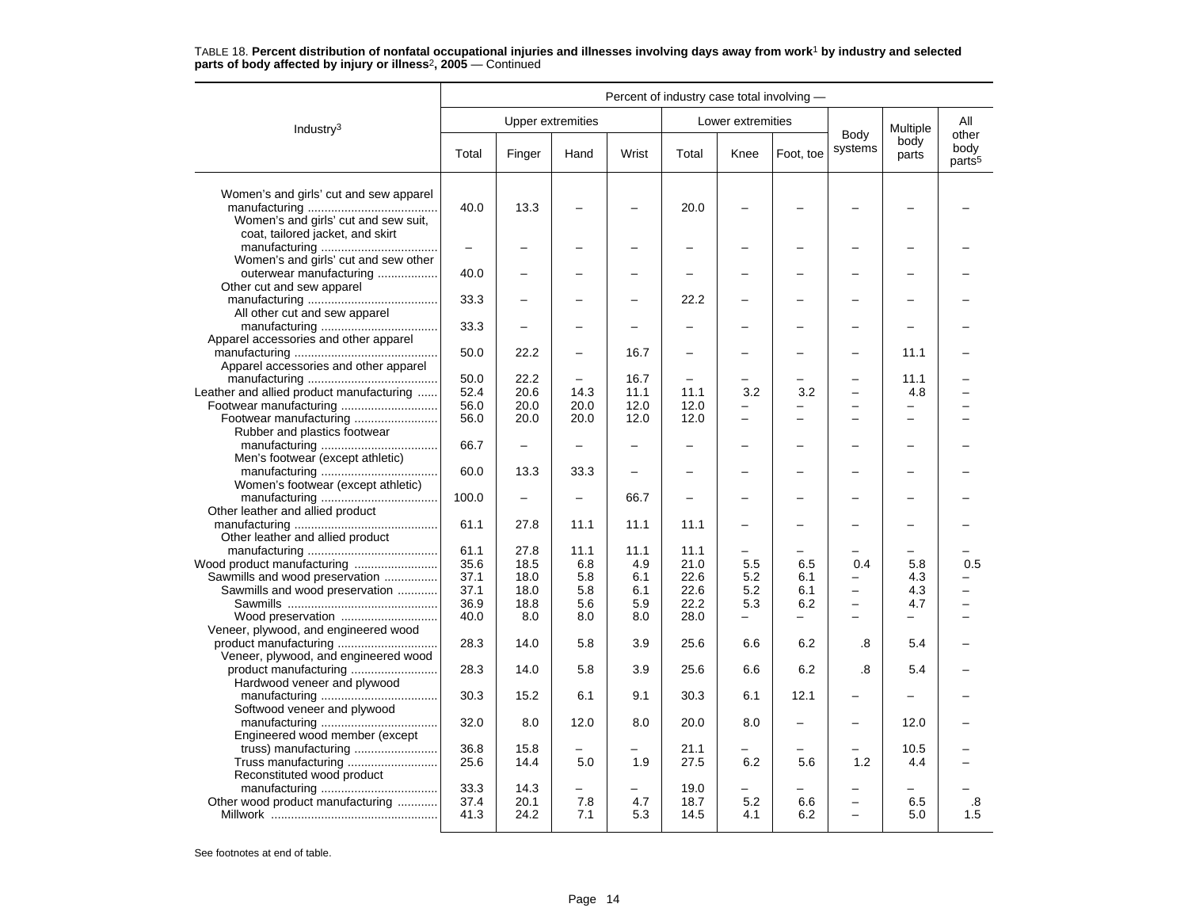|                                                                                                                    | Percent of industry case total involving - |                          |                          |              |                   |                          |                 |                                      |                          |                                     |
|--------------------------------------------------------------------------------------------------------------------|--------------------------------------------|--------------------------|--------------------------|--------------|-------------------|--------------------------|-----------------|--------------------------------------|--------------------------|-------------------------------------|
| Industry $3$                                                                                                       |                                            | <b>Upper extremities</b> |                          |              |                   | Lower extremities        |                 |                                      | Multiple                 | All                                 |
|                                                                                                                    | Total                                      | Finger                   | Hand                     | Wrist        | Total             | Knee                     | Foot, toe       | Body<br>systems                      | body<br>parts            | other<br>body<br>parts <sup>5</sup> |
| Women's and girls' cut and sew apparel<br>Women's and girls' cut and sew suit,<br>coat, tailored jacket, and skirt | 40.0                                       | 13.3                     |                          |              | 20.0              |                          |                 |                                      |                          |                                     |
| Women's and girls' cut and sew other                                                                               | $\overline{\phantom{0}}$                   |                          |                          |              |                   |                          |                 |                                      |                          |                                     |
| outerwear manufacturing<br>Other cut and sew apparel                                                               | 40.0                                       |                          |                          |              |                   |                          |                 |                                      |                          |                                     |
| All other cut and sew apparel                                                                                      | 33.3                                       |                          |                          |              | 22.2              |                          |                 |                                      |                          |                                     |
| Apparel accessories and other apparel                                                                              | 33.3                                       |                          |                          |              |                   |                          |                 |                                      |                          |                                     |
| Apparel accessories and other apparel                                                                              | 50.0<br>50.0                               | 22.2<br>22.2             | $\overline{\phantom{0}}$ | 16.7<br>16.7 | $\qquad \qquad -$ |                          |                 |                                      | 11.1<br>11.1             |                                     |
| Leather and allied product manufacturing                                                                           | 52.4                                       | 20.6                     | 14.3                     | 11.1         | 11.1              | 3.2                      | 3.2             |                                      | 4.8                      |                                     |
|                                                                                                                    | 56.0                                       | 20.0                     | 20.0                     | 12.0         | 12.0              | $\overline{\phantom{0}}$ | ▃               | $\overline{\phantom{0}}$             | $\overline{\phantom{m}}$ |                                     |
| Footwear manufacturing<br>Rubber and plastics footwear                                                             | 56.0                                       | 20.0                     | 20.0                     | 12.0         | 12.0              |                          |                 |                                      |                          |                                     |
| Men's footwear (except athletic)                                                                                   | 66.7                                       |                          |                          |              |                   |                          |                 |                                      |                          |                                     |
| Women's footwear (except athletic)                                                                                 | 60.0                                       | 13.3                     | 33.3                     | $\equiv$     |                   |                          |                 |                                      |                          |                                     |
| Other leather and allied product                                                                                   | 100.0                                      |                          |                          | 66.7         |                   |                          |                 |                                      |                          |                                     |
| Other leather and allied product                                                                                   | 61.1                                       | 27.8                     | 11.1                     | 11.1         | 11.1              |                          |                 |                                      |                          |                                     |
|                                                                                                                    | 61.1                                       | 27.8                     | 11.1                     | 11.1         | 11.1              | -                        |                 |                                      |                          |                                     |
|                                                                                                                    | 35.6                                       | 18.5                     | 6.8                      | 4.9          | 21.0              | 5.5                      | 6.5             | 0.4                                  | 5.8                      | 0.5                                 |
| Sawmills and wood preservation                                                                                     | 37.1                                       | 18.0                     | 5.8                      | 6.1          | 22.6              | 5.2                      | 6.1             |                                      | 4.3                      |                                     |
| Sawmills and wood preservation                                                                                     | 37.1                                       | 18.0                     | 5.8                      | 6.1          | 22.6              | 5.2                      | 6.1             | $\overline{\phantom{0}}$<br>$\equiv$ | 4.3                      |                                     |
|                                                                                                                    | 36.9                                       | 18.8                     | 5.6                      | 5.9          | 22.2              | 5.3<br>÷                 | 6.2<br>$\equiv$ |                                      | 4.7<br>$\equiv$          |                                     |
| Wood preservation<br>Veneer, plywood, and engineered wood                                                          | 40.0<br>28.3                               | 8.0<br>14.0              | 8.0<br>5.8               | 8.0<br>3.9   | 28.0<br>25.6      | 6.6                      | 6.2             | $\equiv$<br>.8                       | 5.4                      |                                     |
| Veneer, plywood, and engineered wood                                                                               | 28.3                                       | 14.0                     | 5.8                      | 3.9          | 25.6              | 6.6                      | 6.2             | .8                                   | 5.4                      |                                     |
| Hardwood veneer and plywood                                                                                        | 30.3                                       | 15.2                     | 6.1                      | 9.1          | 30.3              | 6.1                      | 12.1            | $\overline{\phantom{0}}$             |                          |                                     |
| Softwood veneer and plywood                                                                                        | 32.0                                       | 8.0                      | 12.0                     | 8.0          | 20.0              | 8.0                      |                 |                                      | 12.0                     |                                     |
| Engineered wood member (except                                                                                     | 36.8                                       | 15.8                     | $\overline{\phantom{0}}$ |              | 21.1              |                          |                 |                                      | 10.5                     |                                     |
| Reconstituted wood product                                                                                         | 25.6                                       | 14.4                     | 5.0                      | 1.9          | 27.5              | 6.2                      | 5.6             | 1.2                                  | 4.4                      |                                     |
|                                                                                                                    | 33.3                                       | 14.3                     | $\overline{\phantom{0}}$ |              | 19.0              |                          |                 |                                      |                          |                                     |
| Other wood product manufacturing                                                                                   | 37.4<br>41.3                               | 20.1<br>24.2             | 7.8<br>7.1               | 4.7<br>5.3   | 18.7<br>14.5      | 5.2<br>4.1               | 6.6<br>6.2      | $\overline{\phantom{0}}$             | 6.5<br>5.0               | .8<br>1.5                           |
|                                                                                                                    |                                            |                          |                          |              |                   |                          |                 |                                      |                          |                                     |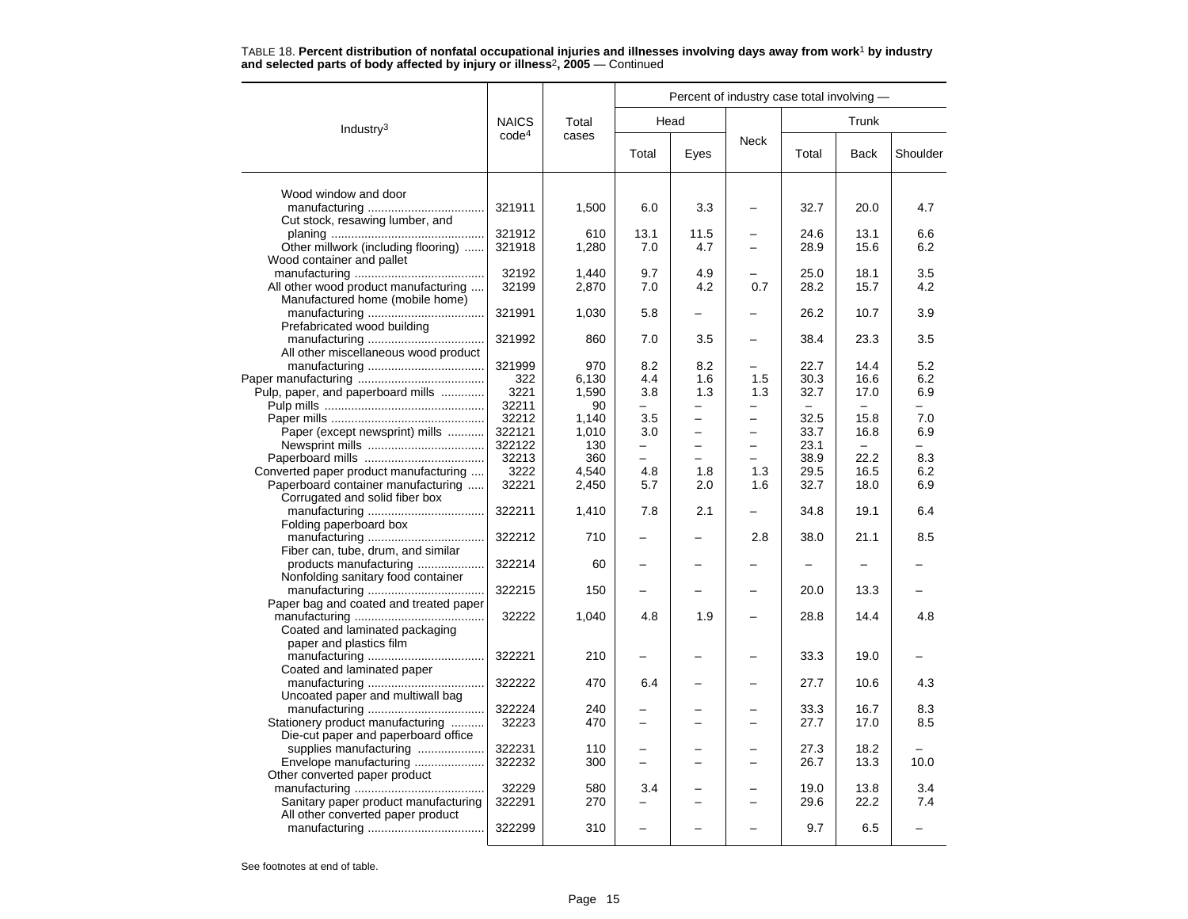|                                        |                   |       | Percent of industry case total involving - |                          |                          |       |             |          |  |  |  |
|----------------------------------------|-------------------|-------|--------------------------------------------|--------------------------|--------------------------|-------|-------------|----------|--|--|--|
| Industry <sup>3</sup>                  | <b>NAICS</b>      | Total |                                            | Head                     |                          |       | Trunk       |          |  |  |  |
|                                        | code <sup>4</sup> | cases | Total                                      | Eyes                     | <b>Neck</b>              | Total | <b>Back</b> | Shoulder |  |  |  |
| Wood window and door                   |                   |       |                                            |                          |                          |       |             |          |  |  |  |
|                                        | 321911            | 1,500 | 6.0                                        | 3.3                      |                          | 32.7  | 20.0        | 4.7      |  |  |  |
|                                        |                   |       |                                            |                          |                          |       |             |          |  |  |  |
| Cut stock, resawing lumber, and        | 321912            | 610   | 13.1                                       | 11.5                     |                          | 24.6  | 13.1        |          |  |  |  |
|                                        |                   |       | 7.0                                        |                          | $\overline{\phantom{0}}$ |       | 15.6        | 6.6      |  |  |  |
| Other millwork (including flooring)    | 321918            | 1,280 |                                            | 4.7                      |                          | 28.9  |             | 6.2      |  |  |  |
| Wood container and pallet              | 32192             | 1,440 | 9.7                                        | 4.9                      |                          | 25.0  | 18.1        | 3.5      |  |  |  |
|                                        | 32199             |       | 7.0                                        | 4.2                      | 0.7                      | 28.2  | 15.7        | 4.2      |  |  |  |
| All other wood product manufacturing   |                   | 2,870 |                                            |                          |                          |       |             |          |  |  |  |
| Manufactured home (mobile home)        |                   |       |                                            |                          |                          | 26.2  | 10.7        | 3.9      |  |  |  |
|                                        | 321991            | 1,030 | 5.8                                        |                          |                          |       |             |          |  |  |  |
| Prefabricated wood building            |                   |       |                                            |                          |                          |       |             |          |  |  |  |
|                                        | 321992            | 860   | 7.0                                        | 3.5                      |                          | 38.4  | 23.3        | 3.5      |  |  |  |
| All other miscellaneous wood product   |                   |       |                                            |                          |                          |       |             |          |  |  |  |
|                                        | 321999            | 970   | 8.2                                        | 8.2                      |                          | 22.7  | 14.4        | 5.2      |  |  |  |
|                                        | 322               | 6,130 | 4.4                                        | 1.6                      | 1.5                      | 30.3  | 16.6        | 6.2      |  |  |  |
| Pulp, paper, and paperboard mills      | 3221              | 1,590 | 3.8                                        | 1.3                      | 1.3                      | 32.7  | 17.0        | 6.9      |  |  |  |
|                                        | 32211             | 90    |                                            |                          |                          |       |             |          |  |  |  |
|                                        | 32212             | 1,140 | 3.5                                        |                          | $\overline{\phantom{0}}$ | 32.5  | 15.8        | 7.0      |  |  |  |
| Paper (except newsprint) mills         | 322121            | 1,010 | 3.0                                        | $\overline{\phantom{0}}$ | $\overline{\phantom{0}}$ | 33.7  | 16.8        | 6.9      |  |  |  |
|                                        | 322122            | 130   |                                            |                          | -                        | 23.1  |             |          |  |  |  |
|                                        | 32213             | 360   |                                            | -                        | -                        | 38.9  | 22.2        | 8.3      |  |  |  |
| Converted paper product manufacturing  | 3222              | 4,540 | 4.8                                        | 1.8                      | 1.3                      | 29.5  | 16.5        | 6.2      |  |  |  |
| Paperboard container manufacturing     | 32221             | 2,450 | 5.7                                        | 2.0                      | 1.6                      | 32.7  | 18.0        | 6.9      |  |  |  |
| Corrugated and solid fiber box         |                   |       |                                            |                          |                          |       |             |          |  |  |  |
|                                        | 322211            | 1,410 | 7.8                                        | 2.1                      |                          | 34.8  | 19.1        | 6.4      |  |  |  |
| Folding paperboard box                 |                   |       |                                            |                          |                          |       |             |          |  |  |  |
|                                        | 322212            | 710   |                                            |                          | 2.8                      | 38.0  | 21.1        | 8.5      |  |  |  |
| Fiber can, tube, drum, and similar     |                   |       |                                            |                          |                          |       |             |          |  |  |  |
| products manufacturing                 | 322214            | 60    |                                            |                          |                          |       |             |          |  |  |  |
| Nonfolding sanitary food container     |                   |       |                                            |                          |                          |       |             |          |  |  |  |
|                                        | 322215            | 150   |                                            |                          |                          | 20.0  | 13.3        |          |  |  |  |
| Paper bag and coated and treated paper |                   |       |                                            |                          |                          |       |             |          |  |  |  |
|                                        | 32222             | 1,040 | 4.8                                        | 1.9                      |                          | 28.8  | 14.4        | 4.8      |  |  |  |
| Coated and laminated packaging         |                   |       |                                            |                          |                          |       |             |          |  |  |  |
| paper and plastics film                |                   |       |                                            |                          |                          |       |             |          |  |  |  |
|                                        | 322221            | 210   |                                            |                          |                          | 33.3  | 19.0        |          |  |  |  |
| Coated and laminated paper             |                   |       |                                            |                          |                          |       |             |          |  |  |  |
|                                        | 322222            | 470   | 6.4                                        |                          |                          | 27.7  | 10.6        | 4.3      |  |  |  |
| Uncoated paper and multiwall bag       |                   |       |                                            |                          |                          |       |             |          |  |  |  |
|                                        | 322224            | 240   |                                            |                          |                          | 33.3  | 16.7        | 8.3      |  |  |  |
| Stationery product manufacturing       | 32223             | 470   |                                            |                          | $\overline{\phantom{0}}$ | 27.7  | 17.0        | 8.5      |  |  |  |
| Die-cut paper and paperboard office    |                   |       |                                            |                          |                          |       |             |          |  |  |  |
| supplies manufacturing                 | 322231            | 110   |                                            |                          | $\overline{\phantom{0}}$ | 27.3  | 18.2        |          |  |  |  |
| Envelope manufacturing                 | 322232            | 300   | $\overline{\phantom{0}}$                   |                          | -                        | 26.7  | 13.3        | 10.0     |  |  |  |
| Other converted paper product          |                   |       |                                            |                          |                          |       |             |          |  |  |  |
|                                        | 32229             | 580   | 3.4                                        |                          |                          | 19.0  | 13.8        | 3.4      |  |  |  |
| Sanitary paper product manufacturing   | 322291            | 270   | $\overline{\phantom{0}}$                   | $\overline{\phantom{0}}$ | ÷                        | 29.6  | 22.2        | 7.4      |  |  |  |
| All other converted paper product      |                   |       |                                            |                          |                          |       |             |          |  |  |  |
|                                        | 322299            | 310   |                                            |                          |                          | 9.7   | 6.5         |          |  |  |  |

TABLE 18. **Percent distribution of nonfatal occupational injuries and illnesses involving days away from work**<sup>1</sup> **by industry and selected parts of body affected by injury or illness**<sup>2</sup>**, 2005** — Continued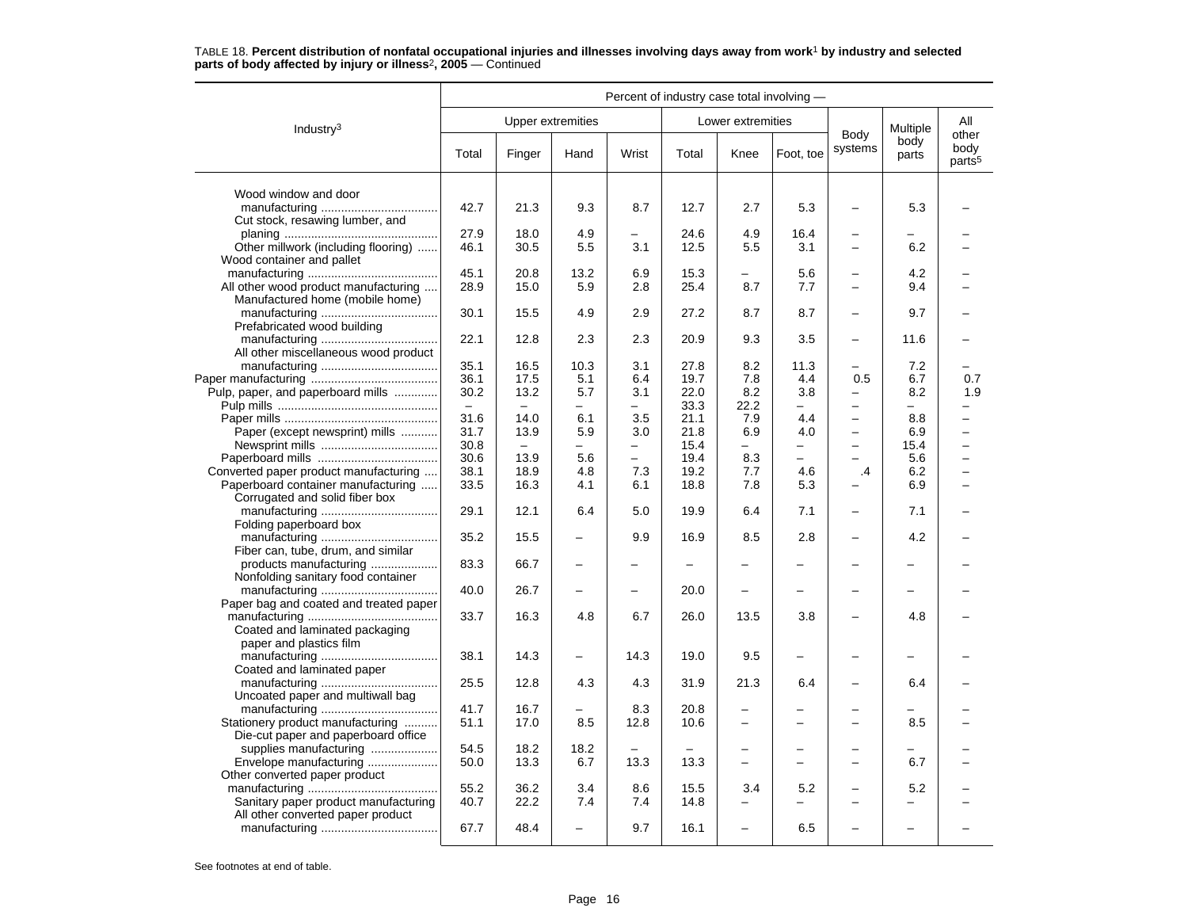|                                                                         | Percent of industry case total involving - |                   |                          |                          |       |                          |                          |                          |                          |                            |
|-------------------------------------------------------------------------|--------------------------------------------|-------------------|--------------------------|--------------------------|-------|--------------------------|--------------------------|--------------------------|--------------------------|----------------------------|
| Industry <sup>3</sup>                                                   |                                            | Upper extremities |                          |                          |       | Lower extremities        |                          | Body                     | Multiple                 | All<br>other               |
|                                                                         | Total                                      | Finger            | Hand                     | Wrist                    | Total | Knee                     | Foot, toe                | systems                  | body<br>parts            | body<br>parts <sup>5</sup> |
| Wood window and door                                                    |                                            |                   |                          |                          |       |                          |                          |                          |                          |                            |
| Cut stock, resawing lumber, and                                         | 42.7                                       | 21.3              | 9.3                      | 8.7                      | 12.7  | 2.7                      | 5.3                      |                          | 5.3                      |                            |
|                                                                         | 27.9                                       | 18.0              | 4.9                      | -                        | 24.6  | 4.9                      | 16.4                     | $\overline{\phantom{0}}$ |                          |                            |
| Other millwork (including flooring)                                     | 46.1                                       | 30.5              | 5.5                      | 3.1                      | 12.5  | 5.5                      | 3.1                      | $\equiv$                 | 6.2                      |                            |
| Wood container and pallet                                               | 45.1                                       | 20.8              | 13.2                     | 6.9                      | 15.3  |                          | 5.6                      |                          | 4.2                      |                            |
| All other wood product manufacturing                                    | 28.9                                       | 15.0              | 5.9                      | 2.8                      | 25.4  | 8.7                      | 7.7                      |                          | 9.4                      |                            |
| Manufactured home (mobile home)                                         |                                            |                   |                          |                          |       |                          |                          |                          |                          |                            |
| Prefabricated wood building                                             | 30.1                                       | 15.5              | 4.9                      | 2.9                      | 27.2  | 8.7                      | 8.7                      | $\overline{\phantom{0}}$ | 9.7                      |                            |
| All other miscellaneous wood product                                    | 22.1                                       | 12.8              | 2.3                      | 2.3                      | 20.9  | 9.3                      | 3.5                      |                          | 11.6                     |                            |
|                                                                         | 35.1                                       | 16.5              | 10.3                     | 3.1                      | 27.8  | 8.2                      | 11.3                     |                          | 7.2                      |                            |
|                                                                         | 36.1                                       | 17.5              | 5.1                      | 6.4                      | 19.7  | 7.8                      | 4.4                      | 0.5                      | 6.7                      | 0.7                        |
| Pulp, paper, and paperboard mills                                       | 30.2                                       | 13.2              | 5.7                      | 3.1                      | 22.0  | 8.2                      | 3.8                      | $\qquad \qquad -$        | 8.2                      | 1.9                        |
|                                                                         | $\equiv$                                   |                   | $\overline{\phantom{0}}$ | -                        | 33.3  | 22.2                     | $\overline{\phantom{0}}$ | $\overline{\phantom{0}}$ | Ξ.                       |                            |
|                                                                         | 31.6                                       | 14.0              | 6.1                      | 3.5                      | 21.1  | 7.9                      | 4.4                      | $\overline{\phantom{0}}$ | 8.8                      | $\overline{\phantom{0}}$   |
| Paper (except newsprint) mills                                          | 31.7                                       | 13.9              | 5.9                      | 3.0                      | 21.8  | 6.9                      | 4.0                      | $\overline{\phantom{m}}$ | 6.9                      | $\overline{\phantom{0}}$   |
|                                                                         | 30.8                                       | $\equiv$          | $\qquad \qquad -$        | -                        | 15.4  | $\overline{\phantom{m}}$ | -                        | $\qquad \qquad -$        | 15.4                     | -                          |
|                                                                         | 30.6                                       | 13.9              | 5.6                      | $\overline{\phantom{0}}$ | 19.4  | 8.3                      | $\overline{\phantom{0}}$ |                          | 5.6                      |                            |
| Converted paper product manufacturing                                   | 38.1                                       | 18.9              | 4.8                      | 7.3                      | 19.2  | 7.7                      | 4.6                      | $\cdot$                  | 6.2                      |                            |
| Paperboard container manufacturing                                      | 33.5                                       | 16.3              | 4.1                      | 6.1                      | 18.8  | 7.8                      | 5.3                      |                          | 6.9                      |                            |
| Corrugated and solid fiber box                                          | 29.1                                       | 12.1              | 6.4                      | 5.0                      | 19.9  | 6.4                      | 7.1                      |                          | 7.1                      |                            |
| Folding paperboard box                                                  |                                            |                   |                          |                          |       |                          |                          |                          |                          |                            |
|                                                                         | 35.2                                       | 15.5              | $\overline{\phantom{0}}$ | 9.9                      | 16.9  | 8.5                      | 2.8                      |                          | 4.2                      |                            |
| Fiber can, tube, drum, and similar                                      |                                            |                   |                          |                          |       |                          |                          |                          |                          |                            |
| products manufacturing<br>Nonfolding sanitary food container            | 83.3                                       | 66.7              | $\overline{\phantom{0}}$ |                          |       |                          |                          |                          |                          |                            |
|                                                                         | 40.0                                       | 26.7              |                          | $\equiv$                 | 20.0  | -                        |                          |                          |                          |                            |
| Paper bag and coated and treated paper                                  |                                            |                   |                          |                          |       |                          |                          |                          |                          |                            |
|                                                                         | 33.7                                       | 16.3              | 4.8                      | 6.7                      | 26.0  | 13.5                     | 3.8                      |                          | 4.8                      |                            |
| Coated and laminated packaging                                          |                                            |                   |                          |                          |       |                          |                          |                          |                          |                            |
| paper and plastics film                                                 |                                            |                   |                          |                          |       |                          |                          |                          |                          |                            |
|                                                                         | 38.1                                       | 14.3              | $\overline{\phantom{0}}$ | 14.3                     | 19.0  | 9.5                      |                          |                          |                          |                            |
| Coated and laminated paper                                              |                                            |                   |                          |                          |       |                          |                          |                          |                          |                            |
|                                                                         | 25.5                                       | 12.8              | 4.3                      | 4.3                      | 31.9  | 21.3                     | 6.4                      |                          | 6.4                      |                            |
| Uncoated paper and multiwall bag                                        |                                            |                   |                          |                          |       |                          |                          |                          |                          |                            |
|                                                                         | 41.7                                       | 16.7              |                          | 8.3                      | 20.8  |                          |                          |                          |                          |                            |
| Stationery product manufacturing<br>Die-cut paper and paperboard office | 51.1                                       | 17.0              | 8.5                      | 12.8                     | 10.6  | $\equiv$                 |                          |                          | 8.5                      |                            |
| supplies manufacturing                                                  | 54.5                                       | 18.2              | 18.2                     |                          |       |                          |                          |                          |                          |                            |
| Envelope manufacturing                                                  | 50.0                                       | 13.3              | 6.7                      | 13.3                     | 13.3  | $\overline{a}$           |                          |                          | 6.7                      |                            |
| Other converted paper product                                           |                                            |                   |                          |                          |       |                          |                          |                          |                          |                            |
|                                                                         | 55.2                                       | 36.2              | 3.4                      | 8.6                      | 15.5  | 3.4                      | 5.2                      | $\overline{\phantom{0}}$ | 5.2                      |                            |
| Sanitary paper product manufacturing                                    | 40.7                                       | 22.2              | 7.4                      | 7.4                      | 14.8  | $\overline{\phantom{0}}$ |                          | $\overline{\phantom{a}}$ | $\overline{\phantom{0}}$ |                            |
| All other converted paper product                                       |                                            |                   |                          |                          |       |                          |                          |                          |                          |                            |
|                                                                         | 67.7                                       | 48.4              |                          | 9.7                      | 16.1  | $\overline{\phantom{0}}$ | 6.5                      |                          |                          |                            |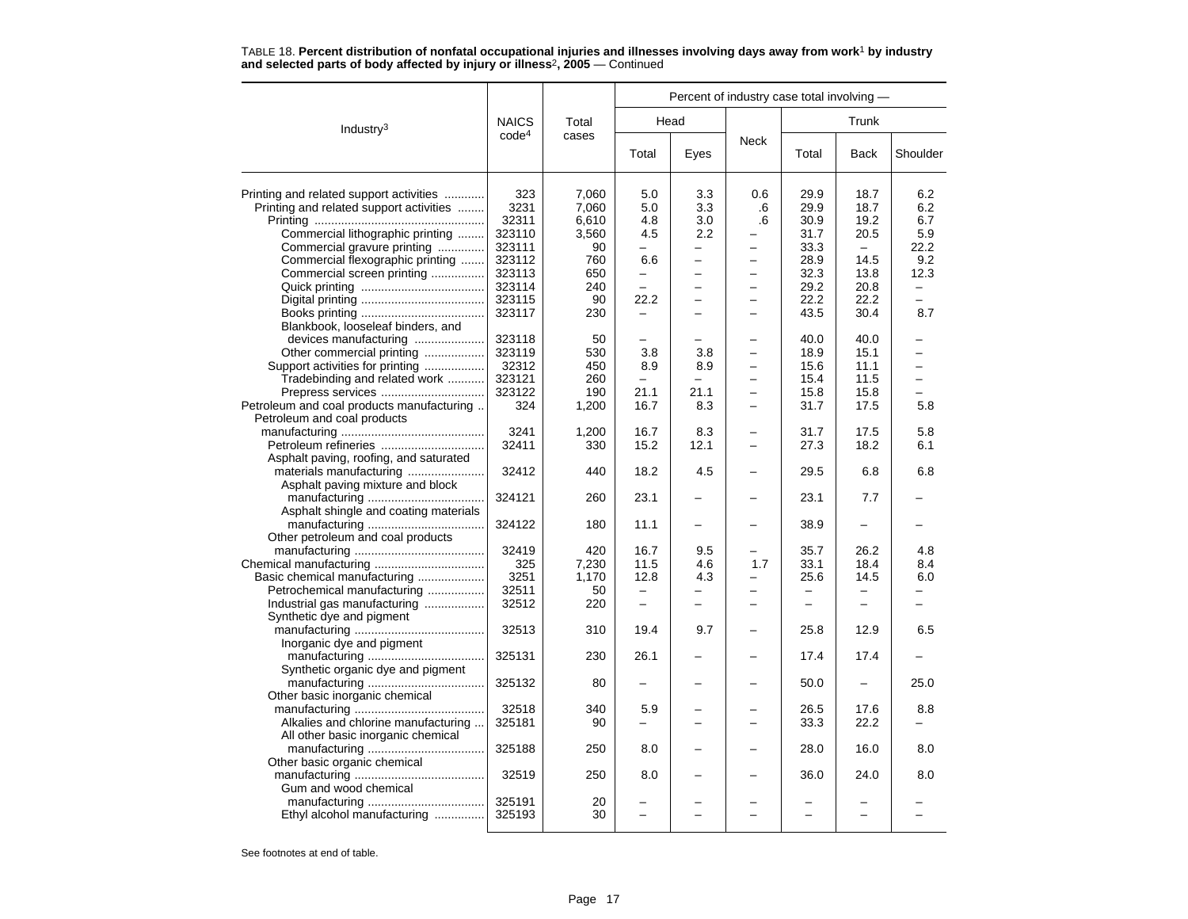|                                           |                   |       | Percent of industry case total involving - |                          |                          |                          |                          |                          |  |  |  |
|-------------------------------------------|-------------------|-------|--------------------------------------------|--------------------------|--------------------------|--------------------------|--------------------------|--------------------------|--|--|--|
| Industry <sup>3</sup>                     | <b>NAICS</b>      | Total |                                            | Head                     |                          |                          | Trunk                    |                          |  |  |  |
|                                           | code <sup>4</sup> | cases | Total                                      | Eyes                     | <b>Neck</b>              | Total                    | <b>Back</b>              | Shoulder                 |  |  |  |
| Printing and related support activities   | 323               | 7,060 | 5.0                                        | 3.3                      | 0.6                      | 29.9                     | 18.7                     | 6.2                      |  |  |  |
| Printing and related support activities   | 3231              | 7,060 | 5.0                                        | 3.3                      | .6                       | 29.9                     | 18.7                     | 6.2                      |  |  |  |
|                                           | 32311             | 6,610 | 4.8                                        | 3.0                      | .6                       | 30.9                     | 19.2                     | 6.7                      |  |  |  |
| Commercial lithographic printing          | 323110            | 3,560 | 4.5                                        | 2.2                      |                          | 31.7                     | 20.5                     | 5.9                      |  |  |  |
| Commercial gravure printing               | 323111            | 90    | -                                          | -                        | -                        | 33.3                     | $\equiv$                 | 22.2                     |  |  |  |
| Commercial flexographic printing          | 323112            | 760   | 6.6                                        |                          | —                        | 28.9                     | 14.5                     | 9.2                      |  |  |  |
| Commercial screen printing                | 323113            | 650   | $\overline{a}$                             | $\overline{\phantom{0}}$ | $\overline{a}$           | 32.3                     | 13.8                     | 12.3                     |  |  |  |
|                                           | 323114            | 240   | -                                          | $\overline{\phantom{0}}$ | $\overline{\phantom{0}}$ | 29.2                     | 20.8                     | $\overline{\phantom{0}}$ |  |  |  |
|                                           | 323115            | 90    | 22.2                                       |                          | -                        | 22.2                     | 22.2                     |                          |  |  |  |
|                                           | 323117            | 230   |                                            |                          | L.                       | 43.5                     | 30.4                     | 8.7                      |  |  |  |
|                                           |                   |       |                                            |                          |                          |                          |                          |                          |  |  |  |
| Blankbook, looseleaf binders, and         |                   |       |                                            |                          |                          |                          |                          |                          |  |  |  |
| devices manufacturing                     | 323118            | 50    |                                            |                          | $\overline{a}$           | 40.0                     | 40.0                     |                          |  |  |  |
| Other commercial printing                 | 323119            | 530   | 3.8                                        | 3.8                      |                          | 18.9                     | 15.1                     |                          |  |  |  |
| Support activities for printing           | 32312             | 450   | 8.9                                        | 8.9                      | -                        | 15.6                     | 11.1                     | -                        |  |  |  |
| Tradebinding and related work             | 323121            | 260   | $\equiv$                                   |                          | $\equiv$                 | 15.4                     | 11.5                     | $\equiv$                 |  |  |  |
| Prepress services                         | 323122            | 190   | 21.1                                       | 21.1                     | $\overline{a}$           | 15.8                     | 15.8                     |                          |  |  |  |
| Petroleum and coal products manufacturing | 324               | 1,200 | 16.7                                       | 8.3                      | $\overline{\phantom{0}}$ | 31.7                     | 17.5                     | 5.8                      |  |  |  |
| Petroleum and coal products               |                   |       |                                            |                          |                          |                          |                          |                          |  |  |  |
|                                           | 3241              | 1,200 | 16.7                                       | 8.3                      | -                        | 31.7                     | 17.5                     | 5.8                      |  |  |  |
|                                           | 32411             | 330   | 15.2                                       | 12.1                     | $\overline{\phantom{0}}$ | 27.3                     | 18.2                     | 6.1                      |  |  |  |
| Asphalt paving, roofing, and saturated    |                   |       |                                            |                          |                          |                          |                          |                          |  |  |  |
| materials manufacturing                   | 32412             | 440   | 18.2                                       | 4.5                      |                          | 29.5                     | 6.8                      | 6.8                      |  |  |  |
| Asphalt paving mixture and block          |                   |       |                                            |                          |                          |                          |                          |                          |  |  |  |
|                                           | 324121            | 260   | 23.1                                       |                          |                          | 23.1                     | 7.7                      |                          |  |  |  |
| Asphalt shingle and coating materials     |                   |       |                                            |                          |                          |                          |                          |                          |  |  |  |
|                                           | 324122            | 180   | 11.1                                       |                          |                          | 38.9                     |                          |                          |  |  |  |
| Other petroleum and coal products         |                   |       |                                            |                          |                          |                          |                          |                          |  |  |  |
|                                           | 32419             | 420   | 16.7                                       | 9.5                      | —                        | 35.7                     | 26.2                     | 4.8                      |  |  |  |
|                                           | 325               | 7,230 | 11.5                                       | 4.6                      | 1.7                      | 33.1                     | 18.4                     | 8.4                      |  |  |  |
| Basic chemical manufacturing              | 3251              | 1,170 | 12.8                                       | 4.3                      | $\overline{\phantom{0}}$ | 25.6                     | 14.5                     | 6.0                      |  |  |  |
| Petrochemical manufacturing               | 32511             | 50    | $\overline{\phantom{m}}$                   | $-$                      | $\overline{\phantom{0}}$ | $\overline{\phantom{m}}$ | $\overline{\phantom{0}}$ | $\overline{\phantom{0}}$ |  |  |  |
| Industrial gas manufacturing              | 32512             | 220   | -                                          |                          |                          |                          | -                        |                          |  |  |  |
| Synthetic dye and pigment                 |                   |       |                                            |                          |                          |                          |                          |                          |  |  |  |
|                                           | 32513             | 310   | 19.4                                       | 9.7                      | $\overline{\phantom{0}}$ | 25.8                     | 12.9                     | 6.5                      |  |  |  |
| Inorganic dye and pigment                 |                   |       |                                            |                          |                          |                          |                          |                          |  |  |  |
|                                           | 325131            | 230   | 26.1                                       |                          |                          | 17.4                     | 17.4                     |                          |  |  |  |
| Synthetic organic dye and pigment         |                   |       |                                            |                          |                          |                          |                          |                          |  |  |  |
|                                           | 325132            | 80    |                                            |                          |                          | 50.0                     |                          | 25.0                     |  |  |  |
| Other basic inorganic chemical            |                   |       |                                            |                          |                          |                          |                          |                          |  |  |  |
|                                           | 32518             | 340   | 5.9                                        |                          | -                        | 26.5                     | 17.6                     | 8.8                      |  |  |  |
| Alkalies and chlorine manufacturing       | 325181            | 90    |                                            |                          |                          | 33.3                     | 22.2                     |                          |  |  |  |
| All other basic inorganic chemical        |                   |       |                                            |                          |                          |                          |                          |                          |  |  |  |
|                                           | 325188            | 250   | 8.0                                        |                          |                          | 28.0                     | 16.0                     | 8.0                      |  |  |  |
| Other basic organic chemical              |                   |       |                                            |                          |                          |                          |                          |                          |  |  |  |
|                                           | 32519             | 250   | 8.0                                        |                          |                          | 36.0                     | 24.0                     | 8.0                      |  |  |  |
| Gum and wood chemical                     |                   |       |                                            |                          |                          |                          |                          |                          |  |  |  |
|                                           | 325191            | 20    |                                            |                          |                          |                          |                          |                          |  |  |  |
| Ethyl alcohol manufacturing               | 325193            | 30    | -                                          |                          |                          |                          | $\overline{\phantom{0}}$ |                          |  |  |  |
|                                           |                   |       |                                            |                          |                          |                          |                          |                          |  |  |  |

TABLE 18. **Percent distribution of nonfatal occupational injuries and illnesses involving days away from work**<sup>1</sup> **by industry and selected parts of body affected by injury or illness**<sup>2</sup>**, 2005** — Continued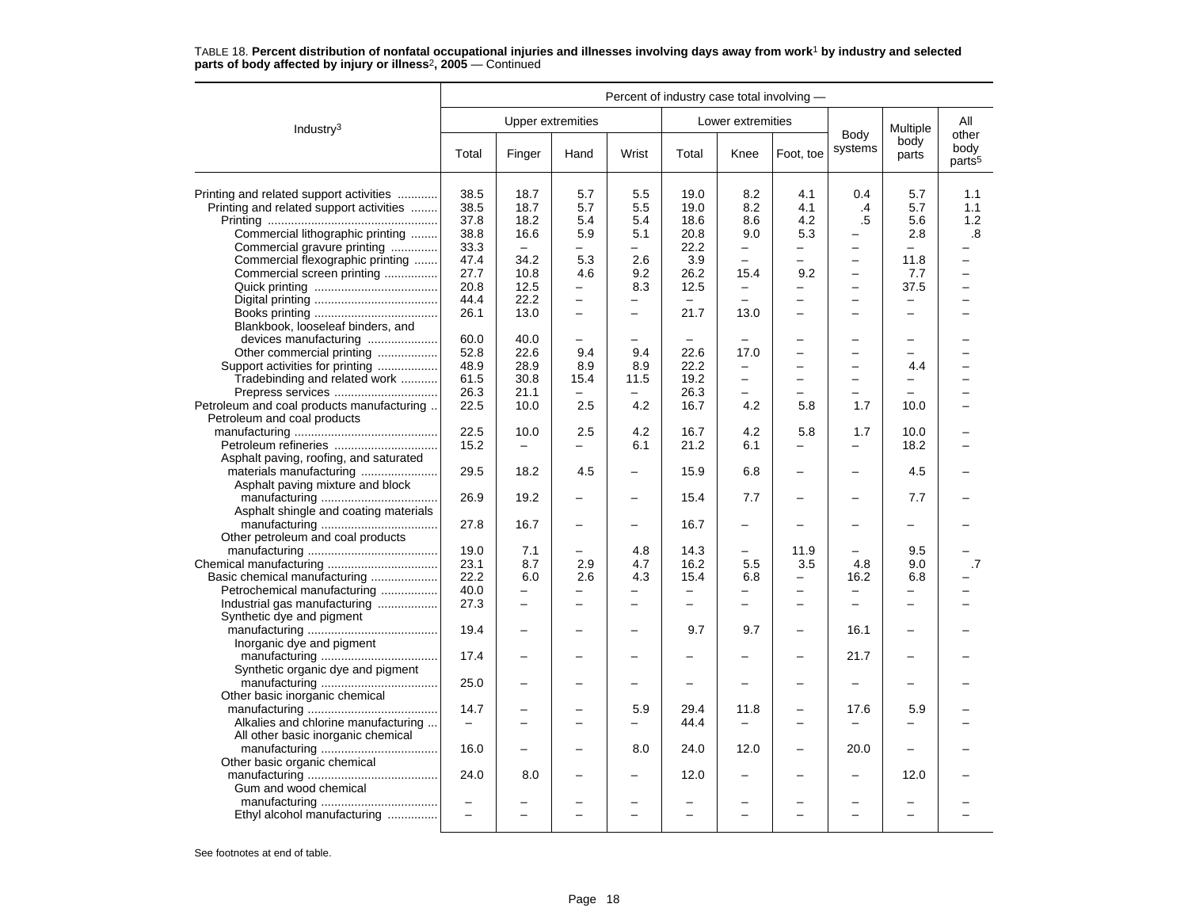|                                                                          | Percent of industry case total involving - |                          |                          |                          |       |                          |                          |                                   |                          |                            |
|--------------------------------------------------------------------------|--------------------------------------------|--------------------------|--------------------------|--------------------------|-------|--------------------------|--------------------------|-----------------------------------|--------------------------|----------------------------|
| Industry <sup>3</sup>                                                    |                                            |                          | <b>Upper extremities</b> |                          |       | Lower extremities        |                          |                                   | Multiple                 | All<br>other               |
|                                                                          | Total                                      | Finger                   | Hand                     | Wrist                    | Total | Knee                     | Foot, toe                | Body<br>systems                   | body<br>parts            | body<br>parts <sup>5</sup> |
| Printing and related support activities                                  | 38.5                                       | 18.7                     | 5.7                      | 5.5                      | 19.0  | 8.2                      | 4.1                      | 0.4                               | 5.7                      | 1.1                        |
| Printing and related support activities                                  | 38.5                                       | 18.7                     | 5.7                      | 5.5                      | 19.0  | 8.2                      | 4.1                      | .4                                | 5.7                      | 1.1                        |
|                                                                          | 37.8                                       | 18.2                     | 5.4                      | 5.4                      | 18.6  | 8.6                      | 4.2                      | .5                                | 5.6                      | 1.2                        |
| Commercial lithographic printing                                         | 38.8                                       | 16.6                     | 5.9                      | 5.1                      | 20.8  | 9.0                      | 5.3                      |                                   | 2.8                      | .8                         |
| Commercial gravure printing                                              | 33.3                                       | $\overline{\phantom{0}}$ | —                        | —                        | 22.2  | $\qquad \qquad -$        | -                        | $\overline{\phantom{m}}$          | $\equiv$                 | -                          |
| Commercial flexographic printing                                         | 47.4                                       | 34.2                     | 5.3                      | 2.6                      | 3.9   | $\overline{\phantom{0}}$ | -                        | $\overline{\phantom{m}}$          | 11.8                     |                            |
|                                                                          |                                            |                          |                          |                          |       |                          |                          | $\equiv$                          |                          |                            |
| Commercial screen printing                                               | 27.7                                       | 10.8                     | 4.6                      | 9.2                      | 26.2  | 15.4                     | 9.2                      |                                   | 7.7                      |                            |
|                                                                          | 20.8                                       | 12.5                     | -                        | 8.3                      | 12.5  | $\overline{\phantom{0}}$ | -                        | $\overline{\phantom{0}}$          | 37.5                     | $\equiv$                   |
|                                                                          | 44.4                                       | 22.2                     | $\qquad \qquad -$        |                          |       |                          | -                        | $\overbrace{\phantom{123221111}}$ | -                        |                            |
| Blankbook, looseleaf binders, and                                        | 26.1                                       | 13.0                     | $\overline{\phantom{0}}$ | $\overline{\phantom{0}}$ | 21.7  | 13.0                     | −                        |                                   |                          |                            |
| devices manufacturing                                                    | 60.0                                       | 40.0                     |                          |                          |       |                          |                          |                                   |                          |                            |
| Other commercial printing                                                | 52.8                                       | 22.6                     | 9.4                      | 9.4                      | 22.6  | 17.0                     |                          | $\overline{\phantom{0}}$          |                          |                            |
| Support activities for printing                                          | 48.9                                       | 28.9                     | 8.9                      | 8.9                      | 22.2  | -                        | -                        | $\equiv$                          | 4.4                      |                            |
| Tradebinding and related work                                            | 61.5                                       | 30.8                     | 15.4                     | 11.5                     | 19.2  | $\qquad \qquad -$        | -                        | $\overline{\phantom{0}}$          | -                        |                            |
| Prepress services                                                        | 26.3                                       | 21.1                     | $\equiv$                 |                          | 26.3  |                          |                          |                                   |                          |                            |
| Petroleum and coal products manufacturing<br>Petroleum and coal products | 22.5                                       | 10.0                     | 2.5                      | 4.2                      | 16.7  | 4.2                      | 5.8                      | 1.7                               | 10.0                     |                            |
|                                                                          | 22.5                                       | 10.0                     | 2.5                      | 4.2                      | 16.7  | 4.2                      | 5.8                      | 1.7                               | 10.0                     |                            |
|                                                                          | 15.2                                       | $\overline{\phantom{0}}$ |                          | 6.1                      | 21.2  | 6.1                      | -                        | $\overline{\phantom{0}}$          | 18.2                     |                            |
| Asphalt paving, roofing, and saturated                                   |                                            |                          |                          |                          |       |                          |                          |                                   |                          |                            |
| materials manufacturing                                                  | 29.5                                       | 18.2                     | 4.5                      | $\overline{\phantom{0}}$ | 15.9  | 6.8                      | $\overline{a}$           |                                   | 4.5                      |                            |
| Asphalt paving mixture and block                                         |                                            |                          |                          |                          |       |                          |                          |                                   |                          |                            |
|                                                                          | 26.9                                       | 19.2                     |                          |                          |       |                          |                          |                                   |                          |                            |
| Asphalt shingle and coating materials                                    |                                            |                          |                          |                          | 15.4  | 7.7                      |                          |                                   | 7.7                      |                            |
|                                                                          | 27.8                                       | 16.7                     | $\overline{\phantom{0}}$ |                          | 16.7  | $\overline{\phantom{0}}$ |                          |                                   |                          |                            |
| Other petroleum and coal products                                        |                                            |                          |                          |                          |       |                          |                          |                                   |                          |                            |
|                                                                          | 19.0                                       | 7.1                      | -                        | 4.8                      | 14.3  | $\overline{\phantom{0}}$ | 11.9                     | $\overline{\phantom{0}}$          | 9.5                      |                            |
|                                                                          | 23.1                                       | 8.7                      | 2.9                      | 4.7                      | 16.2  | 5.5                      | 3.5                      | 4.8                               | 9.0                      | $\cdot$ 7                  |
| Basic chemical manufacturing                                             | 22.2                                       | 6.0                      | 2.6                      | 4.3                      | 15.4  | 6.8                      | $\overline{\phantom{0}}$ | 16.2                              | 6.8                      |                            |
| Petrochemical manufacturing                                              | 40.0                                       | $\overline{\phantom{0}}$ | -                        | -                        | —     | -                        | -                        |                                   | -                        |                            |
| Industrial gas manufacturing                                             | 27.3                                       | $\overline{a}$           | $\overline{\phantom{0}}$ | $\overline{\phantom{0}}$ |       | $\overline{\phantom{0}}$ | $\overline{\phantom{0}}$ |                                   |                          |                            |
| Synthetic dye and pigment                                                |                                            |                          |                          |                          |       |                          |                          |                                   |                          |                            |
|                                                                          | 19.4                                       | $\overline{a}$           |                          | $\overline{\phantom{0}}$ | 9.7   | 9.7                      |                          | 16.1                              | -                        |                            |
| Inorganic dye and pigment                                                |                                            |                          |                          |                          |       |                          |                          |                                   |                          |                            |
|                                                                          | 17.4                                       | ÷                        |                          |                          |       |                          |                          | 21.7                              |                          |                            |
| Synthetic organic dye and pigment                                        |                                            |                          |                          |                          |       |                          |                          |                                   |                          |                            |
|                                                                          | 25.0                                       |                          |                          |                          |       |                          |                          |                                   |                          |                            |
| Other basic inorganic chemical                                           |                                            |                          |                          |                          |       |                          |                          |                                   |                          |                            |
|                                                                          | 14.7                                       | -                        | -                        | 5.9                      | 29.4  | 11.8                     |                          | 17.6                              | 5.9                      |                            |
| Alkalies and chlorine manufacturing                                      |                                            |                          | $\overline{\phantom{0}}$ |                          | 44.4  |                          | $\overline{\phantom{0}}$ |                                   |                          |                            |
| All other basic inorganic chemical                                       |                                            |                          |                          |                          |       |                          |                          |                                   |                          |                            |
|                                                                          | 16.0                                       | $\overline{\phantom{0}}$ | -                        | 8.0                      | 24.0  | 12.0                     | ÷                        | 20.0                              | $\overline{\phantom{m}}$ |                            |
| Other basic organic chemical                                             |                                            |                          |                          |                          |       |                          |                          |                                   |                          |                            |
|                                                                          | 24.0                                       | 8.0                      |                          |                          | 12.0  | $\overline{\phantom{0}}$ |                          |                                   | 12.0                     |                            |
|                                                                          |                                            |                          |                          |                          |       |                          |                          |                                   |                          |                            |
| Gum and wood chemical                                                    |                                            |                          |                          |                          |       |                          |                          |                                   |                          |                            |
|                                                                          | $\sim$                                     |                          |                          |                          |       |                          |                          |                                   |                          |                            |
| Ethyl alcohol manufacturing                                              |                                            | $\overline{a}$           | $\overline{ }$           | $\sim$                   |       | $\overline{\phantom{0}}$ | $\overline{ }$           | $\overline{\phantom{0}}$          | $\sim$                   |                            |
|                                                                          |                                            |                          |                          |                          |       |                          |                          |                                   |                          |                            |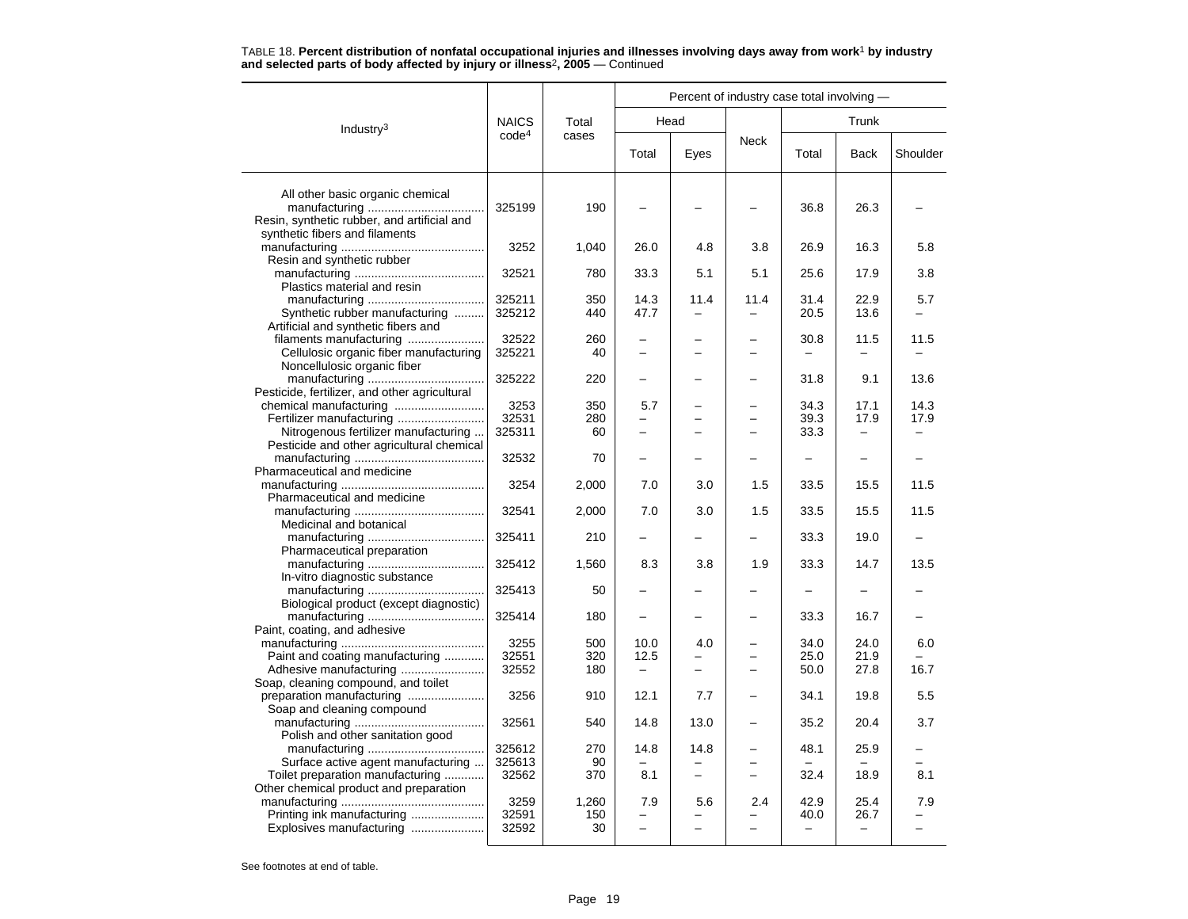|                                                                               |                   |           | Percent of industry case total involving - |                          |             |       |                          |          |  |  |
|-------------------------------------------------------------------------------|-------------------|-----------|--------------------------------------------|--------------------------|-------------|-------|--------------------------|----------|--|--|
| Industry <sup>3</sup>                                                         | <b>NAICS</b>      | Total     |                                            | Head                     |             |       | Trunk                    |          |  |  |
|                                                                               | code <sup>4</sup> | cases     | Total                                      | Eyes                     | <b>Neck</b> | Total | <b>Back</b>              | Shoulder |  |  |
| All other basic organic chemical                                              |                   |           |                                            |                          |             |       |                          |          |  |  |
| Resin, synthetic rubber, and artificial and<br>synthetic fibers and filaments | 325199            | 190       |                                            |                          |             | 36.8  | 26.3                     |          |  |  |
| Resin and synthetic rubber                                                    | 3252              | 1,040     | 26.0                                       | 4.8                      | 3.8         | 26.9  | 16.3                     | 5.8      |  |  |
| Plastics material and resin                                                   | 32521             | 780       | 33.3                                       | 5.1                      | 5.1         | 25.6  | 17.9                     | 3.8      |  |  |
|                                                                               | 325211            | 350       | 14.3                                       | 11.4                     | 11.4        | 31.4  | 22.9                     | 5.7      |  |  |
| Synthetic rubber manufacturing<br>Artificial and synthetic fibers and         | 325212            | 440       | 47.7                                       |                          |             | 20.5  | 13.6                     |          |  |  |
| filaments manufacturing                                                       | 32522             | 260       |                                            |                          |             | 30.8  | 11.5                     | 11.5     |  |  |
| Cellulosic organic fiber manufacturing<br>Noncellulosic organic fiber         | 325221            | 40        |                                            |                          |             |       |                          |          |  |  |
| Pesticide, fertilizer, and other agricultural                                 | 325222            | 220       |                                            |                          |             | 31.8  | 9.1                      | 13.6     |  |  |
|                                                                               | 3253              | 350       | 5.7                                        |                          |             | 34.3  | 17.1                     | 14.3     |  |  |
| Fertilizer manufacturing                                                      | 32531             | 280       |                                            |                          |             | 39.3  | 17.9                     | 17.9     |  |  |
| Nitrogenous fertilizer manufacturing                                          | 325311            | 60        | $\overline{\phantom{0}}$                   |                          |             | 33.3  | $\overline{\phantom{0}}$ |          |  |  |
| Pesticide and other agricultural chemical                                     |                   |           |                                            |                          |             |       |                          |          |  |  |
|                                                                               | 32532             | 70        |                                            |                          |             |       | $\overline{\phantom{0}}$ |          |  |  |
| Pharmaceutical and medicine                                                   |                   |           |                                            |                          |             |       |                          |          |  |  |
|                                                                               | 3254              | 2,000     | 7.0                                        | 3.0                      | 1.5         | 33.5  | 15.5                     | 11.5     |  |  |
| Pharmaceutical and medicine                                                   |                   |           |                                            |                          |             |       |                          |          |  |  |
|                                                                               | 32541             | 2,000     | 7.0                                        | 3.0                      | 1.5         | 33.5  | 15.5                     | 11.5     |  |  |
| Medicinal and botanical                                                       |                   |           |                                            |                          |             |       |                          |          |  |  |
| Pharmaceutical preparation                                                    | 325411            | 210       |                                            |                          |             | 33.3  | 19.0                     |          |  |  |
| In-vitro diagnostic substance                                                 | 325412            | 1,560     | 8.3                                        | 3.8                      | 1.9         | 33.3  | 14.7                     | 13.5     |  |  |
| Biological product (except diagnostic)                                        | 325413            | 50        |                                            |                          |             |       |                          |          |  |  |
|                                                                               | 325414            | 180       |                                            |                          |             | 33.3  | 16.7                     |          |  |  |
| Paint, coating, and adhesive                                                  |                   |           |                                            |                          |             |       |                          |          |  |  |
|                                                                               | 3255              | 500       | 10.0                                       | 4.0                      |             | 34.0  | 24.0                     | 6.0      |  |  |
| Paint and coating manufacturing                                               | 32551             | 320       | 12.5                                       |                          |             | 25.0  | 21.9                     |          |  |  |
| Adhesive manufacturing                                                        | 32552             | 180       | $\overline{\phantom{m}}$                   | $\overline{\phantom{0}}$ | $\equiv$    | 50.0  | 27.8                     | 16.7     |  |  |
| Soap, cleaning compound, and toilet                                           |                   |           |                                            |                          |             |       |                          |          |  |  |
| Soap and cleaning compound                                                    | 3256              | 910       | 12.1                                       | 7.7                      |             | 34.1  | 19.8                     | 5.5      |  |  |
| Polish and other sanitation good                                              | 32561             | 540       | 14.8                                       | 13.0                     |             | 35.2  | 20.4                     | 3.7      |  |  |
|                                                                               | 325612            | 270       | 14.8                                       | 14.8                     |             | 48.1  | 25.9                     |          |  |  |
| Surface active agent manufacturing                                            | 325613            | 90        |                                            |                          |             |       |                          |          |  |  |
| Toilet preparation manufacturing                                              | 32562             | 370       | 8.1                                        |                          |             | 32.4  | 18.9                     | 8.1      |  |  |
| Other chemical product and preparation                                        |                   |           |                                            |                          |             |       |                          |          |  |  |
|                                                                               | 3259              | 1,260     | 7.9                                        | 5.6                      | 2.4         | 42.9  | 25.4                     | 7.9      |  |  |
| Printing ink manufacturing<br>Explosives manufacturing                        | 32591<br>32592    | 150<br>30 | $\overline{a}$                             | $\overline{\phantom{0}}$ |             | 40.0  | 26.7                     |          |  |  |
|                                                                               |                   |           |                                            |                          |             |       |                          |          |  |  |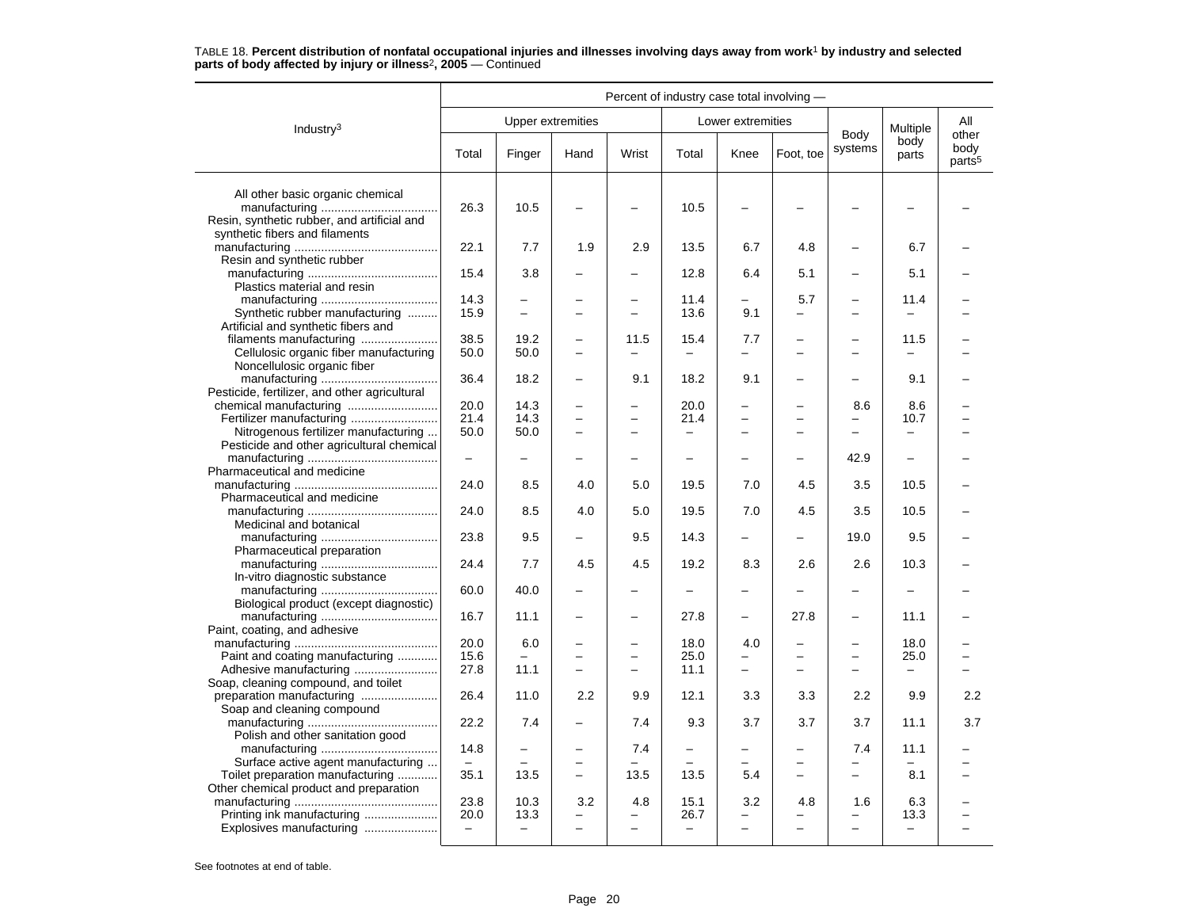|                                                                                                                   | Percent of industry case total involving - |                                  |                          |                          |                                  |                          |                          |                          |                                  |                                     |
|-------------------------------------------------------------------------------------------------------------------|--------------------------------------------|----------------------------------|--------------------------|--------------------------|----------------------------------|--------------------------|--------------------------|--------------------------|----------------------------------|-------------------------------------|
| Industry <sup>3</sup>                                                                                             |                                            | <b>Upper extremities</b>         |                          |                          |                                  | Lower extremities        |                          |                          | Multiple                         | All                                 |
|                                                                                                                   | Total                                      | Finger                           | Hand                     | Wrist                    | Total                            | Knee                     | Foot, toe                | Body<br>systems          | body<br>parts                    | other<br>body<br>parts <sup>5</sup> |
| All other basic organic chemical<br>Resin, synthetic rubber, and artificial and<br>synthetic fibers and filaments | 26.3                                       | 10.5                             |                          |                          | 10.5                             |                          |                          |                          |                                  |                                     |
| Resin and synthetic rubber                                                                                        | 22.1                                       | 7.7                              | 1.9                      | 2.9                      | 13.5                             | 6.7                      | 4.8                      |                          | 6.7                              |                                     |
| Plastics material and resin                                                                                       | 15.4                                       | 3.8                              |                          | -                        | 12.8                             | 6.4                      | 5.1                      |                          | 5.1                              |                                     |
|                                                                                                                   | 14.3                                       |                                  |                          | $\overline{\phantom{0}}$ | 11.4                             |                          | 5.7                      |                          | 11.4                             |                                     |
| Synthetic rubber manufacturing<br>Artificial and synthetic fibers and                                             | 15.9                                       | $\equiv$                         | -                        | L.                       | 13.6                             | 9.1                      |                          | $\equiv$                 |                                  |                                     |
| filaments manufacturing                                                                                           | 38.5                                       | 19.2                             |                          | 11.5                     | 15.4                             | 7.7                      |                          |                          | 11.5                             |                                     |
| Cellulosic organic fiber manufacturing                                                                            | 50.0                                       | 50.0                             |                          | $\overline{\phantom{0}}$ |                                  |                          |                          |                          |                                  |                                     |
| Noncellulosic organic fiber                                                                                       |                                            |                                  | $\overline{\phantom{0}}$ | 9.1                      |                                  | 9.1                      |                          | $\equiv$                 |                                  |                                     |
|                                                                                                                   | 36.4                                       | 18.2                             |                          |                          | 18.2                             |                          |                          |                          | 9.1                              |                                     |
| Pesticide, fertilizer, and other agricultural                                                                     |                                            |                                  |                          |                          |                                  |                          |                          |                          |                                  |                                     |
|                                                                                                                   | 20.0                                       | 14.3                             |                          | -                        | 20.0                             |                          |                          | 8.6                      | 8.6                              |                                     |
|                                                                                                                   | 21.4                                       | 14.3                             | $\overline{\phantom{0}}$ | $\overline{a}$           | 21.4                             | $\overline{\phantom{0}}$ |                          |                          | 10.7                             |                                     |
| Nitrogenous fertilizer manufacturing                                                                              | 50.0                                       | 50.0                             | $\equiv$                 | $\overline{\phantom{0}}$ | $\qquad \qquad -$                | $\equiv$                 | ÷                        | $\equiv$                 | $\overline{\phantom{0}}$         |                                     |
| Pesticide and other agricultural chemical                                                                         |                                            |                                  |                          |                          |                                  |                          |                          |                          |                                  |                                     |
|                                                                                                                   | $\qquad \qquad -$                          |                                  |                          | $\overline{\phantom{0}}$ | $\overline{\phantom{0}}$         | $\overline{\phantom{0}}$ |                          | 42.9                     | $\overline{\phantom{0}}$         |                                     |
| Pharmaceutical and medicine                                                                                       |                                            |                                  |                          |                          |                                  |                          |                          |                          |                                  |                                     |
| Pharmaceutical and medicine                                                                                       | 24.0                                       | 8.5                              | 4.0                      | 5.0                      | 19.5                             | 7.0                      | 4.5                      | 3.5                      | 10.5                             |                                     |
| Medicinal and botanical                                                                                           | 24.0                                       | 8.5                              | 4.0                      | 5.0                      | 19.5                             | 7.0                      | 4.5                      | 3.5                      | 10.5                             |                                     |
| Pharmaceutical preparation                                                                                        | 23.8                                       | 9.5                              |                          | 9.5                      | 14.3                             | $\overline{\phantom{0}}$ | $\overline{\phantom{0}}$ | 19.0                     | 9.5                              |                                     |
| In-vitro diagnostic substance                                                                                     | 24.4                                       | 7.7                              | 4.5                      | 4.5                      | 19.2                             | 8.3                      | 2.6                      | 2.6                      | 10.3                             |                                     |
| Biological product (except diagnostic)                                                                            | 60.0                                       | 40.0                             |                          | -                        |                                  | $\overline{\phantom{0}}$ |                          |                          |                                  |                                     |
| Paint, coating, and adhesive                                                                                      | 16.7                                       | 11.1                             |                          |                          | 27.8                             | $\overline{\phantom{0}}$ | 27.8                     |                          | 11.1                             |                                     |
|                                                                                                                   | 20.0                                       | 6.0                              |                          | $\overline{\phantom{0}}$ | 18.0                             | 4.0                      |                          |                          | 18.0                             |                                     |
| Paint and coating manufacturing                                                                                   | 15.6                                       |                                  | $\overline{\phantom{0}}$ | $\overline{\phantom{0}}$ | 25.0                             | $\overline{\phantom{0}}$ | ÷.                       | $\overline{\phantom{0}}$ | 25.0                             |                                     |
| Soap, cleaning compound, and toilet                                                                               | 27.8                                       | 11.1                             | $\overline{\phantom{0}}$ | $\overline{\phantom{0}}$ | 11.1                             | $\overline{\phantom{0}}$ | $\overline{\phantom{0}}$ | $\overline{\phantom{0}}$ | $\overline{\phantom{0}}$         |                                     |
| Soap and cleaning compound                                                                                        | 26.4                                       | 11.0                             | 2.2                      | 9.9                      | 12.1                             | 3.3                      | 3.3                      | 2.2                      | 9.9                              | 2.2                                 |
| Polish and other sanitation good                                                                                  | 22.2                                       | 7.4                              |                          | 7.4                      | 9.3                              | 3.7                      | 3.7                      | 3.7                      | 11.1                             | 3.7                                 |
|                                                                                                                   | 14.8<br>$\overline{\phantom{0}}$           |                                  | ÷                        | 7.4                      |                                  | ÷                        |                          | 7.4                      | 11.1                             |                                     |
| Surface active agent manufacturing<br>Toilet preparation manufacturing                                            | 35.1                                       | 13.5                             | $\equiv$                 | 13.5                     | 13.5                             | 5.4                      |                          | $\equiv$                 | 8.1                              |                                     |
| Other chemical product and preparation                                                                            | 23.8                                       | 10.3                             | 3.2                      | 4.8                      | 15.1                             | 3.2                      | 4.8                      | 1.6                      | 6.3                              |                                     |
| Printing ink manufacturing<br>Explosives manufacturing                                                            | 20.0<br>$\qquad \qquad -$                  | 13.3<br>$\overline{\phantom{0}}$ | $\overline{\phantom{0}}$ | ▃<br>$\overline{a}$      | 26.7<br>$\overline{\phantom{0}}$ | $\equiv$                 | $\overline{\phantom{0}}$ | $\overline{\phantom{0}}$ | 13.3<br>$\overline{\phantom{m}}$ |                                     |
|                                                                                                                   |                                            |                                  |                          |                          |                                  |                          |                          |                          |                                  |                                     |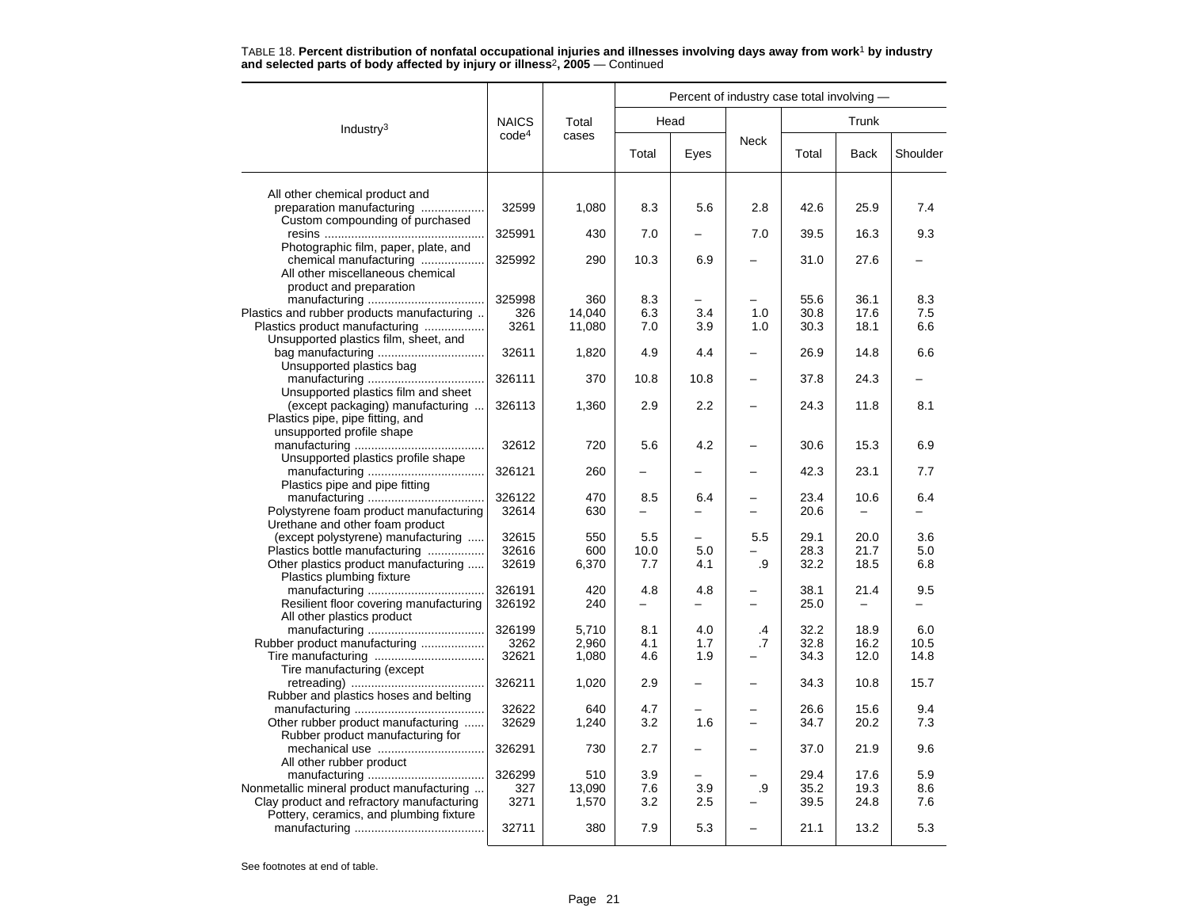|                                                                         |                   |        | Percent of industry case total involving - |                          |                          |              |              |            |  |  |  |
|-------------------------------------------------------------------------|-------------------|--------|--------------------------------------------|--------------------------|--------------------------|--------------|--------------|------------|--|--|--|
| Industry $3$                                                            | <b>NAICS</b>      | Total  |                                            | Head                     |                          |              | Trunk        |            |  |  |  |
|                                                                         | code <sup>4</sup> | cases  | Total                                      | Eyes                     | <b>Neck</b>              | Total        | Back         | Shoulder   |  |  |  |
| All other chemical product and                                          |                   |        |                                            |                          |                          |              |              |            |  |  |  |
| preparation manufacturing                                               | 32599             | 1,080  | 8.3                                        | 5.6                      | 2.8                      | 42.6         | 25.9         | 7.4        |  |  |  |
| Custom compounding of purchased                                         |                   |        |                                            |                          |                          |              |              |            |  |  |  |
|                                                                         | 325991            | 430    | 7.0                                        |                          | 7.0                      | 39.5         | 16.3         | 9.3        |  |  |  |
| Photographic film, paper, plate, and                                    |                   |        |                                            |                          |                          |              |              |            |  |  |  |
| chemical manufacturing                                                  | 325992            | 290    | 10.3                                       | 6.9                      |                          | 31.0         | 27.6         |            |  |  |  |
| All other miscellaneous chemical                                        |                   |        |                                            |                          |                          |              |              |            |  |  |  |
| product and preparation                                                 |                   |        |                                            |                          |                          |              |              |            |  |  |  |
|                                                                         | 325998            | 360    | 8.3                                        |                          |                          | 55.6         | 36.1         | 8.3        |  |  |  |
| Plastics and rubber products manufacturing                              | 326<br>3261       | 14,040 | 6.3<br>7.0                                 | 3.4<br>3.9               | 1.0<br>1.0               | 30.8<br>30.3 | 17.6<br>18.1 | 7.5<br>6.6 |  |  |  |
| Plastics product manufacturing<br>Unsupported plastics film, sheet, and |                   | 11,080 |                                            |                          |                          |              |              |            |  |  |  |
|                                                                         | 32611             | 1,820  | 4.9                                        | 4.4                      |                          | 26.9         | 14.8         | 6.6        |  |  |  |
| Unsupported plastics bag                                                |                   |        |                                            |                          |                          |              |              |            |  |  |  |
|                                                                         | 326111            | 370    | 10.8                                       | 10.8                     |                          | 37.8         | 24.3         |            |  |  |  |
| Unsupported plastics film and sheet                                     |                   |        |                                            |                          |                          |              |              |            |  |  |  |
| (except packaging) manufacturing                                        | 326113            | 1,360  | 2.9                                        | 2.2                      | $\overline{\phantom{0}}$ | 24.3         | 11.8         | 8.1        |  |  |  |
| Plastics pipe, pipe fitting, and                                        |                   |        |                                            |                          |                          |              |              |            |  |  |  |
| unsupported profile shape                                               |                   |        |                                            |                          |                          |              |              |            |  |  |  |
|                                                                         | 32612             | 720    | 5.6                                        | 4.2                      |                          | 30.6         | 15.3         | 6.9        |  |  |  |
| Unsupported plastics profile shape                                      |                   |        |                                            |                          |                          |              |              |            |  |  |  |
|                                                                         | 326121            | 260    |                                            |                          |                          | 42.3         | 23.1         | 7.7        |  |  |  |
| Plastics pipe and pipe fitting                                          |                   |        |                                            |                          |                          |              |              |            |  |  |  |
|                                                                         | 326122            | 470    | 8.5                                        | 6.4                      |                          | 23.4         | 10.6         | 6.4        |  |  |  |
| Polystyrene foam product manufacturing                                  | 32614             | 630    |                                            |                          |                          | 20.6         |              |            |  |  |  |
| Urethane and other foam product<br>(except polystyrene) manufacturing   | 32615             | 550    | 5.5                                        | $\overline{\phantom{0}}$ | 5.5                      | 29.1         | 20.0         | 3.6        |  |  |  |
| Plastics bottle manufacturing                                           | 32616             | 600    | 10.0                                       | 5.0                      |                          | 28.3         | 21.7         | 5.0        |  |  |  |
| Other plastics product manufacturing                                    | 32619             | 6,370  | 7.7                                        | 4.1                      | .9                       | 32.2         | 18.5         | 6.8        |  |  |  |
| Plastics plumbing fixture                                               |                   |        |                                            |                          |                          |              |              |            |  |  |  |
|                                                                         | 326191            | 420    | 4.8                                        | 4.8                      |                          | 38.1         | 21.4         | 9.5        |  |  |  |
| Resilient floor covering manufacturing                                  | 326192            | 240    | -                                          | -                        |                          | 25.0         |              |            |  |  |  |
| All other plastics product                                              |                   |        |                                            |                          |                          |              |              |            |  |  |  |
|                                                                         | 326199            | 5,710  | 8.1                                        | 4.0                      | .4                       | 32.2         | 18.9         | 6.0        |  |  |  |
| Rubber product manufacturing                                            | 3262              | 2,960  | 4.1                                        | 1.7                      | .7                       | 32.8         | 16.2         | 10.5       |  |  |  |
|                                                                         | 32621             | 1,080  | 4.6                                        | 1.9                      |                          | 34.3         | 12.0         | 14.8       |  |  |  |
| Tire manufacturing (except                                              |                   |        |                                            |                          |                          |              |              |            |  |  |  |
| Rubber and plastics hoses and belting                                   | 326211            | 1,020  | 2.9                                        |                          |                          | 34.3         | 10.8         | 15.7       |  |  |  |
|                                                                         | 32622             | 640    | 4.7                                        |                          |                          | 26.6         | 15.6         | 9.4        |  |  |  |
| Other rubber product manufacturing                                      | 32629             | 1,240  | 3.2                                        | 1.6                      |                          | 34.7         | 20.2         | 7.3        |  |  |  |
| Rubber product manufacturing for                                        |                   |        |                                            |                          |                          |              |              |            |  |  |  |
| mechanical use                                                          | 326291            | 730    | 2.7                                        |                          |                          | 37.0         | 21.9         | 9.6        |  |  |  |
| All other rubber product                                                |                   |        |                                            |                          |                          |              |              |            |  |  |  |
|                                                                         | 326299            | 510    | 3.9                                        |                          |                          | 29.4         | 17.6         | 5.9        |  |  |  |
| Nonmetallic mineral product manufacturing                               | 327               | 13,090 | 7.6                                        | 3.9                      | .9                       | 35.2         | 19.3         | 8.6        |  |  |  |
| Clay product and refractory manufacturing                               | 3271              | 1,570  | 3.2                                        | 2.5                      |                          | 39.5         | 24.8         | 7.6        |  |  |  |
| Pottery, ceramics, and plumbing fixture                                 |                   |        |                                            |                          |                          |              |              |            |  |  |  |
|                                                                         | 32711             | 380    | 7.9                                        | 5.3                      |                          | 21.1         | 13.2         | 5.3        |  |  |  |
|                                                                         |                   |        |                                            |                          |                          |              |              |            |  |  |  |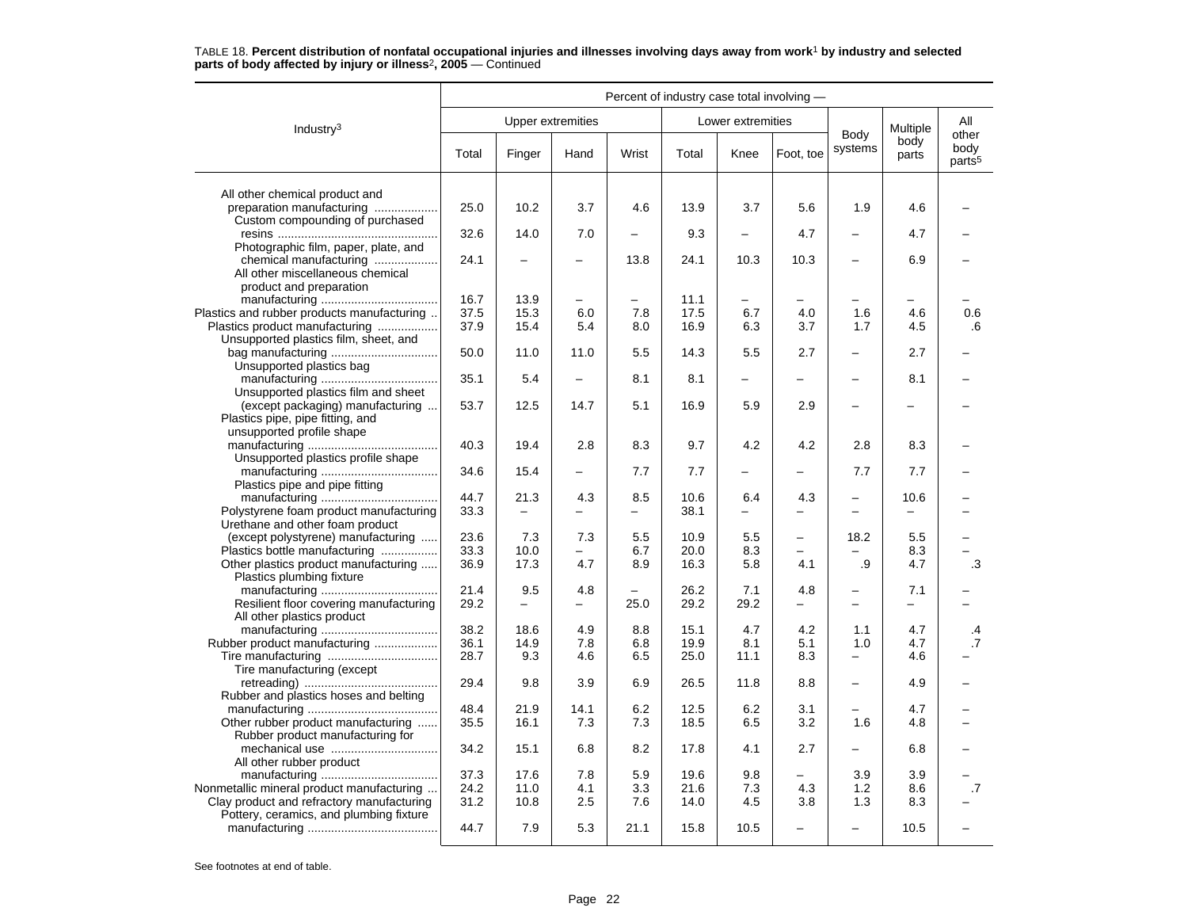|                                                                                                                               |              |        |                          |                          | Percent of industry case total involving - |                          |                          |                                               |                          |                                     |
|-------------------------------------------------------------------------------------------------------------------------------|--------------|--------|--------------------------|--------------------------|--------------------------------------------|--------------------------|--------------------------|-----------------------------------------------|--------------------------|-------------------------------------|
| Industry <sup>3</sup>                                                                                                         |              |        | <b>Upper extremities</b> |                          |                                            | Lower extremities        |                          |                                               | Multiple                 | All                                 |
|                                                                                                                               | Total        | Finger | Hand                     | Wrist                    | Total                                      | Knee                     | Foot, toe                | Body<br>systems                               | body<br>parts            | other<br>body<br>parts <sup>5</sup> |
| All other chemical product and                                                                                                |              |        |                          |                          |                                            |                          |                          |                                               |                          |                                     |
| preparation manufacturing<br>Custom compounding of purchased                                                                  | 25.0         | 10.2   | 3.7                      | 4.6                      | 13.9                                       | 3.7                      | 5.6                      | 1.9                                           | 4.6                      |                                     |
|                                                                                                                               | 32.6         | 14.0   | 7.0                      | $\overline{\phantom{0}}$ | 9.3                                        | $\overline{\phantom{0}}$ | 4.7                      |                                               | 4.7                      |                                     |
| Photographic film, paper, plate, and<br>chemical manufacturing<br>All other miscellaneous chemical<br>product and preparation | 24.1         |        |                          | 13.8                     | 24.1                                       | 10.3                     | 10.3                     |                                               | 6.9                      |                                     |
|                                                                                                                               | 16.7         | 13.9   | $\overline{\phantom{0}}$ | $\overline{\phantom{0}}$ | 11.1                                       | $\overline{\phantom{0}}$ |                          |                                               | $\overline{\phantom{0}}$ |                                     |
| Plastics and rubber products manufacturing                                                                                    | 37.5         | 15.3   | 6.0                      | 7.8                      | 17.5                                       | 6.7                      | 4.0                      | 1.6                                           | 4.6                      | 0.6                                 |
| Plastics product manufacturing<br>Unsupported plastics film, sheet, and                                                       | 37.9         | 15.4   | 5.4                      | 8.0                      | 16.9                                       | 6.3                      | 3.7                      | 1.7                                           | 4.5                      | .6                                  |
| Unsupported plastics bag                                                                                                      | 50.0         | 11.0   | 11.0                     | 5.5                      | 14.3                                       | 5.5                      | 2.7                      |                                               | 2.7                      |                                     |
|                                                                                                                               | 35.1         | 5.4    | $\overline{\phantom{0}}$ | 8.1                      | 8.1                                        | $\overline{\phantom{0}}$ | $\equiv$                 | $\equiv$                                      | 8.1                      |                                     |
| Unsupported plastics film and sheet<br>(except packaging) manufacturing<br>Plastics pipe, pipe fitting, and                   | 53.7         | 12.5   | 14.7                     | 5.1                      | 16.9                                       | 5.9                      | 2.9                      |                                               |                          |                                     |
| unsupported profile shape                                                                                                     | 40.3         | 19.4   | 2.8                      | 8.3                      | 9.7                                        | 4.2                      | 4.2                      | 2.8                                           | 8.3                      |                                     |
| Unsupported plastics profile shape                                                                                            | 34.6         | 15.4   |                          | 7.7                      | 7.7                                        | $\overline{\phantom{0}}$ |                          | 7.7                                           | 7.7                      |                                     |
| Plastics pipe and pipe fitting                                                                                                |              |        |                          |                          |                                            |                          |                          |                                               |                          |                                     |
| Polystyrene foam product manufacturing                                                                                        | 44.7<br>33.3 | 21.3   | 4.3                      | 8.5                      | 10.6<br>38.1                               | 6.4                      | 4.3                      | $\qquad \qquad -$<br>$\overline{\phantom{0}}$ | 10.6                     |                                     |
| Urethane and other foam product                                                                                               |              |        |                          |                          |                                            |                          |                          |                                               |                          |                                     |
| (except polystyrene) manufacturing                                                                                            | 23.6         | 7.3    | 7.3                      | 5.5                      | 10.9                                       | 5.5                      | $\overline{\phantom{0}}$ | 18.2                                          | 5.5                      |                                     |
| Plastics bottle manufacturing                                                                                                 | 33.3         | 10.0   |                          | 6.7                      | 20.0                                       | 8.3                      |                          |                                               | 8.3                      |                                     |
| Other plastics product manufacturing<br>Plastics plumbing fixture                                                             | 36.9         | 17.3   | 4.7                      | 8.9                      | 16.3                                       | 5.8                      | 4.1                      | .9                                            | 4.7                      | .3                                  |
|                                                                                                                               | 21.4         | 9.5    | 4.8                      |                          | 26.2                                       | 7.1                      | 4.8                      | $\overline{\phantom{0}}$                      | 7.1                      |                                     |
| Resilient floor covering manufacturing<br>All other plastics product                                                          | 29.2         |        |                          | 25.0                     | 29.2                                       | 29.2                     |                          | $\overline{\phantom{m}}$                      | —                        |                                     |
|                                                                                                                               | 38.2         | 18.6   | 4.9                      | 8.8                      | 15.1                                       | 4.7                      | 4.2                      | 1.1                                           | 4.7                      | .4                                  |
| Rubber product manufacturing                                                                                                  | 36.1         | 14.9   | 7.8                      | 6.8                      | 19.9                                       | 8.1                      | 5.1                      | 1.0                                           | 4.7                      | $\overline{.7}$                     |
| Tire manufacturing (except                                                                                                    | 28.7         | 9.3    | 4.6                      | 6.5                      | 25.0                                       | 11.1                     | 8.3                      | $\overline{\phantom{0}}$                      | 4.6                      |                                     |
| Rubber and plastics hoses and belting                                                                                         | 29.4         | 9.8    | 3.9                      | 6.9                      | 26.5                                       | 11.8                     | 8.8                      | $\overline{\phantom{m}}$                      | 4.9                      |                                     |
|                                                                                                                               | 48.4         | 21.9   | 14.1                     | 6.2                      | 12.5                                       | 6.2                      | 3.1                      |                                               | 4.7                      |                                     |
| Other rubber product manufacturing<br>Rubber product manufacturing for                                                        | 35.5         | 16.1   | 7.3                      | 7.3                      | 18.5                                       | 6.5                      | 3.2                      | 1.6                                           | 4.8                      |                                     |
| All other rubber product                                                                                                      | 34.2         | 15.1   | 6.8                      | 8.2                      | 17.8                                       | 4.1                      | 2.7                      |                                               | 6.8                      |                                     |
|                                                                                                                               | 37.3         | 17.6   | 7.8                      | 5.9                      | 19.6                                       | 9.8                      |                          | 3.9                                           | 3.9                      |                                     |
| Nonmetallic mineral product manufacturing                                                                                     | 24.2         | 11.0   | 4.1                      | 3.3                      | 21.6                                       | 7.3                      | 4.3                      | 1.2                                           | 8.6                      | .7                                  |
| Clay product and refractory manufacturing                                                                                     | 31.2         | 10.8   | 2.5                      | 7.6                      | 14.0                                       | 4.5                      | 3.8                      | 1.3                                           | 8.3                      |                                     |
| Pottery, ceramics, and plumbing fixture                                                                                       | 44.7         | 7.9    | 5.3                      | 21.1                     | 15.8                                       | 10.5                     |                          |                                               | 10.5                     |                                     |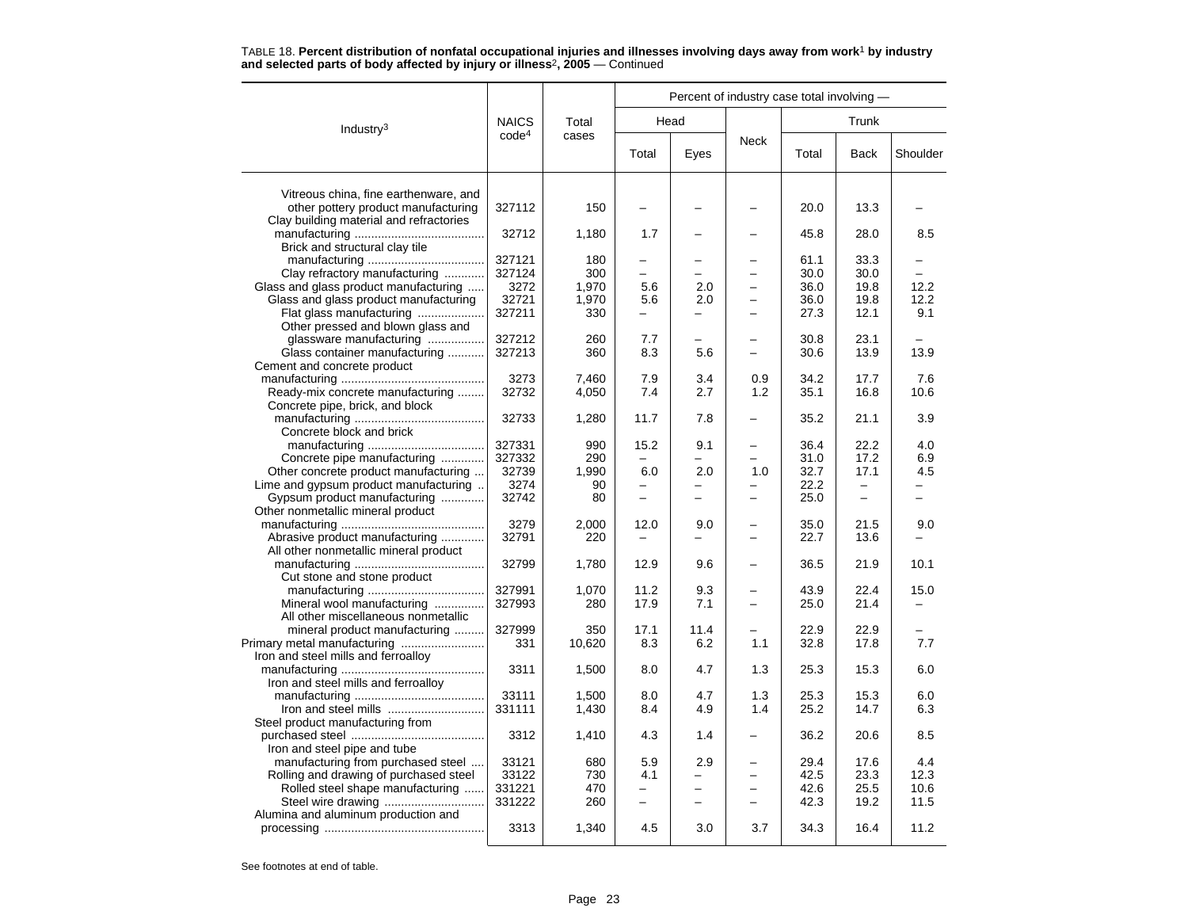|                                                                         |                   |        | Percent of industry case total involving - |                          |          |       |                          |          |  |  |
|-------------------------------------------------------------------------|-------------------|--------|--------------------------------------------|--------------------------|----------|-------|--------------------------|----------|--|--|
| Industry <sup>3</sup>                                                   | <b>NAICS</b>      | Total  | Head                                       |                          |          |       | Trunk                    |          |  |  |
|                                                                         | code <sup>4</sup> | cases  | Total                                      | Eyes                     | Neck     | Total | <b>Back</b>              | Shoulder |  |  |
| Vitreous china, fine earthenware, and                                   |                   |        |                                            |                          |          |       |                          |          |  |  |
| other pottery product manufacturing                                     | 327112            | 150    |                                            |                          |          | 20.0  | 13.3                     |          |  |  |
| Clay building material and refractories                                 | 32712             | 1,180  | 1.7                                        |                          |          | 45.8  | 28.0                     | 8.5      |  |  |
| Brick and structural clay tile                                          |                   |        |                                            |                          |          |       |                          |          |  |  |
|                                                                         | 327121            | 180    |                                            |                          |          | 61.1  | 33.3                     |          |  |  |
| Clay refractory manufacturing                                           | 327124            | 300    |                                            |                          |          | 30.0  | 30.0                     |          |  |  |
| Glass and glass product manufacturing                                   | 3272              | 1,970  | 5.6                                        | 2.0                      |          | 36.0  | 19.8                     | 12.2     |  |  |
| Glass and glass product manufacturing                                   | 32721             | 1,970  | 5.6                                        | 2.0                      |          | 36.0  | 19.8                     | 12.2     |  |  |
| Flat glass manufacturing                                                | 327211            | 330    | -                                          | —                        |          | 27.3  | 12.1                     | 9.1      |  |  |
| Other pressed and blown glass and                                       |                   |        |                                            |                          |          |       |                          |          |  |  |
| glassware manufacturing                                                 | 327212            | 260    | 7.7                                        |                          |          | 30.8  | 23.1                     |          |  |  |
| Glass container manufacturing                                           | 327213            | 360    | 8.3                                        | 5.6                      |          | 30.6  | 13.9                     | 13.9     |  |  |
| Cement and concrete product                                             |                   |        |                                            |                          |          |       |                          |          |  |  |
|                                                                         | 3273              | 7,460  | 7.9                                        | 3.4                      | 0.9      | 34.2  | 17.7                     | 7.6      |  |  |
| Ready-mix concrete manufacturing                                        | 32732             | 4,050  | 7.4                                        | 2.7                      | 1.2      | 35.1  | 16.8                     | 10.6     |  |  |
| Concrete pipe, brick, and block                                         |                   |        |                                            |                          |          |       |                          |          |  |  |
|                                                                         | 32733             | 1,280  | 11.7                                       | 7.8                      |          | 35.2  | 21.1                     | 3.9      |  |  |
| Concrete block and brick                                                |                   |        |                                            |                          |          |       |                          |          |  |  |
|                                                                         | 327331            | 990    | 15.2                                       | 9.1                      |          | 36.4  | 22.2                     | 4.0      |  |  |
| Concrete pipe manufacturing                                             | 327332            | 290    |                                            |                          |          | 31.0  | 17.2                     | 6.9      |  |  |
| Other concrete product manufacturing                                    | 32739             | 1,990  | 6.0                                        | 2.0                      | 1.0      | 32.7  | 17.1                     | 4.5      |  |  |
| Lime and gypsum product manufacturing                                   | 3274              | 90     |                                            |                          |          | 22.2  |                          |          |  |  |
| Gypsum product manufacturing                                            | 32742             | 80     | $\overline{\phantom{0}}$                   |                          |          | 25.0  | $\overline{\phantom{0}}$ |          |  |  |
| Other nonmetallic mineral product                                       |                   |        |                                            |                          |          |       |                          |          |  |  |
|                                                                         | 3279              | 2,000  | 12.0                                       |                          |          | 35.0  | 21.5                     | 9.0      |  |  |
|                                                                         | 32791             | 220    |                                            | 9.0<br>-                 | $\equiv$ | 22.7  | 13.6                     |          |  |  |
| Abrasive product manufacturing<br>All other nonmetallic mineral product |                   |        |                                            |                          |          |       |                          |          |  |  |
|                                                                         |                   |        | 12.9                                       |                          |          | 36.5  |                          |          |  |  |
|                                                                         | 32799             | 1,780  |                                            | 9.6                      |          |       | 21.9                     | 10.1     |  |  |
| Cut stone and stone product                                             |                   |        |                                            |                          |          |       |                          |          |  |  |
|                                                                         | 327991            | 1,070  | 11.2                                       | 9.3                      |          | 43.9  | 22.4                     | 15.0     |  |  |
| Mineral wool manufacturing                                              | 327993            | 280    | 17.9                                       | 7.1                      | $\equiv$ | 25.0  | 21.4                     |          |  |  |
| All other miscellaneous nonmetallic                                     |                   |        |                                            |                          |          |       |                          |          |  |  |
| mineral product manufacturing                                           | 327999            | 350    | 17.1                                       | 11.4                     |          | 22.9  | 22.9                     |          |  |  |
|                                                                         | 331               | 10,620 | 8.3                                        | 6.2                      | 1.1      | 32.8  | 17.8                     | 7.7      |  |  |
| Iron and steel mills and ferroalloy                                     |                   |        |                                            |                          |          |       |                          |          |  |  |
|                                                                         | 3311              | 1,500  | 8.0                                        | 4.7                      | 1.3      | 25.3  | 15.3                     | 6.0      |  |  |
| Iron and steel mills and ferroalloy                                     |                   |        |                                            |                          |          |       |                          |          |  |  |
|                                                                         | 33111             | 1,500  | 8.0                                        | 4.7                      | 1.3      | 25.3  | 15.3                     | 6.0      |  |  |
|                                                                         | 331111            | 1,430  | 8.4                                        | 4.9                      | 1.4      | 25.2  | 14.7                     | 6.3      |  |  |
| Steel product manufacturing from                                        |                   |        |                                            |                          |          |       |                          |          |  |  |
|                                                                         | 3312              | 1,410  | 4.3                                        | 1.4                      |          | 36.2  | 20.6                     | 8.5      |  |  |
| Iron and steel pipe and tube                                            |                   |        |                                            |                          |          |       |                          |          |  |  |
| manufacturing from purchased steel                                      | 33121             | 680    | 5.9                                        | 2.9                      |          | 29.4  | 17.6                     | 4.4      |  |  |
| Rolling and drawing of purchased steel                                  | 33122             | 730    | 4.1                                        |                          |          | 42.5  | 23.3                     | 12.3     |  |  |
| Rolled steel shape manufacturing                                        | 331221            | 470    |                                            |                          |          | 42.6  | 25.5                     | 10.6     |  |  |
|                                                                         | 331222            | 260    | $\overline{\phantom{0}}$                   | $\overline{\phantom{0}}$ |          | 42.3  | 19.2                     | 11.5     |  |  |
| Alumina and aluminum production and                                     |                   |        |                                            |                          |          |       |                          |          |  |  |
|                                                                         | 3313              | 1,340  | 4.5                                        | 3.0                      | 3.7      | 34.3  | 16.4                     | 11.2     |  |  |
|                                                                         |                   |        |                                            |                          |          |       |                          |          |  |  |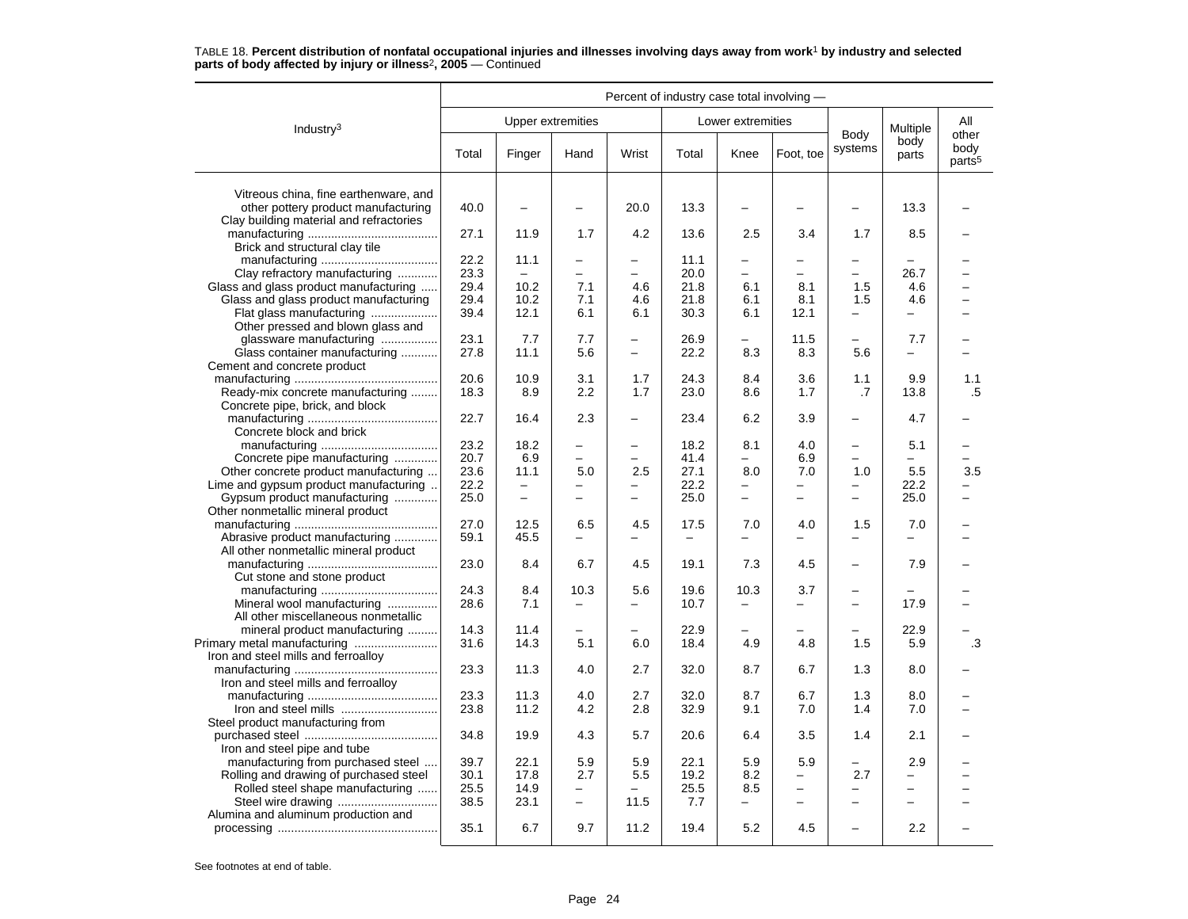|                                                                                | Percent of industry case total involving - |                          |                          |                          |                          |                          |                          |                          |                          |                                     |
|--------------------------------------------------------------------------------|--------------------------------------------|--------------------------|--------------------------|--------------------------|--------------------------|--------------------------|--------------------------|--------------------------|--------------------------|-------------------------------------|
| Industry <sup>3</sup>                                                          |                                            | <b>Upper extremities</b> |                          |                          |                          | Lower extremities        |                          |                          | Multiple                 | All                                 |
|                                                                                | Total                                      | Finger                   | Hand                     | Wrist                    | Total                    | Knee                     | Foot, toe                | Body<br>systems          | body<br>parts            | other<br>body<br>parts <sup>5</sup> |
| Vitreous china, fine earthenware, and                                          |                                            |                          |                          |                          |                          |                          |                          |                          |                          |                                     |
| other pottery product manufacturing<br>Clay building material and refractories | 40.0                                       |                          |                          | 20.0                     | 13.3                     |                          |                          | $\overline{\phantom{0}}$ | 13.3                     |                                     |
| Brick and structural clay tile                                                 | 27.1                                       | 11.9                     | 1.7                      | 4.2                      | 13.6                     | 2.5                      | 3.4                      | 1.7                      | 8.5                      |                                     |
|                                                                                | 22.2                                       | 11.1                     | $\overline{\phantom{0}}$ | $\overline{\phantom{0}}$ | 11.1                     | $\overline{\phantom{0}}$ | -                        | $\overline{\phantom{m}}$ |                          |                                     |
| Clay refractory manufacturing                                                  | 23.3                                       |                          | $\overline{\phantom{0}}$ | $\overline{a}$           | 20.0                     | $\overline{a}$           | L                        | $\equiv$                 | 26.7                     |                                     |
| Glass and glass product manufacturing                                          | 29.4                                       | 10.2                     | 7.1                      | 4.6                      | 21.8                     | 6.1                      | 8.1                      | 1.5                      | 4.6                      |                                     |
| Glass and glass product manufacturing                                          | 29.4                                       | 10.2                     | 7.1                      | 4.6                      | 21.8                     | 6.1                      | 8.1                      | 1.5                      | 4.6                      |                                     |
| Flat glass manufacturing                                                       | 39.4                                       | 12.1                     | 6.1                      | 6.1                      | 30.3                     | 6.1                      | 12.1                     | $\equiv$                 | $\equiv$                 |                                     |
| Other pressed and blown glass and                                              |                                            |                          |                          |                          |                          |                          |                          |                          |                          |                                     |
| glassware manufacturing                                                        | 23.1                                       | 7.7                      | 7.7                      |                          | 26.9                     |                          | 11.5                     |                          | 7.7                      |                                     |
| Glass container manufacturing                                                  | 27.8                                       | 11.1                     | 5.6                      | $\overline{\phantom{0}}$ | 22.2                     | 8.3                      | 8.3                      | 5.6                      | -                        |                                     |
| Cement and concrete product                                                    |                                            |                          |                          |                          |                          |                          |                          |                          |                          |                                     |
|                                                                                | 20.6                                       | 10.9                     | 3.1                      | 1.7                      | 24.3                     | 8.4                      | 3.6                      | 1.1                      | 9.9                      | 1.1                                 |
|                                                                                |                                            |                          | 2.2                      |                          | 23.0                     |                          |                          |                          |                          |                                     |
| Ready-mix concrete manufacturing<br>Concrete pipe, brick, and block            | 18.3                                       | 8.9                      |                          | 1.7                      |                          | 8.6                      | 1.7                      | .7                       | 13.8                     | .5                                  |
| Concrete block and brick                                                       | 22.7                                       | 16.4                     | 2.3                      | —                        | 23.4                     | 6.2                      | 3.9                      | $\overline{\phantom{0}}$ | 4.7                      |                                     |
|                                                                                | 23.2                                       | 18.2                     | $\overline{\phantom{0}}$ | $\overline{\phantom{0}}$ | 18.2                     | 8.1                      | 4.0                      | $\overline{\phantom{0}}$ | 5.1                      |                                     |
| Concrete pipe manufacturing                                                    | 20.7                                       | 6.9                      | $\equiv$                 | $\overline{a}$           | 41.4                     | -                        | 6.9                      |                          | $\equiv$                 |                                     |
| Other concrete product manufacturing                                           | 23.6                                       | 11.1                     | 5.0                      | 2.5                      | 27.1                     | 8.0                      | 7.0                      | 1.0                      | 5.5                      | 3.5                                 |
| Lime and gypsum product manufacturing.                                         | 22.2                                       | $\overline{\phantom{m}}$ | $\overline{\phantom{0}}$ |                          | 22.2                     | $\overline{\phantom{0}}$ | $\overline{\phantom{0}}$ | $\overline{\phantom{0}}$ | 22.2                     |                                     |
| Gypsum product manufacturing                                                   | 25.0                                       | $\overline{\phantom{0}}$ | $\overline{\phantom{0}}$ | $\overline{\phantom{0}}$ | 25.0                     | $\overline{\phantom{0}}$ | $\overline{\phantom{0}}$ | $\overline{\phantom{0}}$ | 25.0                     | -                                   |
| Other nonmetallic mineral product                                              |                                            |                          |                          |                          |                          |                          |                          |                          |                          |                                     |
|                                                                                | 27.0                                       |                          |                          | 4.5                      |                          |                          |                          |                          |                          |                                     |
|                                                                                |                                            | 12.5                     | 6.5                      |                          | 17.5                     | 7.0                      | 4.0                      | 1.5                      | 7.0                      |                                     |
| Abrasive product manufacturing<br>All other nonmetallic mineral product        | 59.1                                       | 45.5                     | ÷                        |                          | $\overline{\phantom{0}}$ |                          | -                        |                          |                          |                                     |
| Cut stone and stone product                                                    | 23.0                                       | 8.4                      | 6.7                      | 4.5                      | 19.1                     | 7.3                      | 4.5                      | $\overline{\phantom{0}}$ | 7.9                      |                                     |
|                                                                                | 24.3                                       | 8.4                      | 10.3                     | 5.6                      | 19.6                     | 10.3                     | 3.7                      | $\overline{\phantom{0}}$ |                          |                                     |
| Mineral wool manufacturing                                                     | 28.6                                       | 7.1                      | $\overline{\phantom{0}}$ |                          | 10.7                     |                          |                          | $\overline{\phantom{0}}$ | 17.9                     |                                     |
| All other miscellaneous nonmetallic                                            |                                            |                          |                          |                          |                          |                          |                          |                          |                          |                                     |
| mineral product manufacturing                                                  | 14.3                                       | 11.4                     | $\overline{\phantom{0}}$ | Ξ.                       | 22.9                     |                          |                          |                          | 22.9                     |                                     |
|                                                                                | 31.6                                       | 14.3                     | 5.1                      | 6.0                      | 18.4                     | 4.9                      | 4.8                      | 1.5                      | 5.9                      | .3                                  |
|                                                                                |                                            |                          |                          |                          |                          |                          |                          |                          |                          |                                     |
| Iron and steel mills and ferroalloy                                            |                                            |                          |                          |                          |                          |                          |                          |                          |                          |                                     |
|                                                                                | 23.3                                       | 11.3                     | 4.0                      | 2.7                      | 32.0                     | 8.7                      | 6.7                      | 1.3                      | 8.0                      |                                     |
| Iron and steel mills and ferroalloy                                            |                                            |                          |                          |                          |                          |                          |                          |                          |                          |                                     |
|                                                                                | 23.3                                       | 11.3                     | 4.0                      | 2.7                      | 32.0                     | 8.7                      | 6.7                      | 1.3                      | 8.0                      |                                     |
|                                                                                | 23.8                                       | 11.2                     | 4.2                      | 2.8                      | 32.9                     | 9.1                      | 7.0                      | 1.4                      | 7.0                      |                                     |
| Steel product manufacturing from                                               |                                            |                          |                          |                          |                          |                          |                          |                          |                          |                                     |
| Iron and steel pipe and tube                                                   | 34.8                                       | 19.9                     | 4.3                      | 5.7                      | 20.6                     | 6.4                      | 3.5                      | 1.4                      | 2.1                      |                                     |
| manufacturing from purchased steel                                             | 39.7                                       | 22.1                     | 5.9                      | 5.9                      | 22.1                     | 5.9                      | 5.9                      |                          | 2.9                      |                                     |
| Rolling and drawing of purchased steel                                         | 30.1                                       | 17.8                     | 2.7                      | 5.5                      | 19.2                     | 8.2                      |                          | 2.7                      | $\overline{\phantom{0}}$ |                                     |
| Rolled steel shape manufacturing                                               | 25.5                                       | 14.9                     | $\overline{\phantom{0}}$ |                          | 25.5                     | 8.5                      | $\overline{\phantom{0}}$ | $\overline{\phantom{0}}$ | $\equiv$                 |                                     |
|                                                                                | 38.5                                       | 23.1                     | $\qquad \qquad -$        | 11.5                     | 7.7                      | -                        | $\overline{\phantom{0}}$ | $\sim$                   | $\equiv$                 |                                     |
|                                                                                |                                            |                          |                          |                          |                          |                          |                          |                          |                          |                                     |
| Alumina and aluminum production and                                            | 35.1                                       | 6.7                      | 9.7                      | 11.2                     | 19.4                     | 5.2                      | 4.5                      |                          | 2.2                      |                                     |
|                                                                                |                                            |                          |                          |                          |                          |                          |                          |                          |                          |                                     |
|                                                                                |                                            |                          |                          |                          |                          |                          |                          |                          |                          |                                     |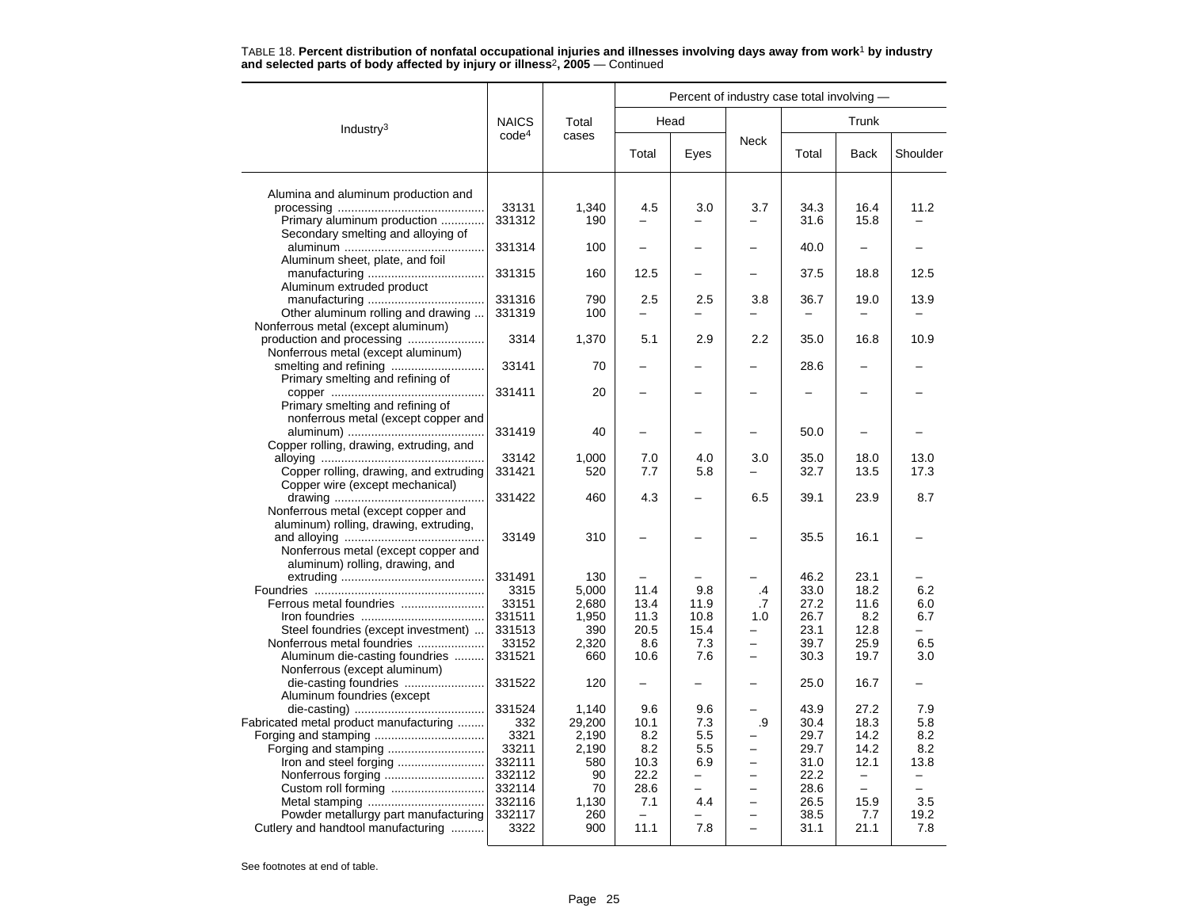|                                         |                   |        |                          | Percent of industry case total involving - |                          |       |                          |          |  |  |  |
|-----------------------------------------|-------------------|--------|--------------------------|--------------------------------------------|--------------------------|-------|--------------------------|----------|--|--|--|
| Industry <sup>3</sup>                   | <b>NAICS</b>      | Total  | Head                     |                                            |                          |       | Trunk                    |          |  |  |  |
|                                         | code <sup>4</sup> | cases  | Total                    | Eyes                                       | <b>Neck</b>              | Total | <b>Back</b>              | Shoulder |  |  |  |
| Alumina and aluminum production and     |                   |        |                          |                                            |                          |       |                          |          |  |  |  |
|                                         | 33131             | 1,340  | 4.5                      | 3.0                                        | 3.7                      | 34.3  | 16.4                     | 11.2     |  |  |  |
| Primary aluminum production             | 331312            | 190    |                          |                                            |                          | 31.6  | 15.8                     |          |  |  |  |
| Secondary smelting and alloying of      |                   |        |                          |                                            |                          |       |                          |          |  |  |  |
|                                         | 331314            | 100    |                          |                                            |                          | 40.0  |                          |          |  |  |  |
| Aluminum sheet, plate, and foil         |                   |        |                          |                                            |                          |       |                          |          |  |  |  |
|                                         | 331315            | 160    | 12.5                     |                                            | $\overline{\phantom{0}}$ | 37.5  | 18.8                     | 12.5     |  |  |  |
| Aluminum extruded product               |                   |        |                          |                                            |                          |       |                          |          |  |  |  |
|                                         | 331316            | 790    | 2.5                      | 2.5                                        | 3.8                      | 36.7  | 19.0                     | 13.9     |  |  |  |
| Other aluminum rolling and drawing      | 331319            | 100    |                          |                                            | $\overline{\phantom{0}}$ |       |                          |          |  |  |  |
| Nonferrous metal (except aluminum)      |                   |        |                          |                                            |                          |       |                          |          |  |  |  |
|                                         | 3314              | 1,370  | 5.1                      | 2.9                                        | 2.2                      | 35.0  | 16.8                     | 10.9     |  |  |  |
| Nonferrous metal (except aluminum)      |                   |        |                          |                                            |                          |       |                          |          |  |  |  |
|                                         | 33141             | 70     |                          |                                            |                          | 28.6  |                          |          |  |  |  |
| Primary smelting and refining of        |                   |        |                          |                                            |                          |       |                          |          |  |  |  |
|                                         | 331411            | 20     |                          |                                            |                          |       |                          |          |  |  |  |
| Primary smelting and refining of        |                   |        |                          |                                            |                          |       |                          |          |  |  |  |
| nonferrous metal (except copper and     | 331419            | 40     |                          |                                            |                          | 50.0  |                          |          |  |  |  |
| Copper rolling, drawing, extruding, and |                   |        |                          |                                            |                          |       |                          |          |  |  |  |
|                                         | 33142             | 1.000  | 7.0                      | 4.0                                        | 3.0                      | 35.0  | 18.0                     | 13.0     |  |  |  |
| Copper rolling, drawing, and extruding  | 331421            | 520    | 7.7                      | 5.8                                        |                          | 32.7  | 13.5                     | 17.3     |  |  |  |
| Copper wire (except mechanical)         |                   |        |                          |                                            |                          |       |                          |          |  |  |  |
|                                         | 331422            | 460    | 4.3                      |                                            | 6.5                      | 39.1  | 23.9                     | 8.7      |  |  |  |
| Nonferrous metal (except copper and     |                   |        |                          |                                            |                          |       |                          |          |  |  |  |
| aluminum) rolling, drawing, extruding,  |                   |        |                          |                                            |                          |       |                          |          |  |  |  |
|                                         | 33149             | 310    |                          |                                            |                          | 35.5  | 16.1                     |          |  |  |  |
| Nonferrous metal (except copper and     |                   |        |                          |                                            |                          |       |                          |          |  |  |  |
| aluminum) rolling, drawing, and         |                   |        |                          |                                            |                          |       |                          |          |  |  |  |
|                                         | 331491            | 130    |                          |                                            |                          | 46.2  | 23.1                     |          |  |  |  |
|                                         | 3315              | 5,000  | 11.4                     | 9.8                                        | .4                       | 33.0  | 18.2                     | 6.2      |  |  |  |
|                                         | 33151             | 2,680  | 13.4                     | 11.9                                       | .7                       | 27.2  | 11.6                     | 6.0      |  |  |  |
|                                         | 331511            | 1,950  | 11.3                     | 10.8                                       | 1.0                      | 26.7  | 8.2                      | 6.7      |  |  |  |
| Steel foundries (except investment)     | 331513            | 390    | 20.5                     | 15.4                                       | $\overline{\phantom{0}}$ | 23.1  | 12.8                     |          |  |  |  |
| Nonferrous metal foundries              | 33152             | 2,320  | 8.6                      | 7.3                                        |                          | 39.7  | 25.9                     | 6.5      |  |  |  |
| Aluminum die-casting foundries          | 331521            | 660    | 10.6                     | 7.6                                        | $\overline{\phantom{0}}$ | 30.3  | 19.7                     | 3.0      |  |  |  |
| Nonferrous (except aluminum)            | 331522            | 120    | $\overline{\phantom{0}}$ | $\overline{\phantom{0}}$                   |                          | 25.0  | 16.7                     |          |  |  |  |
| Aluminum foundries (except              |                   |        |                          |                                            |                          |       |                          |          |  |  |  |
|                                         | 331524            | 1,140  | 9.6                      | 9.6                                        |                          | 43.9  | 27.2                     | 7.9      |  |  |  |
| Fabricated metal product manufacturing  | 332               | 29,200 | 10.1                     | 7.3                                        | .9                       | 30.4  | 18.3                     | 5.8      |  |  |  |
|                                         | 3321              | 2,190  | 8.2                      | 5.5                                        |                          | 29.7  | 14.2                     | 8.2      |  |  |  |
|                                         | 33211             | 2,190  | 8.2                      | 5.5                                        |                          | 29.7  | 14.2                     | 8.2      |  |  |  |
| Iron and steel forging                  | 332111            | 580    | 10.3                     | 6.9                                        | $\equiv$                 | 31.0  | 12.1                     | 13.8     |  |  |  |
|                                         | 332112            | 90     | 22.2                     |                                            |                          | 22.2  | $\overline{\phantom{m}}$ |          |  |  |  |
| Custom roll forming                     | 332114            | 70     | 28.6                     |                                            |                          | 28.6  | $\qquad \qquad -$        |          |  |  |  |
|                                         | 332116            | 1,130  | 7.1                      | 4.4                                        |                          | 26.5  | 15.9                     | 3.5      |  |  |  |
| Powder metallurgy part manufacturing    | 332117            | 260    |                          |                                            |                          | 38.5  | 7.7                      | 19.2     |  |  |  |
| Cutlery and handtool manufacturing      | 3322              | 900    | 11.1                     | 7.8                                        |                          | 31.1  | 21.1                     | 7.8      |  |  |  |
|                                         |                   |        |                          |                                            |                          |       |                          |          |  |  |  |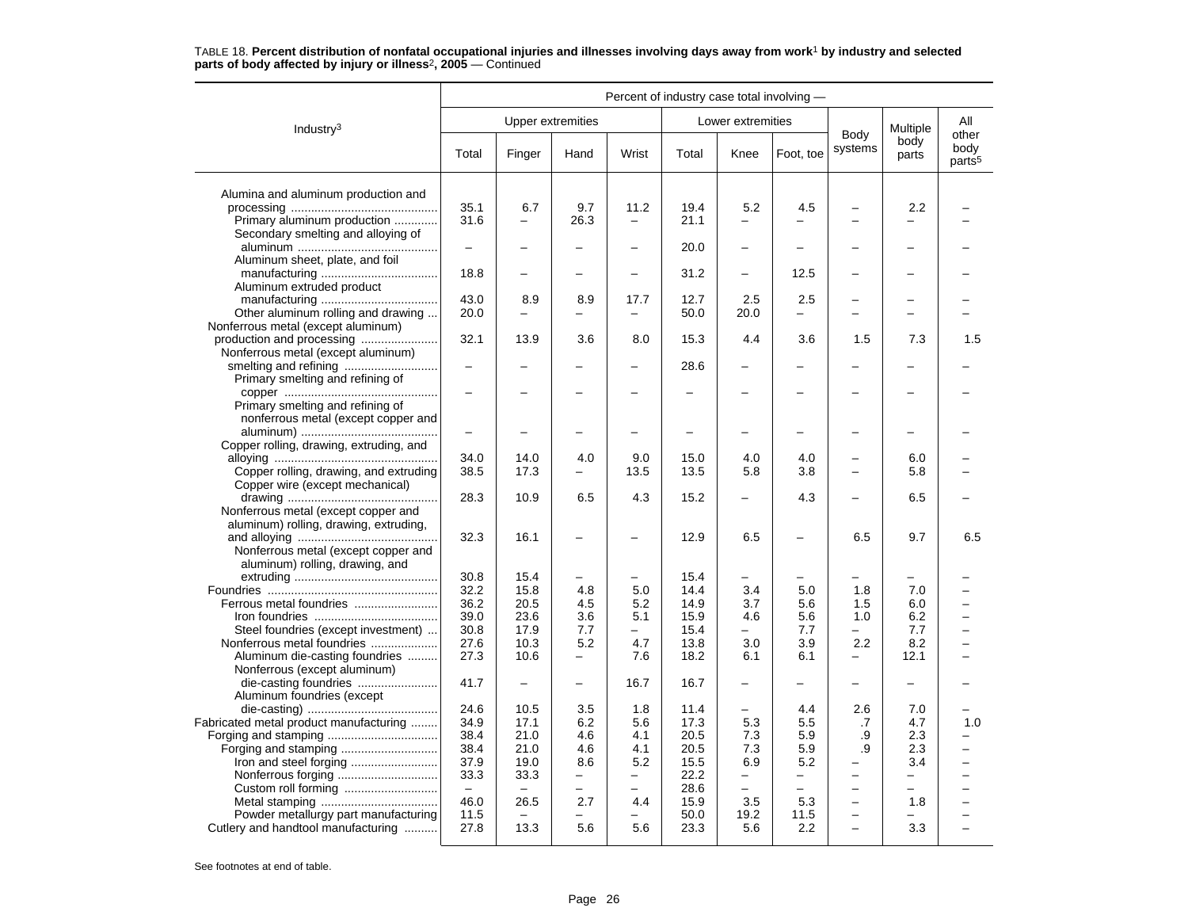|                                                              | Percent of industry case total involving - |              |                                 |                               |              |                   |                          |                                 |               |                                     |
|--------------------------------------------------------------|--------------------------------------------|--------------|---------------------------------|-------------------------------|--------------|-------------------|--------------------------|---------------------------------|---------------|-------------------------------------|
| Industry <sup>3</sup>                                        |                                            |              | <b>Upper extremities</b>        |                               |              | Lower extremities |                          |                                 | Multiple      | All                                 |
|                                                              | Total                                      | Finger       | Hand                            | Wrist                         | Total        | Knee              | Foot, toe                | Body<br>systems                 | body<br>parts | other<br>body<br>parts <sup>5</sup> |
| Alumina and aluminum production and                          |                                            |              |                                 |                               |              |                   |                          |                                 |               |                                     |
|                                                              | 35.1                                       | 6.7          | 9.7                             | 11.2                          | 19.4         | 5.2               | 4.5                      |                                 | 2.2           |                                     |
| Primary aluminum production                                  | 31.6                                       | L.           | 26.3                            | $\equiv$                      | 21.1         |                   |                          | $\overline{\phantom{a}}$        |               |                                     |
| Secondary smelting and alloying of                           |                                            |              |                                 |                               |              |                   |                          |                                 |               |                                     |
| Aluminum sheet, plate, and foil                              |                                            |              |                                 |                               | 20.0         |                   |                          |                                 |               |                                     |
|                                                              | 18.8                                       |              | $\overline{\phantom{0}}$        | $\overline{\phantom{0}}$      | 31.2         | -                 | 12.5                     |                                 |               |                                     |
| Aluminum extruded product                                    |                                            |              |                                 |                               |              |                   |                          |                                 |               |                                     |
|                                                              | 43.0                                       | 8.9          | 8.9                             | 17.7                          | 12.7         | 2.5               | 2.5                      | $\overline{\phantom{0}}$        | -             |                                     |
| Other aluminum rolling and drawing                           | 20.0                                       |              |                                 | —                             | 50.0         | 20.0              |                          |                                 |               |                                     |
| Nonferrous metal (except aluminum)                           |                                            |              |                                 |                               |              |                   |                          |                                 |               |                                     |
|                                                              | 32.1                                       | 13.9         | 3.6                             | 8.0                           | 15.3         | 4.4               | 3.6                      | 1.5                             | 7.3           | 1.5                                 |
| Nonferrous metal (except aluminum)                           |                                            |              |                                 |                               |              |                   |                          |                                 |               |                                     |
|                                                              | $\overline{\phantom{0}}$                   |              |                                 | -                             | 28.6         | -                 |                          |                                 |               |                                     |
| Primary smelting and refining of                             |                                            |              |                                 |                               |              |                   |                          |                                 |               |                                     |
| Primary smelting and refining of                             |                                            |              |                                 |                               |              |                   |                          |                                 |               |                                     |
| nonferrous metal (except copper and                          |                                            |              |                                 |                               |              |                   |                          |                                 |               |                                     |
|                                                              | $\overline{\phantom{0}}$                   |              |                                 |                               |              |                   |                          |                                 |               |                                     |
| Copper rolling, drawing, extruding, and                      |                                            |              |                                 |                               |              |                   |                          |                                 |               |                                     |
|                                                              | 34.0                                       | 14.0         | 4.0                             | 9.0                           | 15.0         | 4.0               | 4.0                      |                                 | 6.0           |                                     |
| Copper rolling, drawing, and extruding                       | 38.5                                       | 17.3         |                                 | 13.5                          | 13.5         | 5.8               | 3.8                      | $\sim$                          | 5.8           |                                     |
| Copper wire (except mechanical)                              |                                            |              |                                 |                               |              |                   |                          |                                 |               |                                     |
| Nonferrous metal (except copper and                          | 28.3                                       | 10.9         | 6.5                             | 4.3                           | 15.2         |                   | 4.3                      |                                 | 6.5           |                                     |
| aluminum) rolling, drawing, extruding,                       |                                            |              |                                 |                               |              |                   |                          |                                 |               |                                     |
|                                                              | 32.3                                       | 16.1         | $\overline{\phantom{0}}$        | —                             | 12.9         | 6.5               | $\overline{\phantom{0}}$ | 6.5                             | 9.7           | 6.5                                 |
| Nonferrous metal (except copper and                          |                                            |              |                                 |                               |              |                   |                          |                                 |               |                                     |
| aluminum) rolling, drawing, and                              |                                            |              |                                 |                               |              |                   |                          |                                 |               |                                     |
|                                                              | 30.8                                       | 15.4         | -                               | -                             | 15.4         | -                 |                          |                                 |               |                                     |
|                                                              | 32.2                                       | 15.8         | 4.8                             | 5.0                           | 14.4         | 3.4               | 5.0                      | 1.8                             | 7.0           |                                     |
| Ferrous metal foundries                                      | 36.2                                       | 20.5         | 4.5                             | 5.2                           | 14.9         | 3.7               | 5.6                      | 1.5                             | 6.0           |                                     |
|                                                              | 39.0                                       | 23.6         | 3.6                             | 5.1                           | 15.9         | 4.6               | 5.6                      | 1.0                             | 6.2           |                                     |
| Steel foundries (except investment)                          | 30.8                                       | 17.9         | 7.7                             | $\equiv$                      | 15.4         | $\overline{a}$    | 7.7                      |                                 | 7.7           |                                     |
| Nonferrous metal foundries<br>Aluminum die-casting foundries | 27.6<br>27.3                               | 10.3<br>10.6 | 5.2<br>$\overline{\phantom{0}}$ | 4.7<br>7.6                    | 13.8<br>18.2 | 3.0<br>6.1        | 3.9<br>6.1               | 2.2<br>$\overline{\phantom{0}}$ | 8.2<br>12.1   |                                     |
| Nonferrous (except aluminum)                                 |                                            |              |                                 |                               |              |                   |                          |                                 |               |                                     |
| die-casting foundries                                        | 41.7                                       |              | $\overline{\phantom{0}}$        | 16.7                          | 16.7         |                   |                          |                                 |               |                                     |
| Aluminum foundries (except                                   |                                            |              |                                 |                               |              |                   |                          |                                 |               |                                     |
|                                                              | 24.6                                       | 10.5         | 3.5                             | 1.8                           | 11.4         |                   | 4.4                      | 2.6                             | 7.0           |                                     |
| Fabricated metal product manufacturing                       | 34.9                                       | 17.1         | 6.2                             | 5.6                           | 17.3         | 5.3               | 5.5                      | .7                              | 4.7           | 1.0                                 |
|                                                              | 38.4                                       | 21.0         | 4.6                             | 4.1                           | 20.5         | 7.3               | 5.9                      | .9                              | 2.3           |                                     |
| Forging and stamping                                         | 38.4                                       | 21.0         | 4.6                             | 4.1                           | 20.5         | 7.3               | 5.9                      | .9                              | 2.3           |                                     |
| Iron and steel forging                                       | 37.9                                       | 19.0         | 8.6                             | 5.2                           | 15.5         | 6.9               | 5.2                      | $\overline{\phantom{0}}$        | 3.4           |                                     |
|                                                              | 33.3<br>$\equiv$                           | 33.3         | $\overline{\phantom{0}}$        | $\overline{\phantom{0}}$<br>- | 22.2         | -                 | -<br>-                   | $\overline{\phantom{0}}$        | -             | ▃                                   |
|                                                              | 46.0                                       | 26.5         | 2.7                             | 4.4                           | 28.6<br>15.9 | 3.5               | 5.3                      | $\overline{\phantom{0}}$        | 1.8           |                                     |
| Powder metallurgy part manufacturing                         | 11.5                                       |              |                                 | $\overline{\phantom{0}}$      | 50.0         | 19.2              | 11.5                     | $\overline{\phantom{0}}$        |               |                                     |
| Cutlery and handtool manufacturing                           | 27.8                                       | 13.3         | 5.6                             | 5.6                           | 23.3         | 5.6               | 2.2                      | $\overline{\phantom{0}}$        | 3.3           | $\overline{\phantom{0}}$            |
|                                                              |                                            |              |                                 |                               |              |                   |                          |                                 |               |                                     |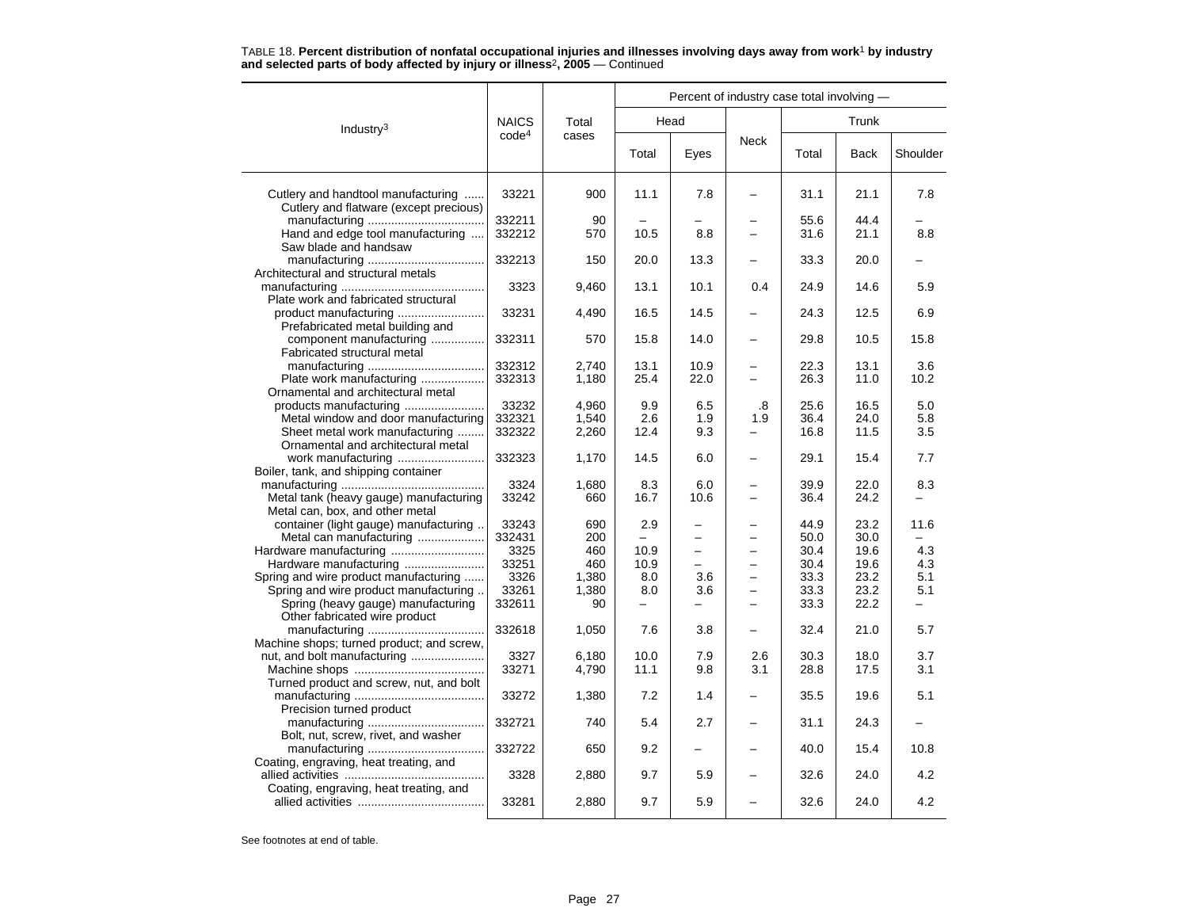|                                                                                                                       |                                  |                             | Percent of industry case total involving - |                        |                                                                  |                              |                              |                   |  |  |  |
|-----------------------------------------------------------------------------------------------------------------------|----------------------------------|-----------------------------|--------------------------------------------|------------------------|------------------------------------------------------------------|------------------------------|------------------------------|-------------------|--|--|--|
| Industry <sup>3</sup>                                                                                                 | <b>NAICS</b>                     | Total                       |                                            | Head                   |                                                                  |                              |                              |                   |  |  |  |
|                                                                                                                       | code <sup>4</sup>                | cases                       | Total                                      | Eyes                   | Neck                                                             | Total                        | <b>Back</b>                  | Shoulder          |  |  |  |
| Cutlery and handtool manufacturing<br>Cutlery and flatware (except precious)                                          | 33221                            | 900                         | 11.1                                       | 7.8                    |                                                                  | 31.1                         | 21.1                         | 7.8               |  |  |  |
| Hand and edge tool manufacturing<br>Saw blade and handsaw                                                             | 332211<br>332212                 | 90<br>570                   | 10.5                                       | 8.8                    |                                                                  | 55.6<br>31.6                 | 44.4<br>21.1                 | 8.8               |  |  |  |
| Architectural and structural metals                                                                                   | 332213                           | 150                         | 20.0                                       | 13.3                   |                                                                  | 33.3                         | 20.0                         |                   |  |  |  |
| Plate work and fabricated structural                                                                                  | 3323                             | 9,460                       | 13.1                                       | 10.1                   | 0.4                                                              | 24.9                         | 14.6                         | 5.9               |  |  |  |
| Prefabricated metal building and                                                                                      | 33231                            | 4,490                       | 16.5                                       | 14.5                   |                                                                  | 24.3                         | 12.5                         | 6.9               |  |  |  |
| component manufacturing<br>Fabricated structural metal                                                                | 332311                           | 570                         | 15.8                                       | 14.0                   |                                                                  | 29.8                         | 10.5                         | 15.8              |  |  |  |
| Plate work manufacturing<br>Ornamental and architectural metal                                                        | 332312<br>332313                 | 2.740<br>1,180              | 13.1<br>25.4                               | 10.9<br>22.0           |                                                                  | 22.3<br>26.3                 | 13.1<br>11.0                 | 3.6<br>10.2       |  |  |  |
| Metal window and door manufacturing<br>Sheet metal work manufacturing                                                 | 33232<br>332321<br>332322        | 4,960<br>1,540<br>2,260     | 9.9<br>2.6<br>12.4                         | 6.5<br>1.9<br>9.3      | .8<br>1.9                                                        | 25.6<br>36.4<br>16.8         | 16.5<br>24.0<br>11.5         | 5.0<br>5.8<br>3.5 |  |  |  |
| Ornamental and architectural metal                                                                                    | 332323                           | 1,170                       | 14.5                                       | 6.0                    | —                                                                | 29.1                         | 15.4                         | 7.7               |  |  |  |
| Boiler, tank, and shipping container<br>Metal tank (heavy gauge) manufacturing                                        | 3324<br>33242                    | 1,680<br>660                | 8.3<br>16.7                                | 6.0<br>10.6            | $\equiv$<br>-                                                    | 39.9<br>36.4                 | 22.0<br>24.2                 | 8.3               |  |  |  |
| Metal can, box, and other metal<br>container (light gauge) manufacturing<br>Metal can manufacturing                   | 33243<br>332431<br>3325          | 690<br>200<br>460           | 2.9<br>$\overline{\phantom{0}}$<br>10.9    | $\equiv$               |                                                                  | 44.9<br>50.0<br>30.4         | 23.2<br>30.0<br>19.6         | 11.6<br>4.3       |  |  |  |
| Spring and wire product manufacturing<br>Spring and wire product manufacturing.<br>Spring (heavy gauge) manufacturing | 33251<br>3326<br>33261<br>332611 | 460<br>1,380<br>1,380<br>90 | 10.9<br>8.0<br>8.0                         | $\equiv$<br>3.6<br>3.6 | $\equiv$<br>$\overline{\phantom{0}}$<br>$\overline{\phantom{0}}$ | 30.4<br>33.3<br>33.3<br>33.3 | 19.6<br>23.2<br>23.2<br>22.2 | 4.3<br>5.1<br>5.1 |  |  |  |
| Other fabricated wire product                                                                                         | 332618                           | 1,050                       | 7.6                                        | 3.8                    | -                                                                | 32.4                         | 21.0                         | 5.7               |  |  |  |
| Machine shops; turned product; and screw,<br>nut, and bolt manufacturing                                              | 3327<br>33271                    | 6,180<br>4,790              | 10.0<br>11.1                               | 7.9<br>9.8             | 2.6<br>3.1                                                       | 30.3<br>28.8                 | 18.0<br>17.5                 | 3.7<br>3.1        |  |  |  |
| Turned product and screw, nut, and bolt<br>Precision turned product                                                   | 33272                            | 1,380                       | 7.2                                        | 1.4                    |                                                                  | 35.5                         | 19.6                         | 5.1               |  |  |  |
| Bolt, nut, screw, rivet, and washer                                                                                   | 332721                           | 740                         | 5.4                                        | 2.7                    |                                                                  | 31.1                         | 24.3                         |                   |  |  |  |
| Coating, engraving, heat treating, and                                                                                | 332722                           | 650                         | 9.2                                        |                        |                                                                  | 40.0                         | 15.4                         | 10.8              |  |  |  |
| Coating, engraving, heat treating, and                                                                                | 3328                             | 2,880                       | 9.7                                        | 5.9                    |                                                                  | 32.6                         | 24.0                         | 4.2               |  |  |  |
|                                                                                                                       | 33281                            | 2,880                       | 9.7                                        | 5.9                    |                                                                  | 32.6                         | 24.0                         | 4.2               |  |  |  |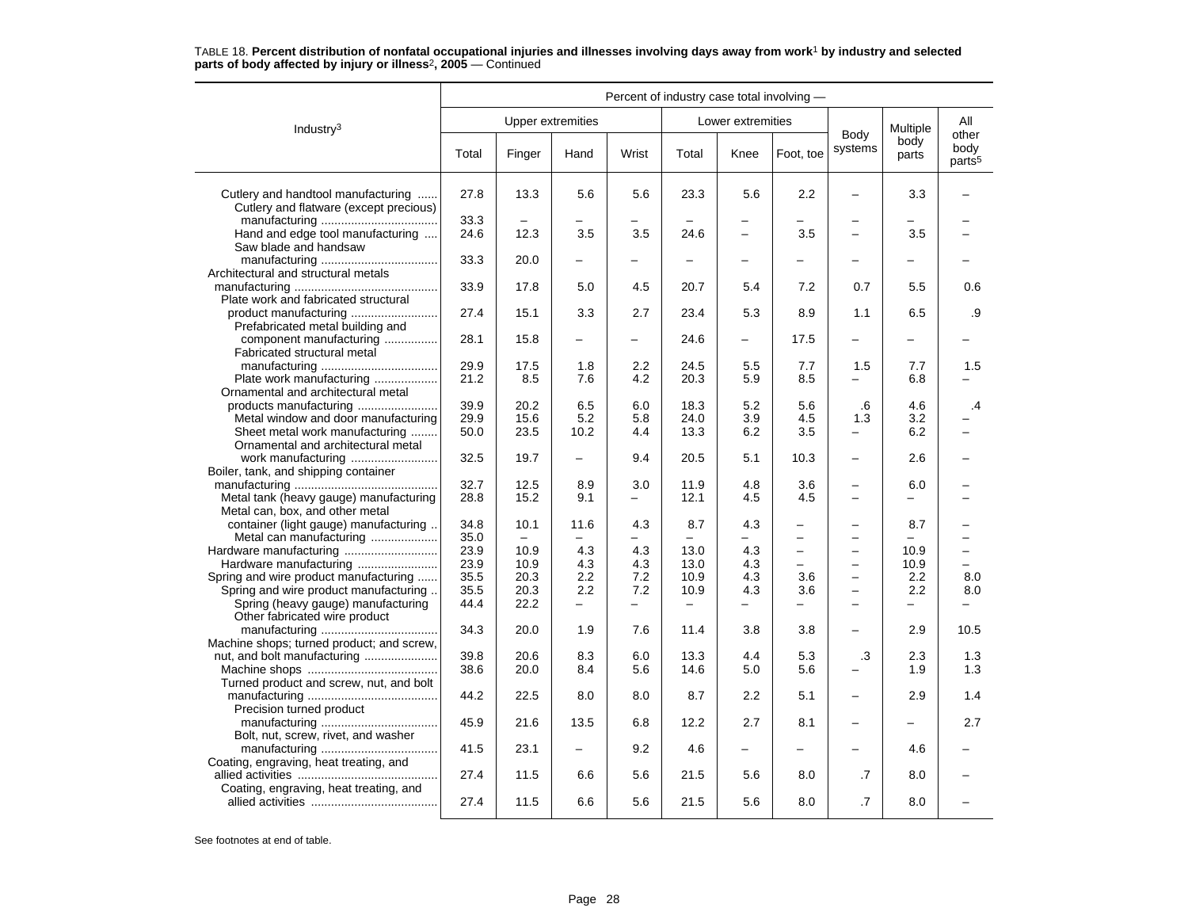|                                                                                                                                                       | Percent of industry case total involving - |                          |            |                   |              |                          |                                                      |                                                      |                                 |                            |  |
|-------------------------------------------------------------------------------------------------------------------------------------------------------|--------------------------------------------|--------------------------|------------|-------------------|--------------|--------------------------|------------------------------------------------------|------------------------------------------------------|---------------------------------|----------------------------|--|
| Industry <sup>3</sup>                                                                                                                                 |                                            | <b>Upper extremities</b> |            |                   |              | Lower extremities        |                                                      | Body                                                 | Multiple                        | All<br>other               |  |
|                                                                                                                                                       | Total                                      | Finger                   | Hand       | Wrist             | Total        | Knee                     | Foot, toe                                            | systems                                              | body<br>parts                   | body<br>parts <sup>5</sup> |  |
| Cutlery and handtool manufacturing<br>Cutlery and flatware (except precious)                                                                          | 27.8                                       | 13.3                     | 5.6        | 5.6               | 23.3         | 5.6                      | 2.2                                                  |                                                      | 3.3                             |                            |  |
| Hand and edge tool manufacturing                                                                                                                      | 33.3<br>24.6                               | 12.3                     | 3.5        | 3.5               | 24.6         | $\overline{\phantom{0}}$ | 3.5                                                  | $\overline{\phantom{0}}$                             | 3.5                             |                            |  |
| Saw blade and handsaw<br>Architectural and structural metals                                                                                          | 33.3                                       | 20.0                     |            |                   |              |                          |                                                      |                                                      |                                 |                            |  |
| Plate work and fabricated structural                                                                                                                  | 33.9                                       | 17.8                     | 5.0        | 4.5               | 20.7         | 5.4                      | 7.2                                                  | 0.7                                                  | 5.5                             | 0.6                        |  |
| Prefabricated metal building and                                                                                                                      | 27.4                                       | 15.1                     | 3.3        | 2.7               | 23.4         | 5.3                      | 8.9                                                  | 1.1                                                  | 6.5                             | .9                         |  |
| component manufacturing<br>Fabricated structural metal                                                                                                | 28.1                                       | 15.8                     |            |                   | 24.6         |                          | 17.5                                                 |                                                      |                                 |                            |  |
| Plate work manufacturing<br>Ornamental and architectural metal                                                                                        | 29.9<br>21.2                               | 17.5<br>8.5              | 1.8<br>7.6 | 2.2<br>4.2        | 24.5<br>20.3 | 5.5<br>5.9               | 7.7<br>8.5                                           | 1.5                                                  | 7.7<br>6.8                      | 1.5                        |  |
| products manufacturing<br>Metal window and door manufacturing                                                                                         | 39.9<br>29.9                               | 20.2<br>15.6             | 6.5<br>5.2 | 6.0<br>5.8        | 18.3<br>24.0 | 5.2<br>3.9               | 5.6<br>4.5                                           | .6<br>1.3                                            | 4.6<br>3.2                      | .4                         |  |
| Sheet metal work manufacturing<br>Ornamental and architectural metal                                                                                  | 50.0<br>32.5                               | 23.5<br>19.7             | 10.2       | 4.4<br>9.4        | 13.3<br>20.5 | 6.2<br>5.1               | 3.5<br>10.3                                          | $\overline{\phantom{0}}$                             | 6.2<br>2.6                      |                            |  |
| Boiler, tank, and shipping container                                                                                                                  | 32.7                                       | 12.5                     | 8.9        | 3.0               | 11.9         | 4.8                      | 3.6                                                  | $\overline{\phantom{0}}$                             | 6.0                             |                            |  |
| Metal tank (heavy gauge) manufacturing<br>Metal can, box, and other metal                                                                             | 28.8                                       | 15.2                     | 9.1        | $\qquad \qquad -$ | 12.1         | 4.5                      | 4.5                                                  | $\overline{\phantom{0}}$                             | $\overline{\phantom{0}}$        |                            |  |
| container (light gauge) manufacturing<br>Metal can manufacturing                                                                                      | 34.8<br>35.0                               | 10.1                     | 11.6       | 4.3<br>-          | 8.7          | 4.3<br>L,                | —                                                    | $\overline{\phantom{0}}$                             | 8.7<br>$\overline{\phantom{0}}$ |                            |  |
| Hardware manufacturing                                                                                                                                | 23.9<br>23.9                               | 10.9<br>10.9             | 4.3<br>4.3 | 4.3<br>4.3        | 13.0<br>13.0 | 4.3<br>4.3               | $\overline{\phantom{0}}$<br>$\overline{\phantom{0}}$ | $\overline{\phantom{0}}$                             | 10.9<br>10.9                    | $\equiv$                   |  |
| Spring and wire product manufacturing<br>Spring and wire product manufacturing<br>Spring (heavy gauge) manufacturing<br>Other fabricated wire product | 35.5<br>35.5<br>44.4                       | 20.3<br>20.3<br>22.2     | 2.2<br>2.2 | 7.2<br>7.2        | 10.9<br>10.9 | 4.3<br>4.3               | 3.6<br>3.6                                           | $\overline{\phantom{0}}$<br>$\overline{\phantom{0}}$ | 2.2<br>2.2                      | 8.0<br>8.0                 |  |
| Machine shops; turned product; and screw,                                                                                                             | 34.3                                       | 20.0                     | 1.9        | 7.6               | 11.4         | 3.8                      | 3.8                                                  | $\overline{\phantom{0}}$                             | 2.9                             | 10.5                       |  |
| nut, and bolt manufacturing                                                                                                                           | 39.8<br>38.6                               | 20.6<br>20.0             | 8.3<br>8.4 | 6.0<br>5.6        | 13.3<br>14.6 | 4.4<br>5.0               | 5.3<br>5.6                                           | .3                                                   | 2.3<br>1.9                      | 1.3<br>1.3                 |  |
| Turned product and screw, nut, and bolt<br>Precision turned product                                                                                   | 44.2                                       | 22.5                     | 8.0        | 8.0               | 8.7          | 2.2                      | 5.1                                                  |                                                      | 2.9                             | 1.4                        |  |
| Bolt, nut, screw, rivet, and washer                                                                                                                   | 45.9                                       | 21.6                     | 13.5       | 6.8               | 12.2         | 2.7                      | 8.1                                                  |                                                      |                                 | 2.7                        |  |
| Coating, engraving, heat treating, and                                                                                                                | 41.5                                       | 23.1                     |            | 9.2               | 4.6          |                          |                                                      |                                                      | 4.6                             |                            |  |
| Coating, engraving, heat treating, and                                                                                                                | 27.4                                       | 11.5                     | 6.6        | 5.6               | 21.5         | 5.6                      | 8.0                                                  | .7                                                   | 8.0                             |                            |  |
|                                                                                                                                                       | 27.4                                       | 11.5                     | 6.6        | 5.6               | 21.5         | 5.6                      | 8.0                                                  | .7                                                   | 8.0                             |                            |  |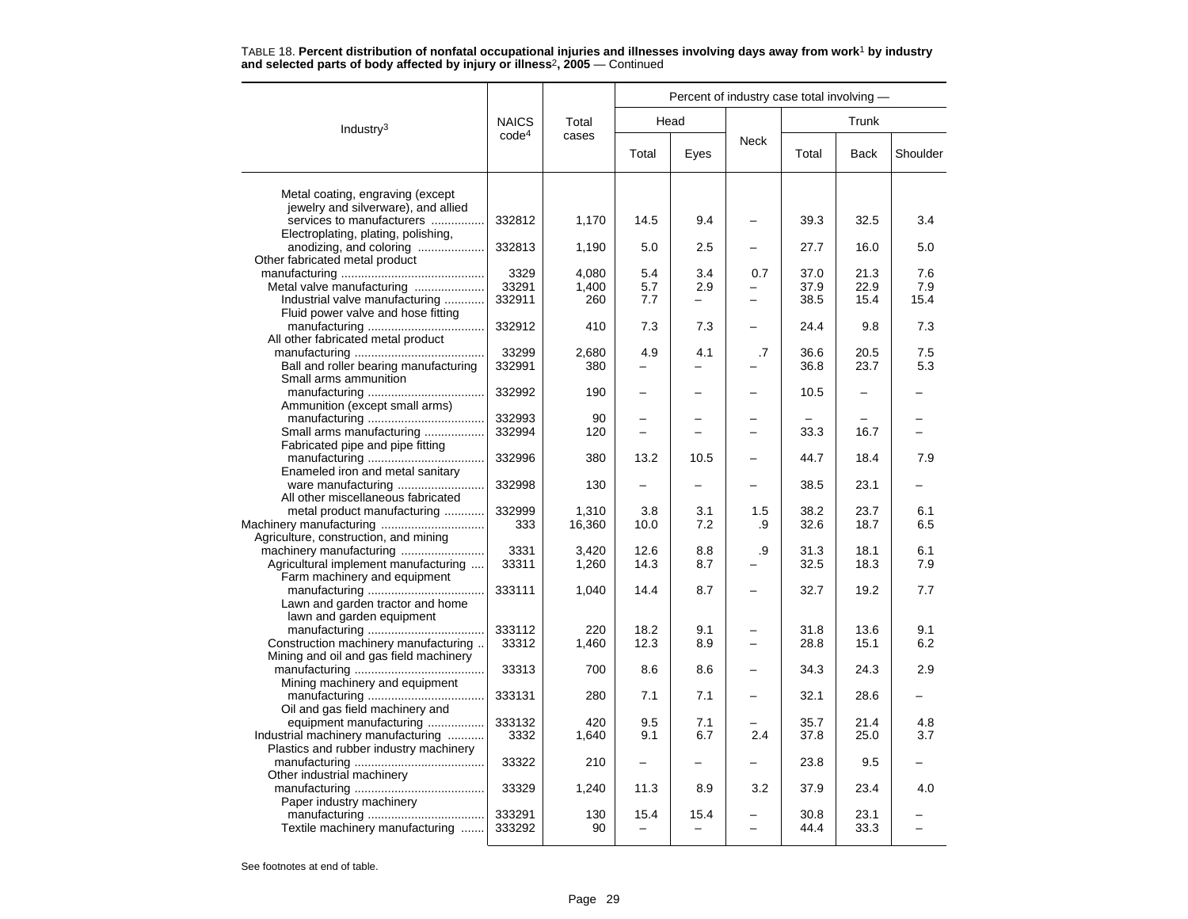|                                                                |                   |              | Percent of industry case total involving - |      |             |              |              |          |  |  |  |
|----------------------------------------------------------------|-------------------|--------------|--------------------------------------------|------|-------------|--------------|--------------|----------|--|--|--|
| Industry $3$                                                   | <b>NAICS</b>      | Total        |                                            | Head |             | Trunk        |              |          |  |  |  |
|                                                                | code <sup>4</sup> | cases        | Total                                      | Eyes | <b>Neck</b> | Total        | <b>Back</b>  | Shoulder |  |  |  |
| Metal coating, engraving (except                               |                   |              |                                            |      |             |              |              |          |  |  |  |
| jewelry and silverware), and allied                            |                   |              |                                            |      |             |              |              |          |  |  |  |
| services to manufacturers                                      | 332812            | 1,170        | 14.5                                       | 9.4  |             | 39.3         | 32.5         | 3.4      |  |  |  |
| Electroplating, plating, polishing,                            |                   |              |                                            |      |             |              |              |          |  |  |  |
| anodizing, and coloring                                        | 332813            | 1,190        | 5.0                                        | 2.5  |             | 27.7         | 16.0         | 5.0      |  |  |  |
| Other fabricated metal product                                 |                   |              |                                            |      |             |              |              |          |  |  |  |
|                                                                | 3329              | 4.080        | 5.4                                        | 3.4  | 0.7         | 37.0         | 21.3         | 7.6      |  |  |  |
| Metal valve manufacturing                                      | 33291             | 1,400        | 5.7                                        | 2.9  |             | 37.9         | 22.9         | 7.9      |  |  |  |
| Industrial valve manufacturing                                 | 332911            | 260          | 7.7                                        | Ξ.   |             | 38.5         | 15.4         | 15.4     |  |  |  |
| Fluid power valve and hose fitting                             |                   |              |                                            |      |             |              |              |          |  |  |  |
|                                                                | 332912            | 410          | 7.3                                        | 7.3  |             | 24.4         | 9.8          | 7.3      |  |  |  |
| All other fabricated metal product                             | 33299             |              | 4.9                                        | 4.1  |             |              |              | 7.5      |  |  |  |
|                                                                | 332991            | 2,680<br>380 |                                            |      | .7          | 36.6<br>36.8 | 20.5<br>23.7 | 5.3      |  |  |  |
| Ball and roller bearing manufacturing<br>Small arms ammunition |                   |              |                                            |      |             |              |              |          |  |  |  |
|                                                                | 332992            | 190          |                                            |      |             | 10.5         |              |          |  |  |  |
| Ammunition (except small arms)                                 |                   |              |                                            |      |             |              |              |          |  |  |  |
|                                                                | 332993            | 90           |                                            |      |             |              |              |          |  |  |  |
| Small arms manufacturing                                       | 332994            | 120          | $\equiv$                                   | $=$  | $=$         | 33.3         | 16.7         |          |  |  |  |
| Fabricated pipe and pipe fitting                               |                   |              |                                            |      |             |              |              |          |  |  |  |
|                                                                | 332996            | 380          | 13.2                                       | 10.5 |             | 44.7         | 18.4         | 7.9      |  |  |  |
| Enameled iron and metal sanitary                               |                   |              |                                            |      |             |              |              |          |  |  |  |
|                                                                | 332998            | 130          |                                            |      |             | 38.5         | 23.1         |          |  |  |  |
| All other miscellaneous fabricated                             |                   |              |                                            |      |             |              |              |          |  |  |  |
| metal product manufacturing                                    | 332999            | 1,310        | 3.8                                        | 3.1  | 1.5         | 38.2         | 23.7         | 6.1      |  |  |  |
|                                                                | 333               | 16,360       | 10.0                                       | 7.2  | .9          | 32.6         | 18.7         | 6.5      |  |  |  |
| Agriculture, construction, and mining                          |                   |              |                                            |      |             |              |              |          |  |  |  |
|                                                                | 3331              | 3,420        | 12.6                                       | 8.8  | .9          | 31.3         | 18.1         | 6.1      |  |  |  |
| Agricultural implement manufacturing                           | 33311             | 1,260        | 14.3                                       | 8.7  |             | 32.5         | 18.3         | 7.9      |  |  |  |
| Farm machinery and equipment                                   |                   |              |                                            |      |             |              |              |          |  |  |  |
|                                                                | 333111            | 1,040        | 14.4                                       | 8.7  |             | 32.7         | 19.2         | 7.7      |  |  |  |
| Lawn and garden tractor and home                               |                   |              |                                            |      |             |              |              |          |  |  |  |
| lawn and garden equipment                                      | 333112            | 220          | 18.2                                       | 9.1  |             | 31.8         | 13.6         | 9.1      |  |  |  |
| Construction machinery manufacturing                           | 33312             | 1,460        | 12.3                                       | 8.9  |             | 28.8         | 15.1         | 6.2      |  |  |  |
| Mining and oil and gas field machinery                         |                   |              |                                            |      |             |              |              |          |  |  |  |
|                                                                | 33313             | 700          | 8.6                                        | 8.6  |             | 34.3         | 24.3         | 2.9      |  |  |  |
| Mining machinery and equipment                                 |                   |              |                                            |      |             |              |              |          |  |  |  |
|                                                                | 333131            | 280          | 7.1                                        | 7.1  |             | 32.1         | 28.6         |          |  |  |  |
| Oil and gas field machinery and                                |                   |              |                                            |      |             |              |              |          |  |  |  |
| equipment manufacturing                                        | 333132            | 420          | 9.5                                        | 7.1  |             | 35.7         | 21.4         | 4.8      |  |  |  |
| Industrial machinery manufacturing                             | 3332              | 1,640        | 9.1                                        | 6.7  | 2.4         | 37.8         | 25.0         | 3.7      |  |  |  |
| Plastics and rubber industry machinery                         |                   |              |                                            |      |             |              |              |          |  |  |  |
|                                                                | 33322             | 210          |                                            |      |             | 23.8         | 9.5          |          |  |  |  |
| Other industrial machinery                                     |                   |              |                                            |      |             |              |              |          |  |  |  |
|                                                                | 33329             | 1,240        | 11.3                                       | 8.9  | 3.2         | 37.9         | 23.4         | 4.0      |  |  |  |
| Paper industry machinery                                       |                   |              |                                            |      |             |              |              |          |  |  |  |
|                                                                | 333291            | 130          | 15.4                                       | 15.4 |             | 30.8         | 23.1         |          |  |  |  |
| Textile machinery manufacturing                                | 333292            | 90           |                                            |      |             | 44.4         | 33.3         |          |  |  |  |
|                                                                |                   |              |                                            |      |             |              |              |          |  |  |  |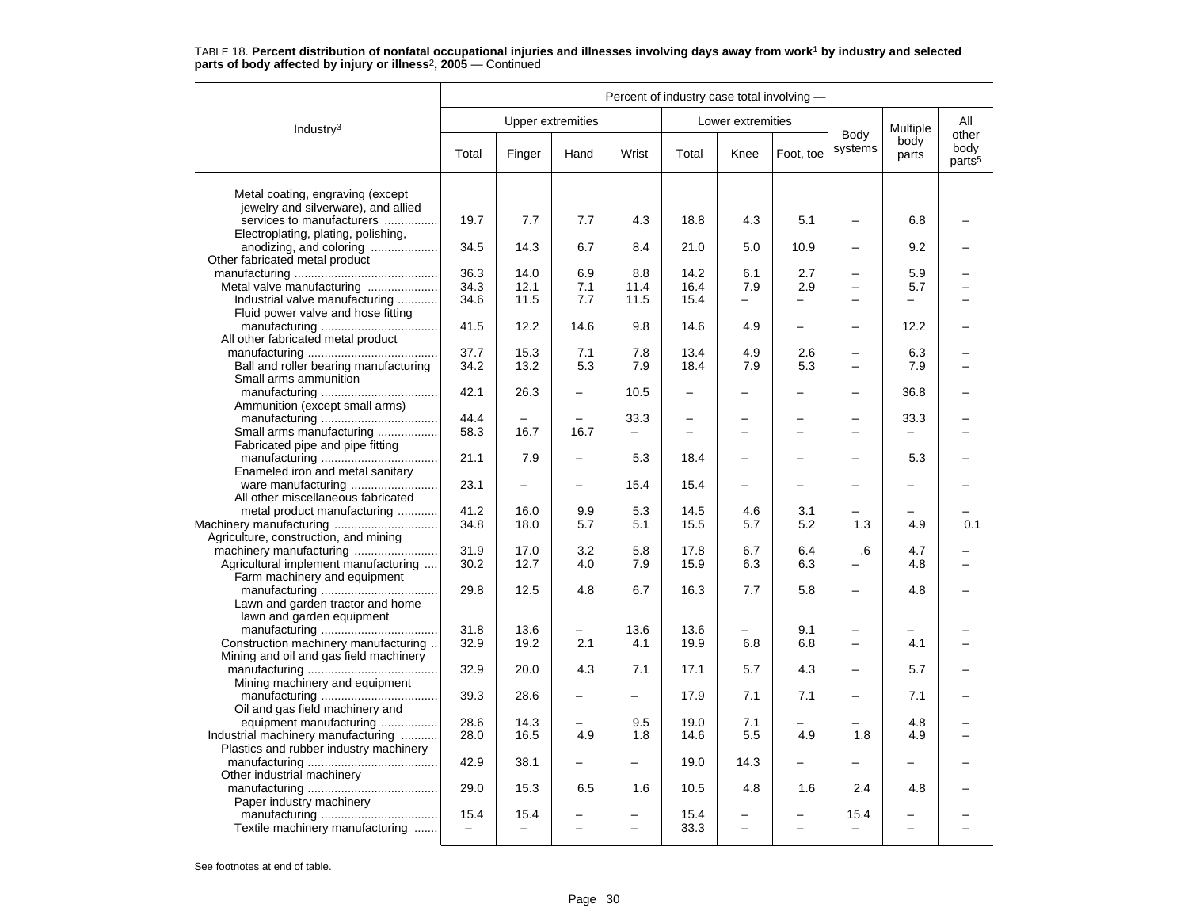|                                        | Percent of industry case total involving - |                          |                          |                                  |                                      |                               |                          |                                    |                          |                                     |
|----------------------------------------|--------------------------------------------|--------------------------|--------------------------|----------------------------------|--------------------------------------|-------------------------------|--------------------------|------------------------------------|--------------------------|-------------------------------------|
| Industry $3$                           |                                            |                          | Upper extremities        |                                  |                                      | Lower extremities             |                          |                                    | Multiple                 | All                                 |
|                                        | Total                                      | Finger                   | Hand                     | Wrist                            | Total                                | Knee                          | Foot. toe                | Body<br>systems                    | body<br>parts            | other<br>body<br>parts <sup>5</sup> |
| Metal coating, engraving (except       |                                            |                          |                          |                                  |                                      |                               |                          |                                    |                          |                                     |
| jewelry and silverware), and allied    |                                            |                          |                          |                                  |                                      |                               |                          |                                    |                          |                                     |
| services to manufacturers              | 19.7                                       | 7.7                      | 7.7                      | 4.3                              | 18.8                                 | 4.3                           | 5.1                      |                                    | 6.8                      |                                     |
| Electroplating, plating, polishing,    |                                            |                          |                          |                                  |                                      |                               |                          |                                    |                          |                                     |
| anodizing, and coloring                | 34.5                                       | 14.3                     | 6.7                      | 8.4                              | 21.0                                 | 5.0                           | 10.9                     | $\overline{\phantom{0}}$           | 9.2                      |                                     |
| Other fabricated metal product         |                                            |                          |                          |                                  |                                      |                               |                          |                                    |                          |                                     |
|                                        | 36.3                                       | 14.0                     | 6.9                      | 8.8                              | 14.2                                 | 6.1                           | 2.7                      | $\overline{\phantom{0}}$           | 5.9                      |                                     |
| Metal valve manufacturing              | 34.3                                       | 12.1                     | 7.1                      | 11.4                             | 16.4                                 | 7.9                           | 2.9                      | $\equiv$                           | 5.7                      |                                     |
| Industrial valve manufacturing         | 34.6                                       | 11.5                     | 7.7                      | 11.5                             | 15.4                                 | $\overline{\phantom{0}}$      | $\overline{\phantom{0}}$ | $\sim$                             |                          |                                     |
| Fluid power valve and hose fitting     |                                            |                          |                          |                                  |                                      |                               |                          |                                    |                          |                                     |
|                                        | 41.5                                       | 12.2                     | 14.6                     | 9.8                              | 14.6                                 | 4.9                           | $\overline{\phantom{0}}$ | $\overline{\phantom{0}}$           | 12.2                     |                                     |
| All other fabricated metal product     |                                            |                          |                          |                                  |                                      |                               |                          |                                    |                          |                                     |
|                                        | 37.7                                       | 15.3                     | 7.1                      | 7.8                              | 13.4                                 | 4.9                           | 2.6                      | $\overline{\phantom{0}}$           | 6.3                      |                                     |
| Ball and roller bearing manufacturing  | 34.2                                       | 13.2                     | 5.3                      | 7.9                              | 18.4                                 | 7.9                           | 5.3                      | $\overline{\phantom{0}}$           | 7.9                      |                                     |
| Small arms ammunition                  |                                            |                          |                          |                                  |                                      |                               |                          |                                    |                          |                                     |
|                                        | 42.1                                       | 26.3                     |                          | 10.5                             | $\overline{a}$                       | <u>.</u>                      |                          | $\overline{\phantom{0}}$           | 36.8                     |                                     |
| Ammunition (except small arms)         |                                            |                          |                          |                                  |                                      |                               |                          |                                    |                          |                                     |
| Small arms manufacturing               | 44.4<br>58.3                               | 16.7                     | 16.7                     | 33.3<br>$\overline{\phantom{0}}$ | $\overline{\phantom{0}}$<br>$\equiv$ | -<br>$\overline{\phantom{0}}$ | $\equiv$                 | $\overline{\phantom{0}}$<br>$\sim$ | 33.3                     |                                     |
| Fabricated pipe and pipe fitting       |                                            |                          |                          |                                  |                                      |                               |                          |                                    |                          |                                     |
|                                        | 21.1                                       | 7.9                      | $\equiv$                 | 5.3                              | 18.4                                 | $\overline{\phantom{0}}$      |                          | $\overline{\phantom{0}}$           | 5.3                      |                                     |
| Enameled iron and metal sanitary       |                                            |                          |                          |                                  |                                      |                               |                          |                                    |                          |                                     |
|                                        | 23.1                                       |                          | -                        | 15.4                             | 15.4                                 | -                             |                          | $\equiv$                           |                          |                                     |
| All other miscellaneous fabricated     |                                            |                          |                          |                                  |                                      |                               |                          |                                    |                          |                                     |
| metal product manufacturing            | 41.2                                       | 16.0                     | 9.9                      | 5.3                              | 14.5                                 | 4.6                           | 3.1                      |                                    |                          |                                     |
|                                        | 34.8                                       | 18.0                     | 5.7                      | 5.1                              | 15.5                                 | 5.7                           | 5.2                      | 1.3                                | 4.9                      | 0.1                                 |
| Agriculture, construction, and mining  |                                            |                          |                          |                                  |                                      |                               |                          |                                    |                          |                                     |
| machinery manufacturing                | 31.9                                       | 17.0                     | 3.2                      | 5.8                              | 17.8                                 | 6.7                           | 6.4                      | .6                                 | 4.7                      |                                     |
| Agricultural implement manufacturing   | 30.2                                       | 12.7                     | 4.0                      | 7.9                              | 15.9                                 | 6.3                           | 6.3                      |                                    | 4.8                      |                                     |
| Farm machinery and equipment           |                                            |                          |                          |                                  |                                      |                               |                          |                                    |                          |                                     |
|                                        | 29.8                                       | 12.5                     | 4.8                      | 6.7                              | 16.3                                 | 7.7                           | 5.8                      | $\overline{\phantom{0}}$           | 4.8                      |                                     |
| Lawn and garden tractor and home       |                                            |                          |                          |                                  |                                      |                               |                          |                                    |                          |                                     |
| lawn and garden equipment              |                                            |                          |                          |                                  |                                      |                               |                          |                                    |                          |                                     |
|                                        | 31.8                                       | 13.6                     | $\equiv$                 | 13.6                             | 13.6                                 |                               | 9.1                      |                                    |                          |                                     |
| Construction machinery manufacturing   | 32.9                                       | 19.2                     | 2.1                      | 4.1                              | 19.9                                 | 6.8                           | 6.8                      | $\overline{\phantom{m}}$           | 4.1                      |                                     |
| Mining and oil and gas field machinery |                                            |                          |                          | 7.1                              |                                      |                               | 4.3                      | $\overline{\phantom{m}}$           |                          |                                     |
| Mining machinery and equipment         | 32.9                                       | 20.0                     | 4.3                      |                                  | 17.1                                 | 5.7                           |                          |                                    | 5.7                      |                                     |
|                                        | 39.3                                       | 28.6                     |                          |                                  | 17.9                                 | 7.1                           | 7.1                      | $\overline{\phantom{0}}$           | 7.1                      |                                     |
| Oil and gas field machinery and        |                                            |                          |                          |                                  |                                      |                               |                          |                                    |                          |                                     |
| equipment manufacturing                | 28.6                                       | 14.3                     |                          | 9.5                              | 19.0                                 | 7.1                           |                          |                                    | 4.8                      |                                     |
| Industrial machinery manufacturing     | 28.0                                       | 16.5                     | 4.9                      | 1.8                              | 14.6                                 | 5.5                           | 4.9                      | 1.8                                | 4.9                      |                                     |
| Plastics and rubber industry machinery |                                            |                          |                          |                                  |                                      |                               |                          |                                    |                          |                                     |
|                                        | 42.9                                       | 38.1                     | $\overline{\phantom{0}}$ | $\equiv$                         | 19.0                                 | 14.3                          | $\overline{\phantom{0}}$ |                                    |                          |                                     |
| Other industrial machinery             |                                            |                          |                          |                                  |                                      |                               |                          |                                    |                          |                                     |
|                                        | 29.0                                       | 15.3                     | 6.5                      | 1.6                              | 10.5                                 | 4.8                           | 1.6                      | 2.4                                | 4.8                      |                                     |
| Paper industry machinery               |                                            |                          |                          |                                  |                                      |                               |                          |                                    |                          |                                     |
|                                        | 15.4                                       | 15.4                     |                          |                                  | 15.4                                 |                               |                          | 15.4                               |                          |                                     |
| Textile machinery manufacturing        | $\overline{\phantom{0}}$                   | $\overline{\phantom{0}}$ | $\overline{\phantom{0}}$ | $\overline{\phantom{0}}$         | 33.3                                 | $\overline{\phantom{0}}$      | $\overline{\phantom{0}}$ |                                    | $\overline{\phantom{0}}$ |                                     |
|                                        |                                            |                          |                          |                                  |                                      |                               |                          |                                    |                          |                                     |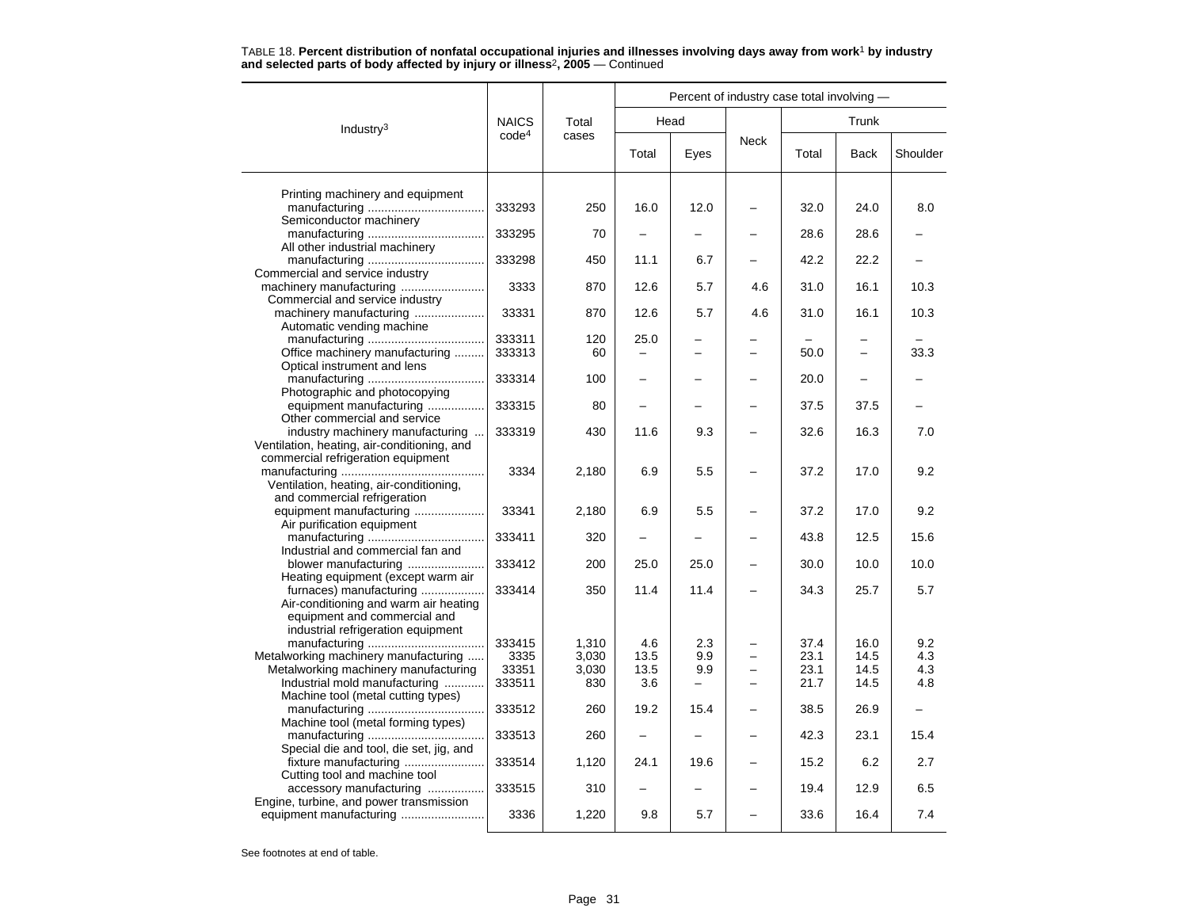|                                                                    |                   |       |                          |                          | Percent of industry case total involving - |       |       |          |
|--------------------------------------------------------------------|-------------------|-------|--------------------------|--------------------------|--------------------------------------------|-------|-------|----------|
| Industry <sup>3</sup>                                              | <b>NAICS</b>      | Total |                          | Head                     |                                            |       | Trunk |          |
|                                                                    | code <sup>4</sup> | cases | Total                    | Eyes                     | <b>Neck</b>                                | Total | Back  | Shoulder |
| Printing machinery and equipment                                   |                   |       |                          |                          |                                            |       |       |          |
|                                                                    | 333293            | 250   | 16.0                     | 12.0                     |                                            | 32.0  | 24.0  | 8.0      |
| Semiconductor machinery                                            |                   |       |                          |                          |                                            |       |       |          |
|                                                                    | 333295            | 70    |                          |                          |                                            | 28.6  | 28.6  |          |
| All other industrial machinery                                     |                   |       |                          |                          |                                            |       |       |          |
| Commercial and service industry                                    | 333298            | 450   | 11.1                     | 6.7                      |                                            | 42.2  | 22.2  |          |
|                                                                    | 3333              | 870   | 12.6                     | 5.7                      | 4.6                                        | 31.0  | 16.1  | 10.3     |
| Commercial and service industry                                    |                   |       |                          |                          |                                            |       |       |          |
| machinery manufacturing                                            | 33331             | 870   | 12.6                     | 5.7                      | 4.6                                        | 31.0  | 16.1  | 10.3     |
| Automatic vending machine                                          |                   |       |                          |                          |                                            |       |       |          |
|                                                                    | 333311            | 120   | 25.0                     | -                        |                                            |       | -     |          |
| Office machinery manufacturing                                     | 333313            | 60    | $\overline{\phantom{0}}$ | $\overline{\phantom{0}}$ |                                            | 50.0  | ÷.    | 33.3     |
| Optical instrument and lens                                        |                   |       |                          |                          |                                            |       |       |          |
|                                                                    | 333314            | 100   | $\overline{\phantom{0}}$ |                          |                                            | 20.0  |       |          |
| Photographic and photocopying                                      |                   |       |                          |                          |                                            |       |       |          |
| equipment manufacturing                                            | 333315            | 80    |                          |                          |                                            | 37.5  | 37.5  |          |
| Other commercial and service<br>industry machinery manufacturing   | 333319            |       |                          | 9.3                      |                                            | 32.6  | 16.3  | 7.0      |
| Ventilation, heating, air-conditioning, and                        |                   | 430   | 11.6                     |                          |                                            |       |       |          |
| commercial refrigeration equipment                                 |                   |       |                          |                          |                                            |       |       |          |
|                                                                    | 3334              | 2,180 | 6.9                      | 5.5                      |                                            | 37.2  | 17.0  | 9.2      |
| Ventilation, heating, air-conditioning,                            |                   |       |                          |                          |                                            |       |       |          |
| and commercial refrigeration                                       |                   |       |                          |                          |                                            |       |       |          |
| equipment manufacturing                                            | 33341             | 2,180 | 6.9                      | 5.5                      |                                            | 37.2  | 17.0  | 9.2      |
| Air purification equipment                                         |                   |       |                          |                          |                                            |       |       |          |
|                                                                    | 333411            | 320   |                          |                          |                                            | 43.8  | 12.5  | 15.6     |
| Industrial and commercial fan and                                  |                   |       |                          |                          |                                            |       |       |          |
| blower manufacturing                                               | 333412            | 200   | 25.0                     | 25.0                     |                                            | 30.0  | 10.0  | 10.0     |
| Heating equipment (except warm air                                 |                   |       |                          |                          |                                            |       |       |          |
| furnaces) manufacturing                                            | 333414            | 350   | 11.4                     | 11.4                     |                                            | 34.3  | 25.7  | 5.7      |
| Air-conditioning and warm air heating                              |                   |       |                          |                          |                                            |       |       |          |
| equipment and commercial and<br>industrial refrigeration equipment |                   |       |                          |                          |                                            |       |       |          |
|                                                                    | 333415            | 1,310 | 4.6                      | 2.3                      |                                            | 37.4  | 16.0  | 9.2      |
| Metalworking machinery manufacturing                               | 3335              | 3,030 | 13.5                     | 9.9                      |                                            | 23.1  | 14.5  | 4.3      |
| Metalworking machinery manufacturing                               | 33351             | 3,030 | 13.5                     | 9.9                      |                                            | 23.1  | 14.5  | 4.3      |
| Industrial mold manufacturing                                      | 333511            | 830   | 3.6                      | -                        |                                            | 21.7  | 14.5  | 4.8      |
| Machine tool (metal cutting types)                                 |                   |       |                          |                          |                                            |       |       |          |
|                                                                    | 333512            | 260   | 19.2                     | 15.4                     |                                            | 38.5  | 26.9  |          |
| Machine tool (metal forming types)                                 |                   |       |                          |                          |                                            |       |       |          |
|                                                                    | 333513            | 260   |                          |                          |                                            | 42.3  | 23.1  | 15.4     |
| Special die and tool, die set, jig, and                            |                   |       |                          |                          |                                            |       |       |          |

See footnotes at end of table.

Cutting tool and machine tool

Engine, turbine, and power transmission

fixture manufacturing ........................ 333514 1,120 24.1 19.6 – 15.2 6.2 2.7

accessory manufacturing ................. 333515 310 – – – 19.4 12.9 6.5

equipment manufacturing ......................... 3336 1,220 9.8 5.7 – 33.6 16.4 7.4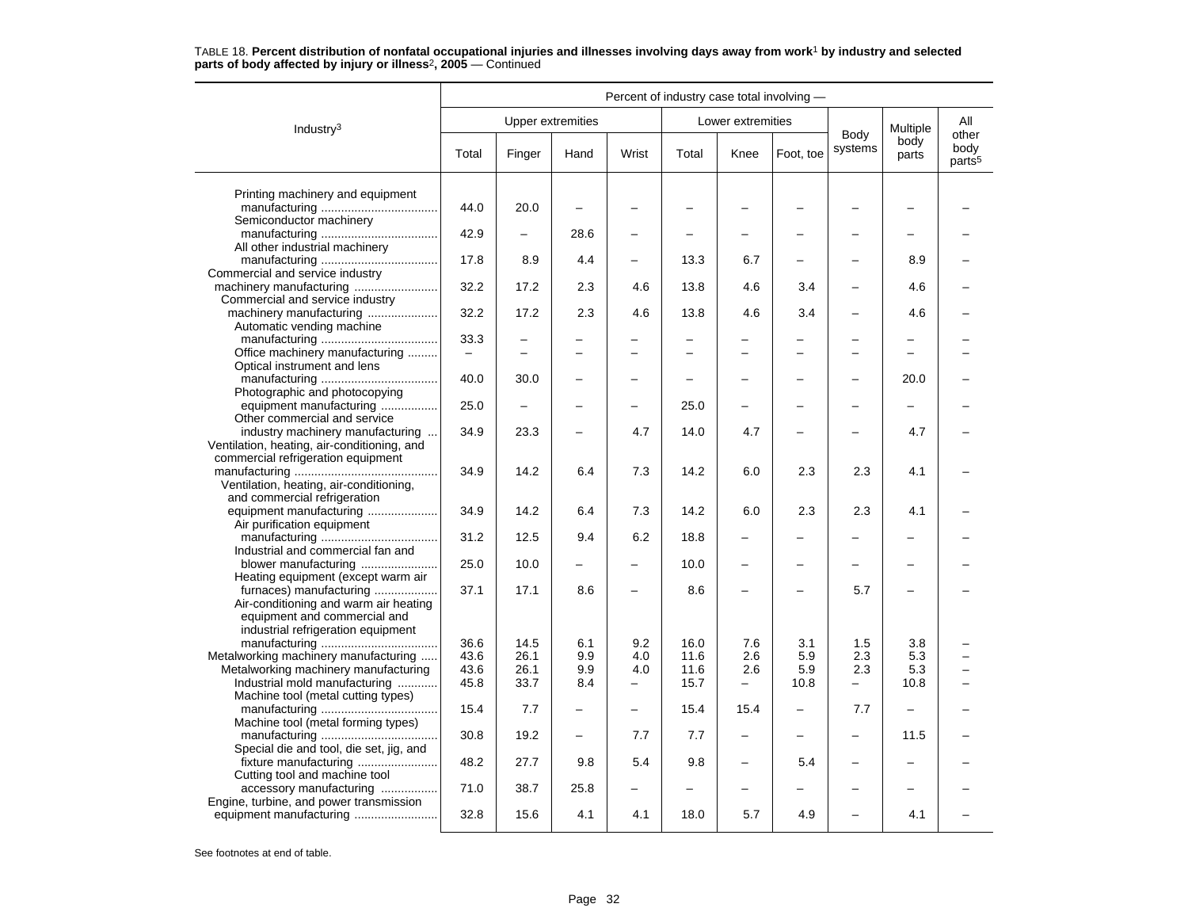|                                                                                   | Percent of industry case total involving - |        |                          |                          |       |                          |                          |                          |                   |                                     |
|-----------------------------------------------------------------------------------|--------------------------------------------|--------|--------------------------|--------------------------|-------|--------------------------|--------------------------|--------------------------|-------------------|-------------------------------------|
| Industry <sup>3</sup>                                                             |                                            |        | <b>Upper extremities</b> |                          |       | Lower extremities        |                          |                          | Multiple          | All                                 |
|                                                                                   | Total                                      | Finger | Hand                     | Wrist                    | Total | Knee                     | Foot, toe                | Body<br>systems          | body<br>parts     | other<br>body<br>parts <sup>5</sup> |
| Printing machinery and equipment                                                  |                                            |        |                          |                          |       |                          |                          |                          |                   |                                     |
| Semiconductor machinery                                                           | 44.0                                       | 20.0   |                          |                          |       |                          |                          |                          |                   |                                     |
|                                                                                   | 42.9                                       |        | 28.6                     | $\overline{\phantom{0}}$ |       |                          |                          |                          |                   |                                     |
| All other industrial machinery                                                    | 17.8                                       | 8.9    | 4.4                      |                          | 13.3  | 6.7                      |                          |                          | 8.9               |                                     |
| Commercial and service industry<br>machinery manufacturing                        | 32.2                                       | 17.2   | 2.3                      | 4.6                      | 13.8  | 4.6                      | 3.4                      | -                        | 4.6               |                                     |
| Commercial and service industry<br>machinery manufacturing                        | 32.2                                       | 17.2   | 2.3                      | 4.6                      | 13.8  | 4.6                      | 3.4                      |                          | 4.6               |                                     |
| Automatic vending machine                                                         | 33.3                                       |        |                          |                          |       |                          |                          |                          |                   |                                     |
| Office machinery manufacturing                                                    | $\equiv$                                   |        |                          | $\overline{\phantom{0}}$ |       |                          |                          |                          |                   |                                     |
| Optical instrument and lens                                                       |                                            |        |                          |                          |       |                          |                          |                          |                   |                                     |
| Photographic and photocopying                                                     | 40.0                                       | 30.0   |                          |                          |       |                          |                          |                          | 20.0              |                                     |
| equipment manufacturing                                                           | 25.0                                       |        |                          |                          | 25.0  |                          |                          |                          |                   |                                     |
| Other commercial and service<br>industry machinery manufacturing                  | 34.9                                       | 23.3   |                          | 4.7                      | 14.0  | 4.7                      |                          |                          | 4.7               |                                     |
| Ventilation, heating, air-conditioning, and<br>commercial refrigeration equipment |                                            |        |                          |                          |       |                          |                          |                          |                   |                                     |
| Ventilation, heating, air-conditioning,                                           | 34.9                                       | 14.2   | 6.4                      | 7.3                      | 14.2  | 6.0                      | 2.3                      | 2.3                      | 4.1               |                                     |
| and commercial refrigeration                                                      | 34.9                                       | 14.2   | 6.4                      | 7.3                      | 14.2  | 6.0                      | 2.3                      | 2.3                      | 4.1               |                                     |
| equipment manufacturing<br>Air purification equipment                             |                                            |        |                          |                          |       |                          |                          |                          |                   |                                     |
| Industrial and commercial fan and                                                 | 31.2                                       | 12.5   | 9.4                      | 6.2                      | 18.8  |                          |                          |                          |                   |                                     |
| blower manufacturing<br>Heating equipment (except warm air                        | 25.0                                       | 10.0   |                          |                          | 10.0  | -                        |                          |                          |                   |                                     |
| furnaces) manufacturing<br>Air-conditioning and warm air heating                  | 37.1                                       | 17.1   | 8.6                      | $\overline{\phantom{0}}$ | 8.6   | $\overline{\phantom{0}}$ |                          | 5.7                      |                   |                                     |
| equipment and commercial and<br>industrial refrigeration equipment                |                                            |        |                          |                          |       |                          |                          |                          |                   |                                     |
|                                                                                   | 36.6                                       | 14.5   | 6.1                      | 9.2                      | 16.0  | 7.6                      | 3.1                      | 1.5                      | 3.8               |                                     |
| Metalworking machinery manufacturing                                              | 43.6                                       | 26.1   | 9.9                      | 4.0                      | 11.6  | 2.6                      | 5.9                      | 2.3                      | 5.3               |                                     |
| Metalworking machinery manufacturing                                              | 43.6                                       | 26.1   | 9.9                      | 4.0                      | 11.6  | 2.6                      | 5.9                      | 2.3                      | 5.3               |                                     |
| Industrial mold manufacturing<br>Machine tool (metal cutting types)               | 45.8                                       | 33.7   | 8.4                      | -                        | 15.7  |                          | 10.8                     |                          | 10.8              |                                     |
| Machine tool (metal forming types)                                                | 15.4                                       | 7.7    | -                        | $\equiv$                 | 15.4  | 15.4                     | $\overline{\phantom{0}}$ | 7.7                      | $\qquad \qquad -$ |                                     |
| Special die and tool, die set, jig, and                                           | 30.8                                       | 19.2   |                          | 7.7                      | 7.7   | -                        |                          | $\overline{\phantom{0}}$ | 11.5              |                                     |
|                                                                                   | 48.2                                       | 27.7   | 9.8                      | 5.4                      | 9.8   |                          | 5.4                      |                          |                   |                                     |
| Cutting tool and machine tool<br>accessory manufacturing                          | 71.0                                       | 38.7   | 25.8                     | -                        |       |                          |                          |                          |                   |                                     |
| Engine, turbine, and power transmission                                           | 32.8                                       | 15.6   | 4.1                      | 4.1                      | 18.0  | 5.7                      | 4.9                      |                          | 4.1               |                                     |
|                                                                                   |                                            |        |                          |                          |       |                          |                          |                          |                   |                                     |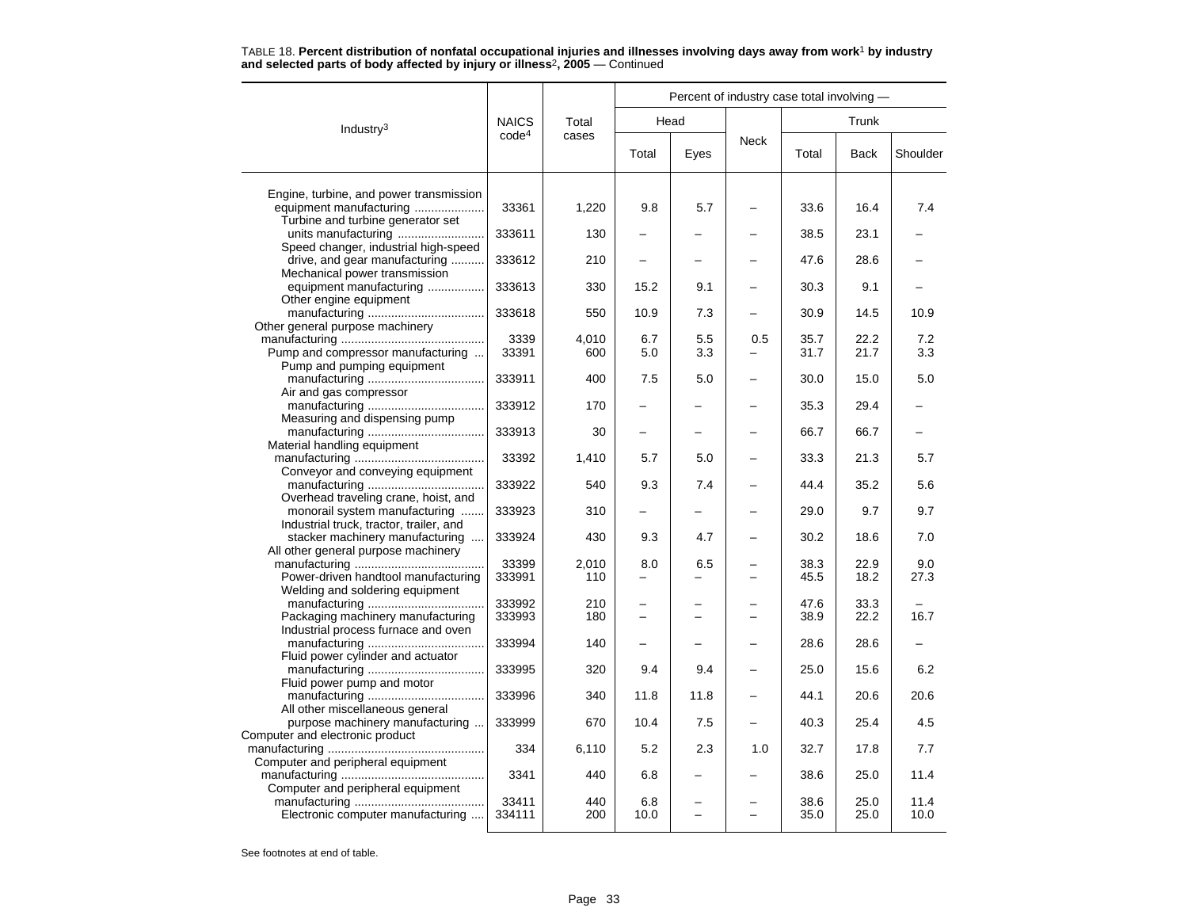| <b>NAICS</b><br>Head<br>Trunk<br>Total<br>Industry $3$<br>code <sup>4</sup><br>cases<br><b>Neck</b><br>Total<br>Total<br><b>Back</b><br>Shoulder<br>Eyes<br>Engine, turbine, and power transmission<br>equipment manufacturing<br>33361<br>1,220<br>9.8<br>5.7<br>33.6<br>16.4<br>7.4<br>Turbine and turbine generator set<br>units manufacturing<br>333611<br>38.5<br>23.1<br>130<br>Speed changer, industrial high-speed<br>drive, and gear manufacturing<br>333612<br>210<br>47.6<br>28.6<br>Mechanical power transmission<br>equipment manufacturing<br>333613<br>330<br>15.2<br>9.1<br>30.3<br>9.1<br>Other engine equipment<br>333618<br>550<br>10.9<br>7.3<br>30.9<br>14.5<br>10.9<br>Other general purpose machinery<br>3339<br>4,010<br>35.7<br>22.2<br>6.7<br>5.5<br>0.5<br>7.2<br>Pump and compressor manufacturing<br>33391<br>600<br>5.0<br>3.3<br>31.7<br>21.7<br>3.3<br>Pump and pumping equipment<br>333911<br>400<br>7.5<br>5.0<br>5.0<br>30.0<br>15.0<br>Air and gas compressor<br>333912<br>35.3<br>29.4<br>170<br>Measuring and dispensing pump<br>333913<br>66.7<br>66.7<br>30<br>Material handling equipment<br>33392<br>33.3<br>21.3<br>5.7<br>1,410<br>5.7<br>5.0<br>Conveyor and conveying equipment<br>333922<br>540<br>9.3<br>7.4<br>44.4<br>35.2<br>5.6<br>Overhead traveling crane, hoist, and<br>333923<br>monorail system manufacturing<br>310<br>29.0<br>9.7<br>9.7<br>Industrial truck, tractor, trailer, and<br>stacker machinery manufacturing<br>333924<br>430<br>9.3<br>4.7<br>30.2<br>18.6<br>7.0<br>All other general purpose machinery<br>33399<br>2,010<br>8.0<br>6.5<br>38.3<br>22.9<br>9.0<br>Power-driven handtool manufacturing<br>333991<br>110<br>45.5<br>18.2<br>27.3<br>Welding and soldering equipment<br>333992<br>210<br>33.3<br>47.6<br>Packaging machinery manufacturing<br>333993<br>22.2<br>16.7<br>180<br>38.9<br>Industrial process furnace and oven<br>333994<br>140<br>28.6<br>28.6<br>Fluid power cylinder and actuator<br>333995<br>320<br>9.4<br>9.4<br>25.0<br>15.6<br>6.2<br>Fluid power pump and motor<br>333996<br>340<br>11.8<br>11.8<br>44.1<br>20.6<br>20.6<br>All other miscellaneous general<br>333999<br>25.4<br>4.5<br>purpose machinery manufacturing<br>670<br>10.4<br>7.5<br>40.3<br>Computer and electronic product<br>334<br>6,110<br>5.2<br>2.3<br>32.7<br>17.8<br>7.7<br>1.0<br>Computer and peripheral equipment<br>3341<br>11.4<br>440<br>6.8<br>38.6<br>25.0<br>Computer and peripheral equipment<br>33411<br>440<br>25.0<br>6.8<br>38.6<br>11.4<br>Electronic computer manufacturing<br>200<br>35.0<br>25.0<br>10.0<br>334111<br>10.0 |  | Percent of industry case total involving - |  |  |  |  |  |  |  |  |
|----------------------------------------------------------------------------------------------------------------------------------------------------------------------------------------------------------------------------------------------------------------------------------------------------------------------------------------------------------------------------------------------------------------------------------------------------------------------------------------------------------------------------------------------------------------------------------------------------------------------------------------------------------------------------------------------------------------------------------------------------------------------------------------------------------------------------------------------------------------------------------------------------------------------------------------------------------------------------------------------------------------------------------------------------------------------------------------------------------------------------------------------------------------------------------------------------------------------------------------------------------------------------------------------------------------------------------------------------------------------------------------------------------------------------------------------------------------------------------------------------------------------------------------------------------------------------------------------------------------------------------------------------------------------------------------------------------------------------------------------------------------------------------------------------------------------------------------------------------------------------------------------------------------------------------------------------------------------------------------------------------------------------------------------------------------------------------------------------------------------------------------------------------------------------------------------------------------------------------------------------------------------------------------------------------------------------------------------------------------------------------------------------------------------------------------------------------------------------------------------------------------------------------------------------------------------------------------------------------------------------|--|--------------------------------------------|--|--|--|--|--|--|--|--|
|                                                                                                                                                                                                                                                                                                                                                                                                                                                                                                                                                                                                                                                                                                                                                                                                                                                                                                                                                                                                                                                                                                                                                                                                                                                                                                                                                                                                                                                                                                                                                                                                                                                                                                                                                                                                                                                                                                                                                                                                                                                                                                                                                                                                                                                                                                                                                                                                                                                                                                                                                                                                                            |  |                                            |  |  |  |  |  |  |  |  |
|                                                                                                                                                                                                                                                                                                                                                                                                                                                                                                                                                                                                                                                                                                                                                                                                                                                                                                                                                                                                                                                                                                                                                                                                                                                                                                                                                                                                                                                                                                                                                                                                                                                                                                                                                                                                                                                                                                                                                                                                                                                                                                                                                                                                                                                                                                                                                                                                                                                                                                                                                                                                                            |  |                                            |  |  |  |  |  |  |  |  |
|                                                                                                                                                                                                                                                                                                                                                                                                                                                                                                                                                                                                                                                                                                                                                                                                                                                                                                                                                                                                                                                                                                                                                                                                                                                                                                                                                                                                                                                                                                                                                                                                                                                                                                                                                                                                                                                                                                                                                                                                                                                                                                                                                                                                                                                                                                                                                                                                                                                                                                                                                                                                                            |  |                                            |  |  |  |  |  |  |  |  |
|                                                                                                                                                                                                                                                                                                                                                                                                                                                                                                                                                                                                                                                                                                                                                                                                                                                                                                                                                                                                                                                                                                                                                                                                                                                                                                                                                                                                                                                                                                                                                                                                                                                                                                                                                                                                                                                                                                                                                                                                                                                                                                                                                                                                                                                                                                                                                                                                                                                                                                                                                                                                                            |  |                                            |  |  |  |  |  |  |  |  |
|                                                                                                                                                                                                                                                                                                                                                                                                                                                                                                                                                                                                                                                                                                                                                                                                                                                                                                                                                                                                                                                                                                                                                                                                                                                                                                                                                                                                                                                                                                                                                                                                                                                                                                                                                                                                                                                                                                                                                                                                                                                                                                                                                                                                                                                                                                                                                                                                                                                                                                                                                                                                                            |  |                                            |  |  |  |  |  |  |  |  |
|                                                                                                                                                                                                                                                                                                                                                                                                                                                                                                                                                                                                                                                                                                                                                                                                                                                                                                                                                                                                                                                                                                                                                                                                                                                                                                                                                                                                                                                                                                                                                                                                                                                                                                                                                                                                                                                                                                                                                                                                                                                                                                                                                                                                                                                                                                                                                                                                                                                                                                                                                                                                                            |  |                                            |  |  |  |  |  |  |  |  |
|                                                                                                                                                                                                                                                                                                                                                                                                                                                                                                                                                                                                                                                                                                                                                                                                                                                                                                                                                                                                                                                                                                                                                                                                                                                                                                                                                                                                                                                                                                                                                                                                                                                                                                                                                                                                                                                                                                                                                                                                                                                                                                                                                                                                                                                                                                                                                                                                                                                                                                                                                                                                                            |  |                                            |  |  |  |  |  |  |  |  |
|                                                                                                                                                                                                                                                                                                                                                                                                                                                                                                                                                                                                                                                                                                                                                                                                                                                                                                                                                                                                                                                                                                                                                                                                                                                                                                                                                                                                                                                                                                                                                                                                                                                                                                                                                                                                                                                                                                                                                                                                                                                                                                                                                                                                                                                                                                                                                                                                                                                                                                                                                                                                                            |  |                                            |  |  |  |  |  |  |  |  |
|                                                                                                                                                                                                                                                                                                                                                                                                                                                                                                                                                                                                                                                                                                                                                                                                                                                                                                                                                                                                                                                                                                                                                                                                                                                                                                                                                                                                                                                                                                                                                                                                                                                                                                                                                                                                                                                                                                                                                                                                                                                                                                                                                                                                                                                                                                                                                                                                                                                                                                                                                                                                                            |  |                                            |  |  |  |  |  |  |  |  |
|                                                                                                                                                                                                                                                                                                                                                                                                                                                                                                                                                                                                                                                                                                                                                                                                                                                                                                                                                                                                                                                                                                                                                                                                                                                                                                                                                                                                                                                                                                                                                                                                                                                                                                                                                                                                                                                                                                                                                                                                                                                                                                                                                                                                                                                                                                                                                                                                                                                                                                                                                                                                                            |  |                                            |  |  |  |  |  |  |  |  |
|                                                                                                                                                                                                                                                                                                                                                                                                                                                                                                                                                                                                                                                                                                                                                                                                                                                                                                                                                                                                                                                                                                                                                                                                                                                                                                                                                                                                                                                                                                                                                                                                                                                                                                                                                                                                                                                                                                                                                                                                                                                                                                                                                                                                                                                                                                                                                                                                                                                                                                                                                                                                                            |  |                                            |  |  |  |  |  |  |  |  |
|                                                                                                                                                                                                                                                                                                                                                                                                                                                                                                                                                                                                                                                                                                                                                                                                                                                                                                                                                                                                                                                                                                                                                                                                                                                                                                                                                                                                                                                                                                                                                                                                                                                                                                                                                                                                                                                                                                                                                                                                                                                                                                                                                                                                                                                                                                                                                                                                                                                                                                                                                                                                                            |  |                                            |  |  |  |  |  |  |  |  |
|                                                                                                                                                                                                                                                                                                                                                                                                                                                                                                                                                                                                                                                                                                                                                                                                                                                                                                                                                                                                                                                                                                                                                                                                                                                                                                                                                                                                                                                                                                                                                                                                                                                                                                                                                                                                                                                                                                                                                                                                                                                                                                                                                                                                                                                                                                                                                                                                                                                                                                                                                                                                                            |  |                                            |  |  |  |  |  |  |  |  |
|                                                                                                                                                                                                                                                                                                                                                                                                                                                                                                                                                                                                                                                                                                                                                                                                                                                                                                                                                                                                                                                                                                                                                                                                                                                                                                                                                                                                                                                                                                                                                                                                                                                                                                                                                                                                                                                                                                                                                                                                                                                                                                                                                                                                                                                                                                                                                                                                                                                                                                                                                                                                                            |  |                                            |  |  |  |  |  |  |  |  |
|                                                                                                                                                                                                                                                                                                                                                                                                                                                                                                                                                                                                                                                                                                                                                                                                                                                                                                                                                                                                                                                                                                                                                                                                                                                                                                                                                                                                                                                                                                                                                                                                                                                                                                                                                                                                                                                                                                                                                                                                                                                                                                                                                                                                                                                                                                                                                                                                                                                                                                                                                                                                                            |  |                                            |  |  |  |  |  |  |  |  |
|                                                                                                                                                                                                                                                                                                                                                                                                                                                                                                                                                                                                                                                                                                                                                                                                                                                                                                                                                                                                                                                                                                                                                                                                                                                                                                                                                                                                                                                                                                                                                                                                                                                                                                                                                                                                                                                                                                                                                                                                                                                                                                                                                                                                                                                                                                                                                                                                                                                                                                                                                                                                                            |  |                                            |  |  |  |  |  |  |  |  |
|                                                                                                                                                                                                                                                                                                                                                                                                                                                                                                                                                                                                                                                                                                                                                                                                                                                                                                                                                                                                                                                                                                                                                                                                                                                                                                                                                                                                                                                                                                                                                                                                                                                                                                                                                                                                                                                                                                                                                                                                                                                                                                                                                                                                                                                                                                                                                                                                                                                                                                                                                                                                                            |  |                                            |  |  |  |  |  |  |  |  |
|                                                                                                                                                                                                                                                                                                                                                                                                                                                                                                                                                                                                                                                                                                                                                                                                                                                                                                                                                                                                                                                                                                                                                                                                                                                                                                                                                                                                                                                                                                                                                                                                                                                                                                                                                                                                                                                                                                                                                                                                                                                                                                                                                                                                                                                                                                                                                                                                                                                                                                                                                                                                                            |  |                                            |  |  |  |  |  |  |  |  |
|                                                                                                                                                                                                                                                                                                                                                                                                                                                                                                                                                                                                                                                                                                                                                                                                                                                                                                                                                                                                                                                                                                                                                                                                                                                                                                                                                                                                                                                                                                                                                                                                                                                                                                                                                                                                                                                                                                                                                                                                                                                                                                                                                                                                                                                                                                                                                                                                                                                                                                                                                                                                                            |  |                                            |  |  |  |  |  |  |  |  |
|                                                                                                                                                                                                                                                                                                                                                                                                                                                                                                                                                                                                                                                                                                                                                                                                                                                                                                                                                                                                                                                                                                                                                                                                                                                                                                                                                                                                                                                                                                                                                                                                                                                                                                                                                                                                                                                                                                                                                                                                                                                                                                                                                                                                                                                                                                                                                                                                                                                                                                                                                                                                                            |  |                                            |  |  |  |  |  |  |  |  |
|                                                                                                                                                                                                                                                                                                                                                                                                                                                                                                                                                                                                                                                                                                                                                                                                                                                                                                                                                                                                                                                                                                                                                                                                                                                                                                                                                                                                                                                                                                                                                                                                                                                                                                                                                                                                                                                                                                                                                                                                                                                                                                                                                                                                                                                                                                                                                                                                                                                                                                                                                                                                                            |  |                                            |  |  |  |  |  |  |  |  |
|                                                                                                                                                                                                                                                                                                                                                                                                                                                                                                                                                                                                                                                                                                                                                                                                                                                                                                                                                                                                                                                                                                                                                                                                                                                                                                                                                                                                                                                                                                                                                                                                                                                                                                                                                                                                                                                                                                                                                                                                                                                                                                                                                                                                                                                                                                                                                                                                                                                                                                                                                                                                                            |  |                                            |  |  |  |  |  |  |  |  |
|                                                                                                                                                                                                                                                                                                                                                                                                                                                                                                                                                                                                                                                                                                                                                                                                                                                                                                                                                                                                                                                                                                                                                                                                                                                                                                                                                                                                                                                                                                                                                                                                                                                                                                                                                                                                                                                                                                                                                                                                                                                                                                                                                                                                                                                                                                                                                                                                                                                                                                                                                                                                                            |  |                                            |  |  |  |  |  |  |  |  |
|                                                                                                                                                                                                                                                                                                                                                                                                                                                                                                                                                                                                                                                                                                                                                                                                                                                                                                                                                                                                                                                                                                                                                                                                                                                                                                                                                                                                                                                                                                                                                                                                                                                                                                                                                                                                                                                                                                                                                                                                                                                                                                                                                                                                                                                                                                                                                                                                                                                                                                                                                                                                                            |  |                                            |  |  |  |  |  |  |  |  |
|                                                                                                                                                                                                                                                                                                                                                                                                                                                                                                                                                                                                                                                                                                                                                                                                                                                                                                                                                                                                                                                                                                                                                                                                                                                                                                                                                                                                                                                                                                                                                                                                                                                                                                                                                                                                                                                                                                                                                                                                                                                                                                                                                                                                                                                                                                                                                                                                                                                                                                                                                                                                                            |  |                                            |  |  |  |  |  |  |  |  |
|                                                                                                                                                                                                                                                                                                                                                                                                                                                                                                                                                                                                                                                                                                                                                                                                                                                                                                                                                                                                                                                                                                                                                                                                                                                                                                                                                                                                                                                                                                                                                                                                                                                                                                                                                                                                                                                                                                                                                                                                                                                                                                                                                                                                                                                                                                                                                                                                                                                                                                                                                                                                                            |  |                                            |  |  |  |  |  |  |  |  |
|                                                                                                                                                                                                                                                                                                                                                                                                                                                                                                                                                                                                                                                                                                                                                                                                                                                                                                                                                                                                                                                                                                                                                                                                                                                                                                                                                                                                                                                                                                                                                                                                                                                                                                                                                                                                                                                                                                                                                                                                                                                                                                                                                                                                                                                                                                                                                                                                                                                                                                                                                                                                                            |  |                                            |  |  |  |  |  |  |  |  |
|                                                                                                                                                                                                                                                                                                                                                                                                                                                                                                                                                                                                                                                                                                                                                                                                                                                                                                                                                                                                                                                                                                                                                                                                                                                                                                                                                                                                                                                                                                                                                                                                                                                                                                                                                                                                                                                                                                                                                                                                                                                                                                                                                                                                                                                                                                                                                                                                                                                                                                                                                                                                                            |  |                                            |  |  |  |  |  |  |  |  |
|                                                                                                                                                                                                                                                                                                                                                                                                                                                                                                                                                                                                                                                                                                                                                                                                                                                                                                                                                                                                                                                                                                                                                                                                                                                                                                                                                                                                                                                                                                                                                                                                                                                                                                                                                                                                                                                                                                                                                                                                                                                                                                                                                                                                                                                                                                                                                                                                                                                                                                                                                                                                                            |  |                                            |  |  |  |  |  |  |  |  |
|                                                                                                                                                                                                                                                                                                                                                                                                                                                                                                                                                                                                                                                                                                                                                                                                                                                                                                                                                                                                                                                                                                                                                                                                                                                                                                                                                                                                                                                                                                                                                                                                                                                                                                                                                                                                                                                                                                                                                                                                                                                                                                                                                                                                                                                                                                                                                                                                                                                                                                                                                                                                                            |  |                                            |  |  |  |  |  |  |  |  |
|                                                                                                                                                                                                                                                                                                                                                                                                                                                                                                                                                                                                                                                                                                                                                                                                                                                                                                                                                                                                                                                                                                                                                                                                                                                                                                                                                                                                                                                                                                                                                                                                                                                                                                                                                                                                                                                                                                                                                                                                                                                                                                                                                                                                                                                                                                                                                                                                                                                                                                                                                                                                                            |  |                                            |  |  |  |  |  |  |  |  |
|                                                                                                                                                                                                                                                                                                                                                                                                                                                                                                                                                                                                                                                                                                                                                                                                                                                                                                                                                                                                                                                                                                                                                                                                                                                                                                                                                                                                                                                                                                                                                                                                                                                                                                                                                                                                                                                                                                                                                                                                                                                                                                                                                                                                                                                                                                                                                                                                                                                                                                                                                                                                                            |  |                                            |  |  |  |  |  |  |  |  |
|                                                                                                                                                                                                                                                                                                                                                                                                                                                                                                                                                                                                                                                                                                                                                                                                                                                                                                                                                                                                                                                                                                                                                                                                                                                                                                                                                                                                                                                                                                                                                                                                                                                                                                                                                                                                                                                                                                                                                                                                                                                                                                                                                                                                                                                                                                                                                                                                                                                                                                                                                                                                                            |  |                                            |  |  |  |  |  |  |  |  |
|                                                                                                                                                                                                                                                                                                                                                                                                                                                                                                                                                                                                                                                                                                                                                                                                                                                                                                                                                                                                                                                                                                                                                                                                                                                                                                                                                                                                                                                                                                                                                                                                                                                                                                                                                                                                                                                                                                                                                                                                                                                                                                                                                                                                                                                                                                                                                                                                                                                                                                                                                                                                                            |  |                                            |  |  |  |  |  |  |  |  |
|                                                                                                                                                                                                                                                                                                                                                                                                                                                                                                                                                                                                                                                                                                                                                                                                                                                                                                                                                                                                                                                                                                                                                                                                                                                                                                                                                                                                                                                                                                                                                                                                                                                                                                                                                                                                                                                                                                                                                                                                                                                                                                                                                                                                                                                                                                                                                                                                                                                                                                                                                                                                                            |  |                                            |  |  |  |  |  |  |  |  |
|                                                                                                                                                                                                                                                                                                                                                                                                                                                                                                                                                                                                                                                                                                                                                                                                                                                                                                                                                                                                                                                                                                                                                                                                                                                                                                                                                                                                                                                                                                                                                                                                                                                                                                                                                                                                                                                                                                                                                                                                                                                                                                                                                                                                                                                                                                                                                                                                                                                                                                                                                                                                                            |  |                                            |  |  |  |  |  |  |  |  |
|                                                                                                                                                                                                                                                                                                                                                                                                                                                                                                                                                                                                                                                                                                                                                                                                                                                                                                                                                                                                                                                                                                                                                                                                                                                                                                                                                                                                                                                                                                                                                                                                                                                                                                                                                                                                                                                                                                                                                                                                                                                                                                                                                                                                                                                                                                                                                                                                                                                                                                                                                                                                                            |  |                                            |  |  |  |  |  |  |  |  |
|                                                                                                                                                                                                                                                                                                                                                                                                                                                                                                                                                                                                                                                                                                                                                                                                                                                                                                                                                                                                                                                                                                                                                                                                                                                                                                                                                                                                                                                                                                                                                                                                                                                                                                                                                                                                                                                                                                                                                                                                                                                                                                                                                                                                                                                                                                                                                                                                                                                                                                                                                                                                                            |  |                                            |  |  |  |  |  |  |  |  |
|                                                                                                                                                                                                                                                                                                                                                                                                                                                                                                                                                                                                                                                                                                                                                                                                                                                                                                                                                                                                                                                                                                                                                                                                                                                                                                                                                                                                                                                                                                                                                                                                                                                                                                                                                                                                                                                                                                                                                                                                                                                                                                                                                                                                                                                                                                                                                                                                                                                                                                                                                                                                                            |  |                                            |  |  |  |  |  |  |  |  |
|                                                                                                                                                                                                                                                                                                                                                                                                                                                                                                                                                                                                                                                                                                                                                                                                                                                                                                                                                                                                                                                                                                                                                                                                                                                                                                                                                                                                                                                                                                                                                                                                                                                                                                                                                                                                                                                                                                                                                                                                                                                                                                                                                                                                                                                                                                                                                                                                                                                                                                                                                                                                                            |  |                                            |  |  |  |  |  |  |  |  |
|                                                                                                                                                                                                                                                                                                                                                                                                                                                                                                                                                                                                                                                                                                                                                                                                                                                                                                                                                                                                                                                                                                                                                                                                                                                                                                                                                                                                                                                                                                                                                                                                                                                                                                                                                                                                                                                                                                                                                                                                                                                                                                                                                                                                                                                                                                                                                                                                                                                                                                                                                                                                                            |  |                                            |  |  |  |  |  |  |  |  |
|                                                                                                                                                                                                                                                                                                                                                                                                                                                                                                                                                                                                                                                                                                                                                                                                                                                                                                                                                                                                                                                                                                                                                                                                                                                                                                                                                                                                                                                                                                                                                                                                                                                                                                                                                                                                                                                                                                                                                                                                                                                                                                                                                                                                                                                                                                                                                                                                                                                                                                                                                                                                                            |  |                                            |  |  |  |  |  |  |  |  |
|                                                                                                                                                                                                                                                                                                                                                                                                                                                                                                                                                                                                                                                                                                                                                                                                                                                                                                                                                                                                                                                                                                                                                                                                                                                                                                                                                                                                                                                                                                                                                                                                                                                                                                                                                                                                                                                                                                                                                                                                                                                                                                                                                                                                                                                                                                                                                                                                                                                                                                                                                                                                                            |  |                                            |  |  |  |  |  |  |  |  |
|                                                                                                                                                                                                                                                                                                                                                                                                                                                                                                                                                                                                                                                                                                                                                                                                                                                                                                                                                                                                                                                                                                                                                                                                                                                                                                                                                                                                                                                                                                                                                                                                                                                                                                                                                                                                                                                                                                                                                                                                                                                                                                                                                                                                                                                                                                                                                                                                                                                                                                                                                                                                                            |  |                                            |  |  |  |  |  |  |  |  |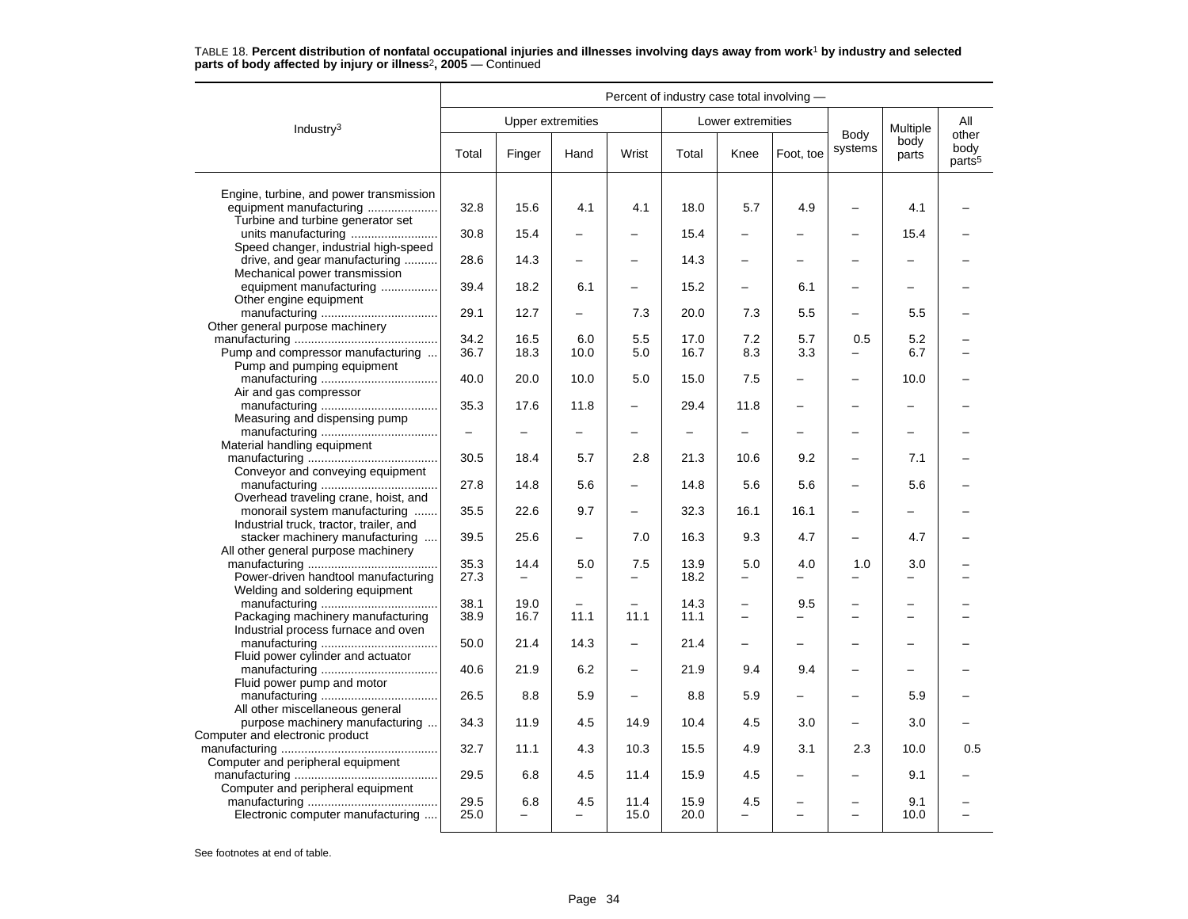|                                                                                                         | Percent of industry case total involving - |                          |                |                          |                          |                               |            |                          |                 |                                     |  |
|---------------------------------------------------------------------------------------------------------|--------------------------------------------|--------------------------|----------------|--------------------------|--------------------------|-------------------------------|------------|--------------------------|-----------------|-------------------------------------|--|
| Industry <sup>3</sup>                                                                                   |                                            | <b>Upper extremities</b> |                |                          |                          | Lower extremities             |            |                          | Multiple        | All                                 |  |
|                                                                                                         | Total                                      | Finger                   | Hand           | Wrist                    | Total                    | Knee                          | Foot, toe  | Body<br>systems          | body<br>parts   | other<br>body<br>parts <sup>5</sup> |  |
| Engine, turbine, and power transmission<br>equipment manufacturing<br>Turbine and turbine generator set | 32.8                                       | 15.6                     | 4.1            | 4.1                      | 18.0                     | 5.7                           | 4.9        |                          | 4.1             |                                     |  |
| Speed changer, industrial high-speed                                                                    | 30.8                                       | 15.4                     |                |                          | 15.4                     | $\overline{\phantom{0}}$      |            |                          | 15.4            |                                     |  |
| drive, and gear manufacturing<br>Mechanical power transmission                                          | 28.6                                       | 14.3                     | -              |                          | 14.3                     | -                             |            |                          |                 |                                     |  |
| equipment manufacturing<br>Other engine equipment                                                       | 39.4                                       | 18.2                     | 6.1            | $\overline{\phantom{0}}$ | 15.2                     | -                             | 6.1        |                          | -               |                                     |  |
| Other general purpose machinery                                                                         | 29.1                                       | 12.7                     | $\overline{a}$ | 7.3                      | 20.0                     | 7.3                           | 5.5        | $\overline{\phantom{0}}$ | 5.5             |                                     |  |
| Pump and compressor manufacturing                                                                       | 34.2<br>36.7                               | 16.5<br>18.3             | 6.0<br>10.0    | 5.5<br>5.0               | 17.0<br>16.7             | 7.2<br>8.3                    | 5.7<br>3.3 | 0.5                      | 5.2<br>6.7      |                                     |  |
| Pump and pumping equipment<br>Air and gas compressor                                                    | 40.0                                       | 20.0                     | 10.0           | 5.0                      | 15.0                     | 7.5                           |            |                          | 10.0            |                                     |  |
| Measuring and dispensing pump                                                                           | 35.3                                       | 17.6                     | 11.8           | $\overline{\phantom{0}}$ | 29.4                     | 11.8                          |            | $\overline{\phantom{0}}$ |                 |                                     |  |
| Material handling equipment                                                                             | $\qquad \qquad -$                          |                          | $\overline{a}$ | $\equiv$                 | $\overline{\phantom{0}}$ | $\overline{\phantom{0}}$      |            |                          | $\equiv$        |                                     |  |
| Conveyor and conveying equipment                                                                        | 30.5                                       | 18.4                     | 5.7            | 2.8                      | 21.3                     | 10.6                          | 9.2        |                          | 7.1             |                                     |  |
| Overhead traveling crane, hoist, and                                                                    | 27.8                                       | 14.8                     | 5.6            | $\overline{\phantom{0}}$ | 14.8                     | 5.6                           | 5.6        |                          | 5.6             |                                     |  |
| monorail system manufacturing<br>Industrial truck, tractor, trailer, and                                | 35.5                                       | 22.6                     | 9.7            | -                        | 32.3                     | 16.1                          | 16.1       |                          |                 |                                     |  |
| stacker machinery manufacturing<br>All other general purpose machinery                                  | 39.5                                       | 25.6                     | -              | 7.0                      | 16.3                     | 9.3                           | 4.7        | $\overline{\phantom{0}}$ | 4.7             |                                     |  |
| Power-driven handtool manufacturing<br>Welding and soldering equipment                                  | 35.3<br>27.3                               | 14.4<br>$\equiv$         | 5.0            | 7.5<br>$\overline{a}$    | 13.9<br>18.2             | 5.0<br>$\overline{a}$         | 4.0        | 1.0                      | 3.0<br>$\equiv$ |                                     |  |
| Packaging machinery manufacturing                                                                       | 38.1<br>38.9                               | 19.0<br>16.7             | 11.1           | 11.1                     | 14.3<br>11.1             | -<br>$\overline{\phantom{0}}$ | 9.5        | $\equiv$                 | $\equiv$        |                                     |  |
| Industrial process furnace and oven<br>Fluid power cylinder and actuator                                | 50.0                                       | 21.4                     | 14.3           |                          | 21.4                     |                               |            |                          |                 |                                     |  |
| Fluid power pump and motor                                                                              | 40.6                                       | 21.9                     | 6.2            | -                        | 21.9                     | 9.4                           | 9.4        |                          | -               |                                     |  |
| All other miscellaneous general                                                                         | 26.5                                       | 8.8                      | 5.9            | $\overline{a}$           | 8.8                      | 5.9                           |            |                          | 5.9             |                                     |  |
| purpose machinery manufacturing<br>Computer and electronic product                                      | 34.3                                       | 11.9                     | 4.5            | 14.9                     | 10.4                     | 4.5                           | 3.0        |                          | 3.0             |                                     |  |
| Computer and peripheral equipment                                                                       | 32.7                                       | 11.1                     | 4.3            | 10.3                     | 15.5                     | 4.9                           | 3.1        | 2.3                      | 10.0            | 0.5                                 |  |
| Computer and peripheral equipment                                                                       | 29.5                                       | 6.8                      | 4.5            | 11.4                     | 15.9                     | 4.5                           |            |                          | 9.1             |                                     |  |
| Electronic computer manufacturing                                                                       | 29.5<br>25.0                               | 6.8<br>$\equiv$          | 4.5            | 11.4<br>15.0             | 15.9<br>20.0             | 4.5<br>-                      |            |                          | 9.1<br>10.0     |                                     |  |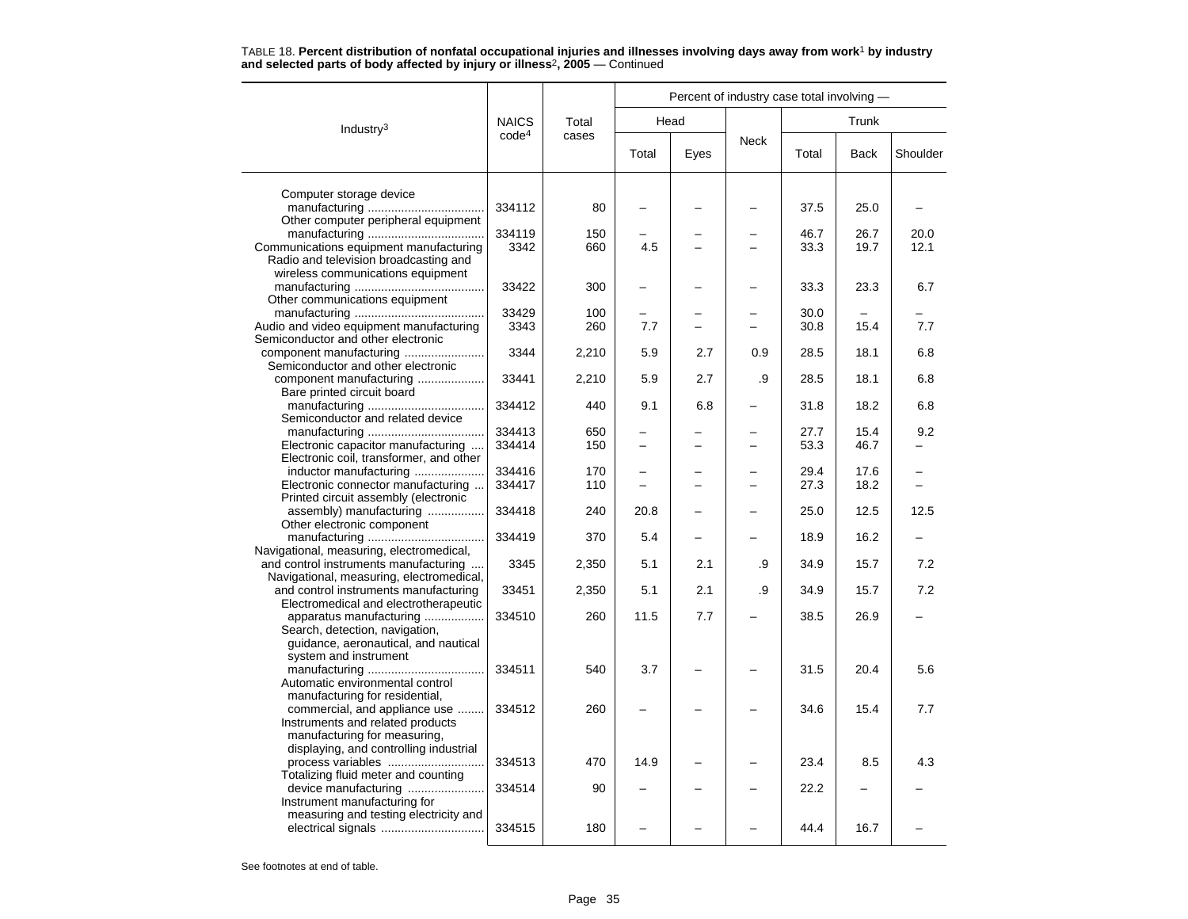|                                                                 |                   |            | Percent of industry case total involving - |      |                          |              |             |          |  |  |  |
|-----------------------------------------------------------------|-------------------|------------|--------------------------------------------|------|--------------------------|--------------|-------------|----------|--|--|--|
| Industry $3$                                                    | <b>NAICS</b>      | Total      |                                            | Head |                          | Trunk        |             |          |  |  |  |
|                                                                 | code <sup>4</sup> | cases      | Total                                      | Eyes | <b>Neck</b>              | Total        | <b>Back</b> | Shoulder |  |  |  |
| Computer storage device                                         |                   |            |                                            |      |                          |              |             |          |  |  |  |
|                                                                 | 334112            | 80         |                                            |      |                          | 37.5         | 25.0        |          |  |  |  |
| Other computer peripheral equipment                             |                   |            |                                            |      |                          |              |             |          |  |  |  |
|                                                                 | 334119            | 150        |                                            |      |                          | 46.7         | 26.7        | 20.0     |  |  |  |
| Communications equipment manufacturing                          | 3342              | 660        | 4.5                                        |      |                          | 33.3         | 19.7        | 12.1     |  |  |  |
| Radio and television broadcasting and                           |                   |            |                                            |      |                          |              |             |          |  |  |  |
| wireless communications equipment                               |                   |            |                                            |      |                          |              |             |          |  |  |  |
|                                                                 | 33422             | 300        |                                            |      |                          | 33.3         | 23.3        | 6.7      |  |  |  |
| Other communications equipment                                  |                   |            |                                            |      |                          |              |             |          |  |  |  |
| Audio and video equipment manufacturing                         | 33429<br>3343     | 100<br>260 | 7.7                                        |      |                          | 30.0<br>30.8 | 15.4        | 7.7      |  |  |  |
| Semiconductor and other electronic                              |                   |            |                                            |      |                          |              |             |          |  |  |  |
| component manufacturing                                         | 3344              | 2,210      | 5.9                                        | 2.7  | 0.9                      | 28.5         | 18.1        | 6.8      |  |  |  |
| Semiconductor and other electronic                              |                   |            |                                            |      |                          |              |             |          |  |  |  |
| component manufacturing                                         | 33441             | 2,210      | 5.9                                        | 2.7  | .9                       | 28.5         | 18.1        | 6.8      |  |  |  |
| Bare printed circuit board                                      |                   |            |                                            |      |                          |              |             |          |  |  |  |
|                                                                 | 334412            | 440        | 9.1                                        | 6.8  |                          | 31.8         | 18.2        | 6.8      |  |  |  |
| Semiconductor and related device                                |                   |            |                                            |      |                          |              |             |          |  |  |  |
|                                                                 | 334413            | 650        |                                            |      |                          | 27.7         | 15.4        | 9.2      |  |  |  |
| Electronic capacitor manufacturing                              | 334414            | 150        |                                            |      | -                        | 53.3         | 46.7        |          |  |  |  |
| Electronic coil, transformer, and other                         |                   |            |                                            |      |                          |              |             |          |  |  |  |
| inductor manufacturing                                          | 334416            | 170        | -                                          |      | $\overline{\phantom{0}}$ | 29.4         | 17.6        |          |  |  |  |
| Electronic connector manufacturing                              | 334417            | 110        |                                            |      | L                        | 27.3         | 18.2        |          |  |  |  |
| Printed circuit assembly (electronic                            |                   |            |                                            |      |                          |              |             |          |  |  |  |
| assembly) manufacturing<br>Other electronic component           | 334418            | 240        | 20.8                                       |      |                          | 25.0         | 12.5        | 12.5     |  |  |  |
|                                                                 | 334419            | 370        | 5.4                                        |      |                          | 18.9         | 16.2        |          |  |  |  |
| Navigational, measuring, electromedical,                        |                   |            |                                            |      |                          |              |             |          |  |  |  |
| and control instruments manufacturing                           | 3345              | 2,350      | 5.1                                        | 2.1  | .9                       | 34.9         | 15.7        | 7.2      |  |  |  |
| Navigational, measuring, electromedical,                        |                   |            |                                            |      |                          |              |             |          |  |  |  |
| and control instruments manufacturing                           | 33451             | 2,350      | 5.1                                        | 2.1  | .9                       | 34.9         | 15.7        | 7.2      |  |  |  |
| Electromedical and electrotherapeutic                           |                   |            |                                            |      |                          |              |             |          |  |  |  |
| apparatus manufacturing                                         | 334510            | 260        | 11.5                                       | 7.7  |                          | 38.5         | 26.9        |          |  |  |  |
| Search, detection, navigation,                                  |                   |            |                                            |      |                          |              |             |          |  |  |  |
| guidance, aeronautical, and nautical                            |                   |            |                                            |      |                          |              |             |          |  |  |  |
| system and instrument                                           |                   |            |                                            |      |                          |              |             |          |  |  |  |
|                                                                 | 334511            | 540        | 3.7                                        |      |                          | 31.5         | 20.4        | 5.6      |  |  |  |
| Automatic environmental control                                 |                   |            |                                            |      |                          |              |             |          |  |  |  |
| manufacturing for residential,<br>commercial, and appliance use | 334512            | 260        |                                            |      |                          | 34.6         | 15.4        | 7.7      |  |  |  |
| Instruments and related products                                |                   |            |                                            |      |                          |              |             |          |  |  |  |
| manufacturing for measuring,                                    |                   |            |                                            |      |                          |              |             |          |  |  |  |
| displaying, and controlling industrial                          |                   |            |                                            |      |                          |              |             |          |  |  |  |
| process variables                                               | 334513            | 470        | 14.9                                       |      |                          | 23.4         | 8.5         | 4.3      |  |  |  |
| Totalizing fluid meter and counting                             |                   |            |                                            |      |                          |              |             |          |  |  |  |
| device manufacturing                                            | 334514            | 90         |                                            |      |                          | 22.2         |             |          |  |  |  |
| Instrument manufacturing for                                    |                   |            |                                            |      |                          |              |             |          |  |  |  |
| measuring and testing electricity and                           |                   |            |                                            |      |                          |              |             |          |  |  |  |
|                                                                 | 334515            | 180        |                                            |      |                          | 44.4         | 16.7        |          |  |  |  |
|                                                                 |                   |            |                                            |      |                          |              |             |          |  |  |  |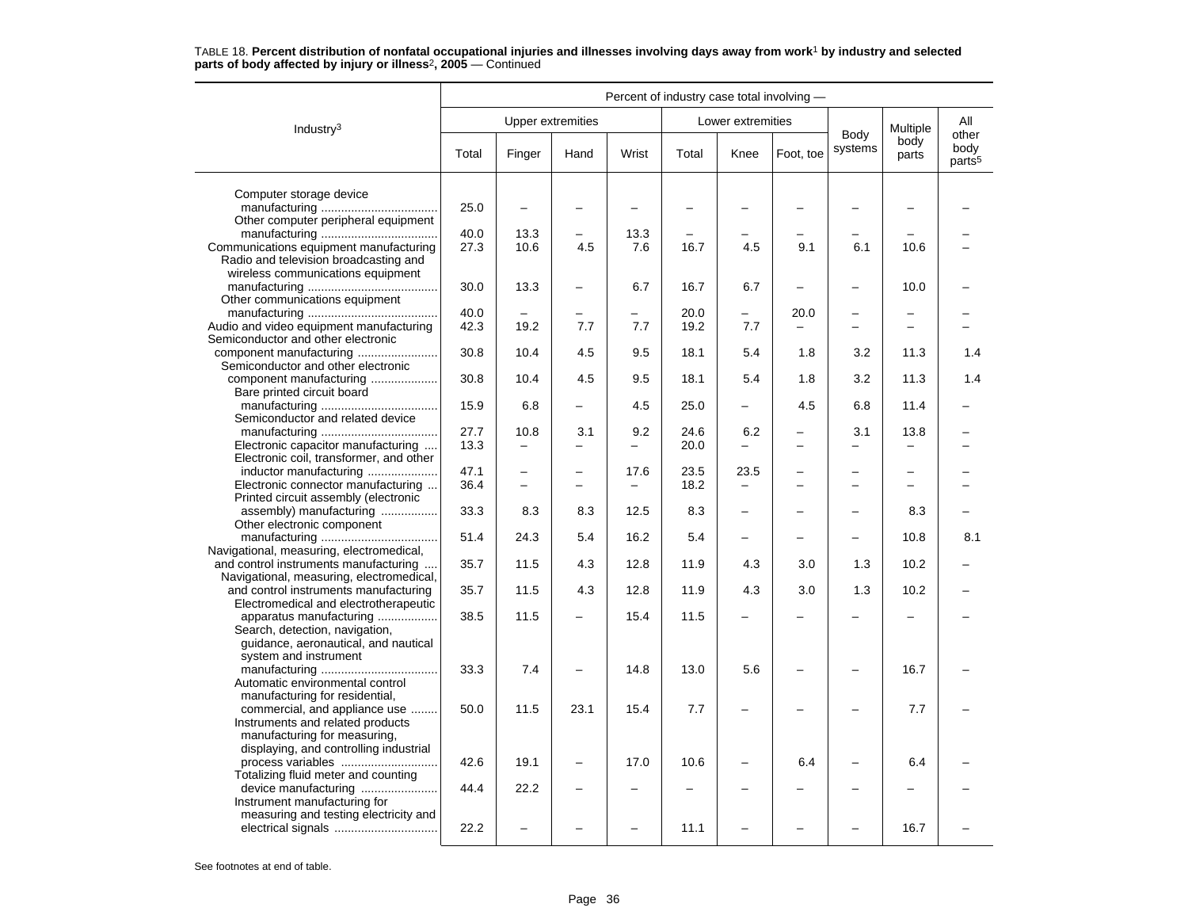|                                                                                                                                             | Percent of industry case total involving - |                                  |                                 |                 |              |                                  |                                  |                                                      |                          |                            |
|---------------------------------------------------------------------------------------------------------------------------------------------|--------------------------------------------|----------------------------------|---------------------------------|-----------------|--------------|----------------------------------|----------------------------------|------------------------------------------------------|--------------------------|----------------------------|
| Industry <sup>3</sup>                                                                                                                       |                                            | <b>Upper extremities</b>         |                                 |                 |              | Lower extremities                |                                  |                                                      | Multiple                 | All<br>other               |
|                                                                                                                                             | Total                                      | Finger                           | Hand                            | Wrist           | Total        | Knee                             | Foot, toe                        | Body<br>systems                                      | body<br>parts            | body<br>parts <sup>5</sup> |
| Computer storage device<br>Other computer peripheral equipment                                                                              | 25.0                                       | $\overline{\phantom{0}}$         |                                 |                 |              |                                  |                                  |                                                      |                          |                            |
| Communications equipment manufacturing<br>Radio and television broadcasting and<br>wireless communications equipment                        | 40.0<br>27.3                               | 13.3<br>10.6                     | 4.5                             | 13.3<br>7.6     | 16.7         | 4.5                              | 9.1                              | 6.1                                                  | 10.6                     |                            |
| Other communications equipment                                                                                                              | 30.0                                       | 13.3                             | -                               | 6.7             | 16.7         | 6.7                              | ÷                                | $\overline{\phantom{0}}$                             | 10.0                     |                            |
| Audio and video equipment manufacturing<br>Semiconductor and other electronic                                                               | 40.0<br>42.3                               | 19.2                             | 7.7                             | 7.7             | 20.0<br>19.2 | -<br>7.7                         | 20.0<br>$\overline{\phantom{0}}$ | $\overline{\phantom{0}}$<br>$\overline{\phantom{0}}$ | $\overline{\phantom{m}}$ |                            |
| component manufacturing<br>Semiconductor and other electronic                                                                               | 30.8                                       | 10.4                             | 4.5                             | 9.5             | 18.1         | 5.4                              | 1.8                              | 3.2                                                  | 11.3                     | 1.4                        |
| component manufacturing<br>Bare printed circuit board                                                                                       | 30.8                                       | 10.4                             | 4.5                             | 9.5             | 18.1         | 5.4                              | 1.8                              | 3.2                                                  | 11.3                     | 1.4                        |
| Semiconductor and related device                                                                                                            | 15.9                                       | 6.8                              |                                 | 4.5             | 25.0         | $\qquad \qquad -$                | 4.5                              | 6.8                                                  | 11.4                     |                            |
| Electronic capacitor manufacturing<br>Electronic coil, transformer, and other                                                               | 27.7<br>13.3                               | 10.8<br>$\overline{\phantom{0}}$ | 3.1<br>$\overline{\phantom{0}}$ | 9.2<br>$\equiv$ | 24.6<br>20.0 | 6.2<br>L.                        | $\overline{\phantom{0}}$         | 3.1                                                  | 13.8                     |                            |
| inductor manufacturing<br>Electronic connector manufacturing<br>Printed circuit assembly (electronic                                        | 47.1<br>36.4                               | $\overline{\phantom{0}}$         | -<br>$\overline{\phantom{0}}$   | 17.6            | 23.5<br>18.2 | 23.5<br>$\overline{\phantom{0}}$ |                                  | $\overline{\phantom{0}}$                             |                          |                            |
| assembly) manufacturing<br>Other electronic component                                                                                       | 33.3                                       | 8.3                              | 8.3                             | 12.5            | 8.3          | -                                |                                  | $\overline{\phantom{0}}$                             | 8.3                      |                            |
| Navigational, measuring, electromedical,                                                                                                    | 51.4                                       | 24.3                             | 5.4                             | 16.2            | 5.4          | $\overline{\phantom{0}}$         |                                  | $\overline{\phantom{0}}$                             | 10.8                     | 8.1                        |
| and control instruments manufacturing<br>Navigational, measuring, electromedical,                                                           | 35.7                                       | 11.5                             | 4.3                             | 12.8            | 11.9         | 4.3                              | 3.0                              | 1.3                                                  | 10.2                     |                            |
| and control instruments manufacturing<br>Electromedical and electrotherapeutic                                                              | 35.7                                       | 11.5                             | 4.3                             | 12.8            | 11.9         | 4.3                              | 3.0                              | 1.3                                                  | 10.2                     |                            |
| apparatus manufacturing<br>Search, detection, navigation,<br>guidance, aeronautical, and nautical<br>system and instrument                  | 38.5                                       | 11.5                             |                                 | 15.4            | 11.5         |                                  |                                  |                                                      |                          |                            |
| Automatic environmental control<br>manufacturing for residential,                                                                           | 33.3                                       | 7.4                              |                                 | 14.8            | 13.0         | 5.6                              |                                  | $\overline{\phantom{0}}$                             | 16.7                     |                            |
| commercial, and appliance use<br>Instruments and related products<br>manufacturing for measuring,<br>displaying, and controlling industrial | 50.0                                       | 11.5                             | 23.1                            | 15.4            | 7.7          |                                  |                                  |                                                      | 7.7                      |                            |
| process variables<br>Totalizing fluid meter and counting                                                                                    | 42.6                                       | 19.1                             | $\equiv$                        | 17.0            | 10.6         | -                                | 6.4                              | -                                                    | 6.4                      |                            |
| device manufacturing<br>Instrument manufacturing for                                                                                        | 44.4                                       | 22.2                             |                                 |                 |              |                                  |                                  |                                                      |                          |                            |
| measuring and testing electricity and                                                                                                       | 22.2                                       |                                  |                                 |                 | 11.1         |                                  |                                  |                                                      | 16.7                     |                            |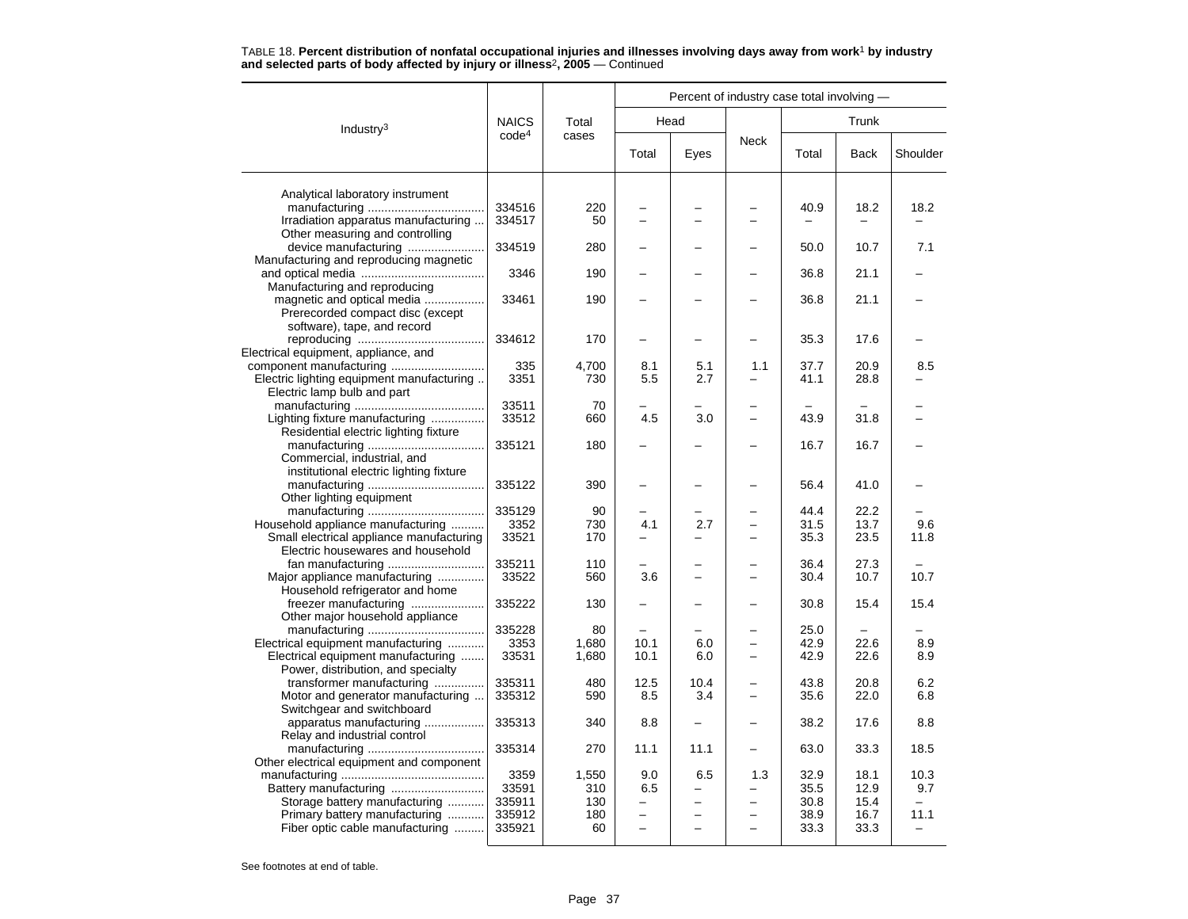|                                           |                   |           |                          | Percent of industry case total involving - |                          |       |             |                          |  |
|-------------------------------------------|-------------------|-----------|--------------------------|--------------------------------------------|--------------------------|-------|-------------|--------------------------|--|
| Industry <sup>3</sup>                     | <b>NAICS</b>      | Total     |                          | Head                                       |                          | Trunk |             |                          |  |
|                                           | code <sup>4</sup> | cases     | Total                    | Eyes                                       | <b>Neck</b>              | Total | <b>Back</b> | Shoulder                 |  |
| Analytical laboratory instrument          |                   |           |                          |                                            |                          |       |             |                          |  |
|                                           | 334516            | 220       |                          |                                            |                          | 40.9  | 18.2        | 18.2                     |  |
| Irradiation apparatus manufacturing       | 334517            | 50        |                          |                                            |                          |       |             |                          |  |
| Other measuring and controlling           |                   |           |                          |                                            |                          |       |             |                          |  |
| device manufacturing                      | 334519            | 280       |                          |                                            |                          | 50.0  | 10.7        | 7.1                      |  |
| Manufacturing and reproducing magnetic    |                   |           |                          |                                            |                          |       |             |                          |  |
|                                           | 3346              | 190       |                          |                                            |                          | 36.8  | 21.1        |                          |  |
| Manufacturing and reproducing             |                   |           |                          |                                            |                          |       |             |                          |  |
| magnetic and optical media                | 33461             | 190       |                          |                                            |                          | 36.8  | 21.1        |                          |  |
| Prerecorded compact disc (except          |                   |           |                          |                                            |                          |       |             |                          |  |
| software), tape, and record               |                   |           |                          |                                            |                          |       |             |                          |  |
|                                           | 334612            | 170       |                          |                                            |                          | 35.3  | 17.6        |                          |  |
| Electrical equipment, appliance, and      |                   |           |                          |                                            |                          |       |             |                          |  |
|                                           | 335               | 4,700     | 8.1                      | 5.1                                        | 1.1                      | 37.7  | 20.9        | 8.5                      |  |
| Electric lighting equipment manufacturing | 3351              | 730       | 5.5                      | 2.7                                        |                          | 41.1  | 28.8        |                          |  |
| Electric lamp bulb and part               |                   |           |                          |                                            |                          |       |             |                          |  |
| Lighting fixture manufacturing            | 33511<br>33512    | 70<br>660 | 4.5                      | 3.0                                        |                          | 43.9  | 31.8        |                          |  |
| Residential electric lighting fixture     |                   |           |                          |                                            |                          |       |             |                          |  |
|                                           | 335121            | 180       |                          |                                            |                          | 16.7  | 16.7        |                          |  |
| Commercial, industrial, and               |                   |           |                          |                                            |                          |       |             |                          |  |
| institutional electric lighting fixture   |                   |           |                          |                                            |                          |       |             |                          |  |
|                                           | 335122            | 390       |                          |                                            |                          | 56.4  | 41.0        |                          |  |
| Other lighting equipment                  |                   |           |                          |                                            |                          |       |             |                          |  |
|                                           | 335129            | 90        |                          |                                            |                          | 44.4  | 22.2        |                          |  |
| Household appliance manufacturing         | 3352              | 730       | 4.1                      | 2.7                                        | $\equiv$                 | 31.5  | 13.7        | 9.6                      |  |
| Small electrical appliance manufacturing  | 33521             | 170       | -                        | -                                          | $\overline{\phantom{0}}$ | 35.3  | 23.5        | 11.8                     |  |
| Electric housewares and household         |                   |           |                          |                                            |                          |       |             |                          |  |
| fan manufacturing                         | 335211            | 110       |                          |                                            |                          | 36.4  | 27.3        |                          |  |
| Major appliance manufacturing             | 33522             | 560       | 3.6                      |                                            |                          | 30.4  | 10.7        | 10.7                     |  |
| Household refrigerator and home           |                   |           |                          |                                            |                          |       |             |                          |  |
| freezer manufacturing                     | 335222            | 130       |                          |                                            |                          | 30.8  | 15.4        | 15.4                     |  |
| Other major household appliance           | 335228            | 80        |                          |                                            |                          | 25.0  |             |                          |  |
| Electrical equipment manufacturing        | 3353              | 1,680     | 10.1                     | 6.0                                        | $\overline{\phantom{0}}$ | 42.9  | 22.6        | 8.9                      |  |
| Electrical equipment manufacturing        | 33531             | 1,680     | 10.1                     | 6.0                                        | $\overline{\phantom{0}}$ | 42.9  | 22.6        | 8.9                      |  |
| Power, distribution, and specialty        |                   |           |                          |                                            |                          |       |             |                          |  |
| transformer manufacturing                 | 335311            | 480       | 12.5                     | 10.4                                       |                          | 43.8  | 20.8        | 6.2                      |  |
| Motor and generator manufacturing         | 335312            | 590       | 8.5                      | 3.4                                        |                          | 35.6  | 22.0        | 6.8                      |  |
| Switchgear and switchboard                |                   |           |                          |                                            |                          |       |             |                          |  |
| apparatus manufacturing                   | 335313            | 340       | 8.8                      |                                            |                          | 38.2  | 17.6        | 8.8                      |  |
| Relay and industrial control              |                   |           |                          |                                            |                          |       |             |                          |  |
|                                           | 335314            | 270       | 11.1                     | 11.1                                       |                          | 63.0  | 33.3        | 18.5                     |  |
| Other electrical equipment and component  |                   |           |                          |                                            |                          |       |             |                          |  |
|                                           | 3359              | 1,550     | 9.0                      | 6.5                                        | 1.3                      | 32.9  | 18.1        | 10.3                     |  |
|                                           | 33591             | 310       | 6.5                      |                                            |                          | 35.5  | 12.9        | 9.7                      |  |
| Storage battery manufacturing             | 335911            | 130       | -                        |                                            | -                        | 30.8  | 15.4        | $\overline{\phantom{0}}$ |  |
| Primary battery manufacturing             | 335912<br>335921  | 180<br>60 | $\overline{\phantom{0}}$ |                                            |                          | 38.9  | 16.7        | 11.1                     |  |
| Fiber optic cable manufacturing           |                   |           |                          |                                            |                          | 33.3  | 33.3        |                          |  |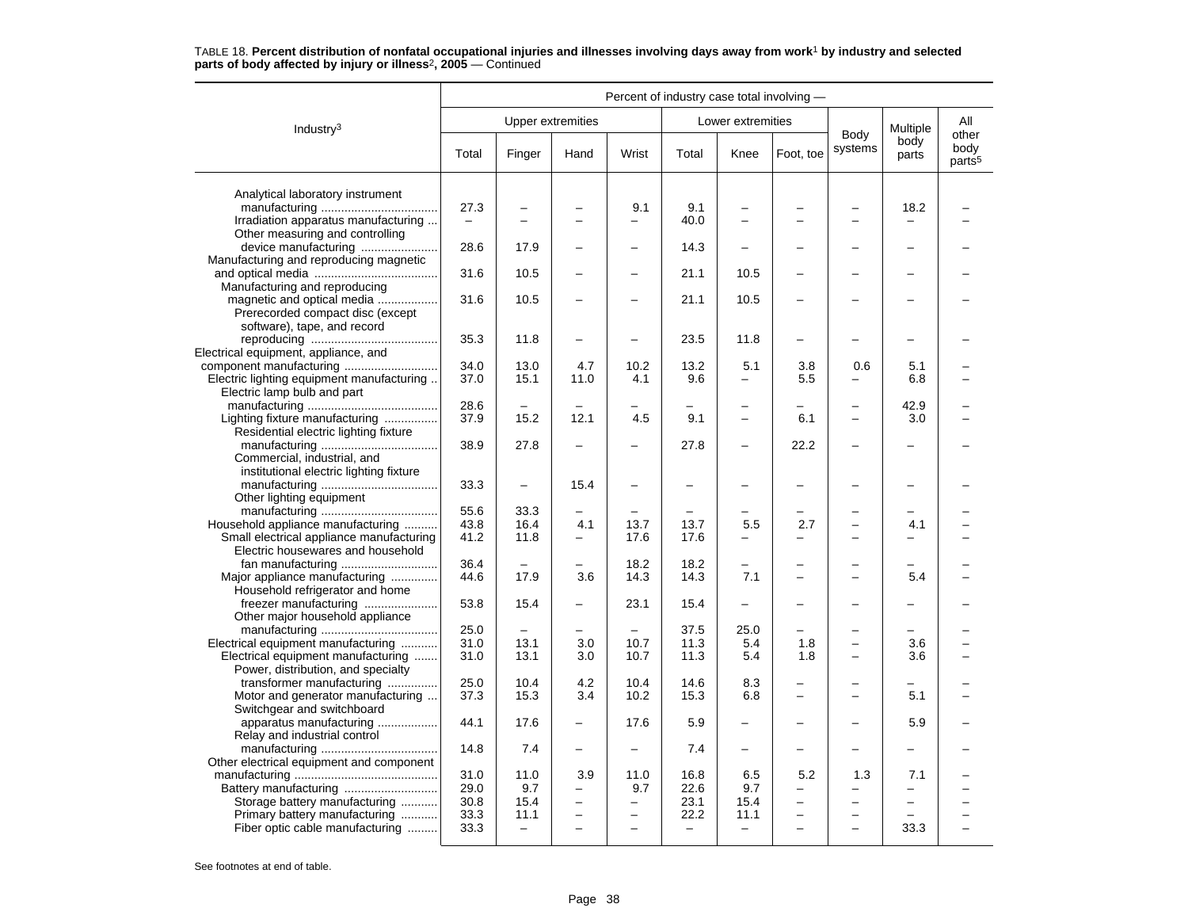|                                                                          | Percent of industry case total involving - |                                  |                               |                               |                           |                           |                          |                                                      |                          |                                     |
|--------------------------------------------------------------------------|--------------------------------------------|----------------------------------|-------------------------------|-------------------------------|---------------------------|---------------------------|--------------------------|------------------------------------------------------|--------------------------|-------------------------------------|
| Industry <sup>3</sup>                                                    |                                            | <b>Upper extremities</b>         |                               |                               |                           | Lower extremities         |                          |                                                      | Multiple                 | All                                 |
|                                                                          | Total                                      | Finger                           | Hand                          | Wrist                         | Total                     | Knee                      | Foot, toe                | Body<br>systems                                      | body<br>parts            | other<br>body<br>parts <sup>5</sup> |
| Analytical laboratory instrument                                         |                                            |                                  |                               |                               |                           |                           |                          |                                                      |                          |                                     |
|                                                                          | 27.3                                       |                                  |                               | 9.1                           | 9.1                       |                           |                          |                                                      | 18.2                     |                                     |
| Irradiation apparatus manufacturing                                      | $\overline{\phantom{0}}$                   | -                                |                               | $\overline{\phantom{0}}$      | 40.0                      |                           |                          |                                                      |                          |                                     |
| Other measuring and controlling                                          |                                            | 17.9                             |                               | $\overline{\phantom{0}}$      | 14.3                      |                           |                          |                                                      | -                        |                                     |
| device manufacturing<br>Manufacturing and reproducing magnetic           | 28.6                                       |                                  |                               |                               |                           |                           |                          |                                                      |                          |                                     |
|                                                                          | 31.6                                       | 10.5                             |                               |                               | 21.1                      | 10.5                      |                          |                                                      |                          |                                     |
| Manufacturing and reproducing                                            |                                            |                                  |                               |                               |                           |                           |                          |                                                      |                          |                                     |
| magnetic and optical media                                               | 31.6                                       | 10.5                             |                               |                               | 21.1                      | 10.5                      |                          |                                                      |                          |                                     |
| Prerecorded compact disc (except                                         |                                            |                                  |                               |                               |                           |                           |                          |                                                      |                          |                                     |
| software), tape, and record                                              | 35.3                                       | 11.8                             |                               |                               | 23.5                      | 11.8                      |                          |                                                      |                          |                                     |
| Electrical equipment, appliance, and                                     |                                            |                                  |                               |                               |                           |                           |                          |                                                      |                          |                                     |
|                                                                          | 34.0                                       | 13.0                             | 4.7                           | 10.2                          | 13.2                      | 5.1                       | 3.8                      | 0.6                                                  | 5.1                      |                                     |
| Electric lighting equipment manufacturing                                | 37.0                                       | 15.1                             | 11.0                          | 4.1                           | 9.6                       | -                         | 5.5                      |                                                      | 6.8                      |                                     |
| Electric lamp bulb and part                                              |                                            |                                  |                               |                               |                           |                           |                          |                                                      |                          |                                     |
| Lighting fixture manufacturing                                           | 28.6<br>37.9                               | 15.2                             | 12.1                          | 4.5                           | 9.1                       | L.                        | 6.1                      |                                                      | 42.9<br>3.0              |                                     |
| Residential electric lighting fixture                                    |                                            |                                  |                               |                               |                           |                           |                          |                                                      |                          |                                     |
|                                                                          | 38.9                                       | 27.8                             |                               |                               | 27.8                      | $\overline{a}$            | 22.2                     |                                                      |                          |                                     |
| Commercial, industrial, and                                              |                                            |                                  |                               |                               |                           |                           |                          |                                                      |                          |                                     |
| institutional electric lighting fixture                                  |                                            |                                  |                               |                               |                           |                           |                          |                                                      |                          |                                     |
| Other lighting equipment                                                 | 33.3                                       | $\equiv$                         | 15.4                          |                               |                           | $\overline{\phantom{0}}$  |                          |                                                      | -                        |                                     |
|                                                                          | 55.6                                       | 33.3                             |                               |                               |                           |                           |                          |                                                      |                          |                                     |
| Household appliance manufacturing                                        | 43.8                                       | 16.4                             | 4.1                           | 13.7                          | 13.7                      | 5.5                       | 2.7                      |                                                      | 4.1                      |                                     |
| Small electrical appliance manufacturing                                 | 41.2                                       | 11.8                             | $\overline{\phantom{0}}$      | 17.6                          | 17.6                      |                           |                          |                                                      |                          |                                     |
| Electric housewares and household                                        |                                            |                                  |                               |                               |                           |                           |                          |                                                      |                          |                                     |
| fan manufacturing                                                        | 36.4<br>44.6                               | 17.9                             | $\equiv$<br>3.6               | 18.2<br>14.3                  | 18.2<br>14.3              | -<br>7.1                  |                          |                                                      | 5.4                      |                                     |
| Major appliance manufacturing<br>Household refrigerator and home         |                                            |                                  |                               |                               |                           |                           |                          |                                                      |                          |                                     |
| freezer manufacturing                                                    | 53.8                                       | 15.4                             | $\overline{\phantom{0}}$      | 23.1                          | 15.4                      |                           |                          |                                                      |                          |                                     |
| Other major household appliance                                          |                                            |                                  |                               |                               |                           |                           |                          |                                                      |                          |                                     |
|                                                                          | 25.0                                       |                                  |                               |                               | 37.5                      | 25.0                      |                          |                                                      |                          |                                     |
| Electrical equipment manufacturing                                       | 31.0                                       | 13.1                             | 3.0                           | 10.7                          | 11.3                      | 5.4                       | 1.8                      |                                                      | 3.6                      |                                     |
| Electrical equipment manufacturing<br>Power, distribution, and specialty | 31.0                                       | 13.1                             | 3.0                           | 10.7                          | 11.3                      | 5.4                       | 1.8                      | $\overline{\phantom{0}}$                             | 3.6                      |                                     |
| transformer manufacturing                                                | 25.0                                       | 10.4                             | 4.2                           | 10.4                          | 14.6                      | 8.3                       |                          |                                                      |                          |                                     |
| Motor and generator manufacturing                                        | 37.3                                       | 15.3                             | 3.4                           | 10.2                          | 15.3                      | 6.8                       |                          |                                                      | 5.1                      |                                     |
| Switchgear and switchboard                                               |                                            |                                  |                               |                               |                           |                           |                          |                                                      |                          |                                     |
| apparatus manufacturing                                                  | 44.1                                       | 17.6                             | $\overline{\phantom{0}}$      | 17.6                          | 5.9                       | -                         |                          | $\overline{\phantom{0}}$                             | 5.9                      |                                     |
| Relay and industrial control                                             | 14.8                                       | 7.4                              |                               |                               | 7.4                       |                           |                          |                                                      |                          |                                     |
| Other electrical equipment and component                                 |                                            |                                  |                               |                               |                           |                           |                          |                                                      |                          |                                     |
|                                                                          | 31.0                                       | 11.0                             | 3.9                           | 11.0                          | 16.8                      | 6.5                       | 5.2                      | 1.3                                                  | 7.1                      |                                     |
|                                                                          | 29.0                                       | 9.7                              | $\overline{\phantom{0}}$      | 9.7                           | 22.6                      | 9.7                       | -                        | $\overline{\phantom{0}}$                             | $\overline{\phantom{0}}$ |                                     |
| Storage battery manufacturing                                            | 30.8                                       | 15.4                             | $\overline{\phantom{0}}$      | $\overline{\phantom{0}}$      | 23.1                      | 15.4                      | $\overline{\phantom{0}}$ | $\overline{\phantom{0}}$                             | $\overline{\phantom{0}}$ |                                     |
| Primary battery manufacturing                                            | 33.3                                       | 11.1<br>$\overline{\phantom{m}}$ | $\overline{\phantom{0}}$<br>÷ | -<br>$\overline{\phantom{0}}$ | 22.2<br>$\qquad \qquad -$ | 11.1<br>$\qquad \qquad -$ | ÷                        | $\overline{\phantom{0}}$<br>$\overline{\phantom{0}}$ |                          |                                     |
| Fiber optic cable manufacturing                                          | 33.3                                       |                                  |                               |                               |                           |                           |                          |                                                      | 33.3                     |                                     |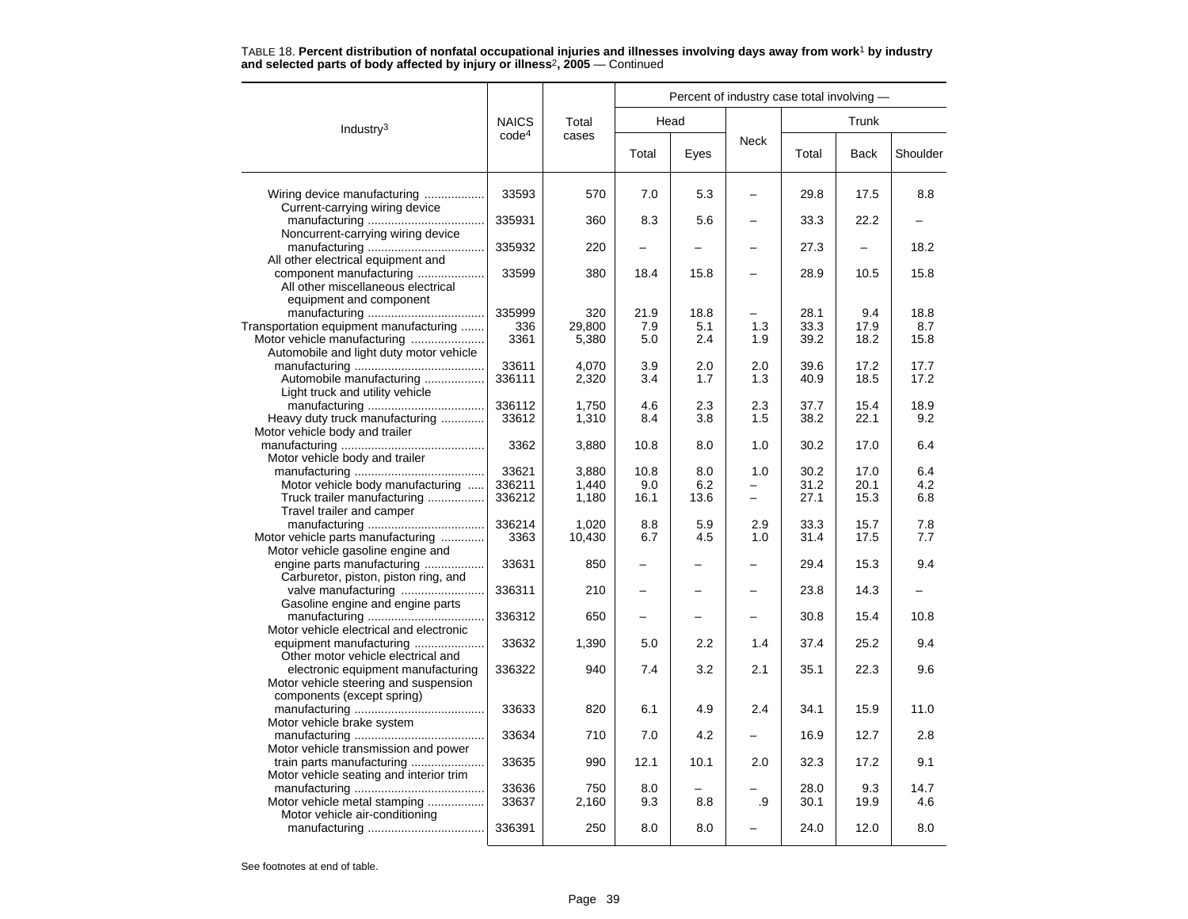|                                                                                                                  |                   |                 | Percent of industry case total involving - |             |            |              |              |              |  |  |  |
|------------------------------------------------------------------------------------------------------------------|-------------------|-----------------|--------------------------------------------|-------------|------------|--------------|--------------|--------------|--|--|--|
| Industry $3$                                                                                                     | <b>NAICS</b>      | Total           |                                            | Head        |            |              |              |              |  |  |  |
|                                                                                                                  | code <sup>4</sup> | cases           | Total                                      | Eyes        | Neck       | Total        | <b>Back</b>  | Shoulder     |  |  |  |
| Wiring device manufacturing<br>Current-carrying wiring device                                                    | 33593             | 570             | 7.0                                        | 5.3         |            | 29.8         | 17.5         | 8.8          |  |  |  |
| Noncurrent-carrying wiring device                                                                                | 335931            | 360             | 8.3                                        | 5.6         |            | 33.3         | 22.2         |              |  |  |  |
| All other electrical equipment and                                                                               | 335932            | 220             |                                            |             |            | 27.3         |              | 18.2         |  |  |  |
| component manufacturing<br>All other miscellaneous electrical<br>equipment and component                         | 33599             | 380             | 18.4                                       | 15.8        |            | 28.9         | 10.5         | 15.8         |  |  |  |
|                                                                                                                  | 335999            | 320             | 21.9                                       | 18.8        |            | 28.1         | 9.4          | 18.8         |  |  |  |
| Transportation equipment manufacturing<br>Motor vehicle manufacturing<br>Automobile and light duty motor vehicle | 336<br>3361       | 29.800<br>5,380 | 7.9<br>5.0                                 | 5.1<br>2.4  | 1.3<br>1.9 | 33.3<br>39.2 | 17.9<br>18.2 | 8.7<br>15.8  |  |  |  |
| Automobile manufacturing<br>Light truck and utility vehicle                                                      | 33611<br>336111   | 4,070<br>2,320  | 3.9<br>3.4                                 | 2.0<br>1.7  | 2.0<br>1.3 | 39.6<br>40.9 | 17.2<br>18.5 | 17.7<br>17.2 |  |  |  |
| Heavy duty truck manufacturing<br>Motor vehicle body and trailer                                                 | 336112<br>33612   | 1,750<br>1,310  | 4.6<br>8.4                                 | 2.3<br>3.8  | 2.3<br>1.5 | 37.7<br>38.2 | 15.4<br>22.1 | 18.9<br>9.2  |  |  |  |
| Motor vehicle body and trailer                                                                                   | 3362              | 3,880           | 10.8                                       | 8.0         | 1.0        | 30.2         | 17.0         | 6.4          |  |  |  |
|                                                                                                                  | 33621             | 3.880           | 10.8                                       | 8.0         | 1.0        | 30.2         | 17.0         | 6.4          |  |  |  |
| Motor vehicle body manufacturing<br>Truck trailer manufacturing<br>Travel trailer and camper                     | 336211<br>336212  | 1,440<br>1,180  | 9.0<br>16.1                                | 6.2<br>13.6 |            | 31.2<br>27.1 | 20.1<br>15.3 | 4.2<br>6.8   |  |  |  |
| Motor vehicle parts manufacturing<br>Motor vehicle gasoline engine and                                           | 336214<br>3363    | 1,020<br>10,430 | 8.8<br>6.7                                 | 5.9<br>4.5  | 2.9<br>1.0 | 33.3<br>31.4 | 15.7<br>17.5 | 7.8<br>7.7   |  |  |  |
| engine parts manufacturing<br>Carburetor, piston, piston ring, and                                               | 33631             | 850             |                                            |             |            | 29.4         | 15.3         | 9.4          |  |  |  |
| valve manufacturing<br>Gasoline engine and engine parts                                                          | 336311            | 210             |                                            |             |            | 23.8         | 14.3         |              |  |  |  |
| Motor vehicle electrical and electronic                                                                          | 336312            | 650             |                                            |             |            | 30.8         | 15.4         | 10.8         |  |  |  |
| equipment manufacturing<br>Other motor vehicle electrical and                                                    | 33632             | 1,390           | 5.0                                        | 2.2         | 1.4        | 37.4         | 25.2         | 9.4          |  |  |  |
| electronic equipment manufacturing<br>Motor vehicle steering and suspension<br>components (except spring)        | 336322            | 940             | 7.4                                        | 3.2         | 2.1        | 35.1         | 22.3         | 9.6          |  |  |  |
| Motor vehicle brake system                                                                                       | 33633             | 820             | 6.1                                        | 4.9         | 2.4        | 34.1         | 15.9         | 11.0         |  |  |  |
| Motor vehicle transmission and power                                                                             | 33634             | 710             | 7.0                                        | 4.2         |            | 16.9         | 12.7         | 2.8          |  |  |  |
| train parts manufacturing<br>Motor vehicle seating and interior trim                                             | 33635             | 990             | 12.1                                       | 10.1        | 2.0        | 32.3         | 17.2         | 9.1          |  |  |  |
| Motor vehicle metal stamping                                                                                     | 33636<br>33637    | 750<br>2,160    | 8.0<br>9.3                                 | 8.8         | .9         | 28.0<br>30.1 | 9.3<br>19.9  | 14.7<br>4.6  |  |  |  |
| Motor vehicle air-conditioning                                                                                   | 336391            | 250             | 8.0                                        | 8.0         |            | 24.0         | 12.0         | 8.0          |  |  |  |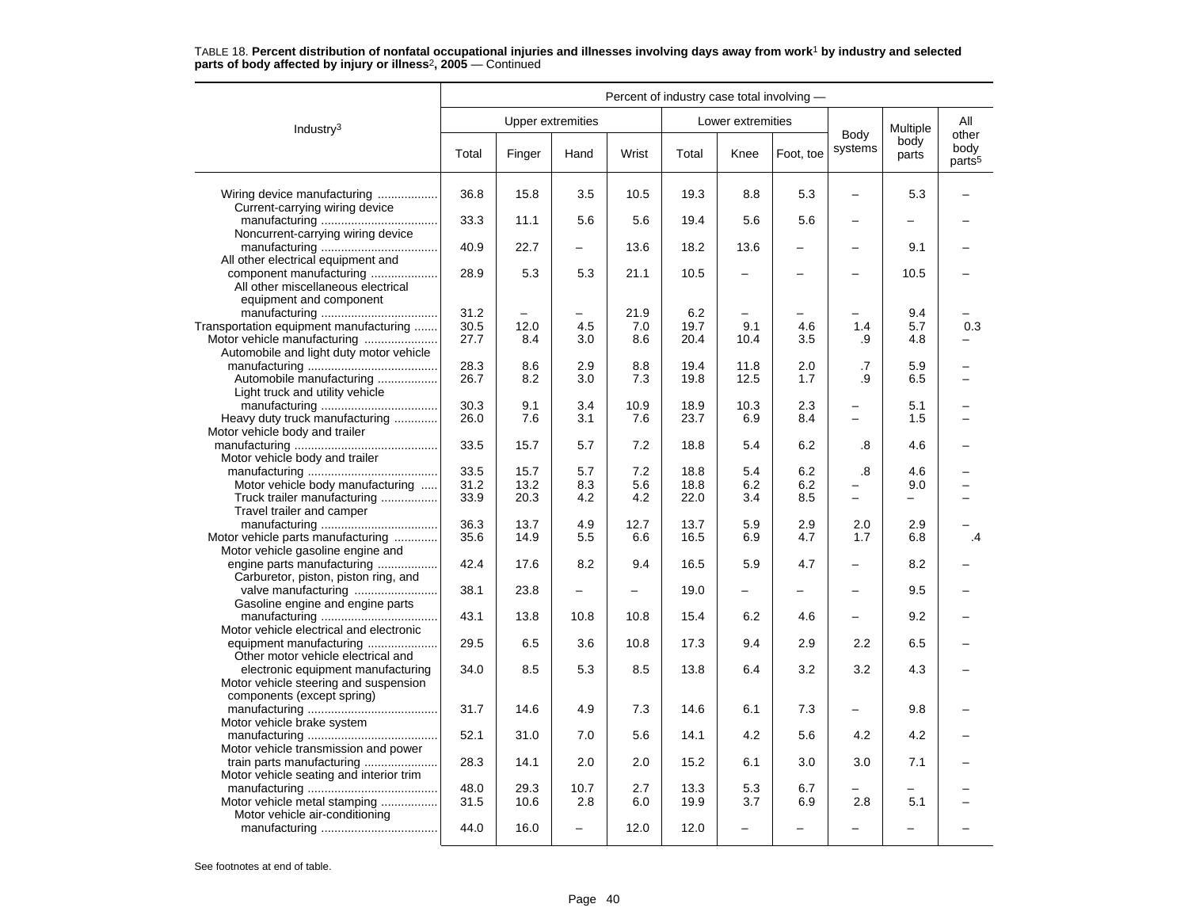|                                                                                                           | Percent of industry case total involving - |                          |      |       |       |                          |           |                          |               |                                     |
|-----------------------------------------------------------------------------------------------------------|--------------------------------------------|--------------------------|------|-------|-------|--------------------------|-----------|--------------------------|---------------|-------------------------------------|
| Industry <sup>3</sup>                                                                                     |                                            | <b>Upper extremities</b> |      |       |       | Lower extremities        |           |                          | Multiple      | All                                 |
|                                                                                                           | Total                                      | Finger                   | Hand | Wrist | Total | Knee                     | Foot, toe | Body<br>systems          | body<br>parts | other<br>body<br>parts <sup>5</sup> |
| Wiring device manufacturing<br>Current-carrying wiring device                                             | 36.8                                       | 15.8                     | 3.5  | 10.5  | 19.3  | 8.8                      | 5.3       |                          | 5.3           |                                     |
| Noncurrent-carrying wiring device                                                                         | 33.3                                       | 11.1                     | 5.6  | 5.6   | 19.4  | 5.6                      | 5.6       |                          |               |                                     |
| All other electrical equipment and                                                                        | 40.9                                       | 22.7                     |      | 13.6  | 18.2  | 13.6                     |           |                          | 9.1           |                                     |
| component manufacturing<br>All other miscellaneous electrical<br>equipment and component                  | 28.9                                       | 5.3                      | 5.3  | 21.1  | 10.5  | $\overline{\phantom{0}}$ |           |                          | 10.5          |                                     |
|                                                                                                           | 31.2                                       |                          |      | 21.9  | 6.2   |                          |           |                          | 9.4           |                                     |
| Transportation equipment manufacturing                                                                    | 30.5                                       | 12.0                     | 4.5  | 7.0   | 19.7  | 9.1                      | 4.6       | 1.4                      | 5.7           | 0.3                                 |
| Motor vehicle manufacturing<br>Automobile and light duty motor vehicle                                    | 27.7                                       | 8.4                      | 3.0  | 8.6   | 20.4  | 10.4                     | 3.5       | .9                       | 4.8           |                                     |
|                                                                                                           | 28.3                                       | 8.6                      | 2.9  | 8.8   | 19.4  | 11.8                     | 2.0       | .7                       | 5.9           |                                     |
| Automobile manufacturing<br>Light truck and utility vehicle                                               | 26.7                                       | 8.2                      | 3.0  | 7.3   | 19.8  | 12.5                     | 1.7       | .9                       | 6.5           |                                     |
|                                                                                                           | 30.3                                       | 9.1                      | 3.4  | 10.9  | 18.9  | 10.3                     | 2.3       |                          | 5.1           |                                     |
| Heavy duty truck manufacturing<br>Motor vehicle body and trailer                                          | 26.0                                       | 7.6                      | 3.1  | 7.6   | 23.7  | 6.9                      | 8.4       | $\equiv$                 | 1.5           |                                     |
| Motor vehicle body and trailer                                                                            | 33.5                                       | 15.7                     | 5.7  | 7.2   | 18.8  | 5.4                      | 6.2       | .8                       | 4.6           |                                     |
|                                                                                                           | 33.5                                       | 15.7                     | 5.7  | 7.2   | 18.8  | 5.4                      | 6.2       | .8                       | 4.6           |                                     |
| Motor vehicle body manufacturing                                                                          | 31.2                                       | 13.2                     | 8.3  | 5.6   | 18.8  | 6.2                      | 6.2       |                          | 9.0           |                                     |
| Truck trailer manufacturing<br>Travel trailer and camper                                                  | 33.9                                       | 20.3                     | 4.2  | 4.2   | 22.0  | 3.4                      | 8.5       |                          | $\equiv$      |                                     |
|                                                                                                           | 36.3                                       | 13.7                     | 4.9  | 12.7  | 13.7  | 5.9                      | 2.9       | 2.0                      | 2.9           |                                     |
| Motor vehicle parts manufacturing<br>Motor vehicle gasoline engine and                                    | 35.6                                       | 14.9                     | 5.5  | 6.6   | 16.5  | 6.9                      | 4.7       | 1.7                      | 6.8           | $\cdot$                             |
| engine parts manufacturing<br>Carburetor, piston, piston ring, and                                        | 42.4                                       | 17.6                     | 8.2  | 9.4   | 16.5  | 5.9                      | 4.7       |                          | 8.2           |                                     |
| Gasoline engine and engine parts                                                                          | 38.1                                       | 23.8                     |      |       | 19.0  | ÷                        |           |                          | 9.5           |                                     |
| Motor vehicle electrical and electronic                                                                   | 43.1                                       | 13.8                     | 10.8 | 10.8  | 15.4  | 6.2                      | 4.6       |                          | 9.2           |                                     |
| equipment manufacturing<br>Other motor vehicle electrical and                                             | 29.5                                       | 6.5                      | 3.6  | 10.8  | 17.3  | 9.4                      | 2.9       | 2.2                      | 6.5           |                                     |
| electronic equipment manufacturing<br>Motor vehicle steering and suspension<br>components (except spring) | 34.0                                       | 8.5                      | 5.3  | 8.5   | 13.8  | 6.4                      | 3.2       | 3.2                      | 4.3           |                                     |
| Motor vehicle brake system                                                                                | 31.7                                       | 14.6                     | 4.9  | 7.3   | 14.6  | 6.1                      | 7.3       | $\overline{\phantom{0}}$ | 9.8           |                                     |
| Motor vehicle transmission and power                                                                      | 52.1                                       | 31.0                     | 7.0  | 5.6   | 14.1  | 4.2                      | 5.6       | 4.2                      | 4.2           |                                     |
| train parts manufacturing<br>Motor vehicle seating and interior trim                                      | 28.3                                       | 14.1                     | 2.0  | 2.0   | 15.2  | 6.1                      | 3.0       | 3.0                      | 7.1           |                                     |
|                                                                                                           | 48.0                                       | 29.3                     | 10.7 | 2.7   | 13.3  | 5.3                      | 6.7       |                          |               |                                     |
| Motor vehicle metal stamping<br>Motor vehicle air-conditioning                                            | 31.5                                       | 10.6                     | 2.8  | 6.0   | 19.9  | 3.7                      | 6.9       | 2.8                      | 5.1           |                                     |
|                                                                                                           | 44.0                                       | 16.0                     |      | 12.0  | 12.0  | $\overline{\phantom{0}}$ |           |                          |               |                                     |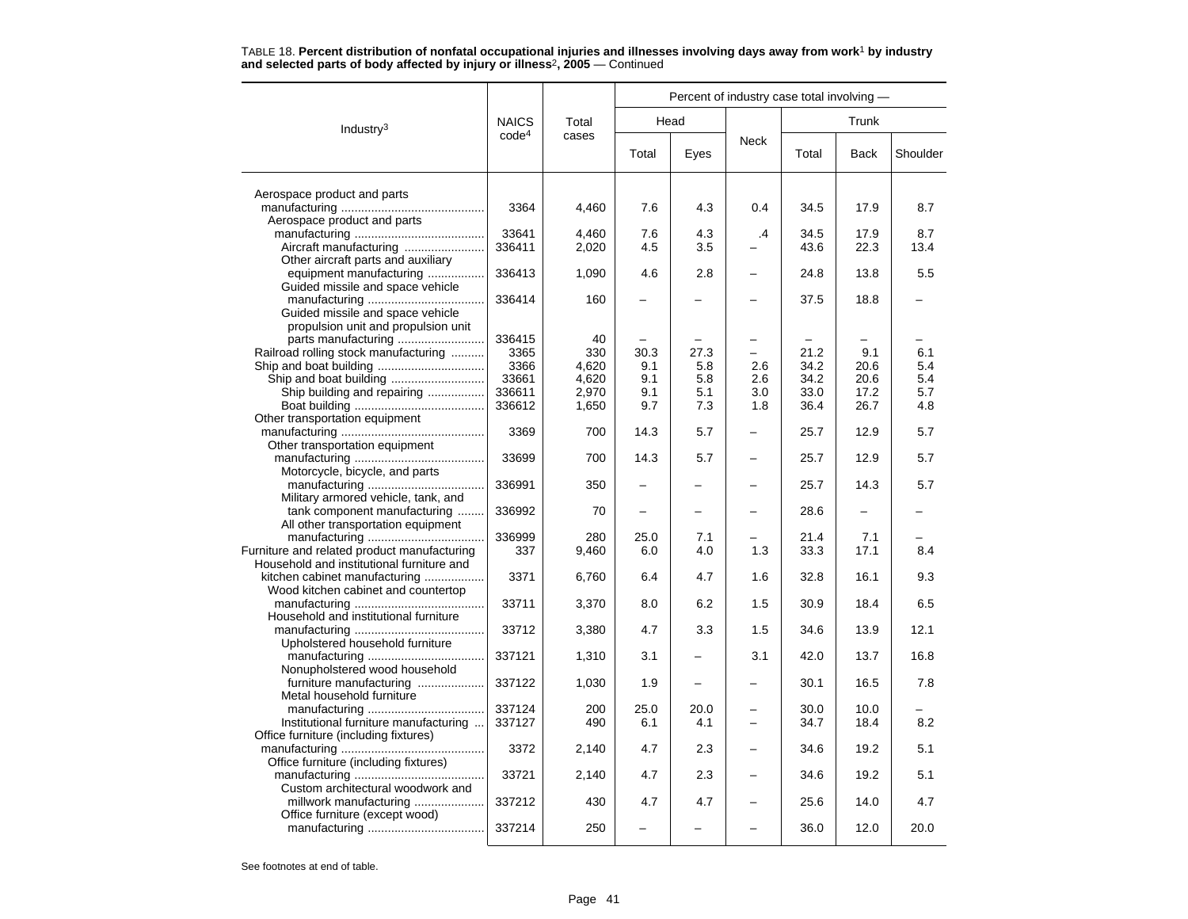| <b>NAICS</b><br>Total<br>Head<br>Trunk<br>Industry $3$<br>code <sup>4</sup><br>cases<br><b>Neck</b><br>Total<br>Eyes<br>Total<br><b>Back</b><br>Aerospace product and parts<br>3364<br>4,460<br>7.6<br>4.3<br>34.5<br>17.9<br>8.7<br>0.4<br>Aerospace product and parts<br>33641<br>4,460<br>7.6<br>4.3<br>$\cdot$<br>34.5<br>17.9<br>8.7<br>336411<br>2,020<br>4.5<br>3.5<br>43.6<br>22.3<br>13.4<br>Other aircraft parts and auxiliary<br>equipment manufacturing<br>336413<br>5.5<br>1,090<br>4.6<br>2.8<br>24.8<br>13.8<br>Guided missile and space vehicle<br>336414<br>160<br>37.5<br>18.8<br>Guided missile and space vehicle<br>propulsion unit and propulsion unit<br>336415<br>40<br>Railroad rolling stock manufacturing<br>27.3<br>21.2<br>9.1<br>3365<br>330<br>30.3<br>6.1<br>3366<br>34.2<br>4,620<br>9.1<br>5.8<br>2.6<br>20.6<br>5.4<br>33661<br>4,620<br>9.1<br>5.8<br>34.2<br>20.6<br>5.4<br>2.6<br>Ship building and repairing<br>336611<br>2,970<br>9.1<br>5.1<br>3.0<br>33.0<br>17.2<br>5.7<br>336612<br>1,650<br>9.7<br>7.3<br>1.8<br>36.4<br>26.7<br>4.8<br>Other transportation equipment<br>3369<br>700<br>14.3<br>5.7<br>25.7<br>12.9<br>5.7<br>Other transportation equipment<br>33699<br>700<br>14.3<br>5.7<br>25.7<br>12.9<br>5.7<br>Motorcycle, bicycle, and parts<br>336991<br>5.7<br>350<br>25.7<br>14.3<br>Military armored vehicle, tank, and<br>tank component manufacturing<br>336992<br>70<br>28.6<br>All other transportation equipment<br>336999<br>25.0<br>280<br>7.1<br>21.4<br>7.1<br>Furniture and related product manufacturing<br>337<br>9,460<br>1.3<br>33.3<br>17.1<br>6.0<br>4.0<br>8.4<br>Household and institutional furniture and<br>kitchen cabinet manufacturing<br>3371<br>6,760<br>6.4<br>4.7<br>1.6<br>32.8<br>16.1<br>9.3<br>Wood kitchen cabinet and countertop<br>33711<br>6.2<br>1.5<br>30.9<br>6.5<br>3,370<br>8.0<br>18.4 |  |  | Percent of industry case total involving - |  |  |  |  |          |  |  |
|------------------------------------------------------------------------------------------------------------------------------------------------------------------------------------------------------------------------------------------------------------------------------------------------------------------------------------------------------------------------------------------------------------------------------------------------------------------------------------------------------------------------------------------------------------------------------------------------------------------------------------------------------------------------------------------------------------------------------------------------------------------------------------------------------------------------------------------------------------------------------------------------------------------------------------------------------------------------------------------------------------------------------------------------------------------------------------------------------------------------------------------------------------------------------------------------------------------------------------------------------------------------------------------------------------------------------------------------------------------------------------------------------------------------------------------------------------------------------------------------------------------------------------------------------------------------------------------------------------------------------------------------------------------------------------------------------------------------------------------------------------------------------------------------------------------------------------------------------------------------------------------|--|--|--------------------------------------------|--|--|--|--|----------|--|--|
|                                                                                                                                                                                                                                                                                                                                                                                                                                                                                                                                                                                                                                                                                                                                                                                                                                                                                                                                                                                                                                                                                                                                                                                                                                                                                                                                                                                                                                                                                                                                                                                                                                                                                                                                                                                                                                                                                          |  |  |                                            |  |  |  |  |          |  |  |
|                                                                                                                                                                                                                                                                                                                                                                                                                                                                                                                                                                                                                                                                                                                                                                                                                                                                                                                                                                                                                                                                                                                                                                                                                                                                                                                                                                                                                                                                                                                                                                                                                                                                                                                                                                                                                                                                                          |  |  |                                            |  |  |  |  | Shoulder |  |  |
|                                                                                                                                                                                                                                                                                                                                                                                                                                                                                                                                                                                                                                                                                                                                                                                                                                                                                                                                                                                                                                                                                                                                                                                                                                                                                                                                                                                                                                                                                                                                                                                                                                                                                                                                                                                                                                                                                          |  |  |                                            |  |  |  |  |          |  |  |
|                                                                                                                                                                                                                                                                                                                                                                                                                                                                                                                                                                                                                                                                                                                                                                                                                                                                                                                                                                                                                                                                                                                                                                                                                                                                                                                                                                                                                                                                                                                                                                                                                                                                                                                                                                                                                                                                                          |  |  |                                            |  |  |  |  |          |  |  |
|                                                                                                                                                                                                                                                                                                                                                                                                                                                                                                                                                                                                                                                                                                                                                                                                                                                                                                                                                                                                                                                                                                                                                                                                                                                                                                                                                                                                                                                                                                                                                                                                                                                                                                                                                                                                                                                                                          |  |  |                                            |  |  |  |  |          |  |  |
|                                                                                                                                                                                                                                                                                                                                                                                                                                                                                                                                                                                                                                                                                                                                                                                                                                                                                                                                                                                                                                                                                                                                                                                                                                                                                                                                                                                                                                                                                                                                                                                                                                                                                                                                                                                                                                                                                          |  |  |                                            |  |  |  |  |          |  |  |
|                                                                                                                                                                                                                                                                                                                                                                                                                                                                                                                                                                                                                                                                                                                                                                                                                                                                                                                                                                                                                                                                                                                                                                                                                                                                                                                                                                                                                                                                                                                                                                                                                                                                                                                                                                                                                                                                                          |  |  |                                            |  |  |  |  |          |  |  |
|                                                                                                                                                                                                                                                                                                                                                                                                                                                                                                                                                                                                                                                                                                                                                                                                                                                                                                                                                                                                                                                                                                                                                                                                                                                                                                                                                                                                                                                                                                                                                                                                                                                                                                                                                                                                                                                                                          |  |  |                                            |  |  |  |  |          |  |  |
|                                                                                                                                                                                                                                                                                                                                                                                                                                                                                                                                                                                                                                                                                                                                                                                                                                                                                                                                                                                                                                                                                                                                                                                                                                                                                                                                                                                                                                                                                                                                                                                                                                                                                                                                                                                                                                                                                          |  |  |                                            |  |  |  |  |          |  |  |
|                                                                                                                                                                                                                                                                                                                                                                                                                                                                                                                                                                                                                                                                                                                                                                                                                                                                                                                                                                                                                                                                                                                                                                                                                                                                                                                                                                                                                                                                                                                                                                                                                                                                                                                                                                                                                                                                                          |  |  |                                            |  |  |  |  |          |  |  |
|                                                                                                                                                                                                                                                                                                                                                                                                                                                                                                                                                                                                                                                                                                                                                                                                                                                                                                                                                                                                                                                                                                                                                                                                                                                                                                                                                                                                                                                                                                                                                                                                                                                                                                                                                                                                                                                                                          |  |  |                                            |  |  |  |  |          |  |  |
|                                                                                                                                                                                                                                                                                                                                                                                                                                                                                                                                                                                                                                                                                                                                                                                                                                                                                                                                                                                                                                                                                                                                                                                                                                                                                                                                                                                                                                                                                                                                                                                                                                                                                                                                                                                                                                                                                          |  |  |                                            |  |  |  |  |          |  |  |
|                                                                                                                                                                                                                                                                                                                                                                                                                                                                                                                                                                                                                                                                                                                                                                                                                                                                                                                                                                                                                                                                                                                                                                                                                                                                                                                                                                                                                                                                                                                                                                                                                                                                                                                                                                                                                                                                                          |  |  |                                            |  |  |  |  |          |  |  |
|                                                                                                                                                                                                                                                                                                                                                                                                                                                                                                                                                                                                                                                                                                                                                                                                                                                                                                                                                                                                                                                                                                                                                                                                                                                                                                                                                                                                                                                                                                                                                                                                                                                                                                                                                                                                                                                                                          |  |  |                                            |  |  |  |  |          |  |  |
|                                                                                                                                                                                                                                                                                                                                                                                                                                                                                                                                                                                                                                                                                                                                                                                                                                                                                                                                                                                                                                                                                                                                                                                                                                                                                                                                                                                                                                                                                                                                                                                                                                                                                                                                                                                                                                                                                          |  |  |                                            |  |  |  |  |          |  |  |
|                                                                                                                                                                                                                                                                                                                                                                                                                                                                                                                                                                                                                                                                                                                                                                                                                                                                                                                                                                                                                                                                                                                                                                                                                                                                                                                                                                                                                                                                                                                                                                                                                                                                                                                                                                                                                                                                                          |  |  |                                            |  |  |  |  |          |  |  |
|                                                                                                                                                                                                                                                                                                                                                                                                                                                                                                                                                                                                                                                                                                                                                                                                                                                                                                                                                                                                                                                                                                                                                                                                                                                                                                                                                                                                                                                                                                                                                                                                                                                                                                                                                                                                                                                                                          |  |  |                                            |  |  |  |  |          |  |  |
|                                                                                                                                                                                                                                                                                                                                                                                                                                                                                                                                                                                                                                                                                                                                                                                                                                                                                                                                                                                                                                                                                                                                                                                                                                                                                                                                                                                                                                                                                                                                                                                                                                                                                                                                                                                                                                                                                          |  |  |                                            |  |  |  |  |          |  |  |
|                                                                                                                                                                                                                                                                                                                                                                                                                                                                                                                                                                                                                                                                                                                                                                                                                                                                                                                                                                                                                                                                                                                                                                                                                                                                                                                                                                                                                                                                                                                                                                                                                                                                                                                                                                                                                                                                                          |  |  |                                            |  |  |  |  |          |  |  |
|                                                                                                                                                                                                                                                                                                                                                                                                                                                                                                                                                                                                                                                                                                                                                                                                                                                                                                                                                                                                                                                                                                                                                                                                                                                                                                                                                                                                                                                                                                                                                                                                                                                                                                                                                                                                                                                                                          |  |  |                                            |  |  |  |  |          |  |  |
|                                                                                                                                                                                                                                                                                                                                                                                                                                                                                                                                                                                                                                                                                                                                                                                                                                                                                                                                                                                                                                                                                                                                                                                                                                                                                                                                                                                                                                                                                                                                                                                                                                                                                                                                                                                                                                                                                          |  |  |                                            |  |  |  |  |          |  |  |
|                                                                                                                                                                                                                                                                                                                                                                                                                                                                                                                                                                                                                                                                                                                                                                                                                                                                                                                                                                                                                                                                                                                                                                                                                                                                                                                                                                                                                                                                                                                                                                                                                                                                                                                                                                                                                                                                                          |  |  |                                            |  |  |  |  |          |  |  |
|                                                                                                                                                                                                                                                                                                                                                                                                                                                                                                                                                                                                                                                                                                                                                                                                                                                                                                                                                                                                                                                                                                                                                                                                                                                                                                                                                                                                                                                                                                                                                                                                                                                                                                                                                                                                                                                                                          |  |  |                                            |  |  |  |  |          |  |  |
|                                                                                                                                                                                                                                                                                                                                                                                                                                                                                                                                                                                                                                                                                                                                                                                                                                                                                                                                                                                                                                                                                                                                                                                                                                                                                                                                                                                                                                                                                                                                                                                                                                                                                                                                                                                                                                                                                          |  |  |                                            |  |  |  |  |          |  |  |
|                                                                                                                                                                                                                                                                                                                                                                                                                                                                                                                                                                                                                                                                                                                                                                                                                                                                                                                                                                                                                                                                                                                                                                                                                                                                                                                                                                                                                                                                                                                                                                                                                                                                                                                                                                                                                                                                                          |  |  |                                            |  |  |  |  |          |  |  |
|                                                                                                                                                                                                                                                                                                                                                                                                                                                                                                                                                                                                                                                                                                                                                                                                                                                                                                                                                                                                                                                                                                                                                                                                                                                                                                                                                                                                                                                                                                                                                                                                                                                                                                                                                                                                                                                                                          |  |  |                                            |  |  |  |  |          |  |  |
|                                                                                                                                                                                                                                                                                                                                                                                                                                                                                                                                                                                                                                                                                                                                                                                                                                                                                                                                                                                                                                                                                                                                                                                                                                                                                                                                                                                                                                                                                                                                                                                                                                                                                                                                                                                                                                                                                          |  |  |                                            |  |  |  |  |          |  |  |
|                                                                                                                                                                                                                                                                                                                                                                                                                                                                                                                                                                                                                                                                                                                                                                                                                                                                                                                                                                                                                                                                                                                                                                                                                                                                                                                                                                                                                                                                                                                                                                                                                                                                                                                                                                                                                                                                                          |  |  |                                            |  |  |  |  |          |  |  |
|                                                                                                                                                                                                                                                                                                                                                                                                                                                                                                                                                                                                                                                                                                                                                                                                                                                                                                                                                                                                                                                                                                                                                                                                                                                                                                                                                                                                                                                                                                                                                                                                                                                                                                                                                                                                                                                                                          |  |  |                                            |  |  |  |  |          |  |  |
|                                                                                                                                                                                                                                                                                                                                                                                                                                                                                                                                                                                                                                                                                                                                                                                                                                                                                                                                                                                                                                                                                                                                                                                                                                                                                                                                                                                                                                                                                                                                                                                                                                                                                                                                                                                                                                                                                          |  |  |                                            |  |  |  |  |          |  |  |
|                                                                                                                                                                                                                                                                                                                                                                                                                                                                                                                                                                                                                                                                                                                                                                                                                                                                                                                                                                                                                                                                                                                                                                                                                                                                                                                                                                                                                                                                                                                                                                                                                                                                                                                                                                                                                                                                                          |  |  |                                            |  |  |  |  |          |  |  |
|                                                                                                                                                                                                                                                                                                                                                                                                                                                                                                                                                                                                                                                                                                                                                                                                                                                                                                                                                                                                                                                                                                                                                                                                                                                                                                                                                                                                                                                                                                                                                                                                                                                                                                                                                                                                                                                                                          |  |  |                                            |  |  |  |  |          |  |  |
| Household and institutional furniture                                                                                                                                                                                                                                                                                                                                                                                                                                                                                                                                                                                                                                                                                                                                                                                                                                                                                                                                                                                                                                                                                                                                                                                                                                                                                                                                                                                                                                                                                                                                                                                                                                                                                                                                                                                                                                                    |  |  |                                            |  |  |  |  |          |  |  |
| 33712<br>3,380<br>4.7<br>34.6<br>13.9<br>12.1<br>3.3<br>1.5                                                                                                                                                                                                                                                                                                                                                                                                                                                                                                                                                                                                                                                                                                                                                                                                                                                                                                                                                                                                                                                                                                                                                                                                                                                                                                                                                                                                                                                                                                                                                                                                                                                                                                                                                                                                                              |  |  |                                            |  |  |  |  |          |  |  |
| Upholstered household furniture                                                                                                                                                                                                                                                                                                                                                                                                                                                                                                                                                                                                                                                                                                                                                                                                                                                                                                                                                                                                                                                                                                                                                                                                                                                                                                                                                                                                                                                                                                                                                                                                                                                                                                                                                                                                                                                          |  |  |                                            |  |  |  |  |          |  |  |
| 337121<br>42.0<br>16.8<br>1,310<br>3.1<br>3.1<br>13.7                                                                                                                                                                                                                                                                                                                                                                                                                                                                                                                                                                                                                                                                                                                                                                                                                                                                                                                                                                                                                                                                                                                                                                                                                                                                                                                                                                                                                                                                                                                                                                                                                                                                                                                                                                                                                                    |  |  |                                            |  |  |  |  |          |  |  |
| Nonupholstered wood household                                                                                                                                                                                                                                                                                                                                                                                                                                                                                                                                                                                                                                                                                                                                                                                                                                                                                                                                                                                                                                                                                                                                                                                                                                                                                                                                                                                                                                                                                                                                                                                                                                                                                                                                                                                                                                                            |  |  |                                            |  |  |  |  |          |  |  |
| furniture manufacturing<br>337122<br>30.1<br>16.5<br>7.8<br>1,030<br>1.9                                                                                                                                                                                                                                                                                                                                                                                                                                                                                                                                                                                                                                                                                                                                                                                                                                                                                                                                                                                                                                                                                                                                                                                                                                                                                                                                                                                                                                                                                                                                                                                                                                                                                                                                                                                                                 |  |  |                                            |  |  |  |  |          |  |  |
| Metal household furniture                                                                                                                                                                                                                                                                                                                                                                                                                                                                                                                                                                                                                                                                                                                                                                                                                                                                                                                                                                                                                                                                                                                                                                                                                                                                                                                                                                                                                                                                                                                                                                                                                                                                                                                                                                                                                                                                |  |  |                                            |  |  |  |  |          |  |  |
| 337124<br>200<br>25.0<br>20.0<br>30.0<br>10.0                                                                                                                                                                                                                                                                                                                                                                                                                                                                                                                                                                                                                                                                                                                                                                                                                                                                                                                                                                                                                                                                                                                                                                                                                                                                                                                                                                                                                                                                                                                                                                                                                                                                                                                                                                                                                                            |  |  |                                            |  |  |  |  |          |  |  |
| Institutional furniture manufacturing<br>337127<br>490<br>6.1<br>4.1<br>34.7<br>18.4<br>8.2                                                                                                                                                                                                                                                                                                                                                                                                                                                                                                                                                                                                                                                                                                                                                                                                                                                                                                                                                                                                                                                                                                                                                                                                                                                                                                                                                                                                                                                                                                                                                                                                                                                                                                                                                                                              |  |  |                                            |  |  |  |  |          |  |  |
| Office furniture (including fixtures)                                                                                                                                                                                                                                                                                                                                                                                                                                                                                                                                                                                                                                                                                                                                                                                                                                                                                                                                                                                                                                                                                                                                                                                                                                                                                                                                                                                                                                                                                                                                                                                                                                                                                                                                                                                                                                                    |  |  |                                            |  |  |  |  |          |  |  |
| 3372<br>2,140<br>4.7<br>2.3<br>34.6<br>19.2<br>5.1                                                                                                                                                                                                                                                                                                                                                                                                                                                                                                                                                                                                                                                                                                                                                                                                                                                                                                                                                                                                                                                                                                                                                                                                                                                                                                                                                                                                                                                                                                                                                                                                                                                                                                                                                                                                                                       |  |  |                                            |  |  |  |  |          |  |  |
| Office furniture (including fixtures)                                                                                                                                                                                                                                                                                                                                                                                                                                                                                                                                                                                                                                                                                                                                                                                                                                                                                                                                                                                                                                                                                                                                                                                                                                                                                                                                                                                                                                                                                                                                                                                                                                                                                                                                                                                                                                                    |  |  |                                            |  |  |  |  |          |  |  |
| 33721<br>5.1<br>2,140<br>4.7<br>2.3<br>34.6<br>19.2                                                                                                                                                                                                                                                                                                                                                                                                                                                                                                                                                                                                                                                                                                                                                                                                                                                                                                                                                                                                                                                                                                                                                                                                                                                                                                                                                                                                                                                                                                                                                                                                                                                                                                                                                                                                                                      |  |  |                                            |  |  |  |  |          |  |  |
| Custom architectural woodwork and                                                                                                                                                                                                                                                                                                                                                                                                                                                                                                                                                                                                                                                                                                                                                                                                                                                                                                                                                                                                                                                                                                                                                                                                                                                                                                                                                                                                                                                                                                                                                                                                                                                                                                                                                                                                                                                        |  |  |                                            |  |  |  |  |          |  |  |
| millwork manufacturing<br>337212<br>430<br>4.7<br>25.6<br>14.0<br>4.7<br>4.7                                                                                                                                                                                                                                                                                                                                                                                                                                                                                                                                                                                                                                                                                                                                                                                                                                                                                                                                                                                                                                                                                                                                                                                                                                                                                                                                                                                                                                                                                                                                                                                                                                                                                                                                                                                                             |  |  |                                            |  |  |  |  |          |  |  |
| Office furniture (except wood)                                                                                                                                                                                                                                                                                                                                                                                                                                                                                                                                                                                                                                                                                                                                                                                                                                                                                                                                                                                                                                                                                                                                                                                                                                                                                                                                                                                                                                                                                                                                                                                                                                                                                                                                                                                                                                                           |  |  |                                            |  |  |  |  |          |  |  |
| 337214<br>250<br>36.0<br>12.0<br>20.0                                                                                                                                                                                                                                                                                                                                                                                                                                                                                                                                                                                                                                                                                                                                                                                                                                                                                                                                                                                                                                                                                                                                                                                                                                                                                                                                                                                                                                                                                                                                                                                                                                                                                                                                                                                                                                                    |  |  |                                            |  |  |  |  |          |  |  |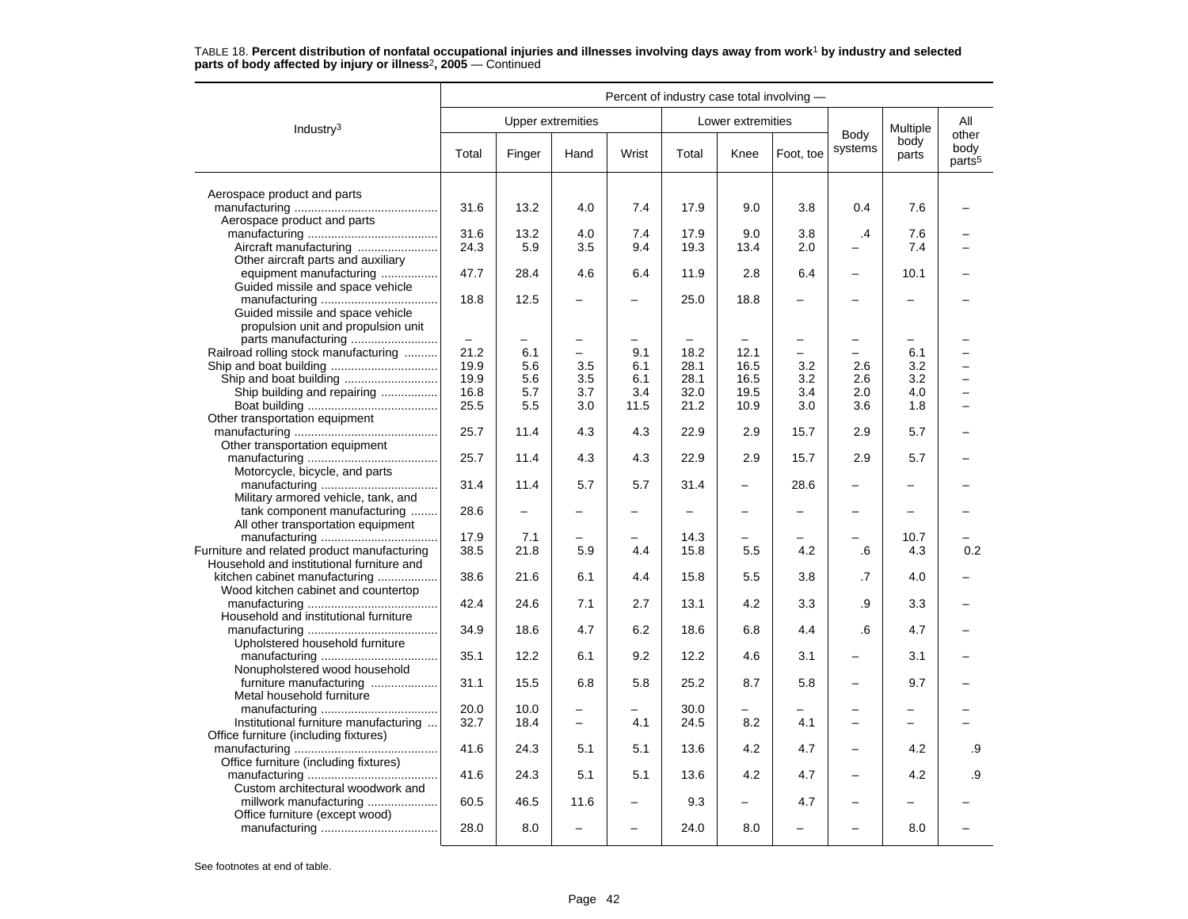|                                                                                          | Percent of industry case total involving - |        |                          |       |       |                          |           |                          |               |                                     |
|------------------------------------------------------------------------------------------|--------------------------------------------|--------|--------------------------|-------|-------|--------------------------|-----------|--------------------------|---------------|-------------------------------------|
| Industry $3$                                                                             |                                            |        | <b>Upper extremities</b> |       |       | Lower extremities        |           |                          | Multiple      | All                                 |
|                                                                                          | Total                                      | Finger | Hand                     | Wrist | Total | Knee                     | Foot, toe | Body<br>systems          | body<br>parts | other<br>body<br>parts <sup>5</sup> |
| Aerospace product and parts                                                              |                                            |        |                          |       |       |                          |           |                          |               |                                     |
| Aerospace product and parts                                                              | 31.6                                       | 13.2   | 4.0                      | 7.4   | 17.9  | 9.0                      | 3.8       | 0.4                      | 7.6           |                                     |
|                                                                                          | 31.6                                       | 13.2   | 4.0                      | 7.4   | 17.9  | 9.0                      | 3.8       | $\cdot$                  | 7.6           |                                     |
| Other aircraft parts and auxiliary                                                       | 24.3                                       | 5.9    | 3.5                      | 9.4   | 19.3  | 13.4                     | 2.0       |                          | 7.4           |                                     |
| equipment manufacturing<br>Guided missile and space vehicle                              | 47.7                                       | 28.4   | 4.6                      | 6.4   | 11.9  | 2.8                      | 6.4       | $\overline{\phantom{0}}$ | 10.1          |                                     |
| Guided missile and space vehicle                                                         | 18.8                                       | 12.5   |                          |       | 25.0  | 18.8                     |           |                          |               |                                     |
| propulsion unit and propulsion unit                                                      |                                            |        |                          |       |       |                          |           |                          |               |                                     |
| Railroad rolling stock manufacturing                                                     | 21.2                                       | 6.1    | $\overline{\phantom{0}}$ | 9.1   | 18.2  | 12.1                     | L         |                          | 6.1           |                                     |
|                                                                                          | 19.9                                       | 5.6    | 3.5                      | 6.1   | 28.1  | 16.5                     | 3.2       | 2.6                      | 3.2           |                                     |
| Ship and boat building                                                                   | 19.9                                       | 5.6    | 3.5                      | 6.1   | 28.1  | 16.5                     | 3.2       | 2.6                      | 3.2           |                                     |
| Ship building and repairing                                                              | 16.8                                       | 5.7    | 3.7                      | 3.4   | 32.0  | 19.5                     | 3.4       | 2.0                      | 4.0           |                                     |
|                                                                                          | 25.5                                       | 5.5    | 3.0                      | 11.5  | 21.2  | 10.9                     | 3.0       | 3.6                      | 1.8           |                                     |
| Other transportation equipment                                                           |                                            |        |                          |       |       |                          |           |                          |               |                                     |
| Other transportation equipment                                                           | 25.7                                       | 11.4   | 4.3                      | 4.3   | 22.9  | 2.9                      | 15.7      | 2.9                      | 5.7           |                                     |
|                                                                                          | 25.7                                       | 11.4   | 4.3                      | 4.3   | 22.9  | 2.9                      | 15.7      | 2.9                      | 5.7           |                                     |
| Motorcycle, bicycle, and parts                                                           | 31.4                                       | 11.4   | 5.7                      | 5.7   | 31.4  | $\overline{\phantom{0}}$ | 28.6      |                          |               |                                     |
| Military armored vehicle, tank, and<br>tank component manufacturing                      | 28.6                                       |        |                          |       |       |                          |           |                          |               |                                     |
| All other transportation equipment                                                       |                                            |        |                          |       |       |                          |           |                          |               |                                     |
|                                                                                          | 17.9                                       | 7.1    |                          |       | 14.3  |                          |           |                          | 10.7          |                                     |
| Furniture and related product manufacturing<br>Household and institutional furniture and | 38.5                                       | 21.8   | 5.9                      | 4.4   | 15.8  | 5.5                      | 4.2       | .6                       | 4.3           | 0.2                                 |
| kitchen cabinet manufacturing<br>Wood kitchen cabinet and countertop                     | 38.6                                       | 21.6   | 6.1                      | 4.4   | 15.8  | 5.5                      | 3.8       | .7                       | 4.0           |                                     |
|                                                                                          | 42.4                                       | 24.6   | 7.1                      | 2.7   | 13.1  | 4.2                      | 3.3       | .9                       | 3.3           |                                     |
| Household and institutional furniture                                                    | 34.9                                       | 18.6   | 4.7                      | 6.2   | 18.6  | 6.8                      | 4.4       | .6                       | 4.7           |                                     |
| Upholstered household furniture                                                          | 35.1                                       | 12.2   | 6.1                      | 9.2   | 12.2  | 4.6                      | 3.1       |                          | 3.1           |                                     |
| Nonupholstered wood household<br>furniture manufacturing                                 | 31.1                                       | 15.5   | 6.8                      | 5.8   | 25.2  | 8.7                      | 5.8       |                          | 9.7           |                                     |
| Metal household furniture                                                                | 20.0                                       | 10.0   | -                        |       | 30.0  |                          |           |                          |               |                                     |
| Institutional furniture manufacturing                                                    | 32.7                                       | 18.4   | $\overline{a}$           | 4.1   | 24.5  | 8.2                      | 4.1       |                          |               |                                     |
| Office furniture (including fixtures)                                                    | 41.6                                       | 24.3   | 5.1                      | 5.1   | 13.6  | 4.2                      | 4.7       |                          | 4.2           | .9                                  |
| Office furniture (including fixtures)                                                    | 41.6                                       | 24.3   | 5.1                      | 5.1   | 13.6  | 4.2                      | 4.7       |                          | 4.2           | .9                                  |
| Custom architectural woodwork and<br>millwork manufacturing                              | 60.5                                       | 46.5   | 11.6                     | -     | 9.3   | -                        | 4.7       |                          |               |                                     |
| Office furniture (except wood)                                                           | 28.0                                       | 8.0    |                          |       | 24.0  | 8.0                      |           |                          | 8.0           |                                     |
|                                                                                          |                                            |        |                          |       |       |                          |           |                          |               |                                     |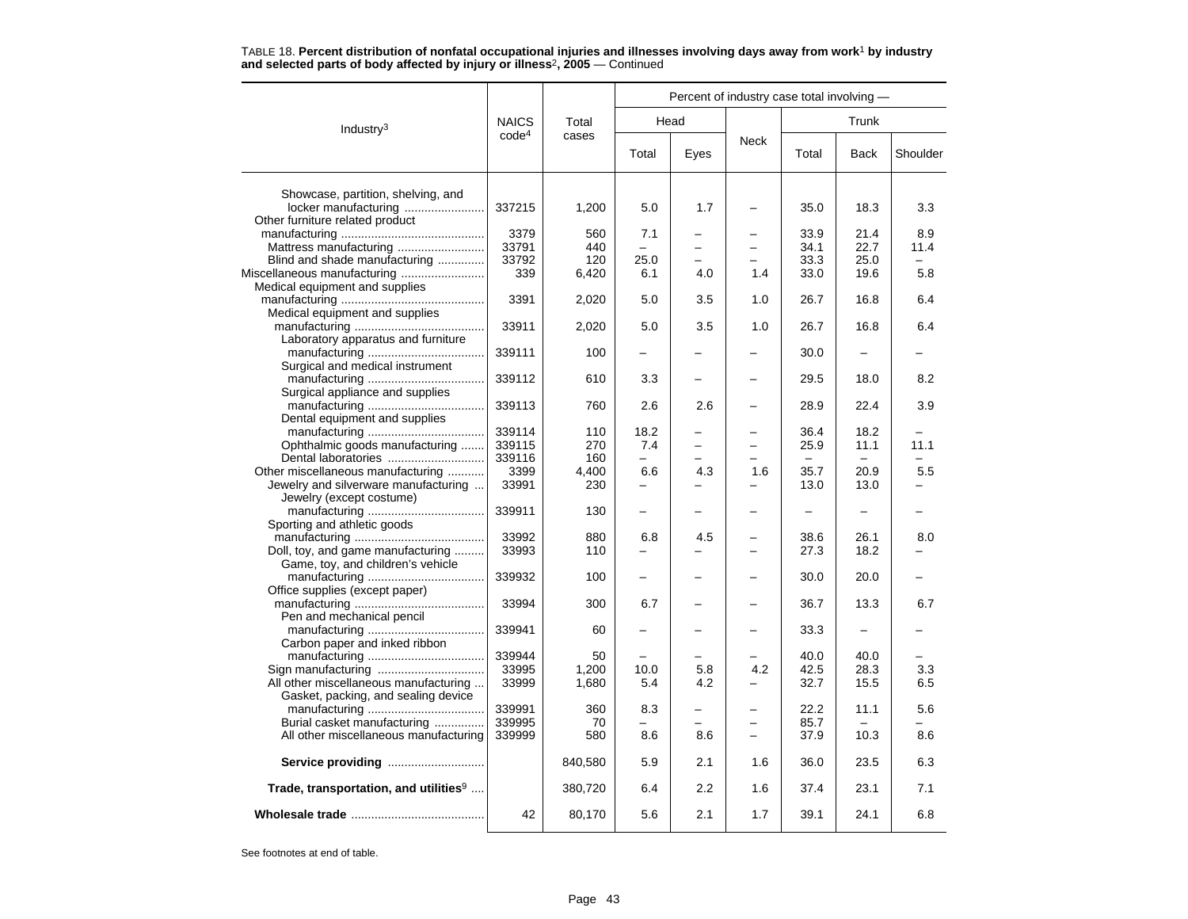|                                                   |                   |                | Percent of industry case total involving - |      |                          |       |             |          |  |  |  |
|---------------------------------------------------|-------------------|----------------|--------------------------------------------|------|--------------------------|-------|-------------|----------|--|--|--|
| Industry $3$                                      | <b>NAICS</b>      | Total          | Head                                       |      |                          |       |             |          |  |  |  |
|                                                   | code <sup>4</sup> | cases          | Total                                      | Eyes | <b>Neck</b>              | Total | <b>Back</b> | Shoulder |  |  |  |
| Showcase, partition, shelving, and                |                   |                |                                            |      |                          |       |             |          |  |  |  |
| locker manufacturing                              | 337215            | 1,200          | 5.0                                        | 1.7  |                          | 35.0  | 18.3        | 3.3      |  |  |  |
| Other furniture related product                   |                   |                |                                            |      |                          |       |             |          |  |  |  |
|                                                   | 3379              | 560            | 7.1                                        |      |                          | 33.9  | 21.4        | 8.9      |  |  |  |
|                                                   | 33791             | 440            | $\overline{\phantom{0}}$                   |      |                          | 34.1  | 22.7        | 11.4     |  |  |  |
| Blind and shade manufacturing                     | 33792             | 120            | 25.0                                       |      |                          | 33.3  | 25.0        |          |  |  |  |
|                                                   | 339               | 6,420          | 6.1                                        | 4.0  | 1.4                      | 33.0  | 19.6        | 5.8      |  |  |  |
| Medical equipment and supplies                    |                   |                |                                            |      |                          |       |             |          |  |  |  |
|                                                   | 3391              | 2,020          | 5.0                                        | 3.5  | 1.0                      | 26.7  | 16.8        | 6.4      |  |  |  |
| Medical equipment and supplies                    |                   |                |                                            |      |                          |       |             |          |  |  |  |
|                                                   | 33911             | 2,020          | 5.0                                        | 3.5  | 1.0                      | 26.7  | 16.8        | 6.4      |  |  |  |
| Laboratory apparatus and furniture                |                   |                |                                            |      |                          |       |             |          |  |  |  |
|                                                   | 339111            | 100            | $\overline{\phantom{0}}$                   |      |                          | 30.0  |             |          |  |  |  |
| Surgical and medical instrument                   |                   |                |                                            |      |                          |       |             |          |  |  |  |
|                                                   | 339112            | 610            | 3.3                                        |      |                          | 29.5  | 18.0        | 8.2      |  |  |  |
| Surgical appliance and supplies                   | 339113            | 760            | 2.6                                        | 2.6  |                          | 28.9  | 22.4        | 3.9      |  |  |  |
| Dental equipment and supplies                     |                   |                |                                            |      |                          |       |             |          |  |  |  |
|                                                   | 339114            | 110            | 18.2                                       |      |                          | 36.4  | 18.2        |          |  |  |  |
| Ophthalmic goods manufacturing                    | 339115            | 270            | 7.4                                        | -    | -                        | 25.9  | 11.1        | 11.1     |  |  |  |
| Dental laboratories                               | 339116            | 160            | $\equiv$                                   |      |                          |       |             |          |  |  |  |
| Other miscellaneous manufacturing                 | 3399              | 4,400          | 6.6                                        | 4.3  | 1.6                      | 35.7  | 20.9        | 5.5      |  |  |  |
| Jewelry and silverware manufacturing              | 33991             | 230            |                                            |      |                          | 13.0  | 13.0        |          |  |  |  |
| Jewelry (except costume)                          |                   |                |                                            |      |                          |       |             |          |  |  |  |
|                                                   | 339911            | 130            | -                                          |      |                          | ÷     |             |          |  |  |  |
| Sporting and athletic goods                       |                   |                |                                            |      |                          |       |             |          |  |  |  |
|                                                   | 33992             | 880            | 6.8                                        | 4.5  |                          | 38.6  | 26.1        | 8.0      |  |  |  |
| Doll, toy, and game manufacturing                 | 33993             | 110            | $\overline{\phantom{0}}$                   |      | $\overline{\phantom{0}}$ | 27.3  | 18.2        |          |  |  |  |
| Game, toy, and children's vehicle                 |                   |                |                                            |      |                          |       |             |          |  |  |  |
|                                                   | 339932            | 100            |                                            |      |                          | 30.0  | 20.0        |          |  |  |  |
| Office supplies (except paper)                    |                   |                |                                            |      |                          |       |             |          |  |  |  |
|                                                   | 33994             | 300            | 6.7                                        |      |                          | 36.7  | 13.3        | 6.7      |  |  |  |
| Pen and mechanical pencil                         |                   |                |                                            |      |                          |       |             |          |  |  |  |
|                                                   | 339941            | 60             |                                            |      |                          | 33.3  |             |          |  |  |  |
| Carbon paper and inked ribbon                     | 339944            |                |                                            |      |                          | 40.0  | 40.0        |          |  |  |  |
|                                                   |                   | 50             | 10.0                                       | 5.8  | 4.2                      | 42.5  | 28.3        | 3.3      |  |  |  |
| All other miscellaneous manufacturing             | 33995<br>33999    | 1,200<br>1,680 | 5.4                                        | 4.2  |                          | 32.7  | 15.5        | 6.5      |  |  |  |
| Gasket, packing, and sealing device               |                   |                |                                            |      |                          |       |             |          |  |  |  |
|                                                   | 339991            | 360            | 8.3                                        |      |                          | 22.2  | 11.1        | 5.6      |  |  |  |
| Burial casket manufacturing                       | 339995            | 70             |                                            |      |                          | 85.7  |             |          |  |  |  |
| All other miscellaneous manufacturing             | 339999            | 580            | 8.6                                        | 8.6  | $\overline{\phantom{0}}$ | 37.9  | 10.3        | 8.6      |  |  |  |
|                                                   |                   |                |                                            |      |                          |       |             |          |  |  |  |
|                                                   |                   | 840,580        | 5.9                                        | 2.1  | 1.6                      | 36.0  | 23.5        | 6.3      |  |  |  |
| Trade, transportation, and utilities <sup>9</sup> |                   | 380,720        | 6.4                                        | 2.2  | 1.6                      | 37.4  | 23.1        | 7.1      |  |  |  |
|                                                   | 42                | 80,170         | 5.6                                        | 2.1  | 1.7                      | 39.1  | 24.1        | 6.8      |  |  |  |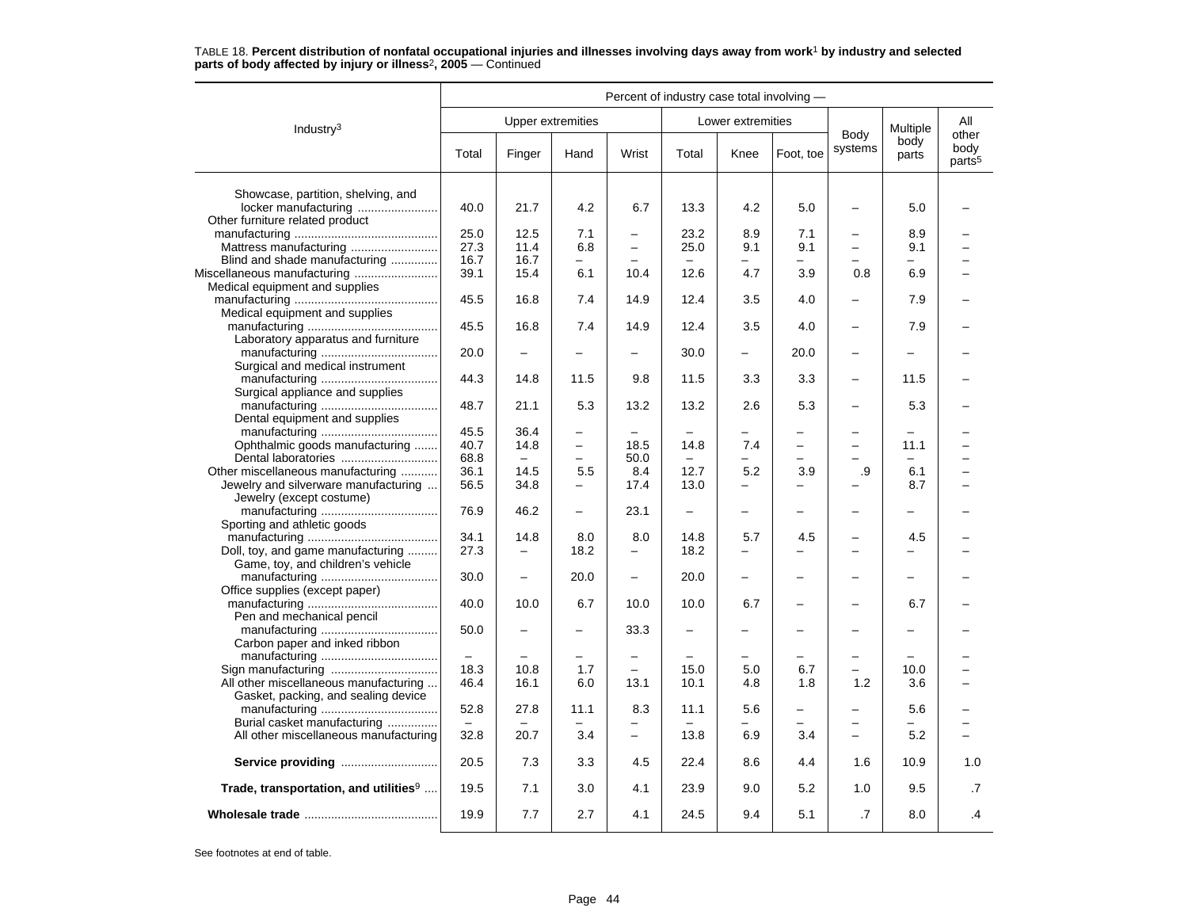|                                                   | Percent of industry case total involving - |                          |                          |                          |                          |                          |                          |                          |                          |                                     |
|---------------------------------------------------|--------------------------------------------|--------------------------|--------------------------|--------------------------|--------------------------|--------------------------|--------------------------|--------------------------|--------------------------|-------------------------------------|
| Industry <sup>3</sup>                             |                                            |                          | <b>Upper extremities</b> |                          |                          | Lower extremities        |                          |                          | Multiple                 | All                                 |
|                                                   | Total                                      | Finger                   | Hand                     | Wrist                    | Total                    | Knee                     | Foot, toe                | Body<br>systems          | body<br>parts            | other<br>body<br>parts <sup>5</sup> |
| Showcase, partition, shelving, and                |                                            |                          |                          |                          |                          |                          |                          |                          |                          |                                     |
| locker manufacturing                              | 40.0                                       | 21.7                     | 4.2                      | 6.7                      | 13.3                     | 4.2                      | 5.0                      |                          | 5.0                      |                                     |
| Other furniture related product                   | 25.0                                       | 12.5                     | 7.1                      | $\overline{\phantom{0}}$ | 23.2                     | 8.9                      | 7.1                      | -                        | 8.9                      |                                     |
|                                                   | 27.3                                       | 11.4                     | 6.8                      | $\equiv$                 | 25.0                     | 9.1                      | 9.1                      | $\overline{\phantom{0}}$ | 9.1                      |                                     |
| Blind and shade manufacturing                     | 16.7                                       | 16.7                     | $\overline{\phantom{0}}$ | $\equiv$                 |                          |                          |                          |                          |                          |                                     |
| Miscellaneous manufacturing                       | 39.1                                       | 15.4                     | 6.1                      | 10.4                     | 12.6                     | 4.7                      | 3.9                      | 0.8                      | 6.9                      |                                     |
| Medical equipment and supplies                    |                                            |                          |                          |                          |                          |                          |                          |                          |                          |                                     |
|                                                   | 45.5                                       | 16.8                     | 7.4                      | 14.9                     | 12.4                     | 3.5                      | 4.0                      | $\overline{\phantom{0}}$ | 7.9                      |                                     |
| Medical equipment and supplies                    |                                            |                          |                          |                          |                          |                          |                          |                          |                          |                                     |
|                                                   | 45.5                                       | 16.8                     | 7.4                      | 14.9                     | 12.4                     | 3.5                      | 4.0                      | L,                       | 7.9                      |                                     |
| Laboratory apparatus and furniture                | 20.0                                       | $\overline{\phantom{0}}$ | $\overline{\phantom{0}}$ | $\overline{\phantom{0}}$ | 30.0                     | $\overline{\phantom{0}}$ | 20.0                     | $\overline{\phantom{0}}$ | $\overline{\phantom{0}}$ |                                     |
| Surgical and medical instrument                   |                                            |                          |                          |                          |                          |                          |                          |                          |                          |                                     |
|                                                   | 44.3                                       | 14.8                     | 11.5                     | 9.8                      | 11.5                     | 3.3                      | 3.3                      | $\overline{\phantom{0}}$ | 11.5                     |                                     |
| Surgical appliance and supplies                   |                                            |                          |                          |                          |                          |                          |                          |                          |                          |                                     |
|                                                   | 48.7                                       | 21.1                     | 5.3                      | 13.2                     | 13.2                     | 2.6                      | 5.3                      |                          | 5.3                      |                                     |
| Dental equipment and supplies                     |                                            |                          |                          |                          |                          |                          |                          |                          |                          |                                     |
|                                                   | 45.5                                       | 36.4                     | $\overline{\phantom{0}}$ | $\equiv$                 | ÷                        | -                        | -                        | -                        | $\overline{\phantom{0}}$ |                                     |
| Ophthalmic goods manufacturing                    | 40.7                                       | 14.8                     | $\overline{\phantom{0}}$ | 18.5                     | 14.8                     | 7.4                      |                          | -                        | 11.1                     |                                     |
|                                                   | 68.8                                       | $\qquad \qquad =$        | $\equiv$                 | 50.0                     | $\equiv$                 |                          | $\overline{\phantom{0}}$ |                          | $\equiv$                 |                                     |
| Other miscellaneous manufacturing                 | 36.1                                       | 14.5                     | 5.5                      | 8.4                      | 12.7                     | 5.2                      | 3.9                      | .9                       | 6.1                      |                                     |
| Jewelry and silverware manufacturing              | 56.5                                       | 34.8                     |                          | 17.4                     | 13.0                     |                          |                          |                          | 8.7                      |                                     |
| Jewelry (except costume)                          | 76.9                                       | 46.2                     | $\overline{\phantom{0}}$ | 23.1                     | $\overline{\phantom{0}}$ | $\overline{\phantom{0}}$ | $\overline{\phantom{0}}$ | -                        | $\overline{\phantom{0}}$ |                                     |
| Sporting and athletic goods                       |                                            |                          |                          |                          |                          |                          |                          |                          |                          |                                     |
|                                                   | 34.1                                       | 14.8                     | 8.0                      | 8.0                      | 14.8                     | 5.7                      | 4.5                      | -                        | 4.5                      |                                     |
| Doll, toy, and game manufacturing                 | 27.3                                       | $\overline{\phantom{m}}$ | 18.2                     | $\overline{\phantom{0}}$ | 18.2                     | $\overline{\phantom{0}}$ |                          | $\overline{\phantom{0}}$ |                          |                                     |
| Game, toy, and children's vehicle                 |                                            |                          |                          |                          |                          |                          |                          |                          |                          |                                     |
|                                                   | 30.0                                       | $\overline{\phantom{0}}$ | 20.0                     | $\equiv$                 | 20.0                     | $\overline{\phantom{0}}$ |                          | -                        |                          |                                     |
| Office supplies (except paper)                    |                                            |                          |                          |                          |                          |                          |                          |                          |                          |                                     |
|                                                   | 40.0                                       | 10.0                     | 6.7                      | 10.0                     | 10.0                     | 6.7                      |                          | ▃                        | 6.7                      |                                     |
| Pen and mechanical pencil                         |                                            |                          |                          |                          |                          |                          |                          |                          |                          |                                     |
|                                                   | 50.0                                       | $\overline{\phantom{0}}$ | $\overline{\phantom{0}}$ | 33.3                     | -                        |                          |                          | -                        |                          |                                     |
| Carbon paper and inked ribbon                     | $\overline{\phantom{0}}$                   | $\overline{\phantom{0}}$ | $\overline{\phantom{m}}$ | $\overline{\phantom{0}}$ |                          | $\overline{\phantom{0}}$ | -                        | -                        | $\equiv$                 |                                     |
|                                                   | 18.3                                       | 10.8                     | 1.7                      |                          | 15.0                     | 5.0                      | 6.7                      | $\overline{\phantom{0}}$ | 10.0                     |                                     |
| All other miscellaneous manufacturing             | 46.4                                       | 16.1                     | 6.0                      | 13.1                     | 10.1                     | 4.8                      | 1.8                      | 1.2                      | 3.6                      |                                     |
| Gasket, packing, and sealing device               |                                            |                          |                          |                          |                          |                          |                          |                          |                          |                                     |
|                                                   | 52.8                                       | 27.8                     | 11.1                     | 8.3                      | 11.1                     | 5.6                      | -                        | -                        | 5.6                      |                                     |
| Burial casket manufacturing                       |                                            |                          |                          | $\overline{\phantom{0}}$ |                          |                          |                          | -                        |                          |                                     |
| All other miscellaneous manufacturing             | 32.8                                       | 20.7                     | 3.4                      | $\equiv$                 | 13.8                     | 6.9                      | 3.4                      | $\overline{\phantom{0}}$ | 5.2                      |                                     |
| Service providing                                 | 20.5                                       | 7.3                      | 3.3                      | 4.5                      | 22.4                     | 8.6                      | 4.4                      | 1.6                      | 10.9                     | 1.0                                 |
| Trade, transportation, and utilities <sup>9</sup> | 19.5                                       | 7.1                      | 3.0                      | 4.1                      | 23.9                     | 9.0                      | 5.2                      | 1.0                      | 9.5                      | .7                                  |
|                                                   | 19.9                                       | 7.7                      | 2.7                      | 4.1                      | 24.5                     | 9.4                      | 5.1                      | .7                       | 8.0                      | .4                                  |
|                                                   |                                            |                          |                          |                          |                          |                          |                          |                          |                          |                                     |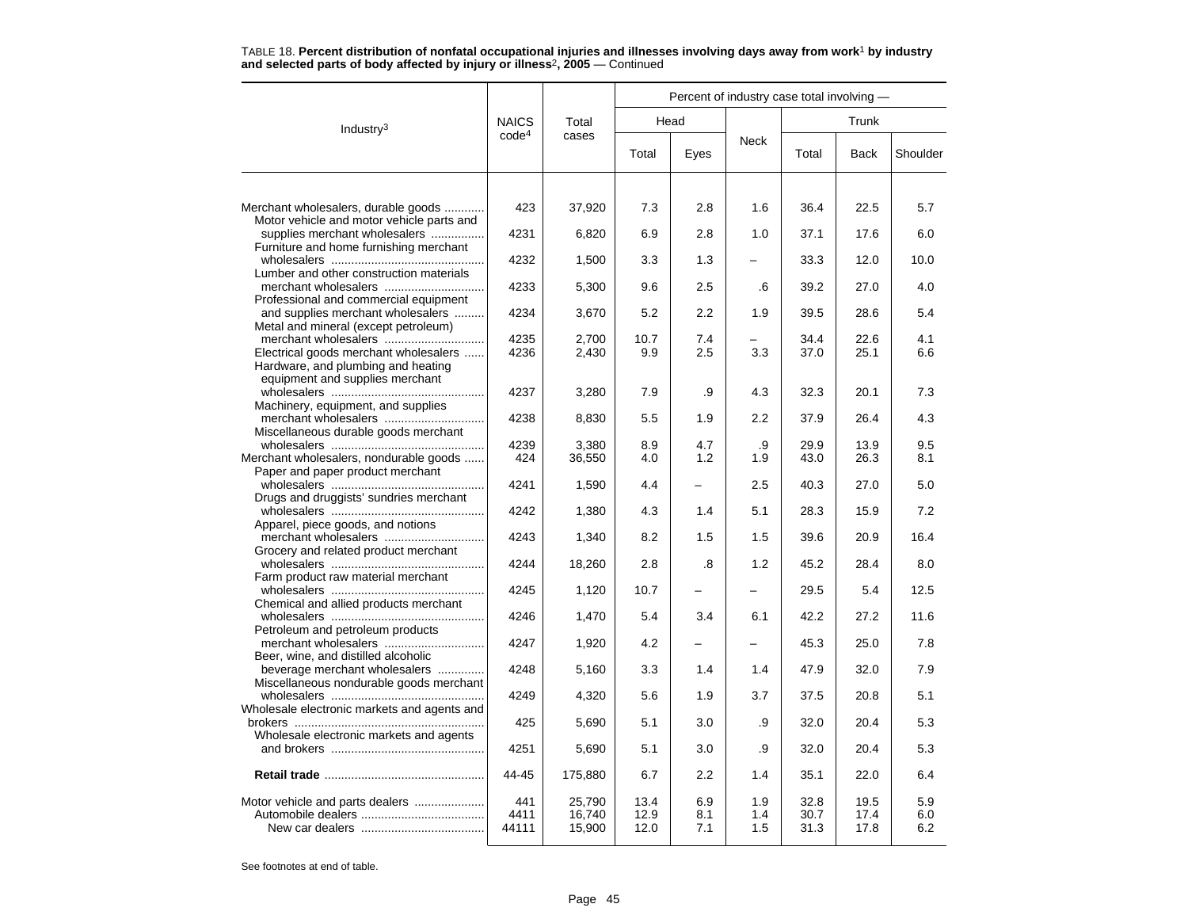|                                                              |                   |                  |              | Percent of industry case total involving - |             |              |              |            |
|--------------------------------------------------------------|-------------------|------------------|--------------|--------------------------------------------|-------------|--------------|--------------|------------|
| Industry $3$                                                 | <b>NAICS</b>      | Total            |              | Head                                       |             |              |              |            |
|                                                              | code <sup>4</sup> | cases            | Total        | Eyes                                       | <b>Neck</b> | Total        | <b>Back</b>  | Shoulder   |
|                                                              |                   |                  |              |                                            |             |              |              |            |
| Merchant wholesalers, durable goods                          | 423               | 37,920           | 7.3          | 2.8                                        | 1.6         | 36.4         | 22.5         | 5.7        |
| Motor vehicle and motor vehicle parts and                    |                   |                  |              |                                            |             |              |              |            |
| supplies merchant wholesalers                                | 4231              | 6,820            | 6.9          | 2.8                                        | 1.0         | 37.1         | 17.6         | 6.0        |
| Furniture and home furnishing merchant                       | 4232              | 1,500            | 3.3          | 1.3                                        |             | 33.3         | 12.0         | 10.0       |
| Lumber and other construction materials                      |                   |                  |              |                                            |             |              |              |            |
|                                                              | 4233              | 5,300            | 9.6          | 2.5                                        | .6          | 39.2         | 27.0         | 4.0        |
| Professional and commercial equipment                        |                   |                  |              |                                            |             |              |              |            |
| and supplies merchant wholesalers                            | 4234              | 3,670            | 5.2          | 2.2                                        | 1.9         | 39.5         | 28.6         | 5.4        |
| Metal and mineral (except petroleum)                         |                   |                  |              |                                            |             |              |              |            |
| merchant wholesalers                                         | 4235              | 2,700            | 10.7         | 7.4                                        |             | 34.4         | 22.6         | 4.1        |
| Electrical goods merchant wholesalers                        | 4236              | 2,430            | 9.9          | 2.5                                        | 3.3         | 37.0         | 25.1         | 6.6        |
| Hardware, and plumbing and heating                           |                   |                  |              |                                            |             |              |              |            |
| equipment and supplies merchant                              |                   |                  |              |                                            |             |              |              |            |
|                                                              | 4237              | 3,280            | 7.9          | .9                                         | 4.3         | 32.3         | 20.1         | 7.3        |
| Machinery, equipment, and supplies                           |                   |                  |              |                                            |             |              |              |            |
| merchant wholesalers<br>Miscellaneous durable goods merchant | 4238              | 8,830            | 5.5          | 1.9                                        | 2.2         | 37.9         | 26.4         | 4.3        |
|                                                              | 4239              | 3,380            | 8.9          | 4.7                                        | .9          | 29.9         | 13.9         | 9.5        |
| Merchant wholesalers, nondurable goods                       | 424               | 36,550           | 4.0          | 1.2                                        | 1.9         | 43.0         | 26.3         | 8.1        |
| Paper and paper product merchant                             |                   |                  |              |                                            |             |              |              |            |
|                                                              | 4241              | 1,590            | 4.4          |                                            | 2.5         | 40.3         | 27.0         | 5.0        |
| Drugs and druggists' sundries merchant                       |                   |                  |              |                                            |             |              |              |            |
|                                                              | 4242              | 1,380            | 4.3          | 1.4                                        | 5.1         | 28.3         | 15.9         | 7.2        |
| Apparel, piece goods, and notions                            |                   |                  |              |                                            |             |              |              |            |
| merchant wholesalers                                         | 4243              | 1.340            | 8.2          | 1.5                                        | 1.5         | 39.6         | 20.9         | 16.4       |
| Grocery and related product merchant                         |                   |                  |              |                                            |             |              |              |            |
|                                                              | 4244              | 18,260           | 2.8          | .8                                         | 1.2         | 45.2         | 28.4         | 8.0        |
| Farm product raw material merchant                           | 4245              | 1,120            | 10.7         |                                            |             | 29.5         | 5.4          | 12.5       |
| Chemical and allied products merchant                        |                   |                  |              |                                            |             |              |              |            |
|                                                              | 4246              | 1,470            | 5.4          | 3.4                                        | 6.1         | 42.2         | 27.2         | 11.6       |
| Petroleum and petroleum products                             |                   |                  |              |                                            |             |              |              |            |
|                                                              | 4247              | 1,920            | 4.2          |                                            |             | 45.3         | 25.0         | 7.8        |
| Beer, wine, and distilled alcoholic                          |                   |                  |              |                                            |             |              |              |            |
| beverage merchant wholesalers                                | 4248              | 5,160            | 3.3          | 1.4                                        | 1.4         | 47.9         | 32.0         | 7.9        |
| Miscellaneous nondurable goods merchant                      |                   |                  |              |                                            |             |              |              |            |
|                                                              | 4249              | 4,320            | 5.6          | 1.9                                        | 3.7         | 37.5         | 20.8         | 5.1        |
| Wholesale electronic markets and agents and                  |                   |                  |              |                                            |             |              |              |            |
|                                                              | 425               | 5,690            | 5.1          | 3.0                                        | .9          | 32.0         | 20.4         | 5.3        |
| Wholesale electronic markets and agents                      | 4251              | 5,690            | 5.1          | 3.0                                        | .9          | 32.0         | 20.4         | 5.3        |
|                                                              |                   |                  |              |                                            |             |              |              |            |
|                                                              | 44-45             | 175,880          | 6.7          | 2.2                                        | 1.4         | 35.1         | 22.0         | 6.4        |
|                                                              |                   |                  |              |                                            |             |              |              |            |
|                                                              | 441<br>4411       | 25,790           | 13.4<br>12.9 | 6.9<br>8.1                                 | 1.9<br>1.4  | 32.8<br>30.7 | 19.5<br>17.4 | 5.9<br>6.0 |
|                                                              | 44111             | 16,740<br>15,900 | 12.0         | 7.1                                        | 1.5         | 31.3         | 17.8         | 6.2        |
|                                                              |                   |                  |              |                                            |             |              |              |            |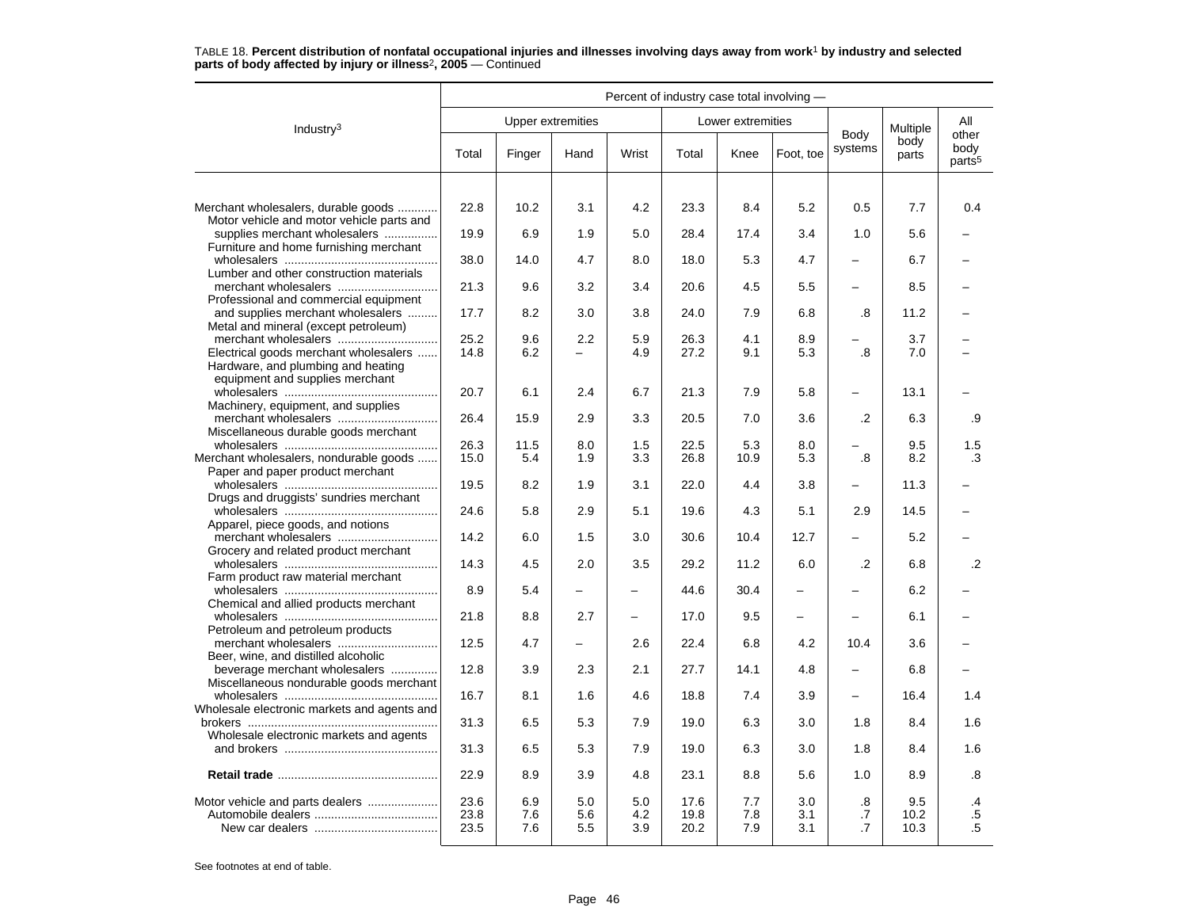|                                                                                  | Percent of industry case total involving - |                   |                          |                   |                      |                   |                   |                          |                     |                                     |
|----------------------------------------------------------------------------------|--------------------------------------------|-------------------|--------------------------|-------------------|----------------------|-------------------|-------------------|--------------------------|---------------------|-------------------------------------|
| Industry $3$                                                                     |                                            |                   | <b>Upper extremities</b> |                   |                      | Lower extremities |                   |                          | Multiple            | All                                 |
|                                                                                  | Total                                      | Finger            | Hand                     | Wrist             | Total                | Knee              | Foot, toe         | Body<br>systems          | body<br>parts       | other<br>body<br>parts <sup>5</sup> |
|                                                                                  |                                            |                   |                          |                   |                      |                   |                   |                          |                     |                                     |
| Merchant wholesalers, durable goods<br>Motor vehicle and motor vehicle parts and | 22.8                                       | 10.2              | 3.1                      | 4.2               | 23.3                 | 8.4               | 5.2               | 0.5                      | 7.7                 | 0.4                                 |
| supplies merchant wholesalers<br>Furniture and home furnishing merchant          | 19.9                                       | 6.9               | 1.9                      | 5.0               | 28.4                 | 17.4              | 3.4               | 1.0                      | 5.6                 |                                     |
| Lumber and other construction materials                                          | 38.0                                       | 14.0              | 4.7                      | 8.0               | 18.0                 | 5.3               | 4.7               |                          | 6.7                 |                                     |
| Professional and commercial equipment                                            | 21.3                                       | 9.6               | 3.2                      | 3.4               | 20.6                 | 4.5               | 5.5               | $\equiv$                 | 8.5                 |                                     |
| and supplies merchant wholesalers<br>Metal and mineral (except petroleum)        | 17.7                                       | 8.2               | 3.0                      | 3.8               | 24.0                 | 7.9               | 6.8               | .8                       | 11.2                |                                     |
| merchant wholesalers                                                             | 25.2                                       | 9.6               | 2.2                      | 5.9               | 26.3                 | 4.1               | 8.9               |                          | 3.7                 |                                     |
| Electrical goods merchant wholesalers<br>Hardware, and plumbing and heating      | 14.8                                       | 6.2               |                          | 4.9               | 27.2                 | 9.1               | 5.3               | 8.                       | 7.0                 |                                     |
| equipment and supplies merchant<br>Machinery, equipment, and supplies            | 20.7                                       | 6.1               | 2.4                      | 6.7               | 21.3                 | 7.9               | 5.8               | —                        | 13.1                |                                     |
| Miscellaneous durable goods merchant                                             | 26.4                                       | 15.9              | 2.9                      | 3.3               | 20.5                 | 7.0               | 3.6               | .2                       | 6.3                 | .9                                  |
|                                                                                  | 26.3                                       | 11.5              | 8.0                      | 1.5               | 22.5                 | 5.3               | 8.0               |                          | 9.5                 | 1.5                                 |
| Merchant wholesalers, nondurable goods<br>Paper and paper product merchant       | 15.0                                       | 5.4               | 1.9                      | 3.3               | 26.8                 | 10.9              | 5.3               | $\boldsymbol{.8}$        | 8.2                 | $\cdot$ 3                           |
| Drugs and druggists' sundries merchant                                           | 19.5                                       | 8.2               | 1.9                      | 3.1               | 22.0                 | 4.4               | 3.8               | $\overline{\phantom{0}}$ | 11.3                |                                     |
| Apparel, piece goods, and notions                                                | 24.6                                       | 5.8               | 2.9                      | 5.1               | 19.6                 | 4.3               | 5.1               | 2.9                      | 14.5                |                                     |
| Grocery and related product merchant                                             | 14.2                                       | 6.0               | 1.5                      | 3.0               | 30.6                 | 10.4              | 12.7              |                          | 5.2                 |                                     |
| Farm product raw material merchant                                               | 14.3                                       | 4.5               | 2.0                      | 3.5               | 29.2                 | 11.2              | 6.0               | $\cdot$                  | 6.8                 | $\cdot$ .2                          |
| Chemical and allied products merchant                                            | 8.9                                        | 5.4               | $\overline{a}$           | $\equiv$          | 44.6                 | 30.4              | ÷                 |                          | 6.2                 |                                     |
| Petroleum and petroleum products                                                 | 21.8                                       | 8.8               | 2.7                      | $\qquad \qquad -$ | 17.0                 | 9.5               | $\qquad \qquad -$ |                          | 6.1                 |                                     |
| Beer, wine, and distilled alcoholic                                              | 12.5                                       | 4.7               | $\overline{\phantom{0}}$ | 2.6               | 22.4                 | 6.8               | 4.2               | 10.4                     | 3.6                 |                                     |
| beverage merchant wholesalers<br>Miscellaneous nondurable goods merchant         | 12.8                                       | 3.9               | 2.3                      | 2.1               | 27.7                 | 14.1              | 4.8               | $\overline{\phantom{m}}$ | 6.8                 |                                     |
| Wholesale electronic markets and agents and                                      | 16.7                                       | 8.1               | 1.6                      | 4.6               | 18.8                 | 7.4               | 3.9               | $\equiv$                 | 16.4                | 1.4                                 |
| Wholesale electronic markets and agents                                          | 31.3                                       | 6.5               | 5.3                      | 7.9               | 19.0                 | 6.3               | 3.0               | 1.8                      | 8.4                 | 1.6                                 |
|                                                                                  | 31.3                                       | 6.5               | 5.3                      | 7.9               | 19.0                 | 6.3               | 3.0               | 1.8                      | 8.4                 | 1.6                                 |
|                                                                                  | 22.9                                       | 8.9               | 3.9                      | 4.8               | 23.1                 | 8.8               | 5.6               | 1.0                      | 8.9                 | .8                                  |
|                                                                                  | 23.6<br>23.8<br>23.5                       | 6.9<br>7.6<br>7.6 | 5.0<br>5.6<br>5.5        | 5.0<br>4.2<br>3.9 | 17.6<br>19.8<br>20.2 | 7.7<br>7.8<br>7.9 | 3.0<br>3.1<br>3.1 | .8<br>.7<br>$\cdot$ 7    | 9.5<br>10.2<br>10.3 | .4<br>$.5\,$<br>$.5\,$              |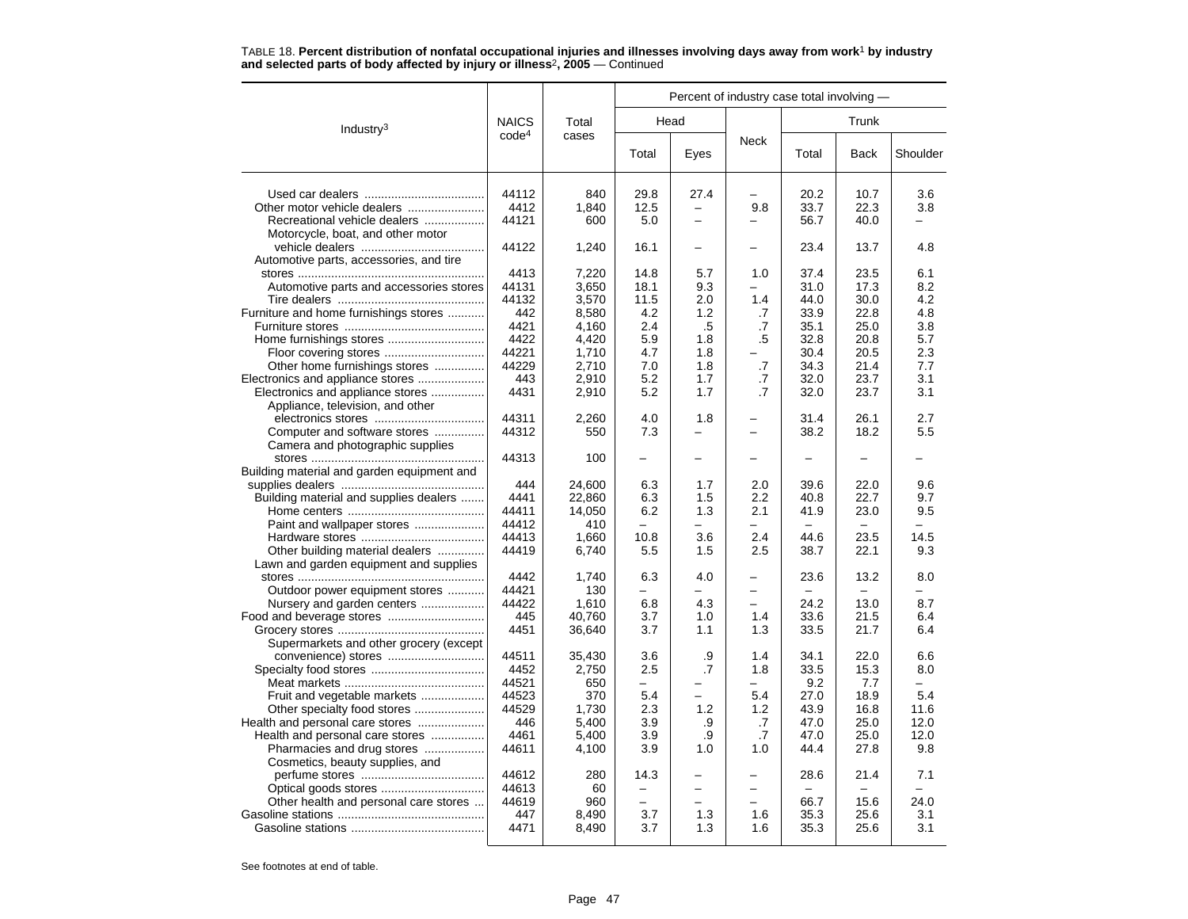|                                            |                   |        |                          | Percent of industry case total involving - |                          |       |                                  |          |
|--------------------------------------------|-------------------|--------|--------------------------|--------------------------------------------|--------------------------|-------|----------------------------------|----------|
| Industry <sup>3</sup>                      | <b>NAICS</b>      | Total  |                          | Head                                       |                          |       |                                  |          |
|                                            | code <sup>4</sup> | cases  | Total                    | Eyes                                       | <b>Neck</b>              | Total | Back                             | Shoulder |
|                                            | 44112             | 840    | 29.8                     | 27.4                                       |                          | 20.2  | 10.7                             | 3.6      |
| Other motor vehicle dealers                | 4412              | 1,840  | 12.5                     | $\overline{\phantom{0}}$                   | 9.8                      | 33.7  | 22.3                             | 3.8      |
| Recreational vehicle dealers               | 44121             | 600    | 5.0                      |                                            |                          | 56.7  | 40.0                             |          |
| Motorcycle, boat, and other motor          |                   |        |                          |                                            |                          |       |                                  |          |
|                                            | 44122             | 1,240  | 16.1                     |                                            |                          | 23.4  | 13.7                             | 4.8      |
| Automotive parts, accessories, and tire    |                   |        |                          |                                            |                          |       |                                  |          |
|                                            | 4413              | 7,220  | 14.8                     | 5.7                                        | 1.0                      | 37.4  | 23.5                             | 6.1      |
| Automotive parts and accessories stores    | 44131             | 3,650  | 18.1                     | 9.3                                        |                          | 31.0  | 17.3                             | 8.2      |
|                                            | 44132             | 3,570  | 11.5                     | 2.0                                        | 1.4                      | 44.0  | 30.0                             | 4.2      |
| Furniture and home furnishings stores      | 442               | 8,580  | 4.2                      | 1.2                                        | .7                       | 33.9  | 22.8                             | 4.8      |
|                                            | 4421              | 4,160  | 2.4                      | .5                                         | .7                       | 35.1  | 25.0                             | 3.8      |
|                                            | 4422              | 4.420  | 5.9                      | 1.8                                        | .5                       | 32.8  | 20.8                             | 5.7      |
|                                            | 44221             | 1,710  | 4.7                      | 1.8                                        |                          | 30.4  | 20.5                             | 2.3      |
| Other home furnishings stores              | 44229             | 2,710  | 7.0                      | 1.8                                        | .7                       | 34.3  | 21.4                             | 7.7      |
| Electronics and appliance stores           | 443               | 2,910  | 5.2                      | 1.7                                        | .7                       | 32.0  | 23.7                             | 3.1      |
| Electronics and appliance stores           | 4431              | 2,910  | 5.2                      | 1.7                                        | .7                       | 32.0  | 23.7                             | 3.1      |
| Appliance, television, and other           |                   |        |                          |                                            |                          |       |                                  |          |
|                                            | 44311             | 2,260  | 4.0                      | 1.8                                        |                          | 31.4  | 26.1                             | 2.7      |
| Computer and software stores               | 44312             | 550    | 7.3                      |                                            | $\overline{\phantom{0}}$ | 38.2  | 18.2                             | 5.5      |
|                                            |                   |        |                          |                                            |                          |       |                                  |          |
| Camera and photographic supplies           | 44313             |        | $\overline{\phantom{0}}$ |                                            |                          |       |                                  |          |
|                                            |                   | 100    |                          |                                            |                          |       |                                  |          |
| Building material and garden equipment and |                   |        |                          |                                            |                          |       |                                  |          |
|                                            | 444               | 24,600 | 6.3                      | 1.7                                        | 2.0                      | 39.6  | 22.0                             | 9.6      |
| Building material and supplies dealers     | 4441              | 22,860 | 6.3                      | 1.5                                        | 2.2                      | 40.8  | 22.7                             | 9.7      |
|                                            | 44411             | 14,050 | 6.2                      | 1.3                                        | 2.1                      | 41.9  | 23.0<br>$\overline{\phantom{a}}$ | 9.5      |
| Paint and wallpaper stores                 | 44412             | 410    | $\equiv$                 |                                            | $\overline{\phantom{0}}$ |       |                                  |          |
|                                            | 44413             | 1,660  | 10.8                     | 3.6                                        | 2.4                      | 44.6  | 23.5                             | 14.5     |
| Other building material dealers            | 44419             | 6,740  | 5.5                      | 1.5                                        | 2.5                      | 38.7  | 22.1                             | 9.3      |
| Lawn and garden equipment and supplies     |                   |        |                          |                                            |                          |       |                                  |          |
|                                            | 4442              | 1,740  | 6.3                      | 4.0                                        |                          | 23.6  | 13.2                             | 8.0      |
| Outdoor power equipment stores             | 44421             | 130    | $\equiv$                 |                                            |                          |       |                                  |          |
| Nursery and garden centers                 | 44422             | 1,610  | 6.8                      | 4.3                                        |                          | 24.2  | 13.0                             | 8.7      |
| Food and beverage stores                   | 445               | 40.760 | 3.7                      | 1.0                                        | 1.4                      | 33.6  | 21.5                             | 6.4      |
|                                            | 4451              | 36,640 | 3.7                      | 1.1                                        | 1.3                      | 33.5  | 21.7                             | 6.4      |
| Supermarkets and other grocery (except     |                   |        |                          |                                            |                          |       |                                  |          |
|                                            | 44511             | 35,430 | 3.6                      | .9                                         | 1.4                      | 34.1  | 22.0                             | 6.6      |
|                                            | 4452              | 2,750  | 2.5                      | $\cdot$ 7                                  | 1.8                      | 33.5  | 15.3                             | 8.0      |
|                                            | 44521             | 650    |                          |                                            |                          | 9.2   | 7.7                              |          |
| Fruit and vegetable markets                | 44523             | 370    | 5.4                      |                                            | 5.4                      | 27.0  | 18.9                             | 5.4      |
|                                            | 44529             | 1,730  | 2.3                      | 1.2                                        | 1.2                      | 43.9  | 16.8                             | 11.6     |
| Health and personal care stores            | 446               | 5,400  | 3.9                      | .9                                         | .7                       | 47.0  | 25.0                             | 12.0     |
| Health and personal care stores            | 4461              | 5,400  | 3.9                      | .9                                         | .7                       | 47.0  | 25.0                             | 12.0     |
| Pharmacies and drug stores                 | 44611             | 4,100  | 3.9                      | 1.0                                        | 1.0                      | 44.4  | 27.8                             | 9.8      |
| Cosmetics, beauty supplies, and            |                   |        |                          |                                            |                          |       |                                  |          |
|                                            | 44612             | 280    | 14.3                     |                                            |                          | 28.6  | 21.4                             | 7.1      |
|                                            | 44613             | 60     |                          | -                                          |                          |       |                                  |          |
| Other health and personal care stores      | 44619             | 960    | $\overline{\phantom{m}}$ |                                            |                          | 66.7  | 15.6                             | 24.0     |
|                                            | 447               | 8,490  | 3.7                      | 1.3                                        | 1.6                      | 35.3  | 25.6                             | 3.1      |
|                                            | 4471              | 8,490  | 3.7                      | 1.3                                        | 1.6                      | 35.3  | 25.6                             | 3.1      |
|                                            |                   |        |                          |                                            |                          |       |                                  |          |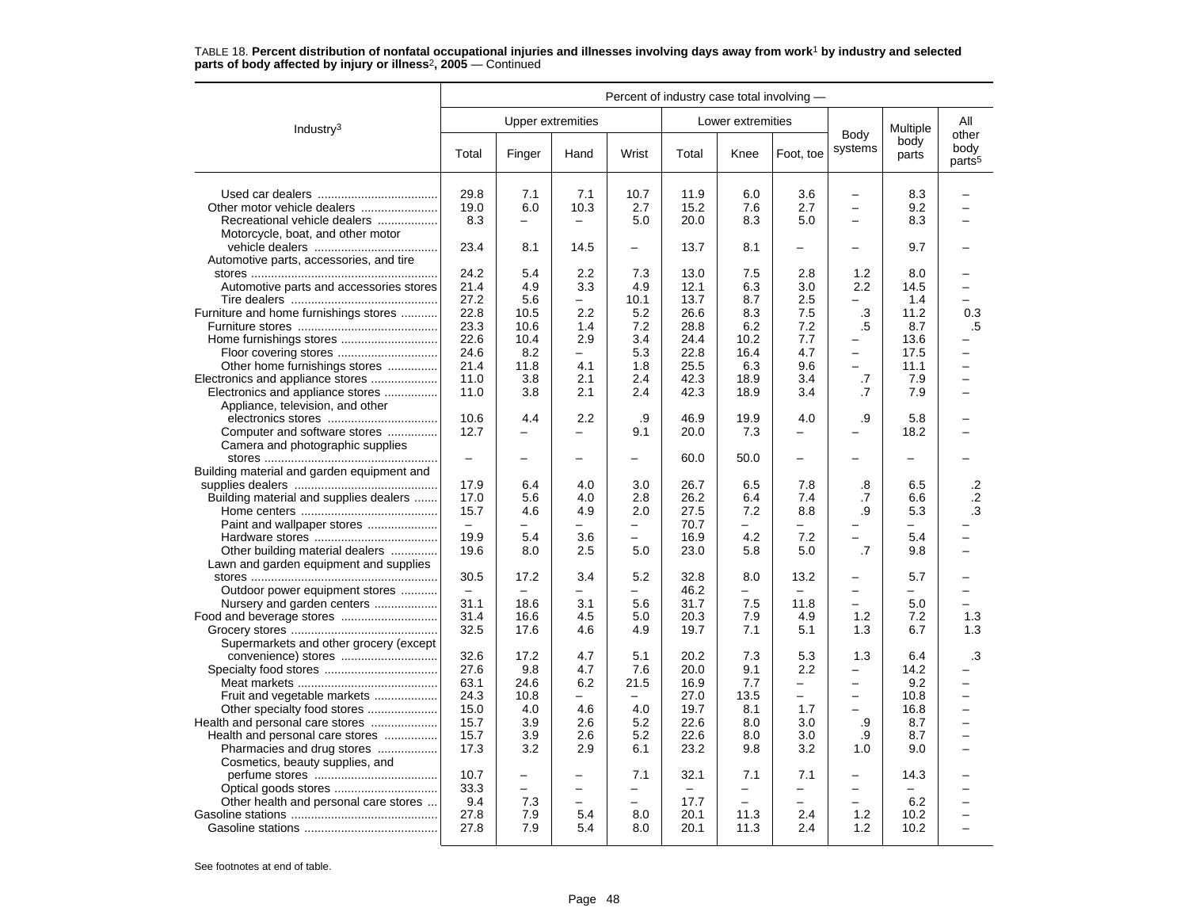|                                            | Percent of industry case total involving - |                          |                          |                          |       |                          |                          |                          |                          |                                     |
|--------------------------------------------|--------------------------------------------|--------------------------|--------------------------|--------------------------|-------|--------------------------|--------------------------|--------------------------|--------------------------|-------------------------------------|
| Industry $3$                               |                                            |                          | Upper extremities        |                          |       | Lower extremities        |                          |                          | Multiple                 | All                                 |
|                                            | Total                                      | Finger                   | Hand                     | Wrist                    | Total | Knee                     | Foot, toe                | Body<br>systems          | body<br>parts            | other<br>body<br>parts <sup>5</sup> |
|                                            | 29.8                                       | 7.1                      | 7.1                      | 10.7                     | 11.9  | 6.0                      | 3.6                      | $\qquad \qquad -$        | 8.3                      |                                     |
| Other motor vehicle dealers                | 19.0                                       | 6.0                      | 10.3                     | 2.7                      | 15.2  | 7.6                      | 2.7                      | $\equiv$                 | 9.2                      |                                     |
| Recreational vehicle dealers               | 8.3                                        | $\equiv$                 | $\equiv$                 | 5.0                      | 20.0  | 8.3                      | 5.0                      | $\equiv$                 | 8.3                      |                                     |
| Motorcycle, boat, and other motor          |                                            |                          |                          |                          |       |                          |                          |                          |                          |                                     |
|                                            | 23.4                                       | 8.1                      | 14.5                     | $\overline{\phantom{0}}$ | 13.7  | 8.1                      | $\overline{\phantom{0}}$ | $\equiv$                 | 9.7                      |                                     |
| Automotive parts, accessories, and tire    |                                            |                          |                          |                          |       |                          |                          |                          |                          |                                     |
|                                            | 24.2                                       | 5.4                      | 2.2                      | 7.3                      | 13.0  | 7.5                      | 2.8                      | 1.2                      | 8.0                      |                                     |
| Automotive parts and accessories stores    | 21.4                                       | 4.9                      | 3.3                      | 4.9                      | 12.1  | 6.3                      | 3.0                      | $2.2\phantom{0}$         | 14.5                     |                                     |
|                                            | 27.2                                       | 5.6                      | -                        | 10.1                     | 13.7  | 8.7                      | 2.5                      | -                        | 1.4                      |                                     |
| Furniture and home furnishings stores      | 22.8                                       | 10.5                     | 2.2                      | 5.2                      | 26.6  | 8.3                      | 7.5                      | .3                       | 11.2                     | 0.3                                 |
|                                            | 23.3                                       | 10.6                     | 1.4                      | 7.2                      | 28.8  | 6.2                      | 7.2                      | .5                       | 8.7                      | .5                                  |
|                                            | 22.6                                       | 10.4                     | 2.9                      | 3.4                      | 24.4  | 10.2                     | 7.7                      | -                        | 13.6                     |                                     |
| Floor covering stores                      | 24.6                                       | 8.2                      | $\equiv$                 | 5.3                      | 22.8  | 16.4                     | 4.7                      | $\equiv$                 | 17.5                     |                                     |
| Other home furnishings stores              | 21.4                                       | 11.8                     | 4.1                      | 1.8                      | 25.5  | 6.3                      | 9.6                      | $\equiv$                 | 11.1                     | -                                   |
| Electronics and appliance stores           | 11.0                                       | 3.8                      | 2.1                      | 2.4                      | 42.3  | 18.9                     | 3.4                      | .7                       | 7.9                      | $\overline{ }$                      |
| Electronics and appliance stores           | 11.0                                       | 3.8                      | 2.1                      | 2.4                      | 42.3  | 18.9                     | 3.4                      | .7                       | 7.9                      | ۳                                   |
| Appliance, television, and other           |                                            |                          |                          |                          |       |                          |                          |                          |                          |                                     |
|                                            | 10.6                                       | 4.4                      | 2.2                      | .9                       | 46.9  | 19.9                     | 4.0                      | .9                       | 5.8                      |                                     |
| Computer and software stores               | 12.7                                       | -                        | -                        | 9.1                      | 20.0  | 7.3                      |                          |                          | 18.2                     |                                     |
| Camera and photographic supplies           |                                            |                          |                          |                          |       |                          |                          |                          |                          |                                     |
|                                            | $\overline{\phantom{0}}$                   | $\overline{\phantom{0}}$ |                          | $\overline{\phantom{0}}$ | 60.0  | 50.0                     | $\overline{\phantom{0}}$ | —                        | $\overline{\phantom{0}}$ |                                     |
| Building material and garden equipment and |                                            |                          |                          |                          |       |                          |                          |                          |                          |                                     |
|                                            | 17.9                                       | 6.4                      | 4.0                      | 3.0                      | 26.7  | 6.5                      | 7.8                      | .8                       | 6.5                      | .2                                  |
| Building material and supplies dealers     | 17.0                                       | 5.6                      | 4.0                      | 2.8                      | 26.2  | 6.4                      | 7.4                      | .7                       | 6.6                      | $\cdot$ .2                          |
|                                            | 15.7                                       | 4.6                      | 4.9                      | 2.0                      | 27.5  | 7.2                      | 8.8                      | .9                       | 5.3                      | .3                                  |
| Paint and wallpaper stores                 | $\equiv$                                   |                          |                          | $\equiv$                 | 70.7  | ▃                        |                          | —                        | $\equiv$                 |                                     |
|                                            | 19.9                                       | 5.4                      | 3.6                      | $\overline{\phantom{0}}$ | 16.9  | 4.2                      | 7.2                      | $\overline{\phantom{0}}$ | 5.4                      | -                                   |
| Other building material dealers            | 19.6                                       | 8.0                      | 2.5                      | 5.0                      | 23.0  | 5.8                      | 5.0                      | .7                       | 9.8                      | $\overline{\phantom{0}}$            |
| Lawn and garden equipment and supplies     |                                            |                          |                          |                          |       |                          |                          |                          |                          |                                     |
|                                            | 30.5                                       | 17.2                     | 3.4                      | 5.2                      | 32.8  | 8.0                      | 13.2                     | -                        | 5.7                      |                                     |
| Outdoor power equipment stores             | $\equiv$                                   |                          |                          | $\overline{\phantom{0}}$ | 46.2  | ▃                        |                          | $\equiv$                 | $\equiv$                 |                                     |
| Nursery and garden centers                 | 31.1                                       | 18.6                     | 3.1                      | 5.6                      | 31.7  | 7.5                      | 11.8                     |                          | 5.0                      |                                     |
| Food and beverage stores                   | 31.4                                       | 16.6                     | 4.5                      | 5.0                      | 20.3  | 7.9                      | 4.9                      | 1.2                      | 7.2                      | 1.3                                 |
|                                            | 32.5                                       | 17.6                     | 4.6                      | 4.9                      | 19.7  | 7.1                      | 5.1                      | 1.3                      | 6.7                      | 1.3                                 |
| Supermarkets and other grocery (except     |                                            |                          |                          |                          |       |                          |                          |                          |                          |                                     |
|                                            | 32.6                                       | 17.2                     | 4.7                      | 5.1                      | 20.2  | 7.3                      | 5.3                      | 1.3                      | 6.4                      | .3                                  |
|                                            | 27.6                                       | 9.8                      | 4.7                      | 7.6                      | 20.0  | 9.1                      | 2.2                      | $\overline{\phantom{0}}$ | 14.2                     |                                     |
|                                            | 63.1                                       | 24.6                     | 6.2                      | 21.5                     | 16.9  | 7.7                      | $\equiv$                 | $\equiv$                 | 9.2                      | -                                   |
| Fruit and vegetable markets                | 24.3                                       | 10.8                     | $\overline{\phantom{0}}$ | $\overline{\phantom{m}}$ | 27.0  | 13.5                     | $\overline{\phantom{0}}$ | $\qquad \qquad -$        | 10.8                     | —                                   |
| Other specialty food stores                | 15.0                                       | 4.0                      | 4.6                      | 4.0                      | 19.7  | 8.1                      | 1.7                      | $\overline{\phantom{0}}$ | 16.8                     | —                                   |
| Health and personal care stores            | 15.7                                       | 3.9                      | 2.6                      | 5.2                      | 22.6  | 8.0                      | 3.0                      | .9                       | 8.7                      | L                                   |
| Health and personal care stores            | 15.7                                       | 3.9                      | 2.6                      | 5.2                      | 22.6  | 8.0                      | 3.0                      | .9                       | 8.7                      | $\overline{\phantom{0}}$            |
| Pharmacies and drug stores                 | 17.3                                       | 3.2                      | 2.9                      | 6.1                      | 23.2  | 9.8                      | 3.2                      | 1.0                      | 9.0                      | -                                   |
| Cosmetics, beauty supplies, and            |                                            |                          |                          |                          |       |                          |                          |                          |                          |                                     |
|                                            | 10.7                                       | -                        |                          | 7.1                      | 32.1  | 7.1                      | 7.1                      | -                        | 14.3                     |                                     |
| Optical goods stores                       | 33.3                                       | $\overline{a}$           | $\equiv$                 | $\overline{\phantom{0}}$ |       | $\overline{\phantom{0}}$ | $\overline{\phantom{0}}$ | $\overline{\phantom{0}}$ |                          |                                     |
| Other health and personal care stores      | 9.4                                        | 7.3                      | $\overline{\phantom{0}}$ | $\overline{\phantom{0}}$ | 17.7  | $\rightarrow$            | $\overline{\phantom{0}}$ | $\overline{\phantom{0}}$ | 6.2                      |                                     |
|                                            | 27.8                                       | 7.9                      | 5.4                      | 8.0                      | 20.1  | 11.3                     | 2.4                      | 1.2                      | 10.2                     |                                     |
|                                            | 27.8                                       | 7.9                      | 5.4                      | 8.0                      | 20.1  | 11.3                     | 2.4                      | 1.2                      | 10.2                     | $\overline{\phantom{0}}$            |
|                                            |                                            |                          |                          |                          |       |                          |                          |                          |                          |                                     |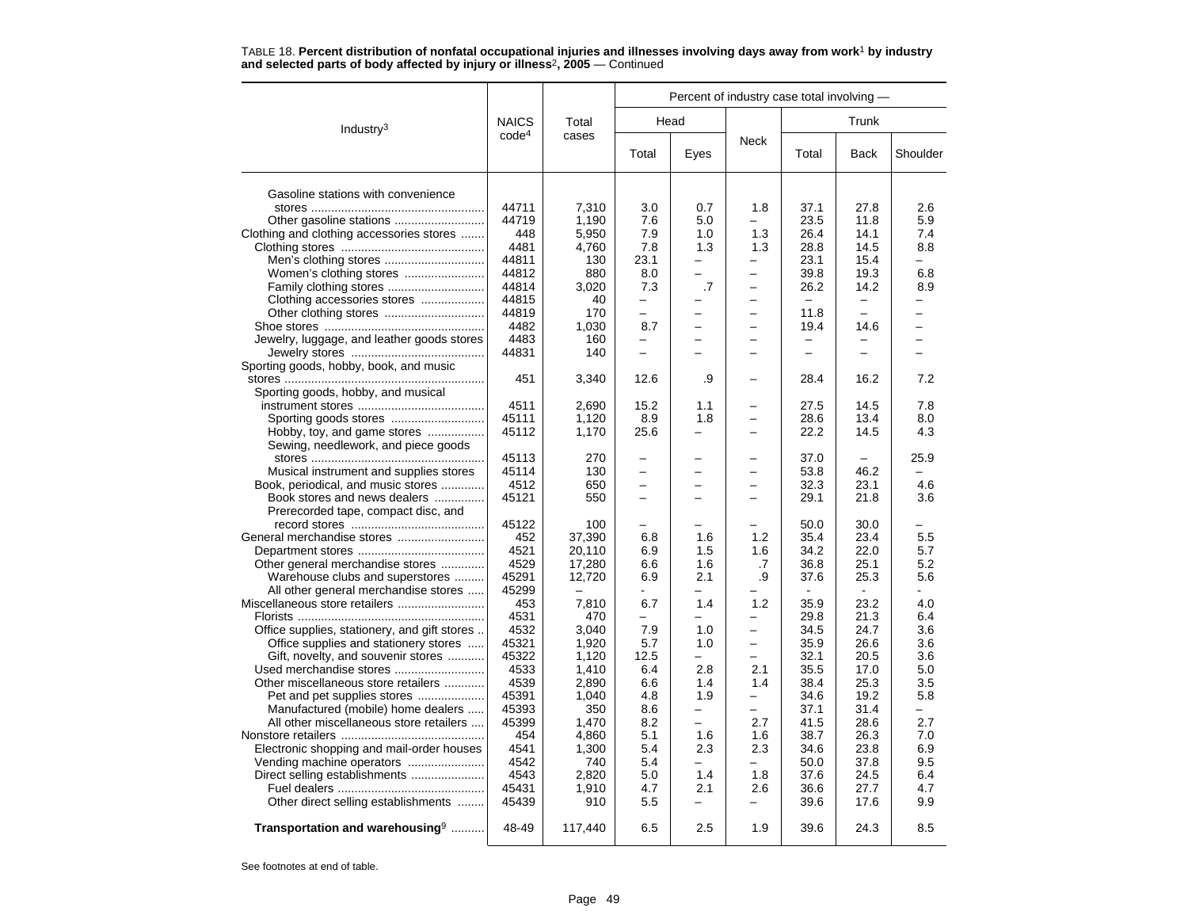|                                                                              |                   |                |                          |                          | Percent of industry case total involving - |                          |                          |                          |
|------------------------------------------------------------------------------|-------------------|----------------|--------------------------|--------------------------|--------------------------------------------|--------------------------|--------------------------|--------------------------|
| Industry <sup>3</sup>                                                        | <b>NAICS</b>      | Total          |                          | Head                     |                                            |                          | Trunk                    |                          |
|                                                                              | code <sup>4</sup> | cases          | Total                    | Eyes                     | Neck                                       | Total                    | <b>Back</b>              | Shoulder                 |
| Gasoline stations with convenience                                           |                   |                |                          |                          |                                            |                          |                          |                          |
|                                                                              | 44711             | 7,310          | 3.0                      | 0.7                      | 1.8                                        | 37.1                     | 27.8                     | 2.6                      |
| Other gasoline stations                                                      | 44719             | 1,190          | 7.6                      | 5.0                      |                                            | 23.5                     | 11.8                     | 5.9                      |
| Clothing and clothing accessories stores                                     | 448               | 5,950          | 7.9                      | 1.0                      | 1.3                                        | 26.4                     | 14.1                     | 7.4                      |
|                                                                              | 4481              | 4,760          | 7.8                      | 1.3                      | 1.3                                        | 28.8                     | 14.5                     | 8.8                      |
| Men's clothing stores                                                        | 44811             | 130            | 23.1                     | $\overline{\phantom{0}}$ | $\overline{\phantom{0}}$                   | 23.1                     | 15.4                     | $\overline{\phantom{0}}$ |
|                                                                              | 44812             | 880            | 8.0                      | -                        | -                                          | 39.8                     | 19.3                     | 6.8                      |
| Family clothing stores                                                       | 44814             | 3,020          | 7.3                      | .7                       | $\overline{\phantom{0}}$                   | 26.2                     | 14.2                     | 8.9                      |
| Clothing accessories stores                                                  | 44815             | 40             | $\overline{\phantom{0}}$ |                          | $\overline{\phantom{0}}$                   |                          | $\overline{\phantom{m}}$ | —                        |
|                                                                              | 44819             | 170            | $\overline{\phantom{0}}$ |                          | $\overline{\phantom{0}}$                   | 11.8                     | $\overline{\phantom{0}}$ | $\overline{\phantom{0}}$ |
|                                                                              | 4482              | 1,030          | 8.7                      | $\equiv$                 | $\overline{\phantom{0}}$                   | 19.4                     | 14.6                     | $\equiv$                 |
| Jewelry, luggage, and leather goods stores                                   | 4483              | 160            |                          | -                        | -                                          | -                        |                          | —                        |
|                                                                              | 44831             | 140            | $\overline{\phantom{0}}$ |                          | $\overline{\phantom{0}}$                   | $\overline{\phantom{0}}$ | $\overline{\phantom{0}}$ | -                        |
| Sporting goods, hobby, book, and music                                       |                   |                |                          |                          |                                            |                          |                          |                          |
|                                                                              | 451               | 3,340          | 12.6                     | .9                       |                                            | 28.4                     | 16.2                     | 7.2                      |
| Sporting goods, hobby, and musical                                           |                   |                |                          |                          |                                            |                          |                          |                          |
|                                                                              | 4511              | 2,690          | 15.2                     | 1.1                      |                                            | 27.5                     | 14.5                     | 7.8                      |
| Sporting goods stores                                                        | 45111             | 1,120          | 8.9                      | 1.8                      | $\overline{\phantom{0}}$                   | 28.6                     | 13.4                     | 8.0                      |
| Hobby, toy, and game stores                                                  | 45112             | 1,170          | 25.6                     |                          | -                                          | 22.2                     | 14.5                     | 4.3                      |
| Sewing, needlework, and piece goods                                          |                   |                |                          |                          |                                            |                          |                          |                          |
|                                                                              | 45113             | 270            | -                        |                          | -                                          | 37.0                     | -                        | 25.9                     |
|                                                                              | 45114             | 130            |                          |                          | ۳                                          | 53.8                     | 46.2                     | Ξ.                       |
| Musical instrument and supplies stores<br>Book, periodical, and music stores | 4512              | 650            | $\overline{\phantom{0}}$ | $\overline{\phantom{0}}$ | $\overline{\phantom{0}}$                   | 32.3                     | 23.1                     | 4.6                      |
|                                                                              | 45121             | 550            |                          |                          | $\overline{\phantom{0}}$                   | 29.1                     | 21.8                     |                          |
| Book stores and news dealers<br>Prerecorded tape, compact disc, and          |                   |                | -                        |                          |                                            |                          |                          | 3.6                      |
|                                                                              | 45122             |                |                          |                          |                                            |                          |                          |                          |
|                                                                              | 452               | 100<br>37,390  | 6.8                      | 1.6                      | 1.2                                        | 50.0<br>35.4             | 30.0<br>23.4             | 5.5                      |
|                                                                              | 4521              | 20,110         | 6.9                      | 1.5                      | 1.6                                        | 34.2                     | 22.0                     | 5.7                      |
|                                                                              | 4529              | 17,280         | 6.6                      | 1.6                      | .7                                         | 36.8                     | 25.1                     | 5.2                      |
| Other general merchandise stores                                             | 45291             |                | 6.9                      | 2.1                      |                                            | 37.6                     | 25.3                     | 5.6                      |
| Warehouse clubs and superstores                                              | 45299             | 12,720         |                          | $\overline{\phantom{0}}$ | .9                                         |                          |                          |                          |
| All other general merchandise stores                                         |                   |                |                          |                          |                                            |                          |                          |                          |
| Miscellaneous store retailers                                                | 453               | 7,810          | 6.7                      | 1.4                      | 1.2                                        | 35.9                     | 23.2                     | 4.0                      |
|                                                                              | 4531              | 470            |                          |                          |                                            | 29.8                     | 21.3                     | 6.4                      |
| Office supplies, stationery, and gift stores                                 | 4532              | 3,040          | 7.9                      | 1.0                      | $\overline{\phantom{0}}$                   | 34.5                     | 24.7                     | 3.6                      |
| Office supplies and stationery stores                                        | 45321             | 1,920          | 5.7                      | 1.0                      | $\overline{\phantom{0}}$                   | 35.9                     | 26.6                     | 3.6                      |
| Gift, novelty, and souvenir stores                                           | 45322             | 1,120          | 12.5                     |                          | —                                          | 32.1                     | 20.5                     | 3.6                      |
| Used merchandise stores                                                      | 4533              | 1,410          | 6.4                      | 2.8                      | 2.1                                        | 35.5                     | 17.0                     | 5.0                      |
| Other miscellaneous store retailers<br>Pet and pet supplies stores           | 4539<br>45391     | 2,890<br>1,040 | 6.6<br>4.8               | 1.4<br>1.9               | 1.4<br>$\equiv$                            | 38.4<br>34.6             | 25.3<br>19.2             | 3.5<br>5.8               |

TABLE 18. **Percent distribution of nonfatal occupational injuries and illnesses involving days away from work**<sup>1</sup> **by industry and selected parts of body affected by injury or illness**<sup>2</sup>**, 2005** — Continued

See footnotes at end of table.

Pet and pet supplies stores .................... 45391 1,040 4.8 1.9 – 34.6 19.2 5.8

Fuel dealers ............................................ 45431 1,910 4.7 2.1 2.6 36.6 27.7 4.7

Manufactured (mobile) home dealers ..... 45393 350 8.6 – – 37.1 31.4 –<br>All other miscellaneous store retailers .... 45399 1,470 8.2 – 2.7 41.5 28.6 2.7 All other miscellaneous store retailers .... 45399 1,470 8.2 - 2.7 41.5 28.6 2.7 2.7 41.5 2.8.6 2.7 3.0 2.7 3.0 Nonstore retailers ........................................... 454 4,860 5.1 1.6 1.6 38.7 26.3 7.0 Electronic shopping and mail-order houses 4541 1,300 5.4 2.3 2.3 34.6 23.8 6.9 Vending machine operators ....................... 4542 740 5.4 – – 50.0 37.8 9.5 Direct selling establishments ...................... 4543 2,820 5.0 1.4 1.8 37.6 24.5 6.4

Other direct selling establishments ........ 45439 910 5.5 – – 39.6 17.6 9.9 **Transportation and warehousing**<sup>9</sup> ............... 48-49 | 117,440 | 6.5 | 2.5 | 1.9 | 39.6 | 24.3 | 8.5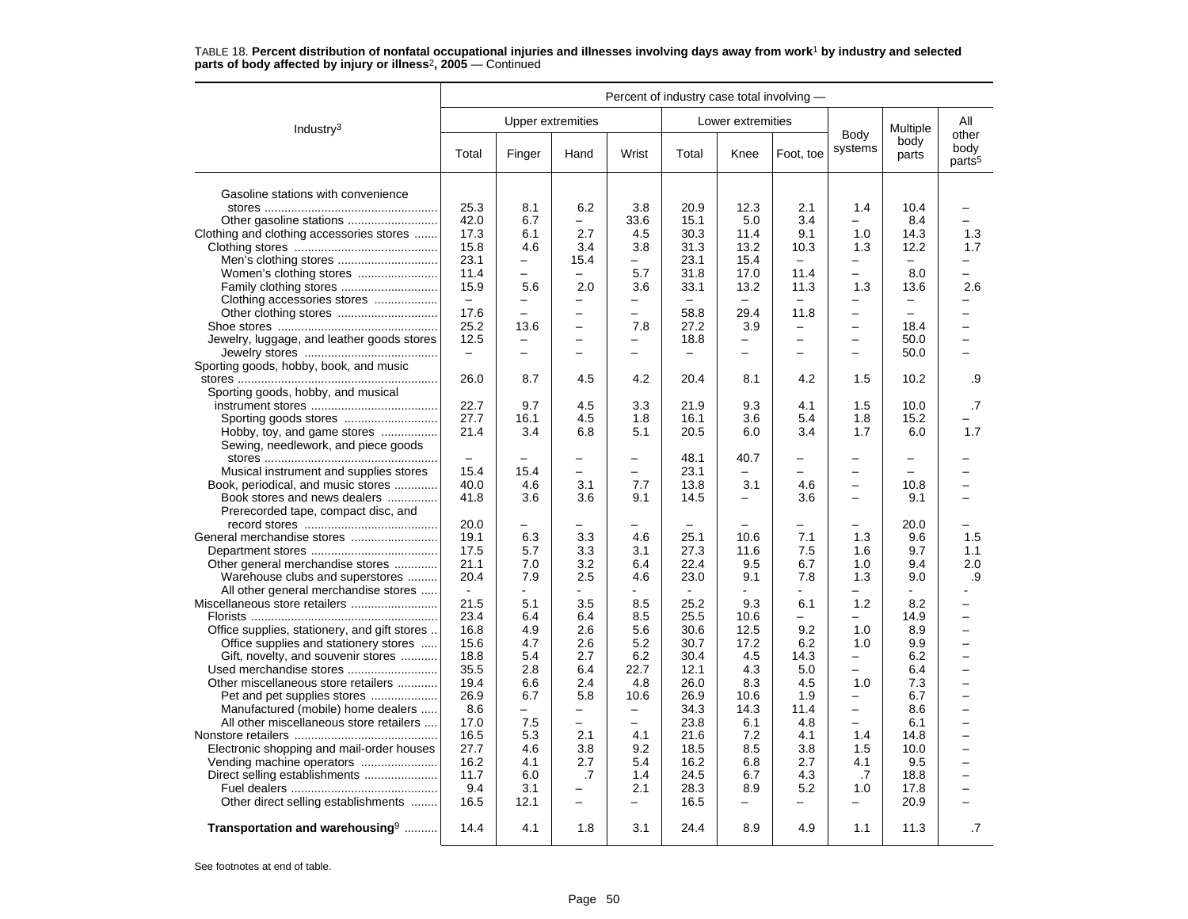|                                              | Percent of industry case total involving - |                          |                          |                          |                          |                          |                          |                          |                          |                                     |
|----------------------------------------------|--------------------------------------------|--------------------------|--------------------------|--------------------------|--------------------------|--------------------------|--------------------------|--------------------------|--------------------------|-------------------------------------|
| Industry $3$                                 |                                            | Upper extremities        |                          |                          |                          | Lower extremities        |                          |                          | Multiple                 | All                                 |
|                                              | Total                                      | Finger                   | Hand                     | Wrist                    | Total                    | Knee                     | Foot, toe                | Body<br>systems          | body<br>parts            | other<br>body<br>parts <sup>5</sup> |
| Gasoline stations with convenience           |                                            |                          |                          |                          |                          |                          |                          |                          |                          |                                     |
|                                              | 25.3                                       | 8.1                      | 6.2                      | 3.8                      | 20.9                     | 12.3                     | 2.1                      | 1.4                      | 10.4                     |                                     |
|                                              | 42.0                                       | 6.7                      |                          | 33.6                     | 15.1                     | 5.0                      | 3.4                      |                          | 8.4                      |                                     |
| Clothing and clothing accessories stores     | 17.3                                       | 6.1                      | 2.7                      | 4.5                      | 30.3                     | 11.4                     | 9.1                      | 1.0                      | 14.3                     | 1.3                                 |
|                                              | 15.8                                       | 4.6                      | 3.4                      | 3.8                      | 31.3                     | 13.2                     | 10.3                     | 1.3                      | 12.2                     | 1.7                                 |
|                                              | 23.1                                       | $\qquad \qquad -$        | 15.4                     | $\overline{\phantom{0}}$ | 23.1                     | 15.4                     | $-$                      | -                        | $\overline{\phantom{m}}$ | Ξ.                                  |
|                                              | 11.4                                       | $\overline{\phantom{0}}$ | $\equiv$                 | 5.7                      | 31.8                     | 17.0                     | 11.4                     | $\overline{\phantom{0}}$ | 8.0                      | -                                   |
|                                              | 15.9                                       | 5.6                      | 2.0                      | 3.6                      | 33.1                     | 13.2                     | 11.3                     | 1.3                      | 13.6                     | 2.6                                 |
| Clothing accessories stores                  | $\overline{\phantom{m}}$                   | $\overline{\phantom{0}}$ | -                        | -                        |                          | $\overline{\phantom{0}}$ | $\overline{\phantom{0}}$ | $\overline{\phantom{0}}$ | $\overline{\phantom{0}}$ | -                                   |
| Other clothing stores                        | 17.6                                       | $\overline{\phantom{0}}$ |                          | $\overline{\phantom{0}}$ | 58.8                     | 29.4                     | 11.8                     | $\overline{\phantom{0}}$ | $\overline{\phantom{m}}$ |                                     |
|                                              | 25.2                                       | 13.6                     | $\overline{\phantom{0}}$ | 7.8                      | 27.2                     | 3.9                      | $\qquad \qquad -$        | $\overline{\phantom{0}}$ | 18.4                     | $\overline{\phantom{0}}$            |
| Jewelry, luggage, and leather goods stores   | 12.5                                       | -                        |                          |                          | 18.8                     | $\overline{\phantom{0}}$ | $\equiv$                 | -                        | 50.0                     | $\overline{a}$                      |
|                                              | $\overline{\phantom{a}}$                   | L.                       |                          |                          | $\equiv$                 | L.                       | $\overline{\phantom{0}}$ | L.                       | 50.0                     | L.                                  |
| Sporting goods, hobby, book, and music       |                                            |                          |                          |                          |                          |                          |                          |                          |                          |                                     |
|                                              | 26.0                                       | 8.7                      | 4.5                      | 4.2                      | 20.4                     | 8.1                      | 4.2                      | 1.5                      | 10.2                     | .9                                  |
| Sporting goods, hobby, and musical           |                                            |                          |                          |                          |                          |                          |                          |                          |                          |                                     |
|                                              | 22.7                                       | 9.7                      | 4.5                      | 3.3                      | 21.9                     | 9.3                      | 4.1                      | 1.5                      | 10.0                     | .7                                  |
|                                              | 27.7                                       | 16.1                     | 4.5                      | 1.8                      | 16.1                     | 3.6                      | 5.4                      | 1.8                      | 15.2                     |                                     |
| Hobby, toy, and game stores                  | 21.4                                       | 3.4                      | 6.8                      | 5.1                      | 20.5                     | 6.0                      | 3.4                      | 1.7                      | 6.0                      | 1.7                                 |
| Sewing, needlework, and piece goods          |                                            |                          |                          |                          |                          |                          |                          |                          |                          |                                     |
|                                              | $\equiv$                                   | $\overline{\phantom{0}}$ |                          | $\overline{a}$           | 48.1                     | 40.7                     |                          |                          | $\overline{\phantom{0}}$ |                                     |
| Musical instrument and supplies stores       | 15.4                                       | 15.4                     | $\overline{\phantom{0}}$ | $\overline{\phantom{0}}$ | 23.1                     | -                        |                          |                          |                          | -                                   |
| Book, periodical, and music stores           | 40.0                                       | 4.6                      | 3.1                      | 7.7                      | 13.8                     | 3.1                      | 4.6                      | $\qquad \qquad -$        | 10.8                     | -                                   |
| Book stores and news dealers                 | 41.8                                       | 3.6                      | 3.6                      | 9.1                      | 14.5                     | -                        | 3.6                      | —                        | 9.1                      |                                     |
| Prerecorded tape, compact disc, and          |                                            |                          |                          |                          |                          |                          |                          |                          |                          |                                     |
|                                              | 20.0                                       | $\overline{\phantom{0}}$ |                          |                          | $\overline{\phantom{0}}$ |                          |                          | -                        | 20.0                     |                                     |
|                                              | 19.1                                       | 6.3                      | 3.3                      | 4.6                      | 25.1                     | 10.6                     | 7.1                      | 1.3                      | 9.6                      | 1.5                                 |
|                                              | 17.5                                       | 5.7                      | 3.3                      | 3.1                      | 27.3                     | 11.6                     | 7.5                      | 1.6                      | 9.7                      | 1.1                                 |
| Other general merchandise stores             | 21.1                                       | 7.0                      | 3.2                      | 6.4                      | 22.4                     | 9.5                      | 6.7                      | 1.0                      | 9.4                      | 2.0                                 |
| Warehouse clubs and superstores              | 20.4                                       | 7.9                      | 2.5                      | 4.6                      | 23.0                     | 9.1                      | 7.8                      | 1.3                      | 9.0                      | .9                                  |
| All other general merchandise stores         | $\sim$                                     |                          |                          |                          |                          |                          |                          |                          |                          |                                     |
|                                              | 21.5                                       | 5.1                      | 3.5                      | 8.5                      | 25.2                     | 9.3                      | 6.1                      | 1.2                      | 8.2                      | -                                   |
|                                              | 23.4                                       | 6.4                      | 6.4                      | 8.5                      | 25.5                     | 10.6                     | $\overline{\phantom{0}}$ | —                        | 14.9                     | $\overline{\phantom{0}}$            |
| Office supplies, stationery, and gift stores | 16.8                                       | 4.9                      | 2.6                      | 5.6                      | 30.6                     | 12.5                     | 9.2                      | 1.0                      | 8.9                      | $\overline{\phantom{0}}$            |
| Office supplies and stationery stores        | 15.6                                       | 4.7                      | 2.6                      | 5.2                      | 30.7                     | 17.2                     | 6.2                      | 1.0                      | 9.9                      | -                                   |
| Gift, novelty, and souvenir stores           | 18.8                                       | 5.4                      | 2.7                      | 6.2                      | 30.4                     | 4.5                      | 14.3                     | $\overline{\phantom{0}}$ | 6.2                      | $\overline{\phantom{0}}$            |
|                                              | 35.5                                       | 2.8                      | 6.4                      | 22.7                     | 12.1                     | 4.3                      | $5.0\,$                  | ▃                        | 6.4                      | $\overline{\phantom{0}}$            |
| Other miscellaneous store retailers          | 19.4                                       | 6.6                      | 2.4                      | 4.8                      | 26.0                     | 8.3                      | 4.5                      | 1.0                      | 7.3                      | —                                   |
| Pet and pet supplies stores                  | 26.9                                       | 6.7                      | 5.8                      | 10.6                     | 26.9                     | 10.6                     | 1.9                      | $\equiv$                 | 6.7                      | $\overline{a}$                      |
| Manufactured (mobile) home dealers           | 8.6                                        | -                        | $\overline{\phantom{0}}$ | $\overline{\phantom{m}}$ | 34.3                     | 14.3                     | 11.4                     | $\equiv$                 | 8.6                      | $\overline{a}$                      |
| All other miscellaneous store retailers      | 17.0                                       | 7.5                      | $\overline{\phantom{0}}$ | $\overline{a}$           | 23.8                     | 6.1                      | 4.8                      | ▃                        | 6.1                      | $\overline{\phantom{0}}$            |
|                                              | 16.5                                       | 5.3                      | 2.1                      | 4.1                      | 21.6                     | 7.2                      | 4.1                      | 1.4                      | 14.8                     | $\overline{\phantom{0}}$            |
| Electronic shopping and mail-order houses    | 27.7                                       | 4.6                      | 3.8                      | 9.2                      | 18.5                     | 8.5                      | 3.8                      | 1.5                      | 10.0                     | $\overline{\phantom{0}}$            |
|                                              | 16.2                                       | 4.1                      | 2.7                      | 5.4                      | 16.2                     | 6.8                      | 2.7                      | 4.1                      | 9.5                      | <u>.</u>                            |
| Direct selling establishments                | 11.7                                       | 6.0                      | .7                       | 1.4                      | 24.5                     | 6.7                      | 4.3                      | .7                       | 18.8                     | -                                   |
|                                              | 9.4                                        | 3.1<br>12.1              | $\overline{\phantom{0}}$ | 2.1                      | 28.3<br>16.5             | 8.9                      | 5.2                      | 1.0<br>—                 | 17.8                     | -<br>$\overline{\phantom{0}}$       |
| Other direct selling establishments          | 16.5                                       |                          |                          | -                        |                          | —                        |                          |                          | 20.9                     |                                     |
| Transportation and warehousing <sup>9</sup>  | 14.4                                       | 4.1                      | 1.8                      | 3.1                      | 24.4                     | 8.9                      | 4.9                      | 1.1                      | 11.3                     | $\cdot$ 7                           |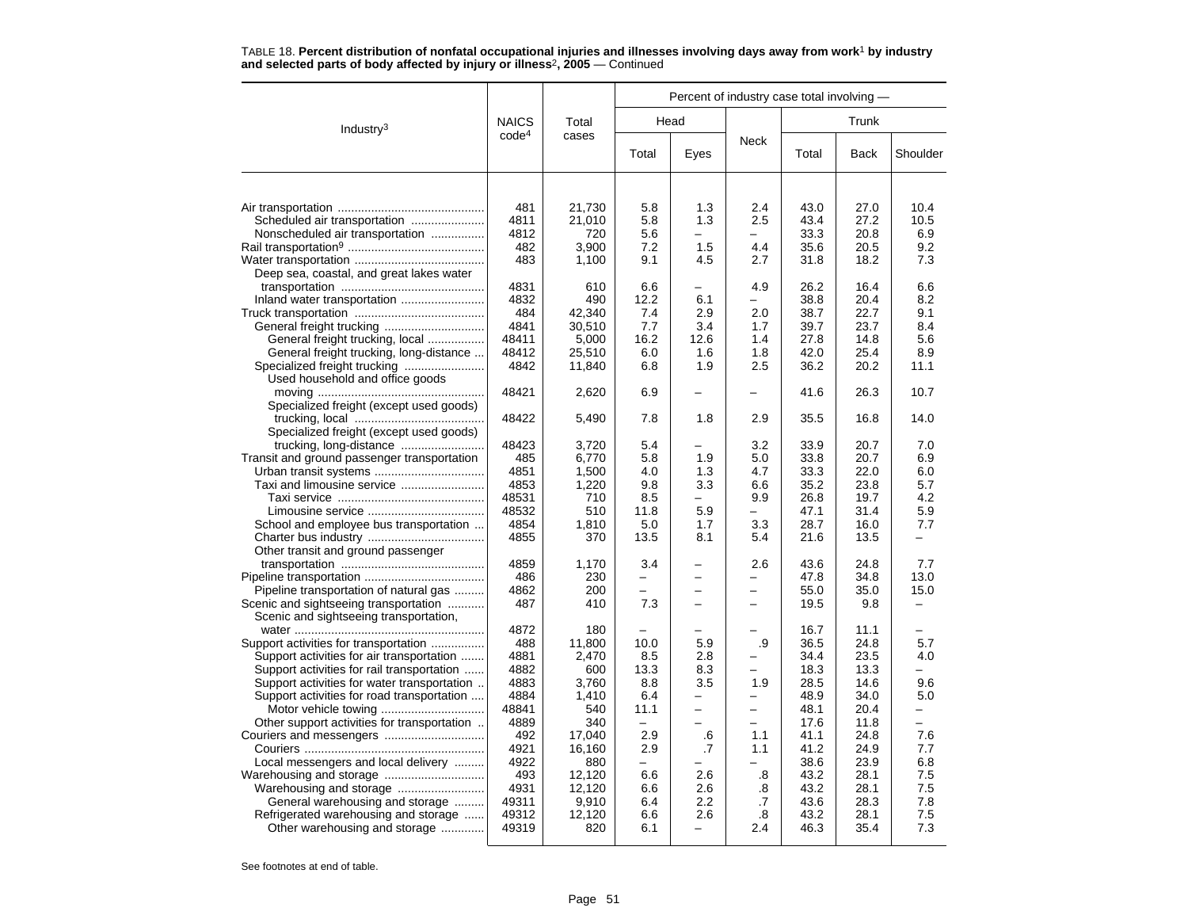|                                                                            |                   |                 |                          | Percent of industry case total involving - |                          |              |              |                          |
|----------------------------------------------------------------------------|-------------------|-----------------|--------------------------|--------------------------------------------|--------------------------|--------------|--------------|--------------------------|
| Industry <sup>3</sup>                                                      | <b>NAICS</b>      | Total           |                          | Head                                       |                          |              | Trunk        |                          |
|                                                                            | code <sup>4</sup> | cases           | Total                    | Eyes                                       | Neck                     | Total        | <b>Back</b>  | Shoulder                 |
|                                                                            |                   |                 |                          |                                            |                          |              |              |                          |
|                                                                            | 481               | 21,730          | 5.8                      | 1.3                                        | 2.4                      | 43.0         | 27.0         | 10.4                     |
| Scheduled air transportation                                               | 4811              | 21,010          | 5.8                      | 1.3                                        | 2.5                      | 43.4         | 27.2         | 10.5                     |
| Nonscheduled air transportation                                            | 4812              | 720             | 5.6                      | $\overline{\phantom{0}}$                   | -                        | 33.3         | 20.8         | 6.9                      |
|                                                                            | 482               | 3,900           | 7.2                      | 1.5                                        | 4.4                      | 35.6         | 20.5         | 9.2                      |
|                                                                            | 483               | 1,100           | 9.1                      | 4.5                                        | 2.7                      | 31.8         | 18.2         | 7.3                      |
| Deep sea, coastal, and great lakes water                                   |                   |                 |                          |                                            |                          |              |              |                          |
|                                                                            | 4831              | 610             | 6.6                      |                                            | 4.9                      | 26.2         | 16.4         | 6.6                      |
| Inland water transportation                                                | 4832              | 490             | 12.2                     | 6.1                                        |                          | 38.8         | 20.4         | 8.2                      |
|                                                                            | 484               | 42,340          | 7.4                      | 2.9                                        | 2.0                      | 38.7         | 22.7         | 9.1                      |
|                                                                            | 4841<br>48411     | 30,510<br>5.000 | 7.7<br>16.2              | 3.4<br>12.6                                | 1.7<br>1.4               | 39.7<br>27.8 | 23.7<br>14.8 | 8.4<br>5.6               |
| General freight trucking, local<br>General freight trucking, long-distance | 48412             | 25,510          | 6.0                      | 1.6                                        | 1.8                      | 42.0         | 25.4         | 8.9                      |
| Specialized freight trucking                                               | 4842              | 11,840          | 6.8                      | 1.9                                        | 2.5                      | 36.2         | 20.2         | 11.1                     |
| Used household and office goods                                            |                   |                 |                          |                                            |                          |              |              |                          |
|                                                                            | 48421             | 2,620           | 6.9                      |                                            |                          | 41.6         | 26.3         | 10.7                     |
| Specialized freight (except used goods)                                    |                   |                 |                          |                                            |                          |              |              |                          |
|                                                                            | 48422             | 5,490           | 7.8                      | 1.8                                        | 2.9                      | 35.5         | 16.8         | 14.0                     |
| Specialized freight (except used goods)                                    |                   |                 |                          |                                            |                          |              |              |                          |
|                                                                            | 48423             | 3,720           | 5.4                      |                                            | 3.2                      | 33.9         | 20.7         | 7.0                      |
| Transit and ground passenger transportation                                | 485               | 6,770           | 5.8                      | 1.9                                        | 5.0                      | 33.8         | 20.7         | 6.9                      |
|                                                                            | 4851              | 1.500           | 4.0                      | 1.3                                        | 4.7                      | 33.3         | 22.0         | 6.0                      |
|                                                                            | 4853              | 1,220           | 9.8                      | 3.3                                        | 6.6                      | 35.2         | 23.8         | 5.7                      |
|                                                                            | 48531             | 710             | 8.5                      | $\overline{a}$                             | 9.9                      | 26.8         | 19.7         | 4.2                      |
|                                                                            | 48532             | 510             | 11.8                     | 5.9                                        | —                        | 47.1         | 31.4         | 5.9                      |
| School and employee bus transportation                                     | 4854              | 1,810           | 5.0                      | 1.7                                        | 3.3                      | 28.7         | 16.0         | 7.7                      |
|                                                                            | 4855              | 370             | 13.5                     | 8.1                                        | 5.4                      | 21.6         | 13.5         | $\overline{\phantom{0}}$ |
| Other transit and ground passenger                                         |                   |                 |                          |                                            |                          |              |              |                          |
|                                                                            | 4859              | 1.170           | 3.4                      |                                            | 2.6                      | 43.6         | 24.8         | 7.7                      |
|                                                                            | 486               | 230             | $\overline{\phantom{0}}$ | -                                          | $\overline{\phantom{0}}$ | 47.8         | 34.8         | 13.0                     |
| Pipeline transportation of natural gas                                     | 4862              | 200             |                          |                                            |                          | 55.0         | 35.0         | 15.0                     |
| Scenic and sightseeing transportation                                      | 487               | 410             | 7.3                      |                                            | -                        | 19.5         | 9.8          |                          |
| Scenic and sightseeing transportation,                                     |                   |                 |                          |                                            |                          |              |              |                          |
|                                                                            | 4872              | 180             |                          |                                            |                          | 16.7         | 11.1         |                          |
| Support activities for transportation                                      | 488               | 11,800          | 10.0                     | 5.9                                        | .9                       | 36.5         | 24.8         | 5.7                      |
| Support activities for air transportation                                  | 4881              | 2,470           | 8.5                      | 2.8                                        |                          | 34.4         | 23.5         | 4.0                      |
| Support activities for rail transportation                                 | 4882<br>4883      | 600             | 13.3<br>8.8              | 8.3<br>3.5                                 | 1.9                      | 18.3<br>28.5 | 13.3<br>14.6 | 9.6                      |
| Support activities for water transportation                                | 4884              | 3,760<br>1.410  | 6.4                      |                                            |                          | 48.9         | 34.0         | 5.0                      |
| Support activities for road transportation<br>Motor vehicle towing         | 48841             | 540             | 11.1                     | $\overline{\phantom{0}}$                   | $\overline{\phantom{0}}$ | 48.1         | 20.4         |                          |
| Other support activities for transportation                                | 4889              | 340             |                          |                                            |                          | 17.6         | 11.8         |                          |
|                                                                            | 492               | 17,040          | 2.9                      | .6                                         | 1.1                      | 41.1         | 24.8         | 7.6                      |
|                                                                            | 4921              | 16,160          | 2.9                      | .7                                         | 1.1                      | 41.2         | 24.9         | 7.7                      |
| Local messengers and local delivery                                        | 4922              | 880             |                          |                                            |                          | 38.6         | 23.9         | 6.8                      |
|                                                                            | 493               | 12,120          | 6.6                      | 2.6                                        | .8                       | 43.2         | 28.1         | 7.5                      |
|                                                                            | 4931              | 12,120          | 6.6                      | 2.6                                        | .8                       | 43.2         | 28.1         | 7.5                      |
| General warehousing and storage                                            | 49311             | 9,910           | 6.4                      | $2.2\phantom{0}$                           | .7                       | 43.6         | 28.3         | 7.8                      |
| Refrigerated warehousing and storage                                       | 49312             | 12,120          | 6.6                      | 2.6                                        | .8                       | 43.2         | 28.1         | 7.5                      |
| Other warehousing and storage                                              | 49319             | 820             | 6.1                      |                                            | 2.4                      | 46.3         | 35.4         | 7.3                      |
|                                                                            |                   |                 |                          |                                            |                          |              |              |                          |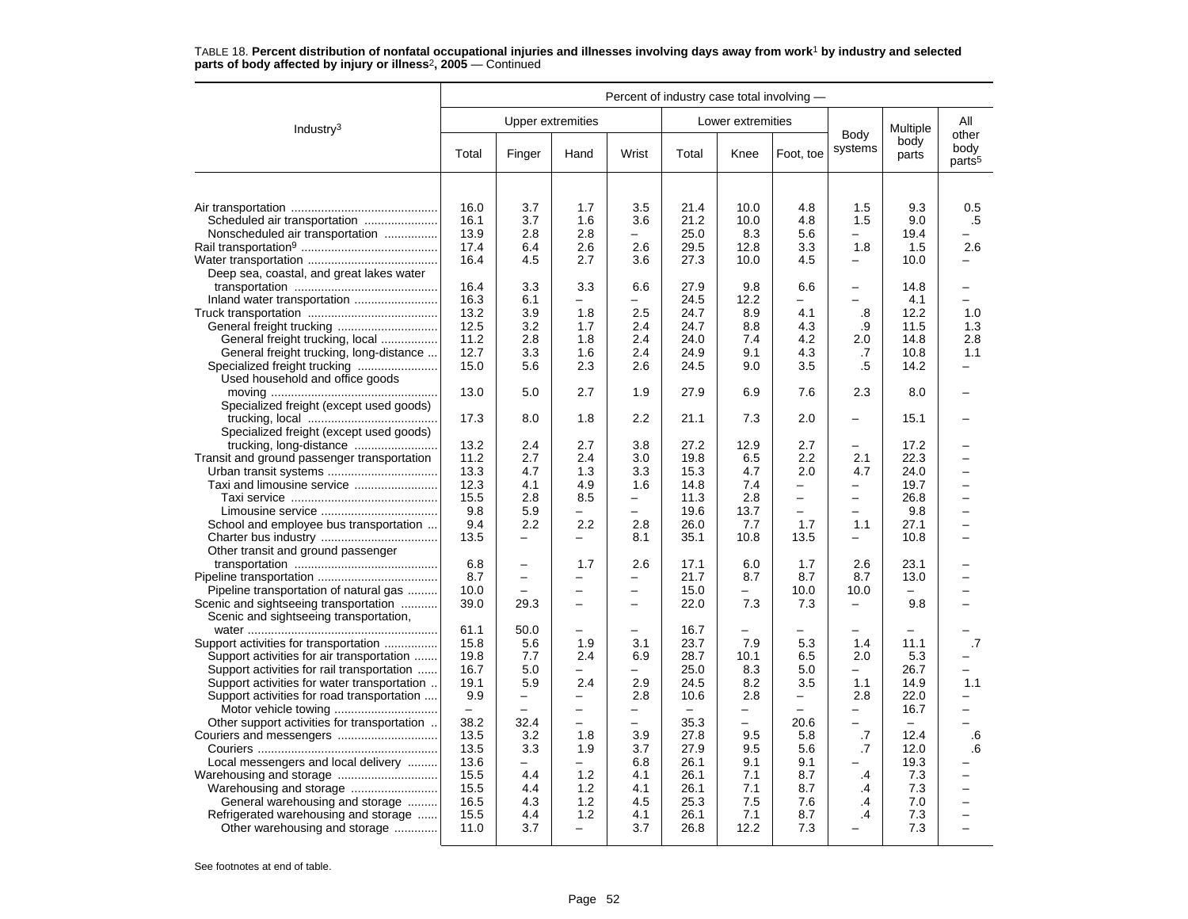|                                                                       |                   |                          |                          |                          | Percent of industry case total involving - |                          |                          |                          |               |                            |
|-----------------------------------------------------------------------|-------------------|--------------------------|--------------------------|--------------------------|--------------------------------------------|--------------------------|--------------------------|--------------------------|---------------|----------------------------|
| Industry <sup>3</sup>                                                 |                   |                          | <b>Upper extremities</b> |                          |                                            | Lower extremities        |                          |                          | Multiple      | All<br>other               |
|                                                                       | Total             | Finger                   | Hand                     | Wrist                    | Total                                      | Knee                     | Foot, toe                | Body<br>systems          | body<br>parts | body<br>parts <sup>5</sup> |
|                                                                       |                   |                          |                          |                          |                                            |                          |                          |                          |               |                            |
|                                                                       | 16.0              | 3.7                      | 1.7                      | 3.5                      | 21.4                                       | 10.0                     | 4.8                      | 1.5                      | 9.3           | 0.5                        |
| Scheduled air transportation                                          | 16.1              | 3.7                      | 1.6                      | 3.6                      | 21.2                                       | 10.0                     | 4.8                      | 1.5                      | 9.0           | .5                         |
| Nonscheduled air transportation                                       | 13.9              | 2.8                      | 2.8                      | $\overline{\phantom{0}}$ | 25.0                                       | 8.3                      | 5.6                      | $\overline{\phantom{0}}$ | 19.4          |                            |
|                                                                       | 17.4              | 6.4                      | 2.6                      | 2.6                      | 29.5                                       | 12.8                     | 3.3                      | 1.8                      | 1.5           | 2.6                        |
|                                                                       | 16.4              | 4.5                      | 2.7                      | 3.6                      | 27.3                                       | 10.0                     | 4.5                      | -                        | 10.0          | —                          |
| Deep sea, coastal, and great lakes water                              |                   |                          |                          |                          |                                            |                          |                          |                          |               |                            |
|                                                                       | 16.4              | 3.3                      | 3.3                      | 6.6                      | 27.9                                       | 9.8                      | 6.6                      | —                        | 14.8          |                            |
|                                                                       | 16.3              | 6.1                      |                          |                          | 24.5                                       | 12.2                     |                          |                          | 4.1           | L.                         |
|                                                                       | 13.2              | 3.9                      | 1.8                      | 2.5                      | 24.7                                       | 8.9                      | 4.1                      | .8                       | 12.2          | 1.0                        |
|                                                                       | 12.5              | 3.2                      | 1.7                      | 2.4                      | 24.7                                       | 8.8                      | 4.3                      | .9                       | 11.5          | 1.3                        |
| General freight trucking, local                                       | 11.2              | 2.8                      | 1.8                      | 2.4                      | 24.0                                       | 7.4                      | 4.2                      | 2.0                      | 14.8          | 2.8                        |
| General freight trucking, long-distance                               | 12.7              | 3.3                      | 1.6                      | 2.4                      | 24.9                                       | 9.1                      | 4.3                      | .7                       | 10.8          | 1.1                        |
|                                                                       | 15.0              | 5.6                      | 2.3                      | 2.6                      | 24.5                                       | 9.0                      | 3.5                      | .5                       | 14.2          | -                          |
| Used household and office goods                                       | 13.0              | 5.0                      | 2.7                      | 1.9                      | 27.9                                       | 6.9                      | 7.6                      | 2.3                      | 8.0           |                            |
| Specialized freight (except used goods)                               |                   |                          |                          |                          |                                            |                          |                          |                          |               |                            |
| Specialized freight (except used goods)                               | 17.3              | 8.0                      | 1.8                      | 2.2                      | 21.1                                       | 7.3                      | 2.0                      | $\equiv$                 | 15.1          |                            |
| trucking, long-distance                                               | 13.2              | 2.4                      | 2.7                      | 3.8                      | 27.2                                       | 12.9                     | 2.7                      | $\overline{\phantom{0}}$ | 17.2          |                            |
| Transit and ground passenger transportation                           | 11.2              | 2.7                      | 2.4                      | 3.0                      | 19.8                                       | 6.5                      | 2.2                      | 2.1                      | 22.3          | $\overline{\phantom{0}}$   |
|                                                                       | 13.3              | 4.7                      | 1.3                      | 3.3                      | 15.3                                       | 4.7                      | 2.0                      | 4.7                      | 24.0          |                            |
| Taxi and limousine service                                            | 12.3              | 4.1                      | 4.9                      | 1.6                      | 14.8                                       | 7.4                      | $\overline{\phantom{0}}$ | $\overline{\phantom{0}}$ | 19.7          | $\overline{\phantom{0}}$   |
|                                                                       | 15.5              | 2.8                      | 8.5                      | -                        | 11.3                                       | 2.8                      | $\overline{\phantom{m}}$ | $\overline{\phantom{0}}$ | 26.8          | $\overline{\phantom{0}}$   |
|                                                                       | 9.8               | 5.9                      |                          | $\equiv$                 | 19.6                                       | 13.7                     | $\overline{\phantom{0}}$ | $\equiv$                 | 9.8           |                            |
| School and employee bus transportation                                | 9.4               | 2.2                      | 2.2                      | 2.8                      | 26.0                                       | 7.7                      | 1.7                      | 1.1                      | 27.1          | $\overline{a}$             |
|                                                                       | 13.5              | $\overline{\phantom{0}}$ |                          | 8.1                      | 35.1                                       | 10.8                     | 13.5                     | $\equiv$                 | 10.8          |                            |
| Other transit and ground passenger                                    |                   |                          |                          |                          |                                            |                          |                          |                          |               |                            |
|                                                                       | 6.8               | —                        | 1.7                      | 2.6                      | 17.1                                       | 6.0                      | 1.7                      | 2.6                      | 23.1          |                            |
|                                                                       | 8.7               | $\overline{\phantom{0}}$ |                          | -                        | 21.7                                       | 8.7                      | 8.7                      | 8.7                      | 13.0          |                            |
| Pipeline transportation of natural gas                                | 10.0              |                          |                          | $\equiv$                 | 15.0                                       |                          | 10.0                     | 10.0                     |               |                            |
| Scenic and sightseeing transportation                                 | 39.0              | 29.3                     | $\overline{\phantom{0}}$ | $\overline{\phantom{0}}$ | 22.0                                       | 7.3                      | 7.3                      | -                        | 9.8           |                            |
| Scenic and sightseeing transportation,                                |                   |                          |                          |                          |                                            |                          |                          |                          |               |                            |
|                                                                       | 61.1              | 50.0                     | $\overline{\phantom{0}}$ | $\overline{\phantom{0}}$ | 16.7                                       | $\overline{\phantom{0}}$ |                          |                          |               |                            |
| Support activities for transportation                                 | 15.8              | 5.6                      | 1.9                      | 3.1                      | 23.7                                       | 7.9                      | 5.3                      | 1.4                      | 11.1          | .7                         |
| Support activities for air transportation                             | 19.8              | 7.7                      | 2.4                      | 6.9                      | 28.7                                       | 10.1                     | 6.5                      | 2.0                      | 5.3           |                            |
| Support activities for rail transportation                            | 16.7              | 5.0                      |                          | -                        | 25.0                                       | 8.3                      | 5.0                      | $\overline{\phantom{0}}$ | 26.7          | $\overline{\phantom{0}}$   |
| Support activities for water transportation                           | 19.1              | 5.9                      | 2.4                      | 2.9                      | 24.5                                       | 8.2                      | 3.5                      | 1.1                      | 14.9          | 1.1                        |
| Support activities for road transportation                            | 9.9               | -                        | $\overline{\phantom{0}}$ | 2.8                      | 10.6                                       | 2.8                      | $\overline{\phantom{0}}$ | 2.8                      | 22.0          | -                          |
|                                                                       | $\qquad \qquad -$ |                          | $\overline{\phantom{0}}$ | —                        | $\equiv$                                   |                          |                          | $\overline{\phantom{0}}$ | 16.7          | $\overline{\phantom{0}}$   |
| Other support activities for transportation                           | 38.2              | 32.4                     | $\equiv$                 | $\equiv$                 | 35.3                                       | $\overline{\phantom{0}}$ | 20.6                     | $\equiv$                 | $\equiv$      | L.                         |
|                                                                       | 13.5              | 3.2                      | 1.8                      | 3.9                      | 27.8                                       | 9.5                      | 5.8                      | .7                       | 12.4          | .6                         |
|                                                                       | 13.5              | 3.3                      | 1.9                      | 3.7                      | 27.9                                       | 9.5                      | 5.6                      | .7                       | 12.0          | .6                         |
| Local messengers and local delivery                                   | 13.6              | -                        | $\overline{\phantom{0}}$ | 6.8                      | 26.1                                       | 9.1                      | 9.1                      |                          | 19.3          |                            |
|                                                                       | 15.5              | 4.4                      | 1.2                      | 4.1                      | 26.1                                       | 7.1                      | 8.7                      | .4                       | 7.3           | -                          |
|                                                                       | 15.5              | 4.4                      | 1.2                      | 4.1                      | 26.1                                       | 7.1                      | 8.7                      | .4                       | 7.3           | -                          |
| General warehousing and storage                                       | 16.5              | 4.3                      | 1.2                      | 4.5                      | 25.3                                       | 7.5                      | 7.6                      | $\cdot$                  | 7.0           | <u>.</u>                   |
|                                                                       | 15.5              | 4.4                      | 1.2                      | 4.1                      | 26.1                                       | 7.1                      | 8.7                      | $\overline{.4}$          | 7.3           |                            |
| Refrigerated warehousing and storage<br>Other warehousing and storage | 11.0              | 3.7                      | $\overline{\phantom{0}}$ | 3.7                      | 26.8                                       | 12.2                     | 7.3                      |                          | 7.3           |                            |
|                                                                       |                   |                          |                          |                          |                                            |                          |                          |                          |               |                            |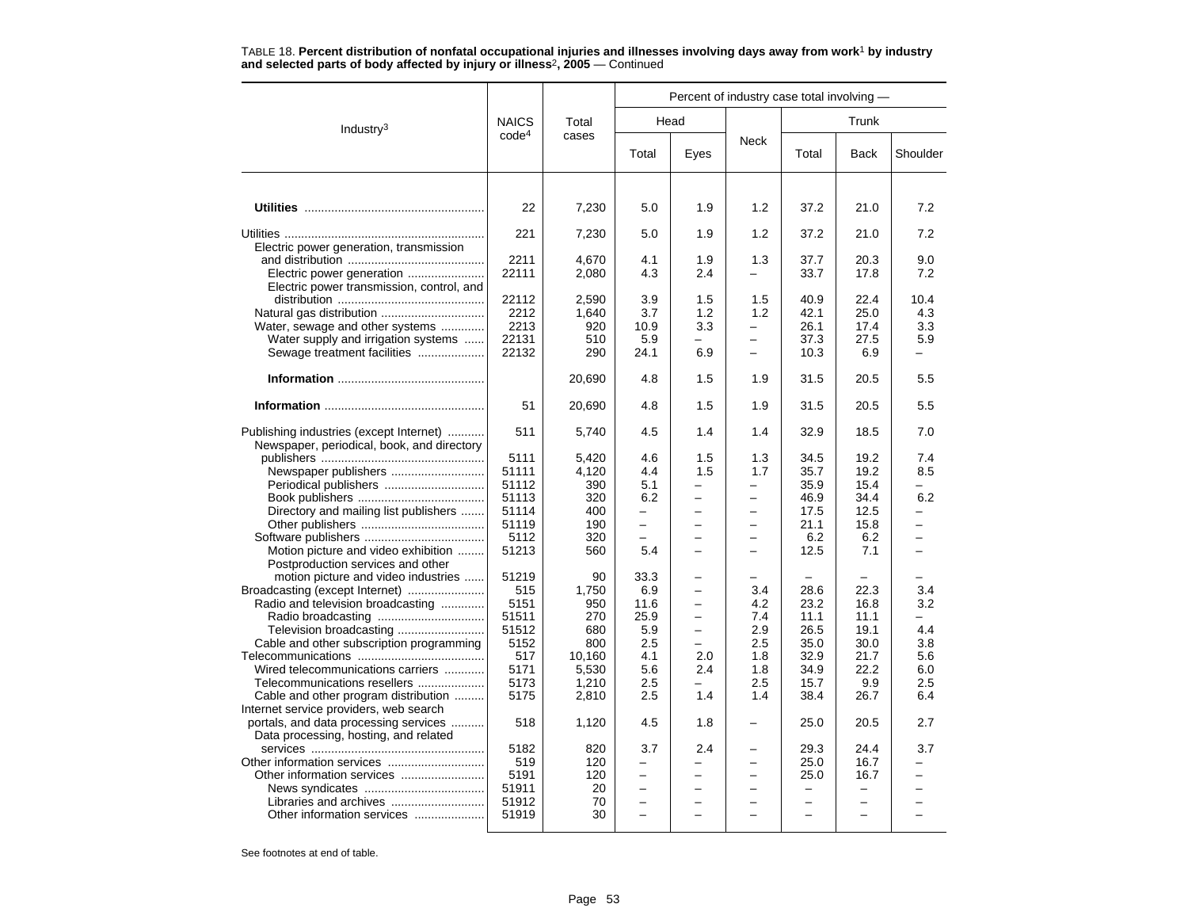| <b>NAICS</b><br>Head<br>Trunk<br>Total<br>Industry <sup>3</sup><br>code <sup>4</sup><br>cases<br>Neck<br>Total<br>Eyes<br>Total<br>Shoulder<br><b>Back</b><br>1.9<br>21.0<br>22<br>7,230<br>5.0<br>1.2<br>37.2<br>221<br>37.2<br>7,230<br>5.0<br>1.9<br>1.2<br>21.0<br>Electric power generation, transmission<br>2211<br>4,670<br>4.1<br>1.9<br>1.3<br>37.7<br>20.3<br>22111<br>17.8<br>Electric power generation<br>2,080<br>4.3<br>2.4<br>33.7<br>Electric power transmission, control, and<br>22112<br>2,590<br>3.9<br>1.5<br>1.5<br>40.9<br>22.4<br>Natural gas distribution<br>2212<br>3.7<br>25.0<br>1,640<br>1.2<br>1.2<br>42.1 |      |
|-----------------------------------------------------------------------------------------------------------------------------------------------------------------------------------------------------------------------------------------------------------------------------------------------------------------------------------------------------------------------------------------------------------------------------------------------------------------------------------------------------------------------------------------------------------------------------------------------------------------------------------------|------|
|                                                                                                                                                                                                                                                                                                                                                                                                                                                                                                                                                                                                                                         |      |
|                                                                                                                                                                                                                                                                                                                                                                                                                                                                                                                                                                                                                                         |      |
|                                                                                                                                                                                                                                                                                                                                                                                                                                                                                                                                                                                                                                         |      |
|                                                                                                                                                                                                                                                                                                                                                                                                                                                                                                                                                                                                                                         | 7.2  |
|                                                                                                                                                                                                                                                                                                                                                                                                                                                                                                                                                                                                                                         | 7.2  |
|                                                                                                                                                                                                                                                                                                                                                                                                                                                                                                                                                                                                                                         | 9.0  |
|                                                                                                                                                                                                                                                                                                                                                                                                                                                                                                                                                                                                                                         | 7.2  |
|                                                                                                                                                                                                                                                                                                                                                                                                                                                                                                                                                                                                                                         | 10.4 |
|                                                                                                                                                                                                                                                                                                                                                                                                                                                                                                                                                                                                                                         | 4.3  |
| Water, sewage and other systems<br>2213<br>3.3<br>920<br>10.9<br>26.1<br>17.4<br>$\overline{\phantom{0}}$                                                                                                                                                                                                                                                                                                                                                                                                                                                                                                                               | 3.3  |
| Water supply and irrigation systems<br>22131<br>510<br>5.9<br>37.3<br>27.5                                                                                                                                                                                                                                                                                                                                                                                                                                                                                                                                                              | 5.9  |
| 6.9<br>Sewage treatment facilities<br>22132<br>290<br>24.1<br>10.3<br>6.9<br>÷                                                                                                                                                                                                                                                                                                                                                                                                                                                                                                                                                          |      |
| 20,690<br>4.8<br>1.5<br>31.5<br>20.5<br>1.9                                                                                                                                                                                                                                                                                                                                                                                                                                                                                                                                                                                             | 5.5  |
| 51<br>1.5<br>1.9<br>31.5<br>20.5<br>20,690<br>4.8                                                                                                                                                                                                                                                                                                                                                                                                                                                                                                                                                                                       | 5.5  |
| Publishing industries (except Internet)<br>511<br>5,740<br>4.5<br>1.4<br>1.4<br>32.9<br>18.5<br>Newspaper, periodical, book, and directory                                                                                                                                                                                                                                                                                                                                                                                                                                                                                              | 7.0  |
| 5111<br>4.6<br>1.5<br>1.3<br>34.5<br>19.2<br>5,420                                                                                                                                                                                                                                                                                                                                                                                                                                                                                                                                                                                      | 7.4  |
| 51111<br>4.4<br>Newspaper publishers<br>4,120<br>1.5<br>1.7<br>35.7<br>19.2                                                                                                                                                                                                                                                                                                                                                                                                                                                                                                                                                             | 8.5  |
| Periodical publishers<br>51112<br>390<br>5.1<br>35.9<br>15.4<br>$\overline{\phantom{0}}$<br>$\overline{\phantom{0}}$                                                                                                                                                                                                                                                                                                                                                                                                                                                                                                                    |      |
| 51113<br>320<br>6.2<br>34.4<br>46.9<br>▃                                                                                                                                                                                                                                                                                                                                                                                                                                                                                                                                                                                                | 6.2  |
| 51114<br>Directory and mailing list publishers<br>400<br>17.5<br>12.5<br>-<br>$\overline{\phantom{0}}$<br>$\overline{\phantom{0}}$                                                                                                                                                                                                                                                                                                                                                                                                                                                                                                      |      |
| 51119<br>190<br>21.1<br>15.8<br>$\overline{\phantom{0}}$<br>$\overline{\phantom{0}}$<br>$\overline{\phantom{0}}$                                                                                                                                                                                                                                                                                                                                                                                                                                                                                                                        |      |
| 5112<br>320<br>6.2<br>6.2<br>$\equiv$<br>-<br>-<br>$\equiv$                                                                                                                                                                                                                                                                                                                                                                                                                                                                                                                                                                             |      |
| 51213<br>Motion picture and video exhibition<br>560<br>5.4<br>12.5<br>7.1<br>$\overline{\phantom{0}}$<br>$\equiv$<br>$\equiv$                                                                                                                                                                                                                                                                                                                                                                                                                                                                                                           |      |
| Postproduction services and other                                                                                                                                                                                                                                                                                                                                                                                                                                                                                                                                                                                                       |      |
| motion picture and video industries<br>51219<br>33.3<br>90                                                                                                                                                                                                                                                                                                                                                                                                                                                                                                                                                                              |      |
| Broadcasting (except Internet)<br>515<br>6.9<br>1,750<br>3.4<br>28.6<br>22.3<br>$\overline{\phantom{0}}$                                                                                                                                                                                                                                                                                                                                                                                                                                                                                                                                | 3.4  |
| Radio and television broadcasting<br>5151<br>950<br>11.6<br>4.2<br>23.2<br>16.8                                                                                                                                                                                                                                                                                                                                                                                                                                                                                                                                                         | 3.2  |
| 51511<br>25.9<br>7.4<br>270<br>11.1<br>11.1<br>$\overline{\phantom{0}}$                                                                                                                                                                                                                                                                                                                                                                                                                                                                                                                                                                 |      |
| 51512<br>2.9<br>26.5<br>Television broadcasting<br>680<br>5.9<br>19.1<br>$\overline{\phantom{0}}$                                                                                                                                                                                                                                                                                                                                                                                                                                                                                                                                       | 4.4  |
| 2.5<br>2.5<br>35.0<br>Cable and other subscription programming<br>5152<br>800<br>30.0                                                                                                                                                                                                                                                                                                                                                                                                                                                                                                                                                   | 3.8  |
| 517<br>10,160<br>4.1<br>2.0<br>1.8<br>32.9<br>21.7                                                                                                                                                                                                                                                                                                                                                                                                                                                                                                                                                                                      | 5.6  |
| 5171<br>5,530<br>5.6<br>1.8<br>34.9<br>22.2<br>Wired telecommunications carriers<br>2.4                                                                                                                                                                                                                                                                                                                                                                                                                                                                                                                                                 | 6.0  |
| Telecommunications resellers<br>5173<br>1,210<br>2.5<br>2.5<br>15.7<br>9.9                                                                                                                                                                                                                                                                                                                                                                                                                                                                                                                                                              | 2.5  |
| Cable and other program distribution<br>5175<br>2,810<br>2.5<br>1.4<br>1.4<br>38.4<br>26.7                                                                                                                                                                                                                                                                                                                                                                                                                                                                                                                                              | 6.4  |
| Internet service providers, web search                                                                                                                                                                                                                                                                                                                                                                                                                                                                                                                                                                                                  |      |
| portals, and data processing services<br>518<br>4.5<br>1.8<br>25.0<br>20.5<br>1,120                                                                                                                                                                                                                                                                                                                                                                                                                                                                                                                                                     | 2.7  |
| Data processing, hosting, and related                                                                                                                                                                                                                                                                                                                                                                                                                                                                                                                                                                                                   |      |
| 3.7<br>5182<br>820<br>2.4<br>29.3<br>24.4                                                                                                                                                                                                                                                                                                                                                                                                                                                                                                                                                                                               | 3.7  |
| 519<br>120<br>25.0<br>16.7<br>$\overline{a}$<br>$\overline{\phantom{0}}$                                                                                                                                                                                                                                                                                                                                                                                                                                                                                                                                                                |      |
| 5191<br>120<br>25.0<br>16.7<br>-<br>-<br>-                                                                                                                                                                                                                                                                                                                                                                                                                                                                                                                                                                                              |      |
| 51911<br>20                                                                                                                                                                                                                                                                                                                                                                                                                                                                                                                                                                                                                             |      |
| Libraries and archives<br>51912<br>70<br>$\equiv$                                                                                                                                                                                                                                                                                                                                                                                                                                                                                                                                                                                       |      |
| Other information services<br>51919<br>30<br>$\overline{\phantom{0}}$<br>$\overline{\phantom{0}}$                                                                                                                                                                                                                                                                                                                                                                                                                                                                                                                                       |      |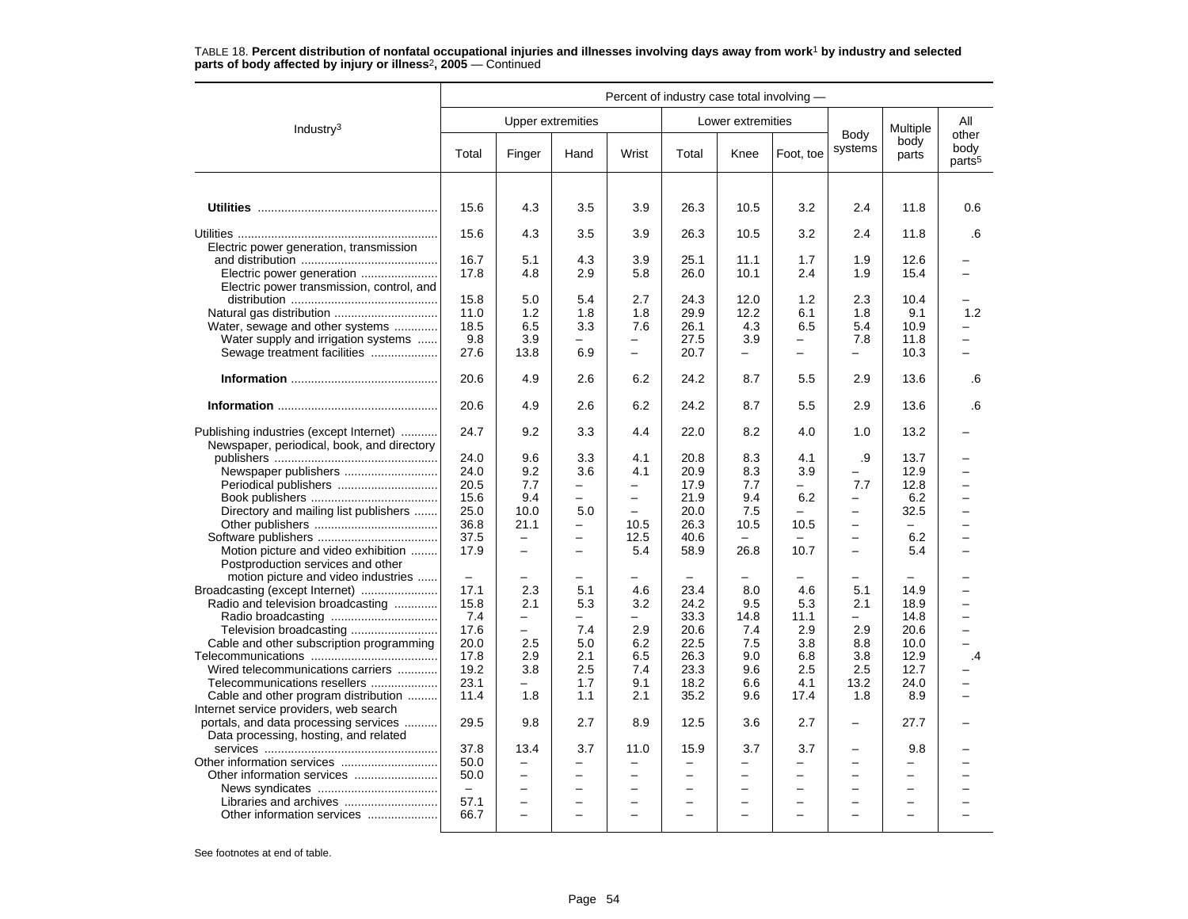|                                                                                       | Percent of industry case total involving - |                          |                          |                          |                          |                          |                          |                          |                          |                                     |
|---------------------------------------------------------------------------------------|--------------------------------------------|--------------------------|--------------------------|--------------------------|--------------------------|--------------------------|--------------------------|--------------------------|--------------------------|-------------------------------------|
| Industry <sup>3</sup>                                                                 |                                            |                          | <b>Upper extremities</b> |                          |                          | Lower extremities        |                          |                          | Multiple                 | All                                 |
|                                                                                       | Total                                      | Finger                   | Hand                     | Wrist                    | Total                    | Knee                     | Foot, toe                | Body<br>systems          | body<br>parts            | other<br>body<br>parts <sup>5</sup> |
|                                                                                       |                                            |                          |                          |                          |                          |                          |                          |                          |                          |                                     |
|                                                                                       | 15.6                                       | 4.3                      | 3.5                      | 3.9                      | 26.3                     | 10.5                     | 3.2                      | 2.4                      | 11.8                     | 0.6                                 |
| Electric power generation, transmission                                               | 15.6                                       | 4.3                      | 3.5                      | 3.9                      | 26.3                     | 10.5                     | 3.2                      | 2.4                      | 11.8                     | .6                                  |
|                                                                                       | 16.7                                       | 5.1                      | 4.3                      | 3.9                      | 25.1                     | 11.1                     | 1.7                      | 1.9                      | 12.6                     |                                     |
| Electric power generation<br>Electric power transmission, control, and                | 17.8                                       | 4.8                      | 2.9                      | 5.8                      | 26.0                     | 10.1                     | 2.4                      | 1.9                      | 15.4                     |                                     |
|                                                                                       | 15.8                                       | 5.0                      | 5.4                      | 2.7                      | 24.3                     | 12.0                     | 1.2                      | 2.3                      | 10.4                     |                                     |
|                                                                                       | 11.0                                       | 1.2                      | 1.8                      | 1.8                      | 29.9                     | 12.2                     | 6.1                      | 1.8                      | 9.1                      | 1.2                                 |
| Water, sewage and other systems                                                       | 18.5                                       | 6.5                      | 3.3                      | 7.6                      | 26.1                     | 4.3                      | 6.5                      | 5.4                      | 10.9                     |                                     |
| Water supply and irrigation systems                                                   | 9.8                                        | 3.9                      |                          |                          | 27.5                     | 3.9                      | $\overline{\phantom{0}}$ | 7.8                      | 11.8                     | -                                   |
| Sewage treatment facilities                                                           | 27.6                                       | 13.8                     | 6.9                      | $\overline{\phantom{0}}$ | 20.7                     | $\overline{\phantom{0}}$ | $\overline{\phantom{0}}$ | —                        | 10.3                     |                                     |
|                                                                                       | 20.6                                       | 4.9                      | 2.6                      | 6.2                      | 24.2                     | 8.7                      | 5.5                      | 2.9                      | 13.6                     | .6                                  |
|                                                                                       | 20.6                                       | 4.9                      | 2.6                      | 6.2                      | 24.2                     | 8.7                      | 5.5                      | 2.9                      | 13.6                     | 6.6                                 |
| Publishing industries (except Internet)<br>Newspaper, periodical, book, and directory | 24.7                                       | 9.2                      | 3.3                      | 4.4                      | 22.0                     | 8.2                      | 4.0                      | 1.0                      | 13.2                     |                                     |
|                                                                                       | 24.0                                       | 9.6                      | 3.3                      | 4.1                      | 20.8                     | 8.3                      | 4.1                      | .9                       | 13.7                     |                                     |
|                                                                                       | 24.0                                       | 9.2                      | 3.6                      | 4.1                      | 20.9                     | 8.3                      | 3.9                      |                          | 12.9                     | $\overline{\phantom{0}}$            |
| Periodical publishers                                                                 | 20.5                                       | 7.7                      |                          |                          | 17.9                     | 7.7                      |                          | 7.7                      | 12.8                     |                                     |
|                                                                                       | 15.6                                       | 9.4                      | $\equiv$                 | $\overline{\phantom{m}}$ | 21.9                     | 9.4                      | 6.2                      | $\overline{\phantom{m}}$ | 6.2                      | $\overline{\phantom{0}}$            |
| Directory and mailing list publishers                                                 | 25.0                                       | 10.0                     | 5.0                      | $\overline{\phantom{m}}$ | 20.0                     | 7.5                      | $\equiv$                 | $\equiv$                 | 32.5                     | $\overline{\phantom{0}}$            |
|                                                                                       | 36.8                                       | 21.1                     |                          | 10.5                     | 26.3                     | 10.5                     | 10.5                     |                          |                          |                                     |
|                                                                                       | 37.5                                       | $\overline{\phantom{0}}$ | $\overline{\phantom{0}}$ | 12.5                     | 40.6                     |                          |                          | -                        | 6.2                      | -                                   |
| Motion picture and video exhibition                                                   | 17.9                                       | $\overline{\phantom{0}}$ | $\overline{\phantom{0}}$ | 5.4                      | 58.9                     | 26.8                     | 10.7                     | $\overline{\phantom{m}}$ | 5.4                      |                                     |
| Postproduction services and other                                                     |                                            |                          |                          |                          |                          |                          |                          |                          |                          |                                     |
| motion picture and video industries                                                   | $\overline{\phantom{m}}$                   |                          |                          |                          |                          |                          |                          |                          |                          |                                     |
| Broadcasting (except Internet)                                                        | 17.1                                       | 2.3                      | 5.1                      | 4.6                      | 23.4                     | 8.0                      | 4.6                      | 5.1                      | 14.9                     | <u>.</u>                            |
| Radio and television broadcasting                                                     | 15.8                                       | 2.1                      | 5.3                      | 3.2                      | 24.2                     | 9.5                      | 5.3                      | 2.1                      | 18.9                     | $\overline{\phantom{0}}$            |
|                                                                                       | 7.4                                        | $\overline{\phantom{0}}$ |                          |                          | 33.3                     | 14.8                     | 11.1                     | -                        | 14.8                     | -                                   |
| Television broadcasting                                                               | 17.6                                       | $\qquad \qquad -$        | 7.4                      | 2.9                      | 20.6                     | 7.4                      | 2.9                      | 2.9                      | 20.6                     |                                     |
| Cable and other subscription programming                                              | 20.0                                       | 2.5                      | 5.0                      | 6.2                      | 22.5                     | 7.5                      | 3.8                      | 8.8                      | 10.0                     |                                     |
|                                                                                       | 17.8                                       | 2.9                      | 2.1                      | 6.5                      | 26.3                     | 9.0                      | 6.8                      | 3.8                      | 12.9                     | $\cdot$ 4                           |
| Wired telecommunications carriers                                                     | 19.2                                       | 3.8                      | 2.5                      | 7.4                      | 23.3                     | 9.6                      | 2.5                      | 2.5                      | 12.7                     |                                     |
| Telecommunications resellers                                                          | 23.1                                       |                          | 1.7                      | 9.1                      | 18.2                     | 6.6                      | 4.1                      | 13.2                     | 24.0                     |                                     |
| Cable and other program distribution                                                  | 11.4                                       | 1.8                      | 1.1                      | 2.1                      | 35.2                     | 9.6                      | 17.4                     | 1.8                      | 8.9                      |                                     |
| Internet service providers, web search                                                |                                            |                          |                          |                          |                          |                          |                          |                          |                          |                                     |
| portals, and data processing services<br>Data processing, hosting, and related        | 29.5                                       | 9.8                      | 2.7                      | 8.9                      | 12.5                     | 3.6                      | 2.7                      | $\overline{\phantom{0}}$ | 27.7                     |                                     |
|                                                                                       | 37.8                                       | 13.4                     | 3.7                      | 11.0                     | 15.9                     | 3.7                      | 3.7                      | -                        | 9.8                      |                                     |
|                                                                                       | 50.0                                       | $\equiv$                 | $\overline{\phantom{0}}$ | $\overline{\phantom{m}}$ | $\overline{\phantom{0}}$ | $\overline{\phantom{0}}$ | $\overline{\phantom{0}}$ | $\overline{\phantom{0}}$ | $\equiv$                 |                                     |
|                                                                                       | 50.0                                       | $\overline{\phantom{m}}$ | $\overline{\phantom{0}}$ | $\overline{\phantom{m}}$ | $\overline{\phantom{0}}$ | $\overline{\phantom{0}}$ | $\overline{\phantom{0}}$ | $\overline{\phantom{m}}$ | $\overline{\phantom{0}}$ |                                     |
|                                                                                       | $\equiv$                                   | $\overline{\phantom{0}}$ |                          | $\overline{\phantom{0}}$ |                          | $\overline{\phantom{0}}$ | $\overline{\phantom{0}}$ | $\overline{\phantom{0}}$ | $\overline{\phantom{0}}$ |                                     |
|                                                                                       | 57.1                                       | $\equiv$                 | $\overline{\phantom{a}}$ | $\sim$                   |                          | ÷                        |                          | ÷                        | $\overline{\phantom{0}}$ |                                     |
| Other information services                                                            | 66.7                                       | $\overline{\phantom{0}}$ | $\equiv$                 | $\sim$                   | $\equiv$                 | $\equiv$                 | $\equiv$                 | $\sim$                   | $\equiv$                 |                                     |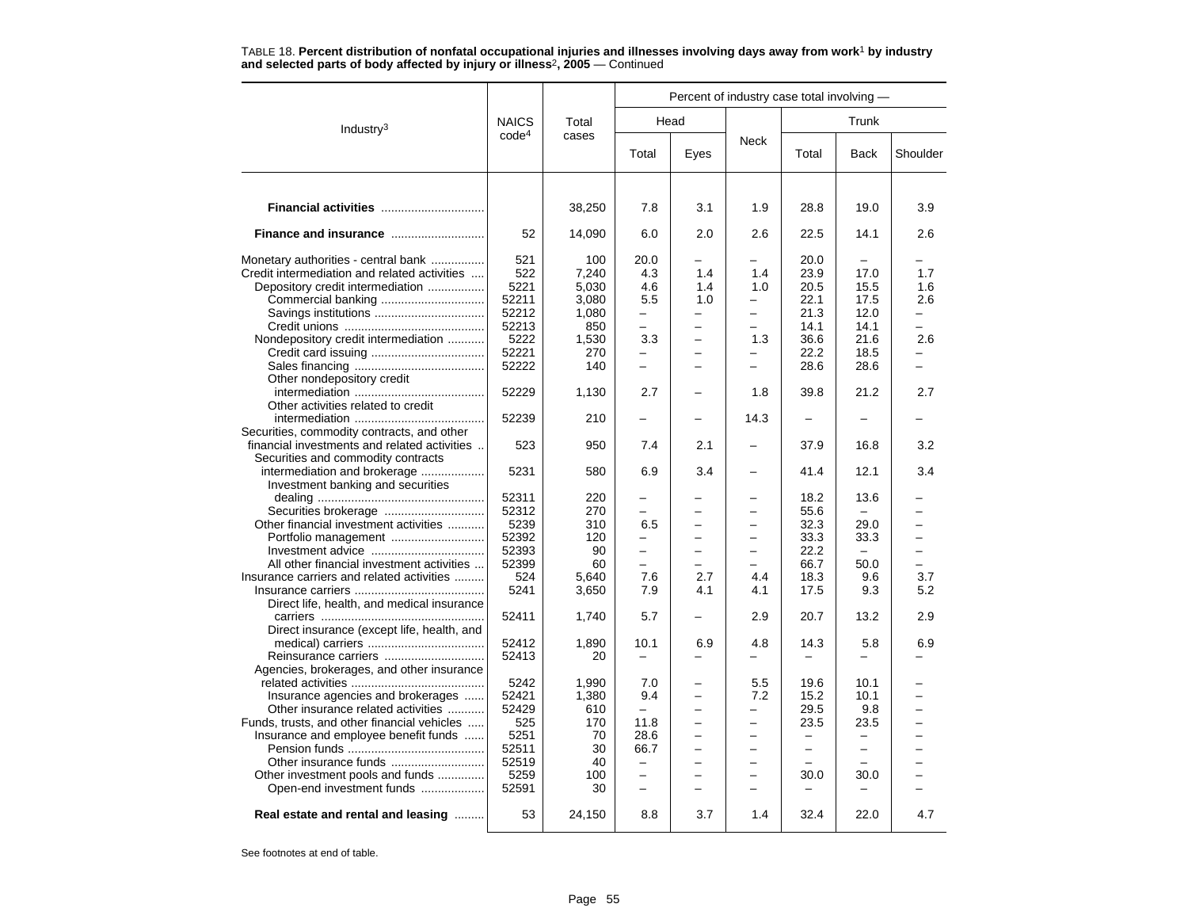|                                              |                   |        |                          | Percent of industry case total involving — |                          |                          |                          |          |
|----------------------------------------------|-------------------|--------|--------------------------|--------------------------------------------|--------------------------|--------------------------|--------------------------|----------|
| Industry $3$                                 | <b>NAICS</b>      | Total  |                          | Head                                       |                          |                          | Trunk                    |          |
|                                              | code <sup>4</sup> | cases  | Total                    | Eyes                                       | Neck                     | Total                    | Back                     | Shoulder |
|                                              |                   |        |                          |                                            |                          |                          |                          |          |
| Financial activities                         |                   | 38,250 | 7.8                      | 3.1                                        | 1.9                      | 28.8                     | 19.0                     | 3.9      |
| Finance and insurance                        | 52                | 14,090 | 6.0                      | 2.0                                        | 2.6                      | 22.5                     | 14.1                     | 2.6      |
| Monetary authorities - central bank          | 521               | 100    | 20.0                     |                                            |                          | 20.0                     |                          |          |
| Credit intermediation and related activities | 522               | 7,240  | 4.3                      | 1.4                                        | 1.4                      | 23.9                     | 17.0                     | 1.7      |
| Depository credit intermediation             | 5221              | 5,030  | 4.6                      | 1.4                                        | 1.0                      | 20.5                     | 15.5                     | 1.6      |
|                                              | 52211             | 3,080  | 5.5                      | 1.0                                        | $\overline{\phantom{0}}$ | 22.1                     | 17.5                     | 2.6      |
|                                              | 52212             | 1,080  | $\overline{\phantom{0}}$ |                                            | $\overline{\phantom{0}}$ | 21.3                     | 12.0                     |          |
|                                              | 52213             | 850    | $\equiv$                 |                                            | $\overline{\phantom{0}}$ | 14.1                     | 14.1                     | L.       |
| Nondepository credit intermediation          | 5222              | 1,530  | 3.3                      | L,                                         | 1.3                      | 36.6                     | 21.6                     | 2.6      |
|                                              | 52221             | 270    |                          |                                            |                          | 22.2                     | 18.5                     |          |
|                                              | 52222             | 140    | $\overline{\phantom{0}}$ |                                            | ÷                        | 28.6                     | 28.6                     | ÷        |
| Other nondepository credit                   |                   |        |                          |                                            |                          |                          |                          |          |
|                                              | 52229             | 1,130  | 2.7                      |                                            | 1.8                      | 39.8                     | 21.2                     | 2.7      |
| Other activities related to credit           |                   |        |                          |                                            |                          |                          |                          |          |
|                                              |                   |        |                          |                                            |                          |                          |                          |          |
|                                              | 52239             | 210    |                          |                                            | 14.3                     |                          |                          |          |
| Securities, commodity contracts, and other   |                   |        |                          |                                            |                          |                          |                          |          |
| financial investments and related activities | 523               | 950    | 7.4                      | 2.1                                        |                          | 37.9                     | 16.8                     | 3.2      |
| Securities and commodity contracts           |                   |        |                          |                                            |                          |                          |                          |          |
| intermediation and brokerage                 | 5231              | 580    | 6.9                      | 3.4                                        | —                        | 41.4                     | 12.1                     | 3.4      |
| Investment banking and securities            |                   |        |                          |                                            |                          |                          |                          |          |
|                                              | 52311             | 220    |                          |                                            |                          | 18.2                     | 13.6                     |          |
|                                              | 52312             | 270    | -                        |                                            | -                        | 55.6                     |                          |          |
| Other financial investment activities        | 5239              | 310    | 6.5                      |                                            |                          | 32.3                     | 29.0                     |          |
| Portfolio management                         | 52392             | 120    | -                        |                                            |                          | 33.3                     | 33.3                     |          |
|                                              | 52393             | 90     | $\overline{\phantom{0}}$ |                                            |                          | 22.2                     |                          |          |
| All other financial investment activities    | 52399             | 60     | $\equiv$                 | $\equiv$                                   | $\equiv$                 | 66.7                     | 50.0                     | ÷.       |
| Insurance carriers and related activities    | 524               | 5,640  | 7.6                      | 2.7                                        | 4.4                      | 18.3                     | 9.6                      | 3.7      |
|                                              | 5241              | 3,650  | 7.9                      | 4.1                                        | 4.1                      | 17.5                     | 9.3                      | 5.2      |
| Direct life, health, and medical insurance   |                   |        |                          |                                            |                          |                          |                          |          |
|                                              | 52411             | 1,740  | 5.7                      |                                            | 2.9                      | 20.7                     | 13.2                     | 2.9      |
| Direct insurance (except life, health, and   |                   |        |                          |                                            |                          |                          |                          |          |
|                                              | 52412             | 1,890  | 10.1                     | 6.9                                        | 4.8                      | 14.3                     | 5.8                      | 6.9      |
| Reinsurance carriers                         | 52413             | 20     | $\overline{\phantom{0}}$ | -                                          |                          | -                        |                          |          |
| Agencies, brokerages, and other insurance    |                   |        |                          |                                            |                          |                          |                          |          |
|                                              | 5242              | 1,990  | 7.0                      |                                            | 5.5                      | 19.6                     | 10.1                     |          |
|                                              | 52421             | 1,380  | 9.4                      |                                            | 7.2                      | 15.2                     | 10.1                     |          |
| Insurance agencies and brokerages            | 52429             | 610    | $\overline{\phantom{0}}$ |                                            | $\overline{\phantom{0}}$ | 29.5                     | 9.8                      |          |
| Other insurance related activities           |                   | 170    |                          |                                            |                          |                          |                          |          |
| Funds, trusts, and other financial vehicles  | 525               |        | 11.8                     |                                            |                          | 23.5                     | 23.5                     |          |
| Insurance and employee benefit funds         | 5251              | 70     | 28.6                     |                                            |                          | $\equiv$                 | —                        |          |
|                                              | 52511             | 30     | 66.7                     |                                            | —                        | $\overline{\phantom{0}}$ | $\overline{\phantom{0}}$ |          |
| Other insurance funds                        | 52519             | 40     | $\qquad \qquad -$        |                                            | $\overline{\phantom{0}}$ | $\overline{\phantom{a}}$ |                          |          |
| Other investment pools and funds             | 5259              | 100    | $\overline{\phantom{0}}$ |                                            | $\equiv$                 | 30.0                     | 30.0                     |          |
| Open-end investment funds                    | 52591             | 30     | $\overline{\phantom{m}}$ |                                            | $\overline{\phantom{0}}$ |                          |                          |          |
| Real estate and rental and leasing           | 53                | 24,150 | 8.8                      | 3.7                                        | 1.4                      | 32.4                     | 22.0                     | 4.7      |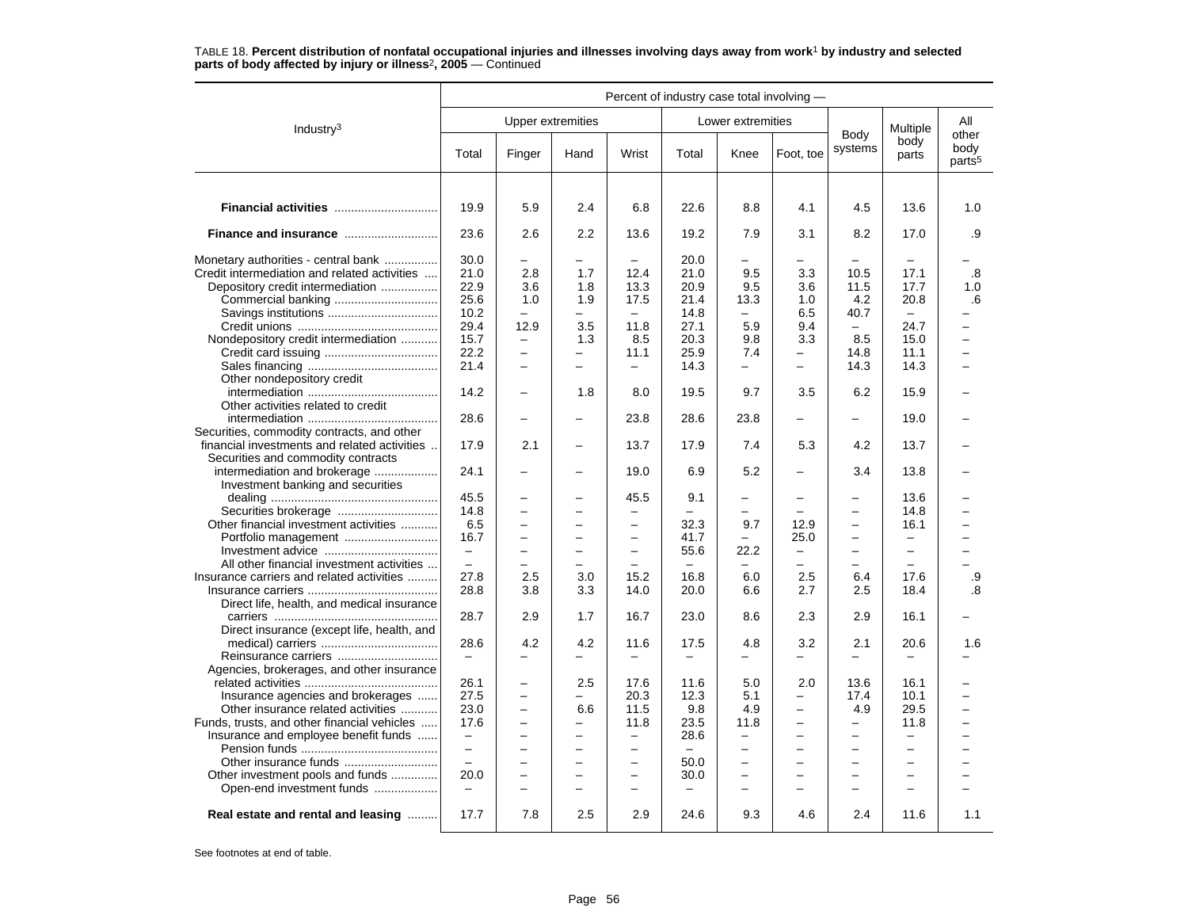|                                              | Percent of industry case total involving - |                          |                          |                          |                          |                          |                          |                          |                          |                                     |
|----------------------------------------------|--------------------------------------------|--------------------------|--------------------------|--------------------------|--------------------------|--------------------------|--------------------------|--------------------------|--------------------------|-------------------------------------|
| Industry <sup>3</sup>                        |                                            |                          | <b>Upper extremities</b> |                          |                          | Lower extremities        |                          |                          | Multiple                 | All                                 |
|                                              | Total                                      | Finger                   | Hand                     | Wrist                    | Total                    | Knee                     | Foot, toe                | Body<br>systems          | body<br>parts            | other<br>body<br>parts <sup>5</sup> |
|                                              |                                            |                          |                          |                          |                          |                          |                          |                          |                          |                                     |
|                                              | 19.9                                       | 5.9                      | 2.4                      | 6.8                      | 22.6                     | 8.8                      | 4.1                      | 4.5                      | 13.6                     | 1.0                                 |
| Finance and insurance                        | 23.6                                       | 2.6                      | 2.2                      | 13.6                     | 19.2                     | 7.9                      | 3.1                      | 8.2                      | 17.0                     | .9                                  |
| Monetary authorities - central bank          | 30.0                                       |                          |                          |                          | 20.0                     |                          |                          |                          |                          |                                     |
| Credit intermediation and related activities | 21.0                                       | 2.8                      | 1.7                      | 12.4                     | 21.0                     | 9.5                      | 3.3                      | 10.5                     | 17.1                     | .8                                  |
| Depository credit intermediation             | 22.9                                       | 3.6                      | 1.8                      | 13.3                     | 20.9                     | 9.5                      | 3.6                      | 11.5                     | 17.7                     | 1.0                                 |
|                                              | 25.6                                       | 1.0                      | 1.9                      | 17.5                     | 21.4                     | 13.3                     | 1.0                      | 4.2                      | 20.8                     | .6                                  |
| Savings institutions                         | 10.2                                       | $\equiv$                 | $\equiv$                 | $\equiv$                 | 14.8                     | $-$                      | 6.5                      | 40.7                     | $\overline{\phantom{m}}$ |                                     |
|                                              | 29.4                                       | 12.9                     | 3.5                      | 11.8                     | 27.1                     | 5.9                      | 9.4                      |                          | 24.7                     | $\overline{a}$                      |
|                                              |                                            |                          |                          |                          | 20.3                     |                          |                          | 8.5                      |                          | $\equiv$                            |
| Nondepository credit intermediation          | 15.7                                       | $\overline{\phantom{0}}$ | 1.3                      | 8.5                      |                          | 9.8                      | 3.3                      |                          | 15.0                     |                                     |
|                                              | 22.2                                       | $\qquad \qquad -$        | $\overline{\phantom{0}}$ | 11.1                     | 25.9                     | 7.4                      | $\qquad \qquad -$        | 14.8                     | 11.1                     | $\overline{\phantom{0}}$            |
|                                              | 21.4                                       | $\overline{a}$           |                          |                          | 14.3                     | -                        |                          | 14.3                     | 14.3                     |                                     |
| Other nondepository credit                   |                                            |                          |                          |                          |                          |                          |                          |                          |                          |                                     |
|                                              | 14.2                                       | -                        | 1.8                      | 8.0                      | 19.5                     | 9.7                      | 3.5                      | 6.2                      | 15.9                     |                                     |
| Other activities related to credit           |                                            |                          |                          |                          |                          |                          |                          |                          |                          |                                     |
|                                              | 28.6                                       | $\overline{a}$           |                          | 23.8                     | 28.6                     | 23.8                     |                          |                          | 19.0                     |                                     |
| Securities, commodity contracts, and other   |                                            |                          |                          |                          |                          |                          |                          |                          |                          |                                     |
| financial investments and related activities | 17.9                                       | 2.1                      |                          | 13.7                     | 17.9                     | 7.4                      | 5.3                      | 4.2                      | 13.7                     |                                     |
| Securities and commodity contracts           |                                            |                          |                          |                          |                          |                          |                          |                          |                          |                                     |
| intermediation and brokerage                 | 24.1                                       | $\overline{\phantom{0}}$ | $\qquad \qquad$          | 19.0                     | 6.9                      | 5.2                      | $\overline{\phantom{0}}$ | 3.4                      | 13.8                     |                                     |
| Investment banking and securities            |                                            |                          |                          |                          |                          |                          |                          |                          |                          |                                     |
|                                              | 45.5                                       | -                        |                          | 45.5                     | 9.1                      | -                        |                          | -                        | 13.6                     |                                     |
|                                              | 14.8                                       | $\equiv$                 | $\overline{\phantom{0}}$ | $\overline{\phantom{0}}$ | $\equiv$                 | $\overline{\phantom{0}}$ | $\overline{\phantom{0}}$ | $\overline{\phantom{0}}$ | 14.8                     | $\overline{\phantom{0}}$            |
| Other financial investment activities        | 6.5                                        | —                        |                          | $\overline{\phantom{0}}$ | 32.3                     | 9.7                      | 12.9                     | $\overline{\phantom{0}}$ | 16.1                     |                                     |
|                                              | 16.7                                       | $\qquad \qquad -$        | $\overline{\phantom{0}}$ | -                        | 41.7                     | -                        | 25.0                     | $\qquad \qquad -$        | $\overline{\phantom{m}}$ | -                                   |
|                                              | $\overline{\phantom{m}}$                   | $\overline{\phantom{0}}$ |                          | $\overline{a}$           | 55.6                     | 22.2                     | $\equiv$                 |                          | $\equiv$                 |                                     |
| All other financial investment activities    | $\equiv$                                   | $\overline{\phantom{0}}$ |                          |                          |                          |                          | $\equiv$                 | $\equiv$                 | $\overline{\phantom{0}}$ |                                     |
| Insurance carriers and related activities    | 27.8                                       | 2.5                      | 3.0                      | 15.2                     | 16.8                     | 6.0                      | 2.5                      | 6.4                      | 17.6                     | .9                                  |
|                                              | 28.8                                       | 3.8                      | 3.3                      | 14.0                     | 20.0                     | 6.6                      | 2.7                      | 2.5                      | 18.4                     | .8                                  |
| Direct life, health, and medical insurance   |                                            |                          |                          |                          |                          |                          |                          |                          |                          |                                     |
|                                              | 28.7                                       | 2.9                      | 1.7                      | 16.7                     | 23.0                     | 8.6                      | 2.3                      | 2.9                      | 16.1                     |                                     |
|                                              |                                            |                          |                          |                          |                          |                          |                          |                          |                          |                                     |
| Direct insurance (except life, health, and   |                                            |                          |                          |                          |                          |                          |                          |                          |                          |                                     |
|                                              | 28.6                                       | 4.2                      | 4.2                      | 11.6                     | 17.5                     | 4.8                      | 3.2                      | 2.1                      | 20.6                     | 1.6                                 |
| Reinsurance carriers                         | $\overline{\phantom{0}}$                   | -                        | $\overline{\phantom{0}}$ | $\overline{\phantom{0}}$ | $\overline{\phantom{0}}$ | $\overline{\phantom{0}}$ | $\overline{\phantom{0}}$ |                          | $\overline{\phantom{0}}$ |                                     |
| Agencies, brokerages, and other insurance    |                                            |                          |                          |                          |                          |                          |                          |                          |                          |                                     |
|                                              | 26.1                                       | $\overline{\phantom{0}}$ | 2.5                      | 17.6                     | 11.6                     | 5.0                      | 2.0                      | 13.6                     | 16.1                     |                                     |
| Insurance agencies and brokerages            | 27.5                                       | $\overline{\phantom{0}}$ | $\equiv$                 | 20.3                     | 12.3                     | 5.1                      | $\overline{\phantom{0}}$ | 17.4                     | 10.1                     | $\overline{\phantom{0}}$            |
| Other insurance related activities           | 23.0                                       | -                        | 6.6                      | 11.5                     | 9.8                      | 4.9                      | $\overline{\phantom{0}}$ | 4.9                      | 29.5                     | $\overline{\phantom{0}}$            |
| Funds, trusts, and other financial vehicles  | 17.6                                       | $\overline{\phantom{0}}$ | $\overline{\phantom{0}}$ | 11.8                     | 23.5                     | 11.8                     | $\equiv$                 | $\qquad \qquad -$        | 11.8                     |                                     |
| Insurance and employee benefit funds         | $\overline{\phantom{m}}$                   | $\overline{\phantom{0}}$ | $\overline{\phantom{0}}$ | $\overline{\phantom{0}}$ | 28.6                     | -                        | $\overline{\phantom{0}}$ | $\overline{\phantom{0}}$ | $\overline{\phantom{0}}$ |                                     |
|                                              | $\equiv$                                   | $\overline{\phantom{0}}$ | $\equiv$                 | $\overline{\phantom{0}}$ | $\overline{\phantom{m}}$ | $\overline{a}$           | $\equiv$                 | $\equiv$                 | $\equiv$                 | L.                                  |
|                                              |                                            | $\overline{a}$           |                          | $\overline{\phantom{0}}$ | 50.0                     | $\overline{\phantom{0}}$ | $\overline{\phantom{0}}$ | $\overline{\phantom{0}}$ | $\qquad \qquad -$        |                                     |
| Other investment pools and funds             | 20.0                                       | $\overline{a}$           |                          | $\equiv$                 | 30.0                     | $\overline{a}$           |                          | $\equiv$                 | $\equiv$                 |                                     |
| Open-end investment funds                    | $\sim$                                     | $\overline{\phantom{0}}$ | $\equiv$                 | $\equiv$                 | $\frac{1}{2}$            | $\equiv$                 | $\equiv$                 | $\equiv$                 | $\sim$                   | L.                                  |
|                                              |                                            |                          |                          |                          |                          |                          |                          |                          |                          |                                     |
| Real estate and rental and leasing           | 17.7                                       | 7.8                      | 2.5                      | 2.9                      | 24.6                     | 9.3                      | 4.6                      | 2.4                      | 11.6                     | 1.1                                 |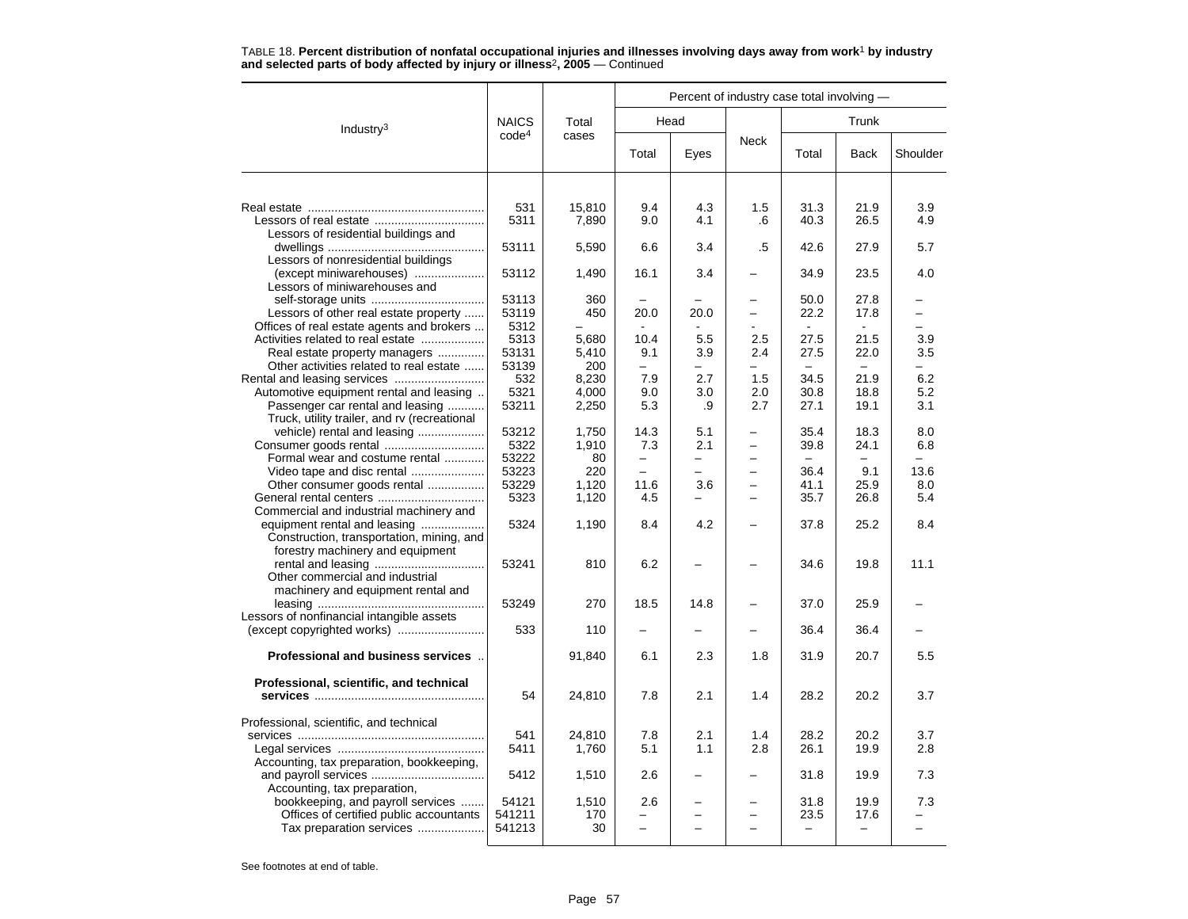|                                                                                |                   |              |                                 | Percent of industry case total involving - |                          |                                  |                                  |                 |
|--------------------------------------------------------------------------------|-------------------|--------------|---------------------------------|--------------------------------------------|--------------------------|----------------------------------|----------------------------------|-----------------|
| Industry <sup>3</sup>                                                          | <b>NAICS</b>      | Total        |                                 | Head                                       |                          |                                  | Trunk                            |                 |
|                                                                                | code <sup>4</sup> | cases        | Total                           | Eyes                                       | <b>Neck</b>              | Total                            | <b>Back</b>                      | Shoulder        |
|                                                                                |                   |              |                                 |                                            |                          |                                  |                                  |                 |
|                                                                                | 531               | 15,810       | 9.4                             | 4.3                                        | 1.5                      | 31.3                             | 21.9                             | 3.9             |
| Lessors of residential buildings and                                           | 5311              | 7,890        | 9.0                             | 4.1                                        | .6                       | 40.3                             | 26.5                             | 4.9             |
| Lessors of nonresidential buildings                                            | 53111             | 5,590        | 6.6                             | 3.4                                        | .5                       | 42.6                             | 27.9                             | 5.7             |
| (except miniwarehouses)<br>Lessors of miniwarehouses and                       | 53112             | 1,490        | 16.1                            | 3.4                                        |                          | 34.9                             | 23.5                             | 4.0             |
|                                                                                | 53113             | 360          |                                 |                                            |                          | 50.0                             | 27.8                             |                 |
| Lessors of other real estate property                                          | 53119             | 450          | 20.0                            | 20.0                                       |                          | 22.2                             | 17.8                             |                 |
| Offices of real estate agents and brokers<br>Activities related to real estate | 5312<br>5313      | 5,680        | 10.4                            | 5.5                                        | 2.5                      | 27.5                             | 21.5                             | 3.9             |
| Real estate property managers                                                  | 53131             | 5,410        | 9.1                             | 3.9                                        | 2.4                      | 27.5                             | 22.0                             | 3.5             |
| Other activities related to real estate                                        | 53139             | 200          | ÷.                              | $=$                                        | $\overline{\phantom{0}}$ | $\equiv$                         | $\overline{\phantom{0}}$         | $=$             |
|                                                                                | 532               | 8,230        | 7.9                             | 2.7                                        | 1.5                      | 34.5                             | 21.9                             | 6.2             |
| Automotive equipment rental and leasing                                        | 5321              | 4,000        | 9.0                             | 3.0                                        | 2.0                      | 30.8                             | 18.8                             | 5.2             |
| Passenger car rental and leasing                                               | 53211             | 2,250        | 5.3                             | .9                                         | 2.7                      | 27.1                             | 19.1                             | 3.1             |
| Truck, utility trailer, and rv (recreational                                   |                   |              |                                 |                                            |                          |                                  |                                  |                 |
| vehicle) rental and leasing                                                    | 53212             | 1,750        | 14.3                            | 5.1                                        |                          | 35.4                             | 18.3                             | 8.0             |
| Formal wear and costume rental                                                 | 5322<br>53222     | 1,910        | 7.3<br>$\overline{\phantom{0}}$ | 2.1<br>—                                   |                          | 39.8<br>$\overline{\phantom{0}}$ | 24.1<br>$\overline{\phantom{0}}$ | 6.8<br>$\equiv$ |
| Video tape and disc rental                                                     | 53223             | 80<br>220    |                                 |                                            |                          | 36.4                             | 9.1                              | 13.6            |
| Other consumer goods rental                                                    | 53229             | 1,120        | 11.6                            | 3.6                                        | $\equiv$                 | 41.1                             | 25.9                             | 8.0             |
|                                                                                | 5323              | 1,120        | 4.5                             | —                                          |                          | 35.7                             | 26.8                             | 5.4             |
| Commercial and industrial machinery and                                        |                   |              |                                 |                                            |                          |                                  |                                  |                 |
| equipment rental and leasing                                                   | 5324              | 1,190        | 8.4                             | 4.2                                        |                          | 37.8                             | 25.2                             | 8.4             |
| Construction, transportation, mining, and                                      |                   |              |                                 |                                            |                          |                                  |                                  |                 |
| forestry machinery and equipment                                               |                   |              |                                 |                                            |                          |                                  |                                  |                 |
|                                                                                | 53241             | 810          | 6.2                             |                                            |                          | 34.6                             | 19.8                             | 11.1            |
| Other commercial and industrial                                                |                   |              |                                 |                                            |                          |                                  |                                  |                 |
| machinery and equipment rental and                                             |                   |              |                                 |                                            |                          |                                  |                                  |                 |
| Lessors of nonfinancial intangible assets                                      | 53249             | 270          | 18.5                            | 14.8                                       |                          | 37.0                             | 25.9                             |                 |
|                                                                                | 533               | 110          |                                 |                                            |                          | 36.4                             | 36.4                             |                 |
|                                                                                |                   |              |                                 |                                            |                          |                                  |                                  |                 |
| Professional and business services                                             |                   | 91,840       | 6.1                             | 2.3                                        | 1.8                      | 31.9                             | 20.7                             | 5.5             |
| Professional, scientific, and technical                                        |                   |              |                                 |                                            |                          |                                  |                                  |                 |
|                                                                                | 54                | 24,810       | 7.8                             | 2.1                                        | 1.4                      | 28.2                             | 20.2                             | 3.7             |
| Professional, scientific, and technical                                        |                   |              |                                 |                                            |                          |                                  |                                  |                 |
|                                                                                | 541               | 24,810       | 7.8                             | 2.1                                        | 1.4                      | 28.2                             | 20.2                             | 3.7             |
|                                                                                | 5411              | 1,760        | 5.1                             | 1.1                                        | 2.8                      | 26.1                             | 19.9                             | 2.8             |
| Accounting, tax preparation, bookkeeping,                                      |                   |              |                                 |                                            |                          |                                  |                                  |                 |
|                                                                                | 5412              | 1,510        | 2.6                             |                                            |                          | 31.8                             | 19.9                             | 7.3             |
| Accounting, tax preparation,                                                   |                   |              |                                 |                                            |                          |                                  |                                  |                 |
| bookkeeping, and payroll services<br>Offices of certified public accountants   | 54121<br>541211   | 1,510<br>170 | 2.6                             |                                            |                          | 31.8<br>23.5                     | 19.9<br>17.6                     | 7.3             |
| Tax preparation services                                                       | 541213            | 30           |                                 |                                            |                          |                                  |                                  |                 |
|                                                                                |                   |              |                                 |                                            |                          |                                  |                                  |                 |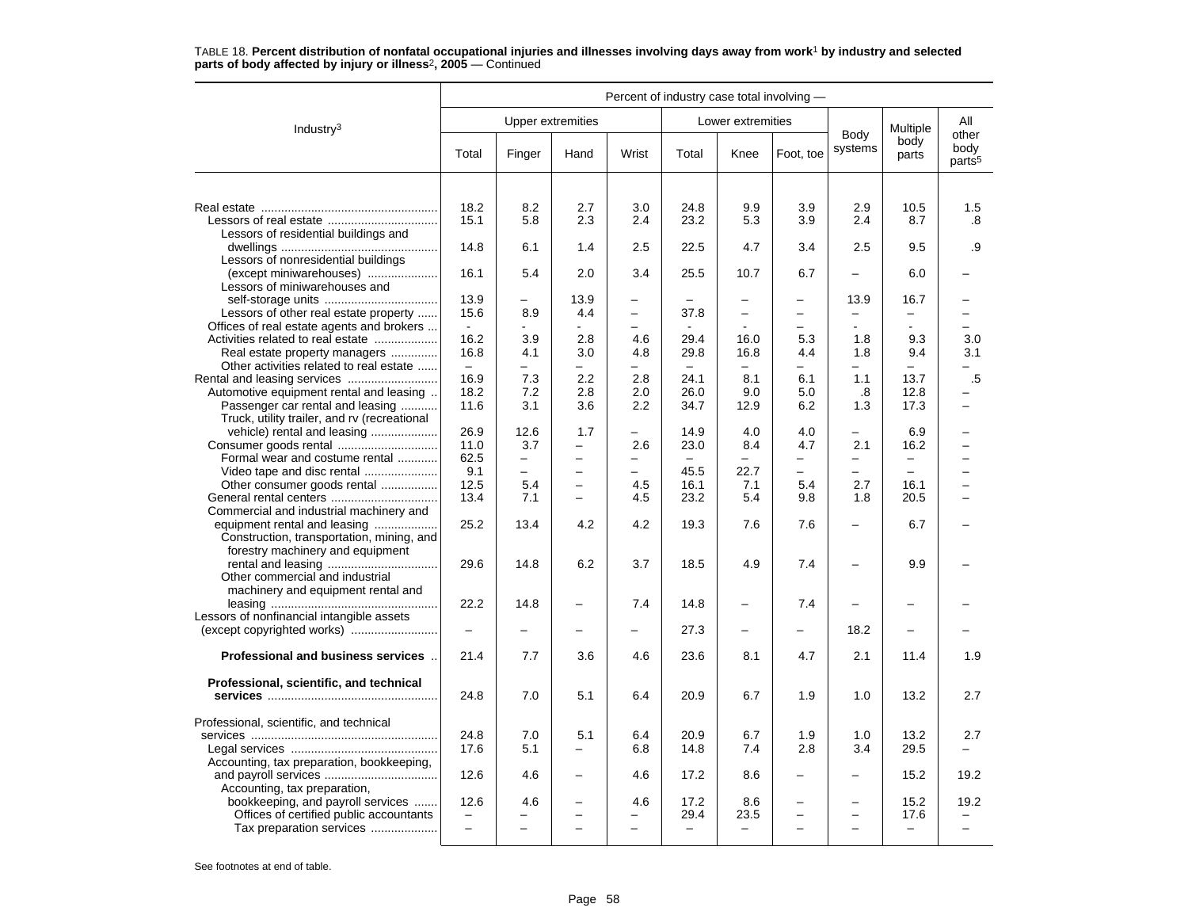|                                                                             | Percent of industry case total involving - |                                 |                                                      |                          |                          |                          |                          |                          |                          |                                     |
|-----------------------------------------------------------------------------|--------------------------------------------|---------------------------------|------------------------------------------------------|--------------------------|--------------------------|--------------------------|--------------------------|--------------------------|--------------------------|-------------------------------------|
| Industry $3$                                                                |                                            |                                 | <b>Upper extremities</b>                             |                          |                          | Lower extremities        |                          |                          | Multiple                 | All                                 |
|                                                                             | Total                                      | Finger                          | Hand                                                 | Wrist                    | Total                    | Knee                     | Foot, toe                | Body<br>systems          | body<br>parts            | other<br>body<br>parts <sup>5</sup> |
|                                                                             |                                            |                                 |                                                      |                          |                          |                          |                          |                          |                          |                                     |
|                                                                             | 18.2                                       | 8.2                             | 2.7                                                  | 3.0                      | 24.8                     | 9.9                      | 3.9                      | 2.9                      | 10.5                     | 1.5                                 |
|                                                                             | 15.1                                       | 5.8                             | 2.3                                                  | 2.4                      | 23.2                     | 5.3                      | 3.9                      | 2.4                      | 8.7                      | .8                                  |
| Lessors of residential buildings and                                        | 14.8                                       | 6.1                             | 1.4                                                  | 2.5                      | 22.5                     | 4.7                      | 3.4                      | 2.5                      | 9.5                      | .9                                  |
| Lessors of nonresidential buildings                                         |                                            |                                 |                                                      |                          |                          |                          |                          |                          |                          |                                     |
| (except miniwarehouses)                                                     | 16.1                                       | 5.4                             | 2.0                                                  | 3.4                      | 25.5                     | 10.7                     | 6.7                      |                          | 6.0                      |                                     |
| Lessors of miniwarehouses and                                               |                                            |                                 |                                                      |                          |                          |                          |                          |                          |                          |                                     |
| Lessors of other real estate property                                       | 13.9<br>15.6                               | $\overline{\phantom{0}}$<br>8.9 | 13.9<br>4.4                                          | $\overline{\phantom{0}}$ | 37.8                     | $\overline{\phantom{0}}$ | $\overline{\phantom{0}}$ | 13.9                     | 16.7<br>-                | -                                   |
| Offices of real estate agents and brokers                                   | $\sim$                                     | $\blacksquare$                  | $\sim$                                               |                          |                          |                          | $\overline{\phantom{0}}$ |                          | $\mathbf{r}$             | -                                   |
| Activities related to real estate                                           | 16.2                                       | 3.9                             | 2.8                                                  | 4.6                      | 29.4                     | 16.0                     | 5.3                      | 1.8                      | 9.3                      | 3.0                                 |
| Real estate property managers                                               | 16.8                                       | 4.1                             | 3.0                                                  | 4.8                      | 29.8                     | 16.8                     | 4.4                      | 1.8                      | 9.4                      | 3.1                                 |
| Other activities related to real estate                                     | $\overline{a}$                             | $\overline{\phantom{0}}$        | $\equiv$                                             |                          | $\overline{\phantom{0}}$ |                          | $\overline{\phantom{0}}$ |                          | $\equiv$                 |                                     |
|                                                                             | 16.9                                       | 7.3                             | 2.2                                                  | 2.8                      | 24.1                     | 8.1                      | 6.1                      | 1.1                      | 13.7                     | .5                                  |
| Automotive equipment rental and leasing<br>Passenger car rental and leasing | 18.2<br>11.6                               | 7.2<br>3.1                      | 2.8<br>3.6                                           | 2.0<br>$2.2\,$           | 26.0<br>34.7             | 9.0<br>12.9              | 5.0<br>6.2               | .8<br>1.3                | 12.8<br>17.3             |                                     |
| Truck, utility trailer, and rv (recreational                                |                                            |                                 |                                                      |                          |                          |                          |                          |                          |                          |                                     |
| vehicle) rental and leasing                                                 | 26.9                                       | 12.6                            | 1.7                                                  |                          | 14.9                     | 4.0                      | 4.0                      |                          | 6.9                      |                                     |
|                                                                             | 11.0                                       | 3.7                             | $\overline{\phantom{0}}$                             | 2.6                      | 23.0                     | 8.4                      | 4.7                      | 2.1                      | 16.2                     | $\overline{\phantom{0}}$            |
| Formal wear and costume rental                                              | 62.5                                       | -                               | $\equiv$                                             | $\overline{\phantom{0}}$ | $\overline{\phantom{0}}$ | $\overline{\phantom{0}}$ | $\overline{\phantom{0}}$ | $\overline{\phantom{0}}$ | $\qquad \qquad -$        | ▃                                   |
| Video tape and disc rental                                                  | 9.1                                        | $\overline{\phantom{0}}$        |                                                      |                          | 45.5                     | 22.7                     |                          |                          | $\overline{\phantom{0}}$ |                                     |
| Other consumer goods rental                                                 | 12.5<br>13.4                               | 5.4<br>7.1                      | $\overline{\phantom{0}}$<br>$\overline{\phantom{0}}$ | 4.5<br>4.5               | 16.1<br>23.2             | 7.1<br>5.4               | 5.4<br>9.8               | 2.7<br>1.8               | 16.1<br>20.5             | $\overline{ }$                      |
| General rental centers<br>Commercial and industrial machinery and           |                                            |                                 |                                                      |                          |                          |                          |                          |                          |                          |                                     |
| equipment rental and leasing                                                | 25.2                                       | 13.4                            | 4.2                                                  | 4.2                      | 19.3                     | 7.6                      | 7.6                      |                          | 6.7                      |                                     |
| Construction, transportation, mining, and                                   |                                            |                                 |                                                      |                          |                          |                          |                          |                          |                          |                                     |
| forestry machinery and equipment                                            |                                            |                                 |                                                      |                          |                          |                          |                          |                          |                          |                                     |
|                                                                             | 29.6                                       | 14.8                            | 6.2                                                  | 3.7                      | 18.5                     | 4.9                      | 7.4                      | $\equiv$                 | 9.9                      |                                     |
| Other commercial and industrial<br>machinery and equipment rental and       |                                            |                                 |                                                      |                          |                          |                          |                          |                          |                          |                                     |
|                                                                             | 22.2                                       | 14.8                            |                                                      | 7.4                      | 14.8                     | -                        | 7.4                      |                          |                          |                                     |
| Lessors of nonfinancial intangible assets                                   |                                            |                                 |                                                      |                          |                          |                          |                          |                          |                          |                                     |
| (except copyrighted works)                                                  | $\overline{\phantom{m}}$                   | -                               | $\overline{\phantom{0}}$                             | $\overline{\phantom{0}}$ | 27.3                     | -                        | $\overline{\phantom{0}}$ | 18.2                     | $\overline{\phantom{0}}$ |                                     |
| Professional and business services.                                         | 21.4                                       | 7.7                             | 3.6                                                  | 4.6                      | 23.6                     | 8.1                      | 4.7                      | 2.1                      | 11.4                     | 1.9                                 |
| Professional, scientific, and technical                                     |                                            |                                 |                                                      |                          |                          |                          |                          |                          |                          |                                     |
|                                                                             | 24.8                                       | 7.0                             | 5.1                                                  | 6.4                      | 20.9                     | 6.7                      | 1.9                      | 1.0                      | 13.2                     | 2.7                                 |
|                                                                             |                                            |                                 |                                                      |                          |                          |                          |                          |                          |                          |                                     |
| Professional, scientific, and technical                                     |                                            |                                 |                                                      |                          |                          |                          |                          |                          |                          |                                     |
|                                                                             | 24.8                                       | 7.0                             | 5.1                                                  | 6.4                      | 20.9                     | 6.7                      | 1.9                      | 1.0                      | 13.2                     | 2.7                                 |
| Accounting, tax preparation, bookkeeping,                                   | 17.6                                       | 5.1                             | $\overline{\phantom{0}}$                             | 6.8                      | 14.8                     | 7.4                      | 2.8                      | 3.4                      | 29.5                     |                                     |
|                                                                             | 12.6                                       | 4.6                             |                                                      | 4.6                      | 17.2                     | 8.6                      |                          |                          | 15.2                     | 19.2                                |
| Accounting, tax preparation,                                                |                                            |                                 |                                                      |                          |                          |                          |                          |                          |                          |                                     |
| bookkeeping, and payroll services                                           | 12.6                                       | 4.6                             | $\overline{\phantom{0}}$                             | 4.6                      | 17.2                     | 8.6                      | $\overline{\phantom{0}}$ | $\overline{\phantom{0}}$ | 15.2                     | 19.2                                |
| Offices of certified public accountants                                     |                                            |                                 |                                                      |                          | 29.4                     | 23.5                     |                          |                          | 17.6                     |                                     |
| Tax preparation services                                                    | $\overline{\phantom{0}}$                   | $\overline{\phantom{0}}$        |                                                      | $\overline{\phantom{0}}$ | $\qquad \qquad -$        | $\overline{\phantom{0}}$ |                          | $\overline{\phantom{0}}$ | $\overline{\phantom{0}}$ | $\overline{\phantom{0}}$            |
|                                                                             |                                            |                                 |                                                      |                          |                          |                          |                          |                          |                          |                                     |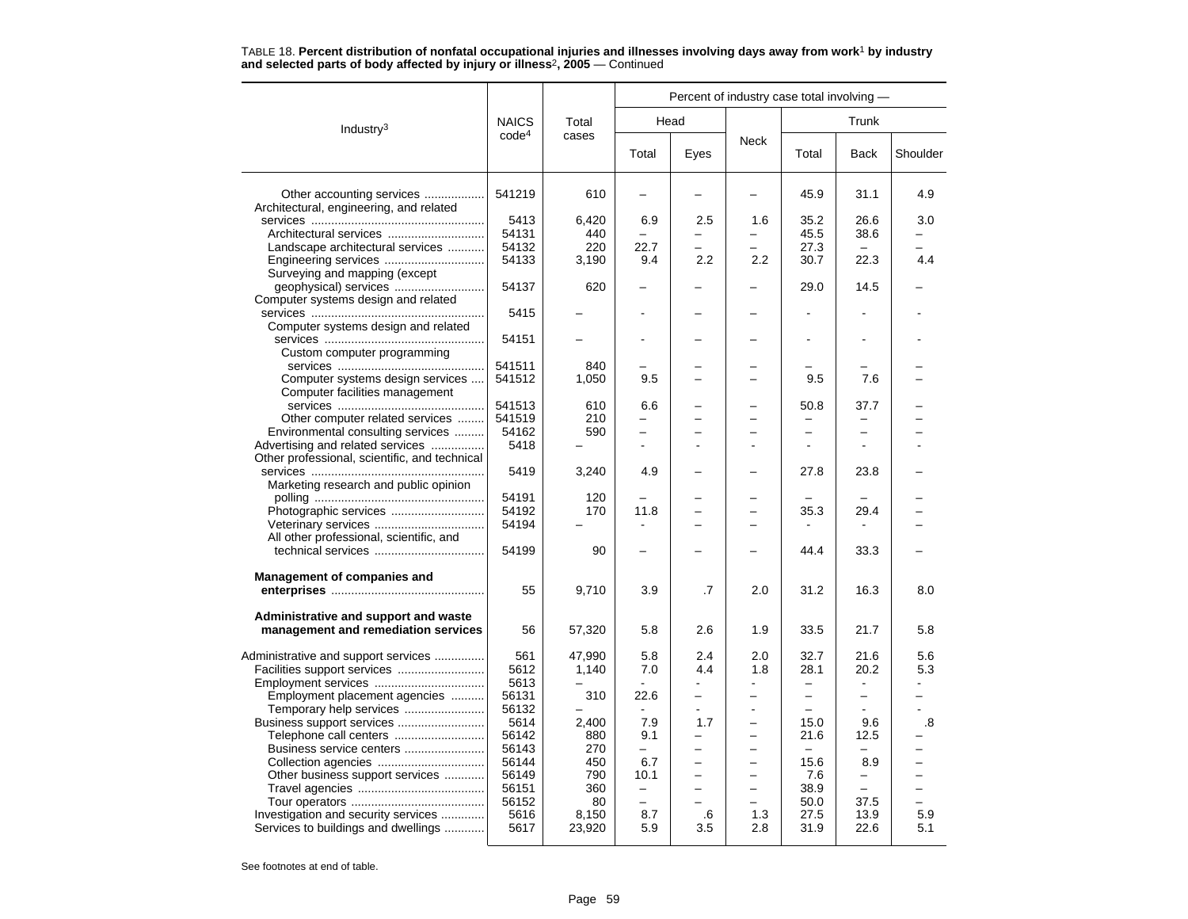|                                               |                   |           |                          |                          |                          | Percent of industry case total involving - |                          |                          |
|-----------------------------------------------|-------------------|-----------|--------------------------|--------------------------|--------------------------|--------------------------------------------|--------------------------|--------------------------|
| Industry $3$                                  | <b>NAICS</b>      | Total     | Head                     |                          |                          |                                            | Trunk                    |                          |
|                                               | code <sup>4</sup> | cases     | Total                    | Eyes                     | Neck                     | Total                                      | <b>Back</b>              | Shoulder                 |
| Other accounting services                     | 541219            | 610       |                          |                          |                          | 45.9                                       | 31.1                     | 4.9                      |
| Architectural, engineering, and related       |                   |           |                          |                          |                          |                                            |                          |                          |
|                                               | 5413              | 6,420     | 6.9                      | 2.5                      | 1.6                      | 35.2                                       | 26.6                     | 3.0                      |
|                                               | 54131             | 440       |                          |                          | $\overline{\phantom{0}}$ | 45.5                                       | 38.6                     |                          |
| Landscape architectural services              | 54132             | 220       | 22.7                     |                          |                          | 27.3                                       | $\overline{\phantom{0}}$ |                          |
|                                               | 54133             | 3,190     | 9.4                      | 2.2                      | 2.2                      | 30.7                                       | 22.3                     | 4.4                      |
| Surveying and mapping (except                 |                   |           |                          |                          |                          |                                            |                          |                          |
|                                               | 54137             | 620       |                          |                          |                          | 29.0                                       | 14.5                     |                          |
| Computer systems design and related           |                   |           |                          |                          |                          |                                            |                          |                          |
|                                               | 5415              |           |                          |                          |                          |                                            |                          |                          |
| Computer systems design and related           |                   |           |                          |                          |                          |                                            |                          |                          |
|                                               | 54151             |           |                          |                          |                          |                                            |                          |                          |
| Custom computer programming                   |                   |           |                          |                          |                          |                                            |                          |                          |
|                                               | 541511            | 840       |                          |                          |                          |                                            |                          |                          |
| Computer systems design services              | 541512            | 1,050     | 9.5                      |                          |                          | 9.5                                        | 7.6                      |                          |
|                                               |                   |           |                          |                          |                          |                                            |                          |                          |
| Computer facilities management                | 541513            | 610       | 6.6                      |                          |                          | 50.8                                       | 37.7                     |                          |
|                                               | 541519            | 210       |                          |                          |                          |                                            |                          |                          |
| Other computer related services               |                   |           | $\overline{\phantom{0}}$ | -                        | ۳                        |                                            | $\overline{\phantom{0}}$ |                          |
| Environmental consulting services             | 54162             | 590       |                          |                          |                          | -                                          |                          |                          |
| Advertising and related services              | 5418              |           |                          |                          |                          |                                            |                          |                          |
| Other professional, scientific, and technical |                   |           |                          |                          |                          |                                            |                          |                          |
|                                               | 5419              | 3,240     | 4.9                      |                          |                          | 27.8                                       | 23.8                     |                          |
| Marketing research and public opinion         |                   |           |                          |                          |                          |                                            |                          |                          |
|                                               | 54191             | 120       |                          |                          |                          |                                            |                          |                          |
| Photographic services                         | 54192             | 170       | 11.8                     | $\overline{\phantom{0}}$ | $\overline{\phantom{0}}$ | 35.3                                       | 29.4                     |                          |
|                                               | 54194             |           |                          |                          |                          |                                            |                          |                          |
| All other professional, scientific, and       |                   |           |                          |                          |                          |                                            |                          |                          |
|                                               | 54199             | 90        |                          |                          |                          | 44.4                                       | 33.3                     |                          |
| <b>Management of companies and</b>            |                   |           |                          |                          |                          |                                            |                          |                          |
|                                               | 55                | 9,710     | 3.9                      | .7                       | 2.0                      | 31.2                                       | 16.3                     | 8.0                      |
| Administrative and support and waste          |                   |           |                          |                          |                          |                                            |                          |                          |
| management and remediation services           | 56                | 57,320    | 5.8                      | 2.6                      | 1.9                      | 33.5                                       | 21.7                     | 5.8                      |
| Administrative and support services           | 561               | 47,990    | 5.8                      | 2.4                      | 2.0                      | 32.7                                       | 21.6                     | 5.6                      |
|                                               | 5612              | 1,140     | 7.0                      | 4.4                      | 1.8                      | 28.1                                       | 20.2                     | 5.3                      |
|                                               | 5613              |           |                          |                          |                          | $\overline{\phantom{0}}$                   |                          |                          |
| Employment placement agencies                 | 56131             | 310       | 22.6                     | -                        | $\overline{\phantom{0}}$ | $\overline{\phantom{0}}$                   | $\overline{\phantom{0}}$ | -                        |
| Temporary help services                       | 56132             |           |                          |                          |                          | $\equiv$                                   |                          |                          |
| Business support services                     | 5614              | 2,400     | 7.9                      | 1.7                      |                          | 15.0                                       | 9.6                      | .8                       |
| Telephone call centers                        | 56142             | 880       | 9.1                      |                          |                          | 21.6                                       | 12.5                     |                          |
| Business service centers                      | 56143             | 270       | $\overline{\phantom{0}}$ | -                        | $\overline{\phantom{0}}$ | $\overline{\phantom{m}}$                   |                          | $\overline{\phantom{0}}$ |
|                                               | 56144             | 450       |                          |                          | ÷                        | 15.6                                       | 8.9                      |                          |
|                                               | 56149             | 790       | 6.7<br>10.1              |                          |                          | 7.6                                        | -                        |                          |
| Other business support services               |                   |           | $\equiv$                 | -                        | $\overline{\phantom{0}}$ | 38.9                                       | $\overline{\phantom{m}}$ | $\overline{\phantom{0}}$ |
|                                               | 56151<br>56152    | 360<br>80 | $\overline{\phantom{0}}$ |                          |                          | 50.0                                       | 37.5                     | $\equiv$                 |
| Investigation and security services           | 5616              | 8,150     | 8.7                      | .6                       | 1.3                      | 27.5                                       | 13.9                     | 5.9                      |
| Services to buildings and dwellings           | 5617              | 23,920    | 5.9                      | 3.5                      | 2.8                      | 31.9                                       | 22.6                     | 5.1                      |
|                                               |                   |           |                          |                          |                          |                                            |                          |                          |

TABLE 18. **Percent distribution of nonfatal occupational injuries and illnesses involving days away from work**<sup>1</sup> **by industry and selected parts of body affected by injury or illness**<sup>2</sup>**, 2005** — Continued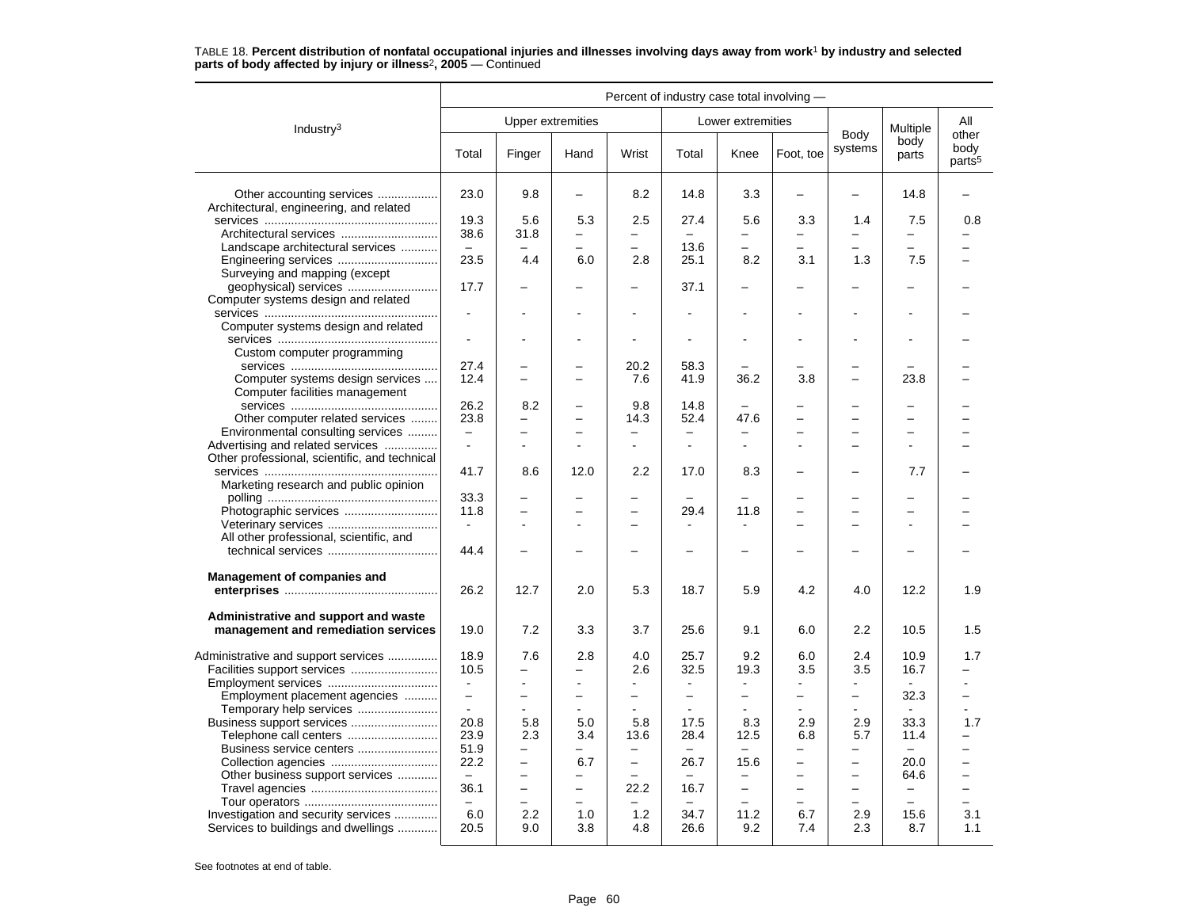|                                                                                   | Percent of industry case total involving - |                          |                          |                          |                          |                          |                          |                          |                          |                                     |  |
|-----------------------------------------------------------------------------------|--------------------------------------------|--------------------------|--------------------------|--------------------------|--------------------------|--------------------------|--------------------------|--------------------------|--------------------------|-------------------------------------|--|
| Industry <sup>3</sup>                                                             |                                            |                          | Upper extremities        |                          |                          | Lower extremities        |                          |                          | Multiple                 | All                                 |  |
|                                                                                   | Total                                      | Finger                   | Hand                     | Wrist                    | Total                    | Knee                     | Foot, toe                | Body<br>systems          | body<br>parts            | other<br>body<br>parts <sup>5</sup> |  |
| Other accounting services<br>Architectural, engineering, and related              | 23.0                                       | 9.8                      | -                        | 8.2                      | 14.8                     | 3.3                      | $\overline{\phantom{0}}$ | -                        | 14.8                     |                                     |  |
|                                                                                   | 19.3                                       | 5.6                      | 5.3                      | 2.5                      | 27.4                     | 5.6                      | 3.3                      | 1.4                      | 7.5                      | 0.8                                 |  |
| Architectural services                                                            | 38.6                                       | 31.8                     | $\overline{\phantom{0}}$ | $\overline{\phantom{0}}$ | $\overline{\phantom{0}}$ | $\overline{\phantom{0}}$ | -                        |                          | $\overline{\phantom{0}}$ |                                     |  |
| Landscape architectural services                                                  | $\equiv$                                   |                          |                          |                          | 13.6                     | -                        |                          |                          | $\overline{\phantom{0}}$ |                                     |  |
| Engineering services                                                              | 23.5                                       | 4.4                      | 6.0                      | 2.8                      | 25.1                     | 8.2                      | 3.1                      | 1.3                      | 7.5                      |                                     |  |
| Surveying and mapping (except                                                     |                                            |                          |                          |                          |                          |                          |                          |                          |                          |                                     |  |
|                                                                                   | 17.7                                       |                          |                          |                          | 37.1                     | $\overline{a}$           |                          |                          | ▃                        |                                     |  |
| Computer systems design and related                                               |                                            |                          |                          |                          |                          |                          |                          |                          |                          |                                     |  |
|                                                                                   |                                            |                          |                          | $\blacksquare$           |                          |                          |                          |                          | ۰                        |                                     |  |
| Computer systems design and related                                               |                                            |                          |                          |                          |                          |                          |                          |                          |                          |                                     |  |
|                                                                                   |                                            |                          |                          | $\blacksquare$           |                          | $\blacksquare$           |                          |                          | ä,                       |                                     |  |
| Custom computer programming                                                       |                                            |                          |                          |                          |                          |                          |                          |                          |                          |                                     |  |
|                                                                                   | 27.4                                       |                          |                          | 20.2                     | 58.3                     |                          |                          |                          |                          |                                     |  |
| Computer systems design services<br>Computer facilities management                | 12.4                                       |                          |                          | 7.6                      | 41.9                     | 36.2                     | 3.8                      |                          | 23.8                     |                                     |  |
|                                                                                   | 26.2                                       | 8.2                      | -                        | 9.8                      | 14.8                     | $\overline{\phantom{0}}$ |                          |                          |                          |                                     |  |
| Other computer related services                                                   | 23.8                                       | $\overline{\phantom{0}}$ | $\equiv$                 | 14.3                     | 52.4                     | 47.6                     |                          | -                        | $\equiv$                 |                                     |  |
| Environmental consulting services                                                 | $\overline{\phantom{0}}$                   | $\overline{\phantom{0}}$ | $\overline{\phantom{0}}$ | $\qquad \qquad -$        | $\overline{\phantom{0}}$ | -                        |                          | -                        | $\overline{\phantom{0}}$ |                                     |  |
| Advertising and related services<br>Other professional, scientific, and technical | $\blacksquare$                             |                          |                          | $\blacksquare$           | $\blacksquare$           | $\overline{a}$           |                          |                          |                          |                                     |  |
| Marketing research and public opinion                                             | 41.7                                       | 8.6                      | 12.0                     | 2.2                      | 17.0                     | 8.3                      |                          |                          | 7.7                      |                                     |  |
|                                                                                   | 33.3                                       |                          | -                        |                          |                          |                          |                          |                          | $\overline{\phantom{0}}$ |                                     |  |
| Photographic services                                                             | 11.8                                       |                          |                          |                          | 29.4                     | 11.8                     |                          |                          | $\overline{\phantom{0}}$ |                                     |  |
|                                                                                   |                                            |                          | $\overline{a}$           | $\overline{\phantom{0}}$ |                          |                          |                          | $\equiv$                 | ÷                        |                                     |  |
| All other professional, scientific, and                                           |                                            |                          |                          |                          |                          |                          |                          |                          |                          |                                     |  |
|                                                                                   | 44.4                                       |                          |                          |                          |                          |                          |                          |                          |                          |                                     |  |
| <b>Management of companies and</b>                                                |                                            |                          |                          |                          |                          |                          |                          |                          |                          |                                     |  |
|                                                                                   | 26.2                                       | 12.7                     | 2.0                      | 5.3                      | 18.7                     | 5.9                      | 4.2                      | 4.0                      | 12.2                     | 1.9                                 |  |
| Administrative and support and waste<br>management and remediation services       | 19.0                                       | 7.2                      | 3.3                      | 3.7                      | 25.6                     | 9.1                      | 6.0                      | 2.2                      | 10.5                     | 1.5                                 |  |
|                                                                                   | 18.9                                       | 7.6                      | 2.8                      | 4.0                      | 25.7                     | 9.2                      | 6.0                      | 2.4                      | 10.9                     | 1.7                                 |  |
| Administrative and support services                                               | 10.5                                       | -                        | -                        | 2.6                      | 32.5                     | 19.3                     | 3.5                      | 3.5                      | 16.7                     |                                     |  |
|                                                                                   |                                            |                          |                          |                          |                          |                          |                          |                          |                          |                                     |  |
| Employment placement agencies                                                     | $\overline{\phantom{0}}$                   | $\overline{\phantom{0}}$ | $\overline{a}$           | $\overline{\phantom{0}}$ | ÷                        | $\overline{\phantom{0}}$ | $\overline{\phantom{0}}$ | ▃                        | 32.3                     | $\equiv$                            |  |
| Temporary help services                                                           | $\sim$                                     | $\blacksquare$           | $\blacksquare$           | $\blacksquare$           | $\sim$                   |                          | $\blacksquare$           |                          |                          |                                     |  |
| Business support services                                                         | 20.8                                       | 5.8                      | 5.0                      | 5.8                      | 17.5                     | 8.3                      | 2.9                      | 2.9                      | 33.3                     | 1.7                                 |  |
| Telephone call centers                                                            | 23.9                                       | 2.3                      | 3.4                      | 13.6                     | 28.4                     | 12.5                     | 6.8                      | 5.7                      | 11.4                     |                                     |  |
| Business service centers                                                          | 51.9                                       | $\qquad \qquad -$        | -                        | $\overline{\phantom{0}}$ | $\equiv$                 | $\overline{a}$           | -                        | <u>.</u>                 |                          |                                     |  |
|                                                                                   | 22.2                                       | $\overline{\phantom{0}}$ | 6.7                      | $\overline{\phantom{m}}$ | 26.7                     | 15.6                     | ÷                        | $\equiv$                 | 20.0                     | -                                   |  |
| Other business support services                                                   | $\equiv$                                   | -                        | -                        |                          | -                        | $\overline{\phantom{0}}$ | -                        | $\overline{\phantom{0}}$ | 64.6                     | $\overline{\phantom{0}}$            |  |
|                                                                                   | 36.1                                       | $\overline{\phantom{0}}$ | -                        | 22.2                     | 16.7                     | $\overline{\phantom{0}}$ |                          | -                        | $\overline{\phantom{0}}$ |                                     |  |
|                                                                                   | $\equiv$                                   | $\overline{\phantom{0}}$ | -                        |                          | $\overline{\phantom{0}}$ | -                        |                          | $\overline{\phantom{0}}$ | $\overline{\phantom{0}}$ | -                                   |  |
| Investigation and security services                                               | 6.0                                        | 2.2                      | 1.0                      | 1.2                      | 34.7                     | 11.2                     | 6.7                      | 2.9                      | 15.6                     | 3.1                                 |  |
| Services to buildings and dwellings                                               | 20.5                                       | 9.0                      | 3.8                      | 4.8                      | 26.6                     | 9.2                      | 7.4                      | 2.3                      | 8.7                      | 1.1                                 |  |
|                                                                                   |                                            |                          |                          |                          |                          |                          |                          |                          |                          |                                     |  |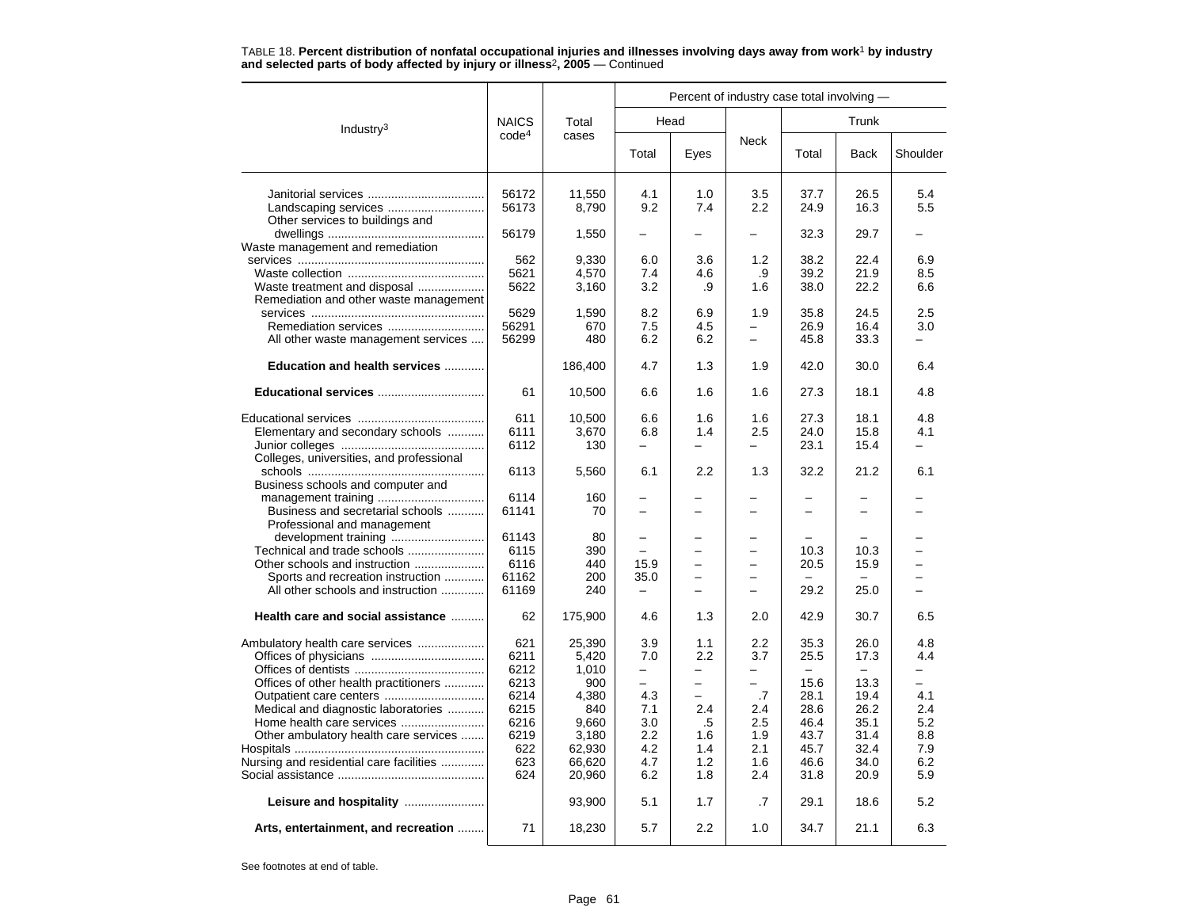TABLE 18. **Percent distribution of nonfatal occupational injuries and illnesses involving days away from work**<sup>1</sup> **by industry and selected parts of body affected by injury or illness**<sup>2</sup>**, 2005** — Continued

|                                                                        |                   | Total<br>cases | Percent of industry case total involving - |                                      |                               |       |             |            |  |  |  |
|------------------------------------------------------------------------|-------------------|----------------|--------------------------------------------|--------------------------------------|-------------------------------|-------|-------------|------------|--|--|--|
| Industry <sup>3</sup>                                                  | <b>NAICS</b>      |                |                                            | Head                                 |                               | Trunk |             |            |  |  |  |
|                                                                        | code <sup>4</sup> |                | Total                                      | Eyes                                 | Neck                          | Total | <b>Back</b> | Shoulder   |  |  |  |
|                                                                        | 56172             | 11,550         | 4.1                                        | 1.0                                  | 3.5                           | 37.7  | 26.5        | 5.4        |  |  |  |
|                                                                        | 56173             | 8,790          | 9.2                                        | 7.4                                  | $2.2\phantom{0}$              | 24.9  | 16.3        | 5.5        |  |  |  |
| Other services to buildings and                                        |                   |                |                                            |                                      |                               |       |             |            |  |  |  |
|                                                                        | 56179             | 1,550          | $\overline{\phantom{0}}$                   | $\overline{\phantom{0}}$             |                               | 32.3  | 29.7        |            |  |  |  |
| Waste management and remediation                                       |                   |                |                                            |                                      |                               |       |             |            |  |  |  |
|                                                                        | 562               | 9,330          | 6.0                                        | 3.6                                  | 1.2                           | 38.2  | 22.4        | 6.9        |  |  |  |
|                                                                        | 5621              | 4,570          | 7.4<br>3.2                                 | 4.6<br>.9                            | .9                            | 39.2  | 21.9        | 8.5<br>6.6 |  |  |  |
| Waste treatment and disposal<br>Remediation and other waste management | 5622              | 3,160          |                                            |                                      | 1.6                           | 38.0  | 22.2        |            |  |  |  |
|                                                                        | 5629              | 1,590          | 8.2                                        | 6.9                                  | 1.9                           | 35.8  | 24.5        | 2.5        |  |  |  |
|                                                                        | 56291             | 670            | 7.5                                        | 4.5                                  |                               | 26.9  | 16.4        | 3.0        |  |  |  |
| All other waste management services                                    | 56299             | 480            | 6.2                                        | 6.2                                  | $\overline{\phantom{0}}$      | 45.8  | 33.3        | $-$        |  |  |  |
|                                                                        |                   |                |                                            |                                      |                               |       |             |            |  |  |  |
| Education and health services                                          |                   | 186,400        | 4.7                                        | 1.3                                  | 1.9                           | 42.0  | 30.0        | 6.4        |  |  |  |
| Educational services                                                   | 61                | 10,500         | 6.6                                        | 1.6                                  | 1.6                           | 27.3  | 18.1        | 4.8        |  |  |  |
|                                                                        | 611               | 10,500         | 6.6                                        | 1.6                                  | 1.6                           | 27.3  | 18.1        | 4.8        |  |  |  |
| Elementary and secondary schools                                       | 6111              | 3,670          | 6.8                                        | 1.4                                  | 2.5                           | 24.0  | 15.8        | 4.1        |  |  |  |
|                                                                        | 6112              | 130            | $\equiv$                                   | ▃                                    | -                             | 23.1  | 15.4        |            |  |  |  |
| Colleges, universities, and professional                               |                   |                |                                            |                                      |                               |       |             |            |  |  |  |
|                                                                        | 6113              | 5,560          | 6.1                                        | 2.2                                  | 1.3                           | 32.2  | 21.2        | 6.1        |  |  |  |
| Business schools and computer and                                      |                   |                |                                            |                                      |                               |       |             |            |  |  |  |
|                                                                        | 6114<br>61141     | 160            |                                            |                                      |                               |       |             |            |  |  |  |
| Business and secretarial schools<br>Professional and management        |                   | 70             |                                            |                                      |                               |       |             |            |  |  |  |
|                                                                        | 61143             | 80             | $\overline{\phantom{0}}$                   |                                      |                               |       |             |            |  |  |  |
| Technical and trade schools                                            | 6115              | 390            |                                            |                                      |                               | 10.3  | 10.3        |            |  |  |  |
| Other schools and instruction                                          | 6116              | 440            | 15.9                                       |                                      | -                             | 20.5  | 15.9        |            |  |  |  |
| Sports and recreation instruction                                      | 61162             | 200            | 35.0                                       |                                      |                               |       |             |            |  |  |  |
| All other schools and instruction                                      | 61169             | 240            | $\equiv$                                   |                                      |                               | 29.2  | 25.0        |            |  |  |  |
| Health care and social assistance                                      | 62                | 175,900        | 4.6                                        | 1.3                                  | 2.0                           | 42.9  | 30.7        | 6.5        |  |  |  |
|                                                                        |                   |                |                                            |                                      |                               |       |             |            |  |  |  |
| Ambulatory health care services                                        | 621               | 25,390         | 3.9                                        | 1.1                                  | 2.2                           | 35.3  | 26.0        | 4.8        |  |  |  |
|                                                                        | 6211              | 5,420          | 7.0                                        | 2.2                                  | 3.7                           | 25.5  | 17.3        | 4.4        |  |  |  |
| Offices of other health practitioners                                  | 6212<br>6213      | 1,010<br>900   | -<br>$\equiv$                              | $\overline{\phantom{0}}$<br>$\equiv$ | -<br>$\overline{\phantom{0}}$ | 15.6  | 13.3        | $\equiv$   |  |  |  |
|                                                                        | 6214              | 4,380          | 4.3                                        | $\overline{\phantom{0}}$             | .7                            | 28.1  | 19.4        | 4.1        |  |  |  |
| Medical and diagnostic laboratories                                    | 6215              | 840            | 7.1                                        | 2.4                                  | 2.4                           | 28.6  | 26.2        | 2.4        |  |  |  |
|                                                                        | 6216              | 9,660          | 3.0                                        | .5                                   | 2.5                           | 46.4  | 35.1        | 5.2        |  |  |  |
| Other ambulatory health care services                                  | 6219              | 3,180          | 2.2                                        | 1.6                                  | 1.9                           | 43.7  | 31.4        | 8.8        |  |  |  |
|                                                                        | 622               | 62,930         | 4.2                                        | 1.4                                  | 2.1                           | 45.7  | 32.4        | 7.9        |  |  |  |
| Nursing and residential care facilities                                | 623               | 66,620         | 4.7                                        | 1.2                                  | 1.6                           | 46.6  | 34.0        | 6.2        |  |  |  |
|                                                                        | 624               | 20,960         | 6.2                                        | 1.8                                  | 2.4                           | 31.8  | 20.9        | 5.9        |  |  |  |
| Leisure and hospitality                                                |                   | 93,900         | 5.1                                        | 1.7                                  | .7                            | 29.1  | 18.6        | 5.2        |  |  |  |
| Arts, entertainment, and recreation                                    | 71                | 18,230         | 5.7                                        | 2.2                                  | 1.0                           | 34.7  | 21.1        | 6.3        |  |  |  |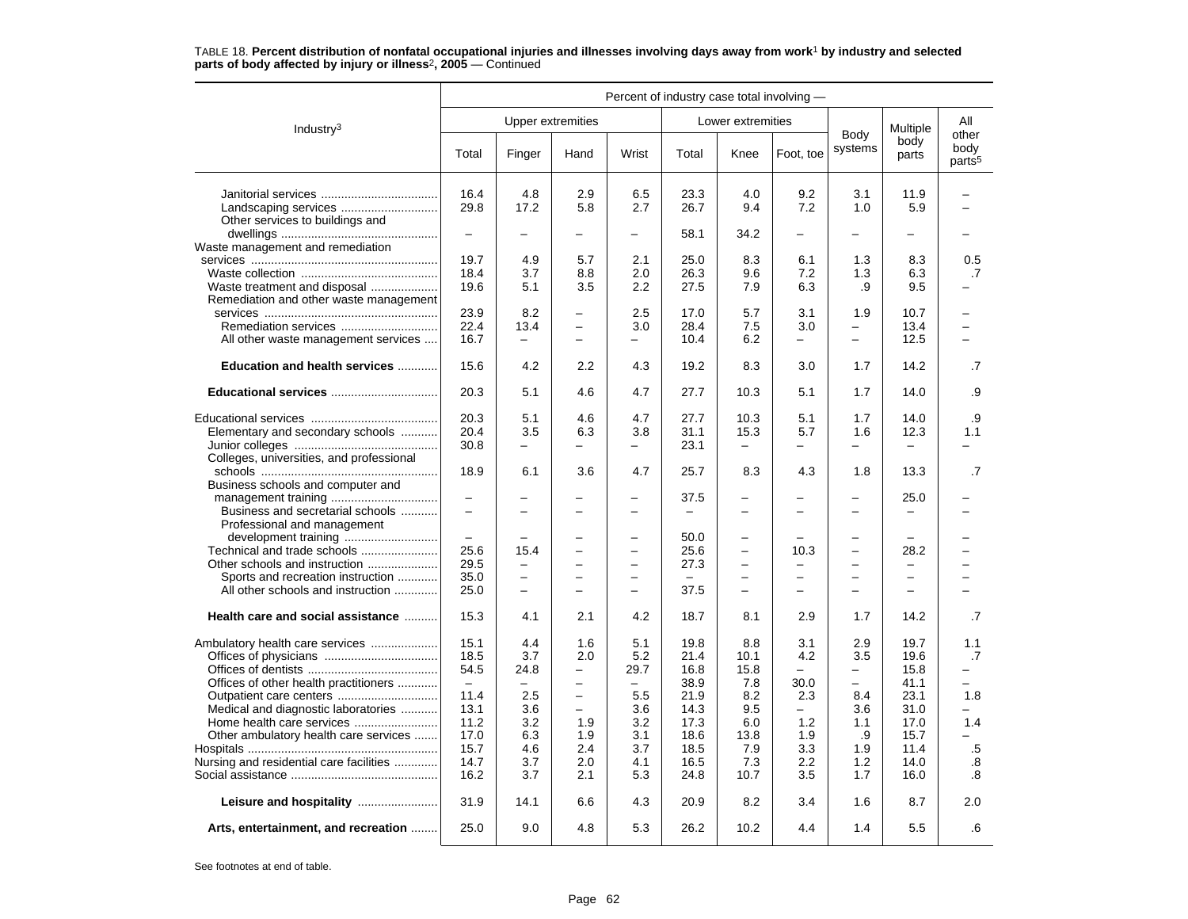|                                                                                                                                                                                                     | Percent of industry case total involving -                                                               |                                                                          |                                                                                                                                        |                                                                          |                                                                                      |                                                                               |                                                                          |                                                                       |                                                                                      |                                                                            |  |
|-----------------------------------------------------------------------------------------------------------------------------------------------------------------------------------------------------|----------------------------------------------------------------------------------------------------------|--------------------------------------------------------------------------|----------------------------------------------------------------------------------------------------------------------------------------|--------------------------------------------------------------------------|--------------------------------------------------------------------------------------|-------------------------------------------------------------------------------|--------------------------------------------------------------------------|-----------------------------------------------------------------------|--------------------------------------------------------------------------------------|----------------------------------------------------------------------------|--|
| Industry $3$                                                                                                                                                                                        |                                                                                                          |                                                                          | Upper extremities                                                                                                                      |                                                                          |                                                                                      | Lower extremities                                                             |                                                                          |                                                                       | Multiple<br>body<br>parts                                                            | All                                                                        |  |
|                                                                                                                                                                                                     | Total                                                                                                    | Finger                                                                   | Hand                                                                                                                                   | Wrist                                                                    | Total                                                                                | Knee                                                                          | Foot, toe                                                                | Body<br>systems                                                       |                                                                                      | other<br>body<br>parts <sup>5</sup>                                        |  |
| Other services to buildings and                                                                                                                                                                     | 16.4<br>29.8                                                                                             | 4.8<br>17.2                                                              | 2.9<br>5.8                                                                                                                             | 6.5<br>2.7                                                               | 23.3<br>26.7                                                                         | 4.0<br>9.4                                                                    | 9.2<br>7.2                                                               | 3.1<br>1.0                                                            | 11.9<br>5.9                                                                          |                                                                            |  |
| Waste management and remediation                                                                                                                                                                    | $\overline{\phantom{0}}$                                                                                 | $\overline{\phantom{0}}$                                                 | $\overline{\phantom{0}}$                                                                                                               | $\overline{\phantom{0}}$                                                 | 58.1                                                                                 | 34.2                                                                          | $\overline{\phantom{0}}$                                                 | -                                                                     | $\overline{\phantom{0}}$                                                             | -                                                                          |  |
| Waste treatment and disposal<br>Remediation and other waste management                                                                                                                              | 19.7<br>18.4<br>19.6                                                                                     | 4.9<br>3.7<br>5.1                                                        | 5.7<br>8.8<br>3.5                                                                                                                      | 2.1<br>2.0<br>2.2                                                        | 25.0<br>26.3<br>27.5                                                                 | 8.3<br>9.6<br>7.9                                                             | 6.1<br>7.2<br>6.3                                                        | 1.3<br>1.3<br>.9                                                      | 8.3<br>6.3<br>9.5                                                                    | 0.5<br>.7                                                                  |  |
| All other waste management services                                                                                                                                                                 | 23.9<br>22.4<br>16.7                                                                                     | 8.2<br>13.4<br>$\overline{\phantom{0}}$                                  | $\overline{\phantom{0}}$<br>$\equiv$<br>$\equiv$                                                                                       | 2.5<br>3.0<br>-                                                          | 17.0<br>28.4<br>10.4                                                                 | 5.7<br>7.5<br>6.2                                                             | 3.1<br>3.0<br>$\overline{\phantom{0}}$                                   | 1.9<br>$\equiv$<br>$\equiv$                                           | 10.7<br>13.4<br>12.5                                                                 |                                                                            |  |
| Education and health services                                                                                                                                                                       | 15.6                                                                                                     | 4.2                                                                      | 2.2                                                                                                                                    | 4.3                                                                      | 19.2                                                                                 | 8.3                                                                           | 3.0                                                                      | 1.7                                                                   | 14.2                                                                                 | .7                                                                         |  |
|                                                                                                                                                                                                     | 20.3                                                                                                     | 5.1                                                                      | 4.6                                                                                                                                    | 4.7                                                                      | 27.7                                                                                 | 10.3                                                                          | 5.1                                                                      | 1.7                                                                   | 14.0                                                                                 | .9                                                                         |  |
| Elementary and secondary schools                                                                                                                                                                    | 20.3<br>20.4<br>30.8                                                                                     | 5.1<br>3.5<br>$\overline{\phantom{0}}$                                   | 4.6<br>6.3<br>$\overline{\phantom{0}}$                                                                                                 | 4.7<br>3.8<br>-                                                          | 27.7<br>31.1<br>23.1                                                                 | 10.3<br>15.3<br>$\overline{\phantom{0}}$                                      | 5.1<br>5.7<br>$\overline{\phantom{m}}$                                   | 1.7<br>1.6<br>-                                                       | 14.0<br>12.3<br>$\overline{\phantom{0}}$                                             | .9<br>1.1                                                                  |  |
| Colleges, universities, and professional<br>Business schools and computer and                                                                                                                       | 18.9                                                                                                     | 6.1                                                                      | 3.6                                                                                                                                    | 4.7                                                                      | 25.7                                                                                 | 8.3                                                                           | 4.3                                                                      | 1.8                                                                   | 13.3                                                                                 | .7                                                                         |  |
| Business and secretarial schools<br>Professional and management                                                                                                                                     | $\overline{\phantom{0}}$<br>$\equiv$                                                                     | $\overline{\phantom{0}}$<br>$\equiv$                                     | $\overline{\phantom{0}}$                                                                                                               | $\overline{\phantom{0}}$<br>$\overline{\phantom{0}}$                     | 37.5<br>$\overline{\phantom{0}}$                                                     | $\overline{\phantom{0}}$<br>$\overline{\phantom{0}}$                          | $\equiv$                                                                 | $\overline{\phantom{0}}$<br>$\overline{\phantom{0}}$                  | 25.0<br>$\overline{\phantom{0}}$                                                     | $\overline{\phantom{0}}$                                                   |  |
| Other schools and instruction                                                                                                                                                                       | $\equiv$<br>25.6<br>29.5                                                                                 | $\overline{\phantom{0}}$<br>15.4<br>$\overline{a}$                       | $\overline{\phantom{0}}$                                                                                                               | -<br>-<br>$\equiv$                                                       | 50.0<br>25.6<br>27.3                                                                 | $\overline{\phantom{0}}$<br>$\overline{\phantom{0}}$<br>$\equiv$              | 10.3                                                                     | <u>.</u><br>-<br>$\equiv$                                             | $\overline{\phantom{0}}$<br>28.2<br>$\equiv$                                         | $\overline{\phantom{0}}$                                                   |  |
| Sports and recreation instruction<br>All other schools and instruction                                                                                                                              | 35.0<br>25.0                                                                                             | $\qquad \qquad -$<br>$\overline{\phantom{0}}$                            | $\overline{\phantom{0}}$                                                                                                               | $\overline{\phantom{0}}$                                                 | $\overline{\phantom{m}}$<br>37.5                                                     | $\overline{\phantom{0}}$<br>$\overline{\phantom{0}}$                          | $\overline{\phantom{m}}$                                                 | $\overline{\phantom{0}}$<br>$\overline{\phantom{0}}$                  | $\overline{\phantom{0}}$<br>$\overline{\phantom{0}}$                                 |                                                                            |  |
| Health care and social assistance                                                                                                                                                                   | 15.3                                                                                                     | 4.1                                                                      | 2.1                                                                                                                                    | 4.2                                                                      | 18.7                                                                                 | 8.1                                                                           | 2.9                                                                      | 1.7                                                                   | 14.2                                                                                 | .7                                                                         |  |
| Ambulatory health care services<br>Offices of other health practitioners<br>Medical and diagnostic laboratories<br>Other ambulatory health care services<br>Nursing and residential care facilities | 15.1<br>18.5<br>54.5<br>$\overline{\phantom{0}}$<br>11.4<br>13.1<br>11.2<br>17.0<br>15.7<br>14.7<br>16.2 | 4.4<br>3.7<br>24.8<br>-<br>2.5<br>3.6<br>3.2<br>6.3<br>4.6<br>3.7<br>3.7 | 1.6<br>2.0<br>$\qquad \qquad -$<br>$\overline{\phantom{0}}$<br>$\overline{\phantom{0}}$<br>$\equiv$<br>1.9<br>1.9<br>2.4<br>2.0<br>2.1 | 5.1<br>5.2<br>29.7<br>-<br>5.5<br>3.6<br>3.2<br>3.1<br>3.7<br>4.1<br>5.3 | 19.8<br>21.4<br>16.8<br>38.9<br>21.9<br>14.3<br>17.3<br>18.6<br>18.5<br>16.5<br>24.8 | 8.8<br>10.1<br>15.8<br>7.8<br>8.2<br>9.5<br>6.0<br>13.8<br>7.9<br>7.3<br>10.7 | 3.1<br>4.2<br>30.0<br>2.3<br>$\equiv$<br>1.2<br>1.9<br>3.3<br>2.2<br>3.5 | 2.9<br>3.5<br>-<br>Ξ.<br>8.4<br>3.6<br>1.1<br>.9<br>1.9<br>1.2<br>1.7 | 19.7<br>19.6<br>15.8<br>41.1<br>23.1<br>31.0<br>17.0<br>15.7<br>11.4<br>14.0<br>16.0 | 1.1<br>.7<br>$\overline{\phantom{0}}$<br>1.8<br>-<br>1.4<br>.5<br>.8<br>.8 |  |
|                                                                                                                                                                                                     | 31.9                                                                                                     | 14.1                                                                     | 6.6                                                                                                                                    | 4.3                                                                      | 20.9                                                                                 | 8.2                                                                           | 3.4                                                                      | 1.6                                                                   | 8.7                                                                                  | 2.0                                                                        |  |
| Arts, entertainment, and recreation                                                                                                                                                                 | 25.0                                                                                                     | 9.0                                                                      | 4.8                                                                                                                                    | 5.3                                                                      | 26.2                                                                                 | 10.2                                                                          | 4.4                                                                      | 1.4                                                                   | 5.5                                                                                  | .6                                                                         |  |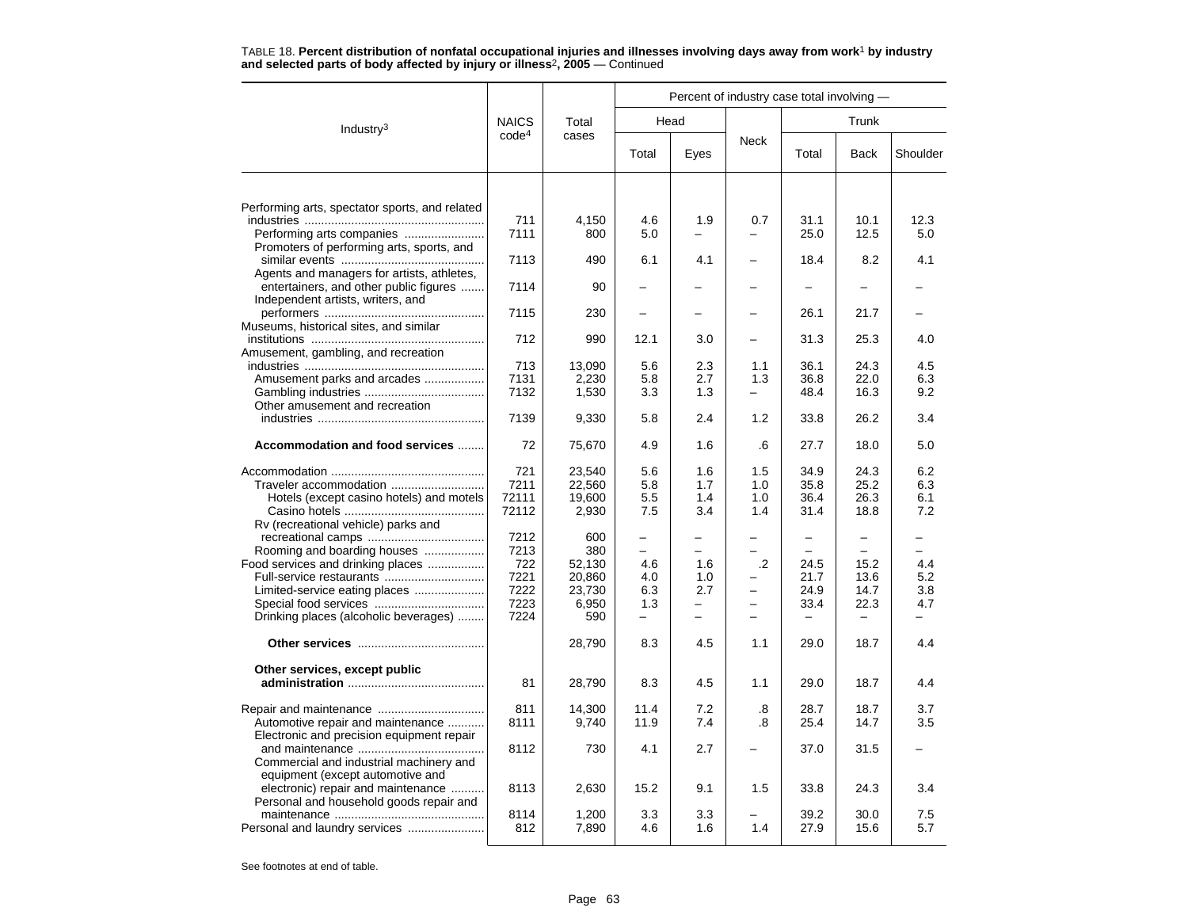|                                                |                   | Total  | Percent of industry case total involving - |      |                          |                   |                          |          |  |  |
|------------------------------------------------|-------------------|--------|--------------------------------------------|------|--------------------------|-------------------|--------------------------|----------|--|--|
| Industry <sup>3</sup>                          | <b>NAICS</b>      |        |                                            | Head |                          | Trunk             |                          |          |  |  |
|                                                | code <sup>4</sup> | cases  | Total                                      | Eyes | <b>Neck</b>              | Total             | <b>Back</b>              | Shoulder |  |  |
|                                                |                   |        |                                            |      |                          |                   |                          |          |  |  |
| Performing arts, spectator sports, and related |                   |        |                                            |      |                          |                   |                          |          |  |  |
|                                                | 711               | 4.150  | 4.6                                        | 1.9  | 0.7                      | 31.1              | 10.1                     | 12.3     |  |  |
| Performing arts companies                      | 7111              | 800    | 5.0                                        |      |                          | 25.0              | 12.5                     | 5.0      |  |  |
| Promoters of performing arts, sports, and      |                   |        |                                            |      |                          |                   |                          |          |  |  |
|                                                | 7113              | 490    | 6.1                                        | 4.1  |                          | 18.4              | 8.2                      | 4.1      |  |  |
| Agents and managers for artists, athletes,     |                   |        |                                            |      |                          |                   |                          |          |  |  |
| entertainers, and other public figures         | 7114              | 90     |                                            |      |                          |                   |                          |          |  |  |
| Independent artists, writers, and              |                   |        |                                            |      |                          |                   |                          |          |  |  |
|                                                | 7115              | 230    |                                            |      |                          | 26.1              | 21.7                     |          |  |  |
| Museums, historical sites, and similar         |                   |        |                                            |      |                          |                   |                          |          |  |  |
|                                                | 712               | 990    | 12.1                                       | 3.0  | -                        | 31.3              | 25.3                     | 4.0      |  |  |
| Amusement, gambling, and recreation            |                   |        |                                            |      |                          |                   |                          |          |  |  |
|                                                | 713               | 13,090 | 5.6                                        | 2.3  | 1.1                      | 36.1              | 24.3                     | 4.5      |  |  |
| Amusement parks and arcades                    | 7131              | 2,230  | 5.8                                        | 2.7  | 1.3                      | 36.8              | 22.0                     | 6.3      |  |  |
|                                                | 7132              | 1,530  | 3.3                                        | 1.3  | $\overline{\phantom{0}}$ | 48.4              | 16.3                     | 9.2      |  |  |
| Other amusement and recreation                 |                   |        |                                            |      |                          |                   |                          |          |  |  |
|                                                | 7139              | 9,330  | 5.8                                        | 2.4  | 1.2                      | 33.8              | 26.2                     | 3.4      |  |  |
| Accommodation and food services                | 72                | 75,670 | 4.9                                        | 1.6  | .6                       | 27.7              | 18.0                     | 5.0      |  |  |
|                                                | 721               | 23,540 | 5.6                                        | 1.6  | 1.5                      | 34.9              | 24.3                     | 6.2      |  |  |
|                                                | 7211              | 22,560 | 5.8                                        | 1.7  | 1.0                      | 35.8              | 25.2                     | 6.3      |  |  |
| Hotels (except casino hotels) and motels       | 72111             | 19,600 | 5.5                                        | 1.4  | 1.0                      | 36.4              | 26.3                     | 6.1      |  |  |
|                                                | 72112             | 2,930  | 7.5                                        | 3.4  | 1.4                      | 31.4              | 18.8                     | 7.2      |  |  |
| Rv (recreational vehicle) parks and            |                   |        |                                            |      |                          |                   |                          |          |  |  |
|                                                | 7212              | 600    | $\overline{\phantom{0}}$                   |      |                          | $\qquad \qquad -$ | $\qquad \qquad -$        |          |  |  |
| Rooming and boarding houses                    | 7213              | 380    | ÷                                          |      |                          |                   |                          |          |  |  |
| Food services and drinking places              | 722               | 52,130 | 4.6                                        | 1.6  | $\cdot$ .2               | 24.5              | 15.2                     | 4.4      |  |  |
| Full-service restaurants                       | 7221              | 20,860 | 4.0                                        | 1.0  |                          | 21.7              | 13.6                     | 5.2      |  |  |
| Limited-service eating places                  | 7222              | 23,730 | 6.3                                        | 2.7  | -                        | 24.9              | 14.7                     | 3.8      |  |  |
|                                                | 7223              | 6,950  | 1.3                                        | -    | $\overline{\phantom{0}}$ | 33.4              | 22.3                     | 4.7      |  |  |
| Drinking places (alcoholic beverages)          | 7224              | 590    | $\equiv$                                   |      |                          |                   | $\overline{\phantom{0}}$ |          |  |  |
|                                                |                   | 28,790 | 8.3                                        | 4.5  | 1.1                      | 29.0              | 18.7                     | 4.4      |  |  |
| Other services, except public                  |                   |        |                                            |      |                          |                   |                          |          |  |  |
|                                                | 81                | 28,790 | 8.3                                        | 4.5  | 1.1                      | 29.0              | 18.7                     | 4.4      |  |  |
|                                                |                   |        |                                            |      |                          |                   |                          |          |  |  |
|                                                | 811               | 14,300 | 11.4                                       | 7.2  | .8                       | 28.7              | 18.7                     | 3.7      |  |  |
| Automotive repair and maintenance              | 8111              | 9,740  | 11.9                                       | 7.4  | .8                       | 25.4              | 14.7                     | 3.5      |  |  |
| Electronic and precision equipment repair      |                   |        |                                            |      |                          |                   |                          |          |  |  |
|                                                | 8112              | 730    | 4.1                                        | 2.7  |                          | 37.0              | 31.5                     |          |  |  |
| Commercial and industrial machinery and        |                   |        |                                            |      |                          |                   |                          |          |  |  |
| equipment (except automotive and               |                   |        |                                            |      |                          |                   |                          |          |  |  |
| electronic) repair and maintenance             | 8113              | 2,630  | 15.2                                       | 9.1  | 1.5                      | 33.8              | 24.3                     | 3.4      |  |  |
| Personal and household goods repair and        |                   |        |                                            |      |                          |                   |                          |          |  |  |
|                                                | 8114              | 1,200  | 3.3                                        | 3.3  |                          | 39.2              | 30.0                     | 7.5      |  |  |
| Personal and laundry services                  | 812               | 7,890  | 4.6                                        | 1.6  | 1.4                      | 27.9              | 15.6                     | 5.7      |  |  |
|                                                |                   |        |                                            |      |                          |                   |                          |          |  |  |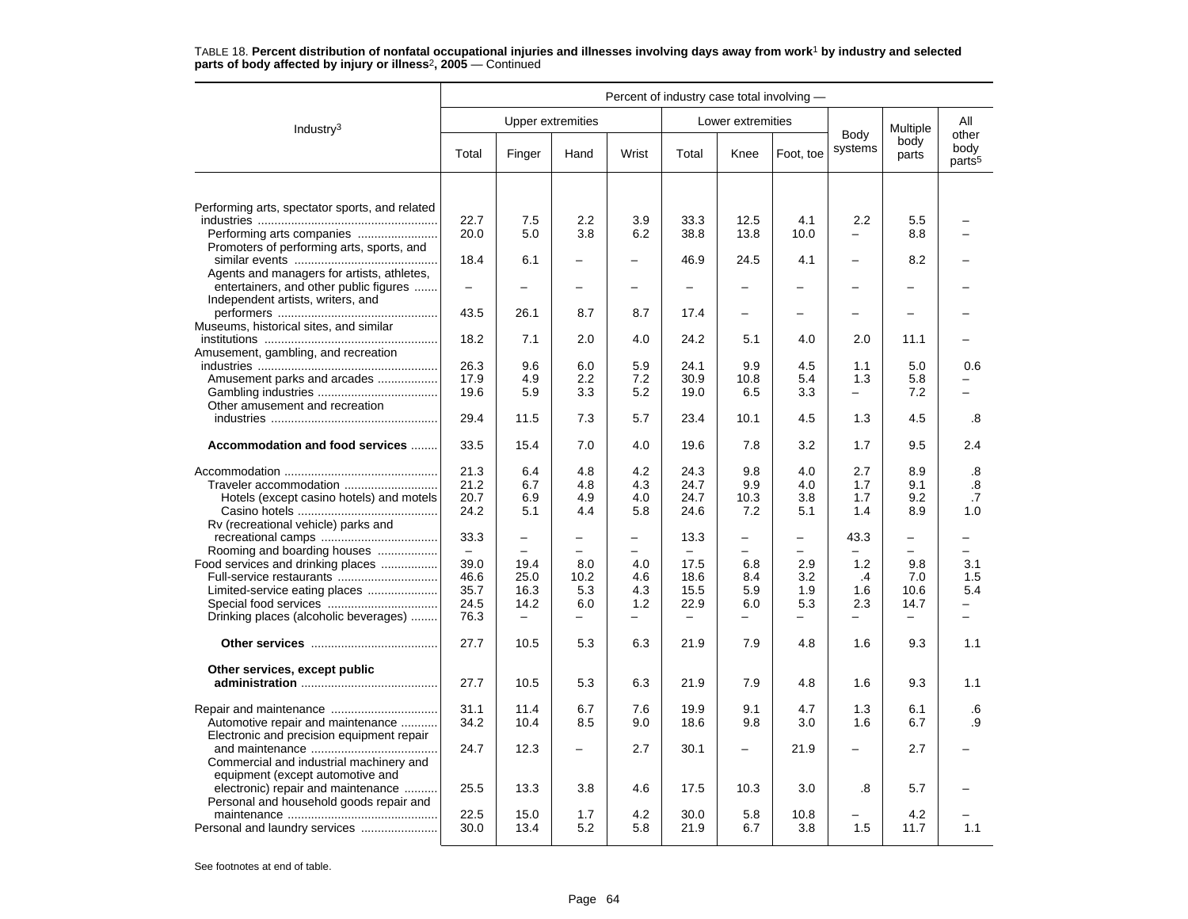|                                                                                      | Percent of industry case total involving - |                          |                          |                          |                   |                          |                          |                          |                          |                                     |  |
|--------------------------------------------------------------------------------------|--------------------------------------------|--------------------------|--------------------------|--------------------------|-------------------|--------------------------|--------------------------|--------------------------|--------------------------|-------------------------------------|--|
| Industry $3$                                                                         | <b>Upper extremities</b>                   |                          |                          |                          |                   | Lower extremities        |                          |                          | Multiple                 | All                                 |  |
|                                                                                      | Total                                      | Finger                   | Hand                     | Wrist                    | Total             | Knee                     | Foot, toe                | Body<br>systems          | body<br>parts            | other<br>body<br>parts <sup>5</sup> |  |
|                                                                                      |                                            |                          |                          |                          |                   |                          |                          |                          |                          |                                     |  |
| Performing arts, spectator sports, and related                                       |                                            |                          |                          |                          |                   |                          |                          |                          |                          |                                     |  |
|                                                                                      | 22.7                                       | 7.5                      | 2.2                      | 3.9                      | 33.3              | 12.5                     | 4.1                      | 2.2                      | 5.5                      |                                     |  |
| Promoters of performing arts, sports, and                                            | 20.0                                       | 5.0                      | 3.8                      | 6.2                      | 38.8              | 13.8                     | 10.0                     |                          | 8.8                      |                                     |  |
|                                                                                      | 18.4                                       | 6.1                      | $\equiv$                 | $\overline{\phantom{m}}$ | 46.9              | 24.5                     | 4.1                      | $\sim$                   | 8.2                      |                                     |  |
| Agents and managers for artists, athletes,<br>entertainers, and other public figures | $\equiv$                                   |                          |                          | $\overline{\phantom{0}}$ | $\equiv$          | $\overline{a}$           |                          | $\overline{\phantom{0}}$ |                          |                                     |  |
| Independent artists, writers, and                                                    |                                            |                          |                          |                          |                   |                          |                          |                          |                          |                                     |  |
|                                                                                      | 43.5                                       | 26.1                     | 8.7                      | 8.7                      | 17.4              | -                        |                          | $\equiv$                 |                          |                                     |  |
| Museums, historical sites, and similar                                               |                                            |                          |                          |                          |                   |                          |                          |                          |                          |                                     |  |
|                                                                                      | 18.2                                       | 7.1                      | 2.0                      | 4.0                      | 24.2              | 5.1                      | 4.0                      | 2.0                      | 11.1                     |                                     |  |
| Amusement, gambling, and recreation                                                  | 26.3                                       | 9.6                      | 6.0                      | 5.9                      | 24.1              | 9.9                      | 4.5                      | 1.1                      | 5.0                      | 0.6                                 |  |
| Amusement parks and arcades                                                          | 17.9                                       | 4.9                      | 2.2                      | 7.2                      | 30.9              | 10.8                     | 5.4                      | 1.3                      | 5.8                      |                                     |  |
|                                                                                      | 19.6                                       | 5.9                      | 3.3                      | 5.2                      | 19.0              | 6.5                      | 3.3                      | $\equiv$                 | 7.2                      |                                     |  |
| Other amusement and recreation                                                       |                                            |                          |                          |                          |                   |                          |                          |                          |                          |                                     |  |
|                                                                                      | 29.4                                       | 11.5                     | 7.3                      | 5.7                      | 23.4              | 10.1                     | 4.5                      | 1.3                      | 4.5                      | .8                                  |  |
| Accommodation and food services                                                      | 33.5                                       | 15.4                     | 7.0                      | 4.0                      | 19.6              | 7.8                      | 3.2                      | 1.7                      | 9.5                      | 2.4                                 |  |
|                                                                                      | 21.3                                       | 6.4                      | 4.8                      | 4.2                      | 24.3              | 9.8                      | 4.0                      | 2.7                      | 8.9                      | .8                                  |  |
| Traveler accommodation                                                               | 21.2                                       | 6.7                      | 4.8                      | 4.3                      | 24.7              | 9.9                      | 4.0                      | 1.7                      | 9.1                      | .8                                  |  |
| Hotels (except casino hotels) and motels                                             | 20.7                                       | 6.9                      | 4.9                      | 4.0                      | 24.7              | 10.3                     | 3.8                      | 1.7                      | 9.2                      | .7                                  |  |
| Rv (recreational vehicle) parks and                                                  | 24.2                                       | 5.1                      | 4.4                      | 5.8                      | 24.6              | 7.2                      | 5.1                      | 1.4                      | 8.9                      | 1.0                                 |  |
|                                                                                      | 33.3                                       | $\overline{\phantom{0}}$ | $\overline{\phantom{0}}$ | $\overline{\phantom{m}}$ | 13.3              | $\qquad \qquad -$        | $\overline{\phantom{0}}$ | 43.3                     | $\overline{\phantom{0}}$ | -                                   |  |
| Rooming and boarding houses                                                          | $\overline{\phantom{0}}$                   | $\overline{\phantom{0}}$ |                          |                          |                   |                          |                          |                          | $\equiv$                 | -                                   |  |
| Food services and drinking places                                                    | 39.0                                       | 19.4                     | 8.0                      | 4.0                      | 17.5              | 6.8                      | 2.9                      | 1.2                      | 9.8                      | 3.1                                 |  |
|                                                                                      | 46.6                                       | 25.0                     | 10.2                     | 4.6                      | 18.6              | 8.4                      | 3.2                      | .4                       | 7.0                      | 1.5                                 |  |
| Limited-service eating places                                                        | 35.7                                       | 16.3                     | 5.3                      | 4.3                      | 15.5              | 5.9                      | 1.9                      | 1.6                      | 10.6                     | 5.4                                 |  |
|                                                                                      | 24.5                                       | 14.2                     | 6.0<br>$\equiv$          | 1.2                      | 22.9              | 6.0                      | 5.3                      | 2.3<br>$\equiv$          | 14.7<br>$\equiv$         | $\overline{\phantom{0}}$            |  |
| Drinking places (alcoholic beverages)                                                | 76.3                                       | $\qquad \qquad -$        |                          | $\overline{\phantom{0}}$ | $\qquad \qquad -$ | $\overline{\phantom{0}}$ |                          |                          |                          |                                     |  |
|                                                                                      | 27.7                                       | 10.5                     | 5.3                      | 6.3                      | 21.9              | 7.9                      | 4.8                      | 1.6                      | 9.3                      | 1.1                                 |  |
| Other services, except public                                                        |                                            |                          |                          |                          |                   |                          |                          |                          |                          |                                     |  |
|                                                                                      | 27.7                                       | 10.5                     | 5.3                      | 6.3                      | 21.9              | 7.9                      | 4.8                      | 1.6                      | 9.3                      | 1.1                                 |  |
|                                                                                      |                                            |                          |                          |                          |                   |                          |                          |                          |                          |                                     |  |
| Automotive repair and maintenance                                                    | 31.1<br>34.2                               | 11.4<br>10.4             | 6.7<br>8.5               | 7.6<br>9.0               | 19.9<br>18.6      | 9.1<br>9.8               | 4.7<br>3.0               | 1.3<br>1.6               | 6.1<br>6.7               | .6<br>.9                            |  |
| Electronic and precision equipment repair                                            |                                            |                          |                          |                          |                   |                          |                          |                          |                          |                                     |  |
|                                                                                      | 24.7                                       | 12.3                     | $\overline{\phantom{0}}$ | 2.7                      | 30.1              | $\overline{\phantom{0}}$ | 21.9                     |                          | 2.7                      |                                     |  |
| Commercial and industrial machinery and                                              |                                            |                          |                          |                          |                   |                          |                          |                          |                          |                                     |  |
| equipment (except automotive and                                                     |                                            |                          |                          |                          |                   |                          |                          |                          |                          |                                     |  |
| electronic) repair and maintenance                                                   | 25.5                                       | 13.3                     | 3.8                      | 4.6                      | 17.5              | 10.3                     | 3.0                      | .8                       | 5.7                      |                                     |  |
| Personal and household goods repair and                                              | 22.5                                       | 15.0                     | 1.7                      | 4.2                      | 30.0              | 5.8                      | 10.8                     |                          | 4.2                      |                                     |  |
|                                                                                      | 30.0                                       | 13.4                     | 5.2                      | 5.8                      | 21.9              | 6.7                      | 3.8                      | 1.5                      | 11.7                     | 1.1                                 |  |
|                                                                                      |                                            |                          |                          |                          |                   |                          |                          |                          |                          |                                     |  |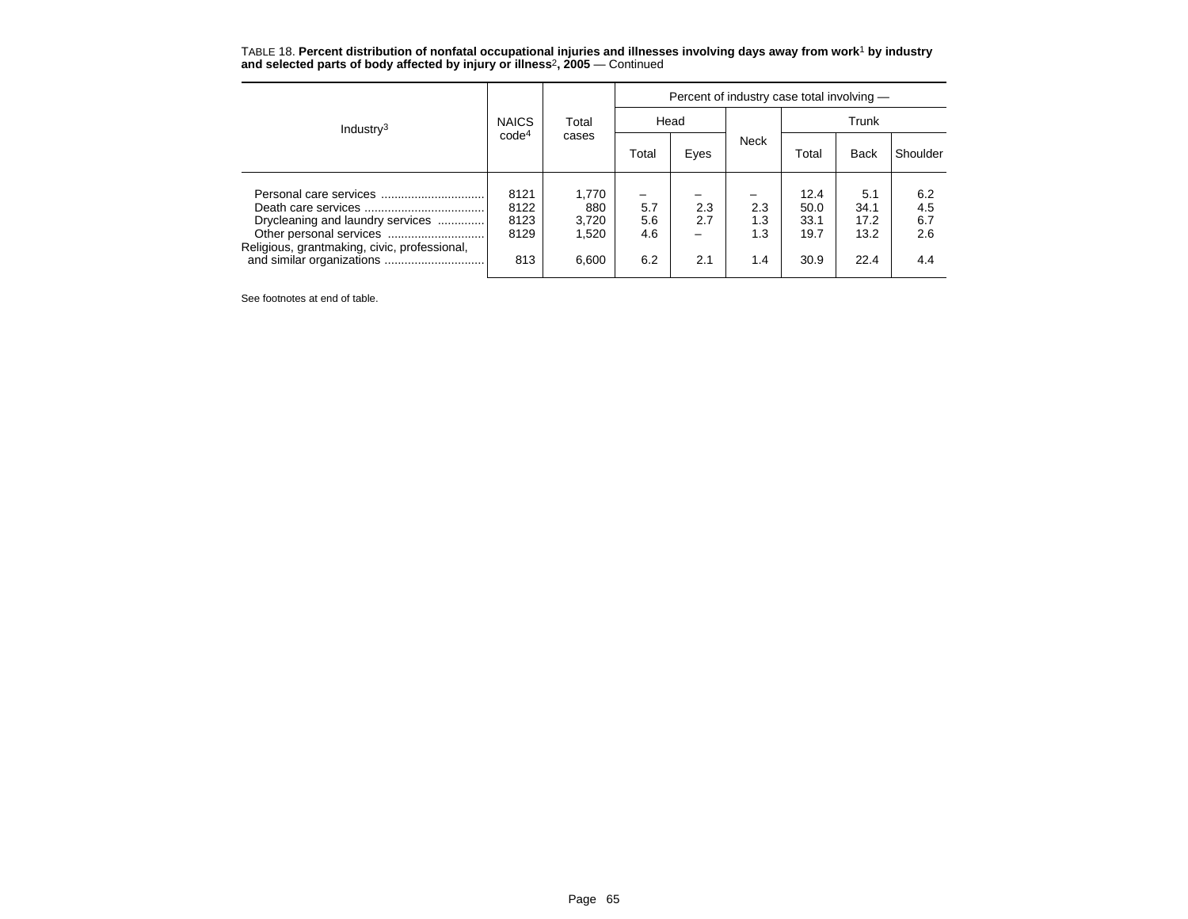TABLE 18. **Percent distribution of nonfatal occupational injuries and illnesses involving days away from work**<sup>1</sup> **by industry and selected parts of body affected by injury or illness**<sup>2</sup>**, 2005** — Continued

| Industry <sup>3</sup>                                                            |                                     |                                         | Percent of industry case total involving -           |                        |                          |                                      |                                     |                                 |  |  |
|----------------------------------------------------------------------------------|-------------------------------------|-----------------------------------------|------------------------------------------------------|------------------------|--------------------------|--------------------------------------|-------------------------------------|---------------------------------|--|--|
|                                                                                  | <b>NAICS</b>                        | Total<br>cases                          | Head                                                 |                        |                          | Trunk                                |                                     |                                 |  |  |
|                                                                                  | code <sup>4</sup>                   |                                         | Total                                                | Eyes                   | <b>Neck</b>              | Total                                | <b>Back</b>                         | Shoulder                        |  |  |
| Drycleaning and laundry services<br>Religious, grantmaking, civic, professional, | 8121<br>8122<br>8123<br>8129<br>813 | 1,770<br>880<br>3,720<br>1,520<br>6,600 | $\overline{\phantom{0}}$<br>5.7<br>5.6<br>4.6<br>6.2 | 2.3<br>2.7<br>-<br>2.1 | 2.3<br>1.3<br>1.3<br>1.4 | 12.4<br>50.0<br>33.1<br>19.7<br>30.9 | 5.1<br>34.1<br>17.2<br>13.2<br>22.4 | 6.2<br>4.5<br>6.7<br>2.6<br>4.4 |  |  |